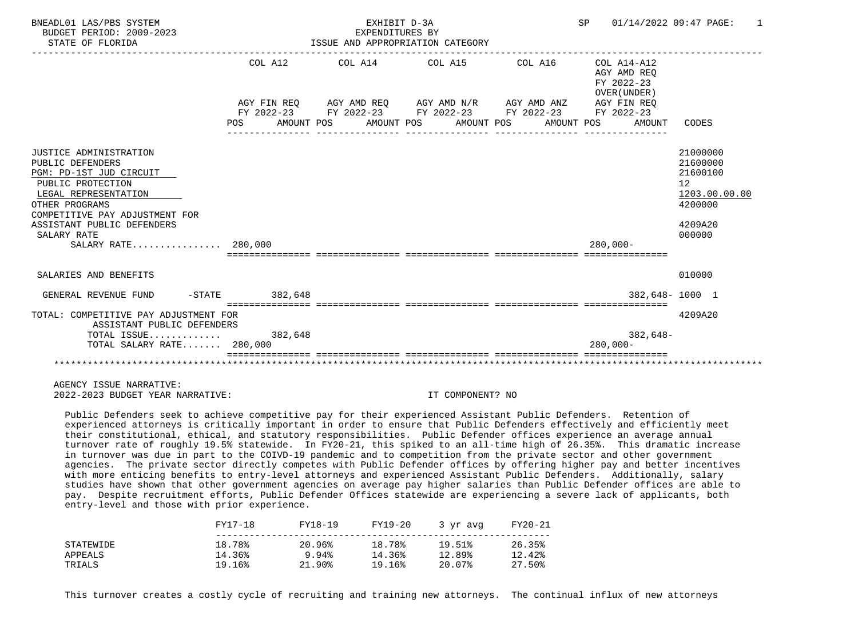| BNEADL01 LAS/PBS SYSTEM<br>BUDGET PERIOD: 2009-2023<br>STATE OF FLORIDA                                                                                                                                                                    |                | EXHIBIT D-3A<br>EXPENDITURES BY | ISSUE AND APPROPRIATION CATEGORY                                                                                                                         | SP 01/14/2022 09:47 PAGE:                                          | $\mathbf{1}$                                                                                         |
|--------------------------------------------------------------------------------------------------------------------------------------------------------------------------------------------------------------------------------------------|----------------|---------------------------------|----------------------------------------------------------------------------------------------------------------------------------------------------------|--------------------------------------------------------------------|------------------------------------------------------------------------------------------------------|
|                                                                                                                                                                                                                                            | COL A12<br>POS |                                 | AGY FIN REO AGY AMD REO AGY AMD N/R AGY AMD ANZ<br>FY 2022-23 FY 2022-23 FY 2022-23 FY 2022-23 FY 2022-23<br>AMOUNT POS AMOUNT POS AMOUNT POS AMOUNT POS | AGY AMD REO<br>FY 2022-23<br>OVER (UNDER)<br>AGY FIN REO<br>AMOUNT | CODES                                                                                                |
| JUSTICE ADMINISTRATION<br>PUBLIC DEFENDERS<br>PGM: PD-1ST JUD CIRCUIT<br>PUBLIC PROTECTION<br>LEGAL REPRESENTATION<br>OTHER PROGRAMS<br>COMPETITIVE PAY ADJUSTMENT FOR<br>ASSISTANT PUBLIC DEFENDERS<br>SALARY RATE<br>SALARY RATE 280,000 |                |                                 |                                                                                                                                                          | $280.000 -$                                                        | 21000000<br>21600000<br>21600100<br>12 <sup>°</sup><br>1203.00.00.00<br>4200000<br>4209A20<br>000000 |
| SALARIES AND BENEFITS                                                                                                                                                                                                                      |                |                                 |                                                                                                                                                          |                                                                    | 010000                                                                                               |
| GENERAL REVENUE FUND -STATE 382,648                                                                                                                                                                                                        |                |                                 |                                                                                                                                                          |                                                                    | 382,648-1000 1                                                                                       |
| TOTAL: COMPETITIVE PAY ADJUSTMENT FOR<br>ASSISTANT PUBLIC DEFENDERS<br>TOTAL ISSUE 382,648<br>TOTAL SALARY RATE 280,000                                                                                                                    |                |                                 |                                                                                                                                                          | $382,648-$<br>$280.000 -$                                          | 4209A20                                                                                              |
|                                                                                                                                                                                                                                            |                |                                 |                                                                                                                                                          |                                                                    |                                                                                                      |

 Public Defenders seek to achieve competitive pay for their experienced Assistant Public Defenders. Retention of experienced attorneys is critically important in order to ensure that Public Defenders effectively and efficiently meet their constitutional, ethical, and statutory responsibilities. Public Defender offices experience an average annual turnover rate of roughly 19.5% statewide. In FY20-21, this spiked to an all-time high of 26.35%. This dramatic increase in turnover was due in part to the COIVD-19 pandemic and to competition from the private sector and other government agencies. The private sector directly competes with Public Defender offices by offering higher pay and better incentives with more enticing benefits to entry-level attorneys and experienced Assistant Public Defenders. Additionally, salary studies have shown that other government agencies on average pay higher salaries than Public Defender offices are able to pay. Despite recruitment efforts, Public Defender Offices statewide are experiencing a severe lack of applicants, both entry-level and those with prior experience.

|           | FY17-18 | FY18-19 | FY19-20 | 3 vr avg | FY20-21 |
|-----------|---------|---------|---------|----------|---------|
| STATEWIDE | 18.78%  | 20.96%  | 18.78%  | 19.51%   | 26.35%  |
| APPEALS   | 14.36%  | 9.94%   | 14.36%  | 12.89%   | 12.42%  |
| TRIALS    | 19.16%  | 21.90%  | 19.16%  | 20.07%   | 27.50%  |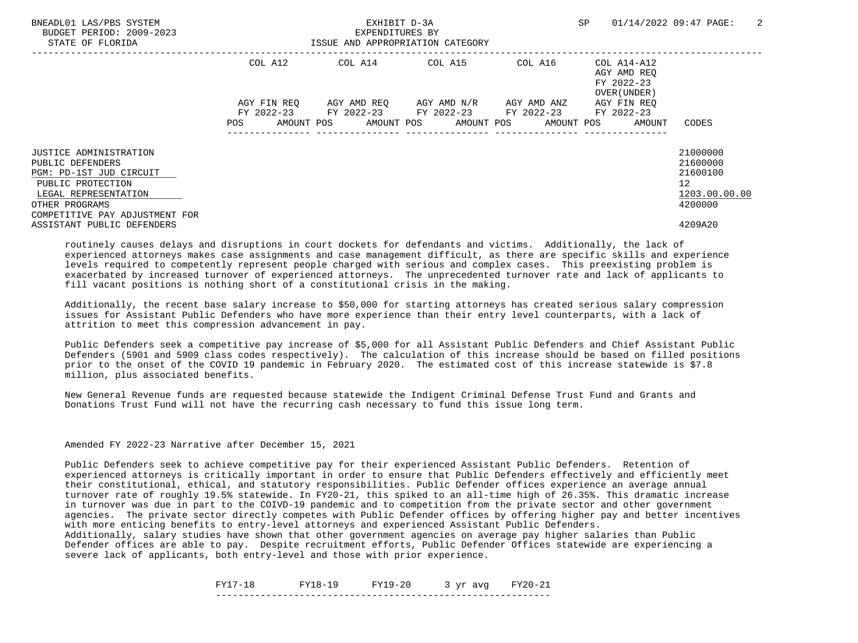| BNEADL01 LAS/PBS SYSTEM<br>BUDGET PERIOD: 2009-2023<br>STATE OF FLORIDA |             | EXHIBIT D-3A<br>EXPENDITURES BY<br>ISSUE AND APPROPRIATION CATEGORY |                                               |         | SP                                                       | 2<br>01/14/2022 09:47 PAGE: |
|-------------------------------------------------------------------------|-------------|---------------------------------------------------------------------|-----------------------------------------------|---------|----------------------------------------------------------|-----------------------------|
|                                                                         | COL A12     | COL A14 COL A15                                                     |                                               | COL A16 | COL A14-A12<br>AGY AMD REO<br>FY 2022-23<br>OVER (UNDER) |                             |
|                                                                         | AGY FIN REO |                                                                     | AGY AMD REQ      AGY AMD N/R      AGY AMD ANZ |         | AGY FIN REO                                              |                             |
|                                                                         |             | FY 2022-23 FY 2022-23 FY 2022-23 FY 2022-23                         |                                               |         | FY 2022-23                                               |                             |
|                                                                         | POS         | AMOUNT POS AMOUNT POS AMOUNT POS AMOUNT POS AMOUNT                  |                                               |         |                                                          | CODES                       |
| JUSTICE ADMINISTRATION                                                  |             |                                                                     |                                               |         |                                                          | 21000000                    |
| PUBLIC DEFENDERS                                                        |             |                                                                     |                                               |         |                                                          | 21600000                    |
| PGM: PD-1ST JUD CIRCUIT                                                 |             |                                                                     |                                               |         |                                                          | 21600100                    |
| PUBLIC PROTECTION                                                       |             |                                                                     |                                               |         |                                                          | 12                          |
| LEGAL REPRESENTATION                                                    |             |                                                                     |                                               |         |                                                          | 1203.00.00.00               |
| OTHER PROGRAMS                                                          |             |                                                                     |                                               |         |                                                          | 4200000                     |
| COMPETITIVE PAY ADJUSTMENT FOR                                          |             |                                                                     |                                               |         |                                                          |                             |
| ASSISTANT PUBLIC DEFENDERS                                              |             |                                                                     |                                               |         |                                                          | 4209A20                     |

 Additionally, the recent base salary increase to \$50,000 for starting attorneys has created serious salary compression issues for Assistant Public Defenders who have more experience than their entry level counterparts, with a lack of attrition to meet this compression advancement in pay.

 Public Defenders seek a competitive pay increase of \$5,000 for all Assistant Public Defenders and Chief Assistant Public Defenders (5901 and 5909 class codes respectively). The calculation of this increase should be based on filled positions prior to the onset of the COVID 19 pandemic in February 2020. The estimated cost of this increase statewide is \$7.8 million, plus associated benefits.

 New General Revenue funds are requested because statewide the Indigent Criminal Defense Trust Fund and Grants and Donations Trust Fund will not have the recurring cash necessary to fund this issue long term.

# Amended FY 2022-23 Narrative after December 15, 2021

 Public Defenders seek to achieve competitive pay for their experienced Assistant Public Defenders. Retention of experienced attorneys is critically important in order to ensure that Public Defenders effectively and efficiently meet their constitutional, ethical, and statutory responsibilities. Public Defender offices experience an average annual turnover rate of roughly 19.5% statewide. In FY20-21, this spiked to an all-time high of 26.35%. This dramatic increase in turnover was due in part to the COIVD-19 pandemic and to competition from the private sector and other government agencies. The private sector directly competes with Public Defender offices by offering higher pay and better incentives with more enticing benefits to entry-level attorneys and experienced Assistant Public Defenders. Additionally, salary studies have shown that other government agencies on average pay higher salaries than Public

 Defender offices are able to pay. Despite recruitment efforts, Public Defender Offices statewide are experiencing a severe lack of applicants, both entry-level and those with prior experience.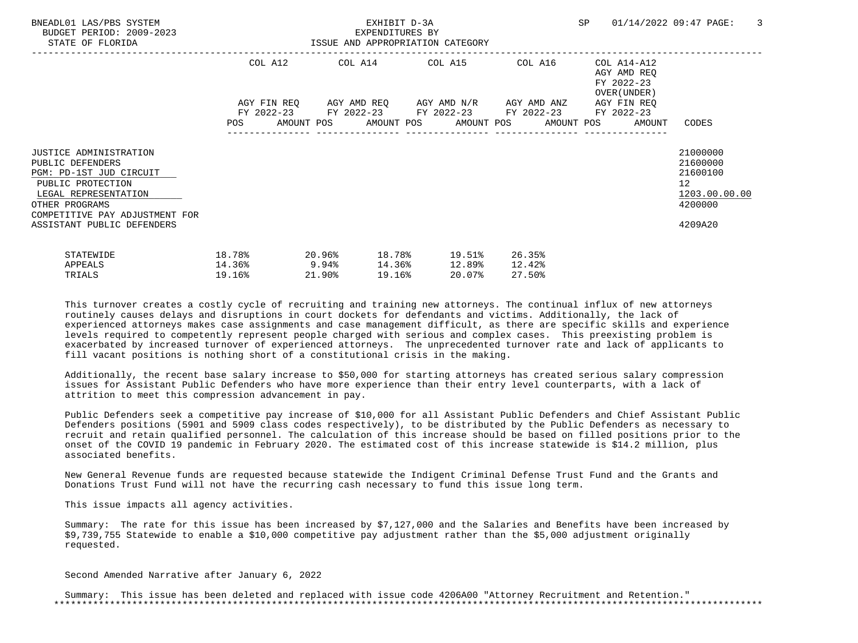| BNEADL01 LAS/PBS SYSTEM<br>BUDGET PERIOD: 2009-2023<br>STATE OF FLORIDA                                                                                                                              | ISSUE AND APPROPRIATION CATEGORY |          |                  | EXHIBIT D-3A<br>EXPENDITURES BY |        |                                                                                                                                                   |                            | SP |                                                          | 01/14/2022 09:47 PAGE:                                                        | -3 |
|------------------------------------------------------------------------------------------------------------------------------------------------------------------------------------------------------|----------------------------------|----------|------------------|---------------------------------|--------|---------------------------------------------------------------------------------------------------------------------------------------------------|----------------------------|----|----------------------------------------------------------|-------------------------------------------------------------------------------|----|
|                                                                                                                                                                                                      | COL A12                          |          |                  |                                 |        | COL A14 COL A15 COL A16                                                                                                                           |                            |    | COL A14-A12<br>AGY AMD REO<br>FY 2022-23<br>OVER (UNDER) |                                                                               |    |
|                                                                                                                                                                                                      |                                  |          |                  |                                 |        | AGY FIN REQ AGY AMD REQ AGY AMD N/R AGY AMD ANZ<br>FY 2022-23 FY 2022-23 FY 2022-23 FY 2022-23<br>POS AMOUNT POS AMOUNT POS AMOUNT POS AMOUNT POS |                            |    | AGY FIN REO<br>FY 2022-23<br>AMOUNT                      | CODES                                                                         |    |
| JUSTICE ADMINISTRATION<br>PUBLIC DEFENDERS<br>PGM: PD-1ST JUD CIRCUIT<br>PUBLIC PROTECTION<br>LEGAL REPRESENTATION<br>OTHER PROGRAMS<br>COMPETITIVE PAY ADJUSTMENT FOR<br>ASSISTANT PUBLIC DEFENDERS |                                  |          |                  |                                 |        |                                                                                                                                                   |                            |    |                                                          | 21000000<br>21600000<br>21600100<br>12<br>1203.00.00.00<br>4200000<br>4209A20 |    |
| STATEWIDE<br>APPEALS<br>TRIALS                                                                                                                                                                       | 18.78%<br>14.36%<br>19.16%       | $9.94\%$ | 20.96%<br>21.90% | 19.16%                          | 14.36% | 18.78% 19.51%<br>12.89%<br>20.07%                                                                                                                 | 26.35%<br>12.42%<br>27.50% |    |                                                          |                                                                               |    |

 Additionally, the recent base salary increase to \$50,000 for starting attorneys has created serious salary compression issues for Assistant Public Defenders who have more experience than their entry level counterparts, with a lack of attrition to meet this compression advancement in pay.

 Public Defenders seek a competitive pay increase of \$10,000 for all Assistant Public Defenders and Chief Assistant Public Defenders positions (5901 and 5909 class codes respectively), to be distributed by the Public Defenders as necessary to recruit and retain qualified personnel. The calculation of this increase should be based on filled positions prior to the onset of the COVID 19 pandemic in February 2020. The estimated cost of this increase statewide is \$14.2 million, plus associated benefits.

 New General Revenue funds are requested because statewide the Indigent Criminal Defense Trust Fund and the Grants and Donations Trust Fund will not have the recurring cash necessary to fund this issue long term.

This issue impacts all agency activities.

 Summary: The rate for this issue has been increased by \$7,127,000 and the Salaries and Benefits have been increased by \$9,739,755 Statewide to enable a \$10,000 competitive pay adjustment rather than the \$5,000 adjustment originally requested.

Second Amended Narrative after January 6, 2022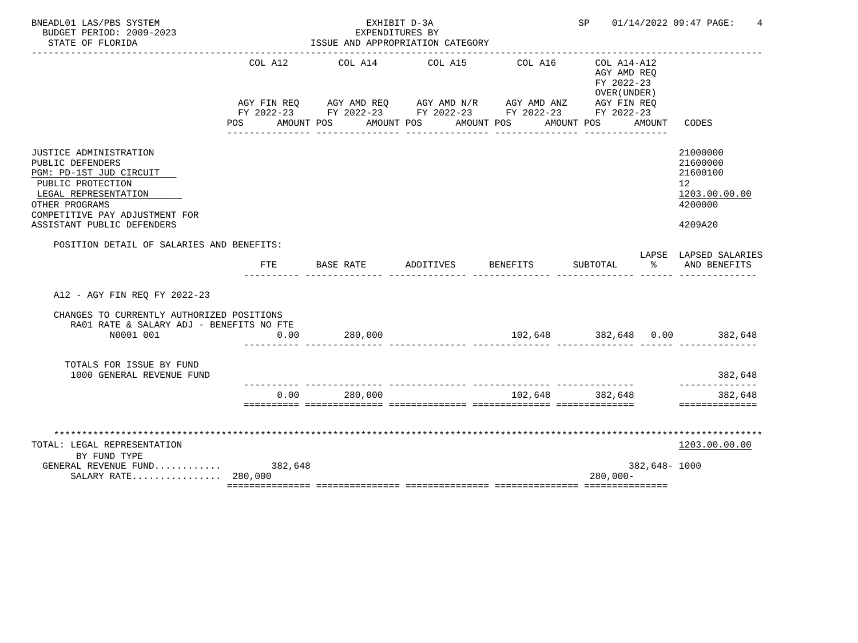| BNEADL01 LAS/PBS SYSTEM<br>BUDGET PERIOD: 2009-2023<br>STATE OF FLORIDA                                                                                                                              |                    | EXHIBIT D-3A<br>EXPENDITURES BY<br>ISSUE AND APPROPRIATION CATEGORY                                                                                       |           |                                  |                                                                        |              | SP 01/14/2022 09:47 PAGE:<br>4                                                |
|------------------------------------------------------------------------------------------------------------------------------------------------------------------------------------------------------|--------------------|-----------------------------------------------------------------------------------------------------------------------------------------------------------|-----------|----------------------------------|------------------------------------------------------------------------|--------------|-------------------------------------------------------------------------------|
|                                                                                                                                                                                                      | COL A12<br>POS FOR | COL A14<br>AGY FIN REQ AGY AMD REQ AGY AMD N/R AGY AMD ANZ AGY FIN REQ<br>FY 2022-23 FY 2022-23 FY 2022-23 FY 2022-23 FY 2022-23<br>AMOUNT POS AMOUNT POS | COL A15   | COL A16<br>AMOUNT POS            | COL A14-A12<br>AGY AMD REO<br>FY 2022-23<br>OVER (UNDER)<br>AMOUNT POS | AMOUNT       | CODES                                                                         |
| JUSTICE ADMINISTRATION<br>PUBLIC DEFENDERS<br>PGM: PD-1ST JUD CIRCUIT<br>PUBLIC PROTECTION<br>LEGAL REPRESENTATION<br>OTHER PROGRAMS<br>COMPETITIVE PAY ADJUSTMENT FOR<br>ASSISTANT PUBLIC DEFENDERS |                    |                                                                                                                                                           |           |                                  |                                                                        |              | 21000000<br>21600000<br>21600100<br>12<br>1203.00.00.00<br>4200000<br>4209A20 |
| POSITION DETAIL OF SALARIES AND BENEFITS:                                                                                                                                                            | FTE                | BASE RATE                                                                                                                                                 | ADDITIVES | BENEFITS                         | SUBTOTAL                                                               | ွေ           | LAPSE LAPSED SALARIES<br>AND BENEFITS                                         |
| A12 - AGY FIN REO FY 2022-23                                                                                                                                                                         |                    |                                                                                                                                                           |           |                                  |                                                                        |              |                                                                               |
| CHANGES TO CURRENTLY AUTHORIZED POSITIONS<br>RA01 RATE & SALARY ADJ - BENEFITS NO FTE<br>N0001 001                                                                                                   | 0.00               | 280,000                                                                                                                                                   |           |                                  |                                                                        |              | $102,648$ $382,648$ $0.00$ $382,648$                                          |
| TOTALS FOR ISSUE BY FUND<br>1000 GENERAL REVENUE FUND                                                                                                                                                |                    |                                                                                                                                                           |           |                                  |                                                                        |              | 382,648                                                                       |
|                                                                                                                                                                                                      | 0.00               | 280,000                                                                                                                                                   |           | ________________________________ | 102,648 382,648                                                        |              | . _ _ _ _ _ _<br>382,648<br>==============                                    |
| TOTAL: LEGAL REPRESENTATION<br>BY FUND TYPE<br>GENERAL REVENUE FUND 382,648<br>SALARY RATE 280,000                                                                                                   |                    |                                                                                                                                                           |           |                                  | $280,000 -$                                                            | 382,648-1000 | 1203.00.00.00                                                                 |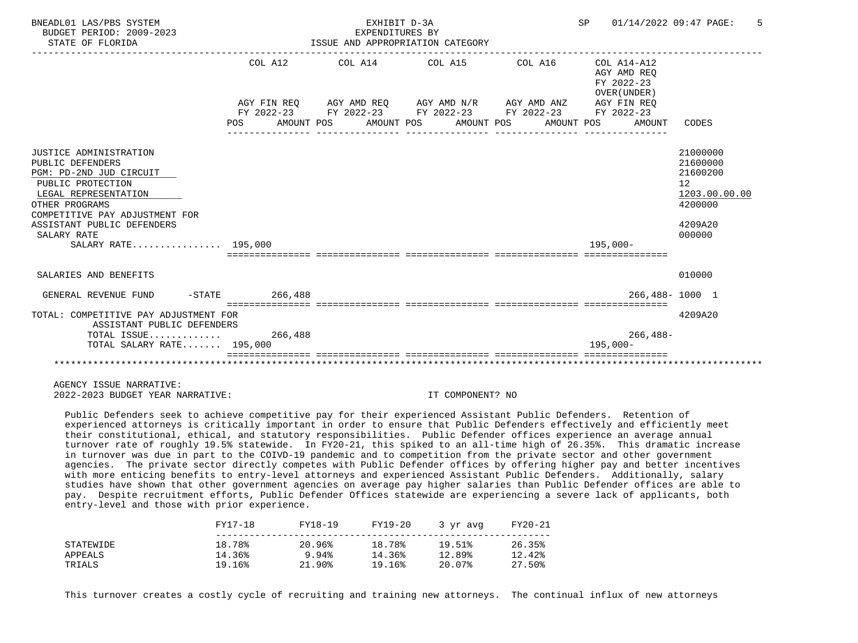| BNEADL01 LAS/PBS SYSTEM<br>BUDGET PERIOD: 2009-2023<br>STATE OF FLORIDA                                                                                                                                                                    |                       | EXHIBIT D-3A<br>EXPENDITURES BY | ISSUE AND APPROPRIATION CATEGORY                                                                                                                         | SP 01/14/2022 09:47 PAGE:                                          | 5                                                                                                    |
|--------------------------------------------------------------------------------------------------------------------------------------------------------------------------------------------------------------------------------------------|-----------------------|---------------------------------|----------------------------------------------------------------------------------------------------------------------------------------------------------|--------------------------------------------------------------------|------------------------------------------------------------------------------------------------------|
|                                                                                                                                                                                                                                            | COL A12<br><b>POS</b> |                                 | AGY FIN REO AGY AMD REO AGY AMD N/R AGY AMD ANZ<br>FY 2022-23 FY 2022-23 FY 2022-23 FY 2022-23 FY 2022-23<br>AMOUNT POS AMOUNT POS AMOUNT POS AMOUNT POS | AGY AMD REO<br>FY 2022-23<br>OVER (UNDER)<br>AGY FIN REO<br>AMOUNT | CODES                                                                                                |
| JUSTICE ADMINISTRATION<br>PUBLIC DEFENDERS<br>PGM: PD-2ND JUD CIRCUIT<br>PUBLIC PROTECTION<br>LEGAL REPRESENTATION<br>OTHER PROGRAMS<br>COMPETITIVE PAY ADJUSTMENT FOR<br>ASSISTANT PUBLIC DEFENDERS<br>SALARY RATE<br>SALARY RATE 195,000 |                       |                                 |                                                                                                                                                          | 195,000-                                                           | 21000000<br>21600000<br>21600200<br>12 <sup>°</sup><br>1203.00.00.00<br>4200000<br>4209A20<br>000000 |
| SALARIES AND BENEFITS                                                                                                                                                                                                                      |                       |                                 |                                                                                                                                                          |                                                                    | 010000                                                                                               |
| GENERAL REVENUE FUND                                                                                                                                                                                                                       | $-STATE$ 266.488      |                                 |                                                                                                                                                          |                                                                    | 266,488-1000 1                                                                                       |
| TOTAL: COMPETITIVE PAY ADJUSTMENT FOR<br>ASSISTANT PUBLIC DEFENDERS<br>TOTAL ISSUE 266,488<br>TOTAL SALARY RATE 195,000                                                                                                                    |                       |                                 |                                                                                                                                                          | $266, 488 -$<br>$195.000 -$                                        | 4209A20                                                                                              |
|                                                                                                                                                                                                                                            |                       |                                 |                                                                                                                                                          |                                                                    |                                                                                                      |

 Public Defenders seek to achieve competitive pay for their experienced Assistant Public Defenders. Retention of experienced attorneys is critically important in order to ensure that Public Defenders effectively and efficiently meet their constitutional, ethical, and statutory responsibilities. Public Defender offices experience an average annual turnover rate of roughly 19.5% statewide. In FY20-21, this spiked to an all-time high of 26.35%. This dramatic increase in turnover was due in part to the COIVD-19 pandemic and to competition from the private sector and other government agencies. The private sector directly competes with Public Defender offices by offering higher pay and better incentives with more enticing benefits to entry-level attorneys and experienced Assistant Public Defenders. Additionally, salary studies have shown that other government agencies on average pay higher salaries than Public Defender offices are able to pay. Despite recruitment efforts, Public Defender Offices statewide are experiencing a severe lack of applicants, both entry-level and those with prior experience.

|           | FY17-18 | FY18-19 | FY19-20 | 3 vr avg | FY20-21 |
|-----------|---------|---------|---------|----------|---------|
| STATEWIDE | 18.78%  | 20.96%  | 18.78%  | 19.51%   | 26.35%  |
| APPEALS   | 14.36%  | 9.94%   | 14.36%  | 12.89%   | 12.42%  |
| TRIALS    | 19.16%  | 21.90%  | 19.16%  | 20.07%   | 27.50%  |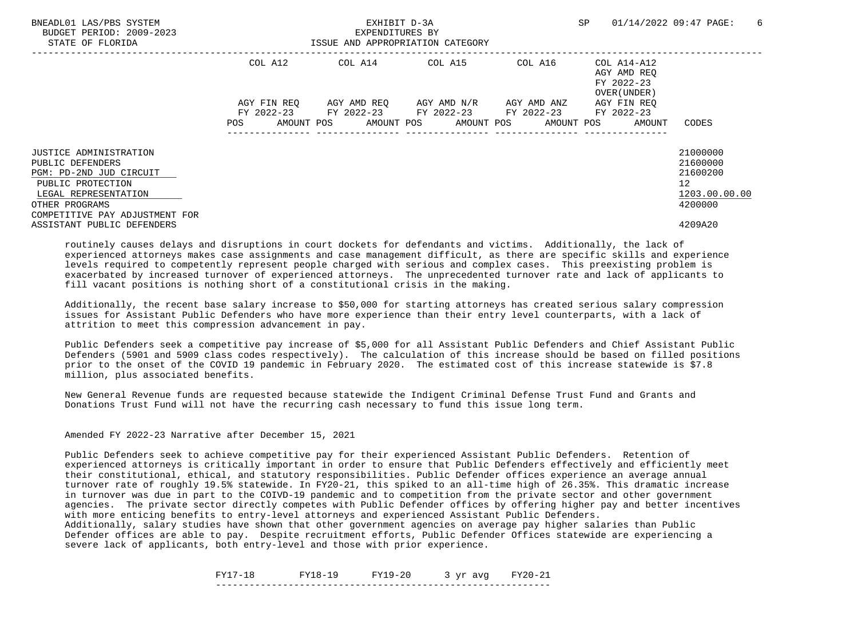| BNEADL01 LAS/PBS SYSTEM<br>BUDGET PERIOD: 2009-2023<br>STATE OF FLORIDA |             | EXHIBIT D-3A<br>EXPENDITURES BY | ISSUE AND APPROPRIATION CATEGORY            |         | SP                                                       | 01/14/2022 09:47 PAGE:<br>-6 |
|-------------------------------------------------------------------------|-------------|---------------------------------|---------------------------------------------|---------|----------------------------------------------------------|------------------------------|
|                                                                         | COL A12     |                                 | COL A14 COL A15                             | COL A16 | COL A14-A12<br>AGY AMD REO<br>FY 2022-23<br>OVER (UNDER) |                              |
|                                                                         | AGY FIN REO |                                 | AGY AMD REO AGY AMD N/R AGY AMD ANZ         |         | AGY FIN REO                                              |                              |
|                                                                         |             |                                 | FY 2022-23 FY 2022-23 FY 2022-23 FY 2022-23 |         | FY 2022-23                                               |                              |
|                                                                         | POS         |                                 |                                             |         | AMOUNT POS AMOUNT POS AMOUNT POS AMOUNT POS AMOUNT       | CODES                        |
| JUSTICE ADMINISTRATION                                                  |             |                                 |                                             |         |                                                          | 21000000                     |
| PUBLIC DEFENDERS                                                        |             |                                 |                                             |         |                                                          | 21600000                     |
| PGM: PD-2ND JUD CIRCUIT                                                 |             |                                 |                                             |         |                                                          | 21600200                     |
| PUBLIC PROTECTION                                                       |             |                                 |                                             |         |                                                          | 12                           |
| LEGAL REPRESENTATION                                                    |             |                                 |                                             |         |                                                          | 1203.00.00.00                |
| OTHER PROGRAMS                                                          |             |                                 |                                             |         |                                                          | 4200000                      |
| COMPETITIVE PAY ADJUSTMENT FOR                                          |             |                                 |                                             |         |                                                          |                              |
| ASSISTANT PUBLIC DEFENDERS                                              |             |                                 |                                             |         |                                                          | 4209A20                      |

 Additionally, the recent base salary increase to \$50,000 for starting attorneys has created serious salary compression issues for Assistant Public Defenders who have more experience than their entry level counterparts, with a lack of attrition to meet this compression advancement in pay.

 Public Defenders seek a competitive pay increase of \$5,000 for all Assistant Public Defenders and Chief Assistant Public Defenders (5901 and 5909 class codes respectively). The calculation of this increase should be based on filled positions prior to the onset of the COVID 19 pandemic in February 2020. The estimated cost of this increase statewide is \$7.8 million, plus associated benefits.

 New General Revenue funds are requested because statewide the Indigent Criminal Defense Trust Fund and Grants and Donations Trust Fund will not have the recurring cash necessary to fund this issue long term.

Amended FY 2022-23 Narrative after December 15, 2021

 Public Defenders seek to achieve competitive pay for their experienced Assistant Public Defenders. Retention of experienced attorneys is critically important in order to ensure that Public Defenders effectively and efficiently meet their constitutional, ethical, and statutory responsibilities. Public Defender offices experience an average annual turnover rate of roughly 19.5% statewide. In FY20-21, this spiked to an all-time high of 26.35%. This dramatic increase in turnover was due in part to the COIVD-19 pandemic and to competition from the private sector and other government agencies. The private sector directly competes with Public Defender offices by offering higher pay and better incentives with more enticing benefits to entry-level attorneys and experienced Assistant Public Defenders.

 Additionally, salary studies have shown that other government agencies on average pay higher salaries than Public Defender offices are able to pay. Despite recruitment efforts, Public Defender Offices statewide are experiencing a severe lack of applicants, both entry-level and those with prior experience.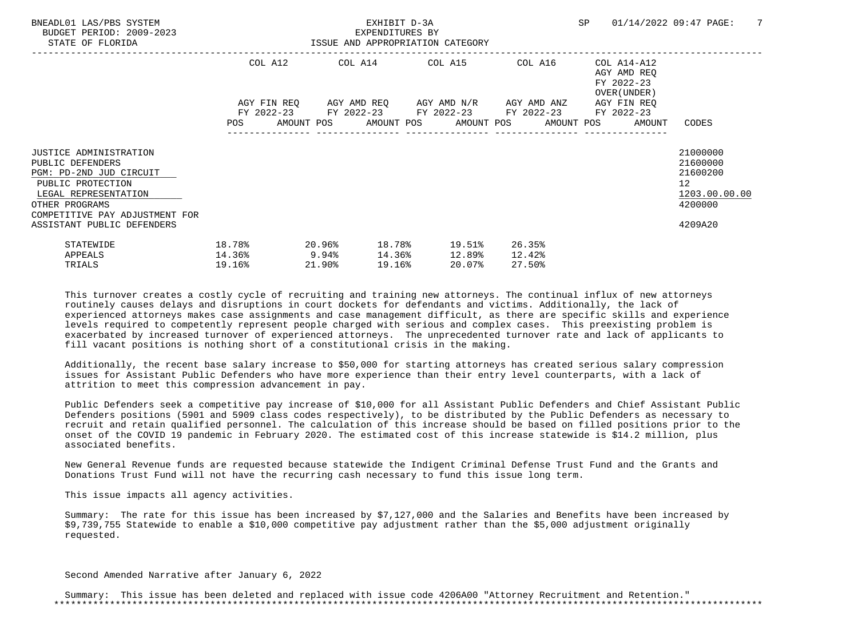| BNEADL01 LAS/PBS SYSTEM<br>BUDGET PERIOD: 2009-2023<br>STATE OF FLORIDA                                                                                                                              | ISSUE AND APPROPRIATION CATEGORY    |                  | EXHIBIT D-3A<br>EXPENDITURES BY |                  |                                             |        |                  | SP <sub>2</sub> |                                                                          | 01/14/2022 09:47 PAGE:                                                                     | -7 |
|------------------------------------------------------------------------------------------------------------------------------------------------------------------------------------------------------|-------------------------------------|------------------|---------------------------------|------------------|---------------------------------------------|--------|------------------|-----------------|--------------------------------------------------------------------------|--------------------------------------------------------------------------------------------|----|
|                                                                                                                                                                                                      |                                     |                  |                                 |                  | COL A12 COL A14 COL A15 COL A16             |        |                  |                 | COL A14-A12<br>AGY AMD REO<br>FY 2022-23<br>OVER (UNDER )<br>AGY FIN REO |                                                                                            |    |
|                                                                                                                                                                                                      |                                     |                  |                                 |                  | FY 2022-23 FY 2022-23 FY 2022-23 FY 2022-23 |        |                  |                 | FY 2022-23<br>POS AMOUNT POS AMOUNT POS AMOUNT POS AMOUNT POS AMOUNT     | CODES                                                                                      |    |
| JUSTICE ADMINISTRATION<br>PUBLIC DEFENDERS<br>PGM: PD-2ND JUD CIRCUIT<br>PUBLIC PROTECTION<br>LEGAL REPRESENTATION<br>OTHER PROGRAMS<br>COMPETITIVE PAY ADJUSTMENT FOR<br>ASSISTANT PUBLIC DEFENDERS |                                     |                  |                                 |                  |                                             |        |                  |                 |                                                                          | 21000000<br>21600000<br>21600200<br>12 <sup>°</sup><br>1203.00.00.00<br>4200000<br>4209A20 |    |
| STATEWIDE<br>APPEALS<br>TRIALS                                                                                                                                                                       | 18.78%<br>$14.36\%$ 9.94%<br>19.16% | 20.96%<br>21.90% | 19.16%                          | 18.78%<br>14.36% | 19.51%<br>12.89%<br>20.07%                  | 12.42% | 26.35%<br>27.50% |                 |                                                                          |                                                                                            |    |

 Additionally, the recent base salary increase to \$50,000 for starting attorneys has created serious salary compression issues for Assistant Public Defenders who have more experience than their entry level counterparts, with a lack of attrition to meet this compression advancement in pay.

 Public Defenders seek a competitive pay increase of \$10,000 for all Assistant Public Defenders and Chief Assistant Public Defenders positions (5901 and 5909 class codes respectively), to be distributed by the Public Defenders as necessary to recruit and retain qualified personnel. The calculation of this increase should be based on filled positions prior to the onset of the COVID 19 pandemic in February 2020. The estimated cost of this increase statewide is \$14.2 million, plus associated benefits.

 New General Revenue funds are requested because statewide the Indigent Criminal Defense Trust Fund and the Grants and Donations Trust Fund will not have the recurring cash necessary to fund this issue long term.

This issue impacts all agency activities.

 Summary: The rate for this issue has been increased by \$7,127,000 and the Salaries and Benefits have been increased by \$9,739,755 Statewide to enable a \$10,000 competitive pay adjustment rather than the \$5,000 adjustment originally requested.

Second Amended Narrative after January 6, 2022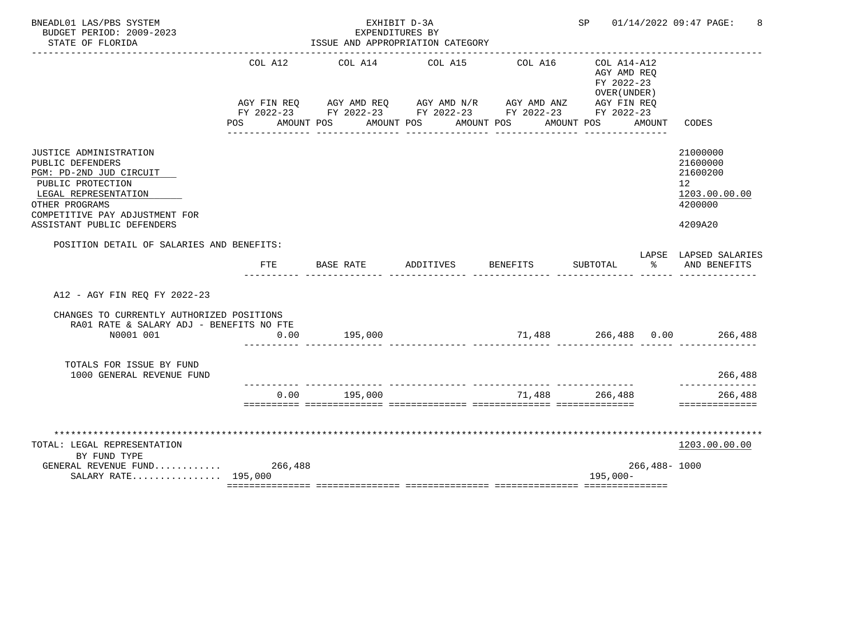| BNEADL01 LAS/PBS SYSTEM<br>BUDGET PERIOD: 2009-2023<br>STATE OF FLORIDA                                                                                                                                     |                    | EXHIBIT D-3A<br>EXPENDITURES BY<br>ISSUE AND APPROPRIATION CATEGORY                                                                                       |           |                                  |                                                                        |                  | SP 01/14/2022 09:47 PAGE:<br>8                                                |
|-------------------------------------------------------------------------------------------------------------------------------------------------------------------------------------------------------------|--------------------|-----------------------------------------------------------------------------------------------------------------------------------------------------------|-----------|----------------------------------|------------------------------------------------------------------------|------------------|-------------------------------------------------------------------------------|
|                                                                                                                                                                                                             | COL A12<br>POS FOR | COL A14<br>AGY FIN REQ AGY AMD REQ AGY AMD N/R AGY AMD ANZ AGY FIN REQ<br>FY 2022-23 FY 2022-23 FY 2022-23 FY 2022-23 FY 2022-23<br>AMOUNT POS AMOUNT POS | COL A15   | COL A16<br>AMOUNT POS            | COL A14-A12<br>AGY AMD REO<br>FY 2022-23<br>OVER (UNDER)<br>AMOUNT POS | AMOUNT           | CODES                                                                         |
| <b>JUSTICE ADMINISTRATION</b><br>PUBLIC DEFENDERS<br>PGM: PD-2ND JUD CIRCUIT<br>PUBLIC PROTECTION<br>LEGAL REPRESENTATION<br>OTHER PROGRAMS<br>COMPETITIVE PAY ADJUSTMENT FOR<br>ASSISTANT PUBLIC DEFENDERS |                    |                                                                                                                                                           |           |                                  |                                                                        |                  | 21000000<br>21600000<br>21600200<br>12<br>1203.00.00.00<br>4200000<br>4209A20 |
| POSITION DETAIL OF SALARIES AND BENEFITS:                                                                                                                                                                   | FTE                | BASE RATE                                                                                                                                                 | ADDITIVES | BENEFITS                         | SUBTOTAL                                                               | $\sim$ $\sim$    | LAPSE LAPSED SALARIES<br>AND BENEFITS                                         |
| A12 - AGY FIN REO FY 2022-23                                                                                                                                                                                |                    |                                                                                                                                                           |           |                                  |                                                                        |                  |                                                                               |
| CHANGES TO CURRENTLY AUTHORIZED POSITIONS<br>RA01 RATE & SALARY ADJ - BENEFITS NO FTE<br>N0001 001                                                                                                          | 0.00               | 195,000                                                                                                                                                   |           |                                  |                                                                        |                  | $71,488$ $266,488$ $0.00$ $266,488$                                           |
| TOTALS FOR ISSUE BY FUND<br>1000 GENERAL REVENUE FUND                                                                                                                                                       |                    |                                                                                                                                                           |           |                                  |                                                                        |                  | 266,488                                                                       |
|                                                                                                                                                                                                             | 0.00               | ------------ ---------------<br>195,000                                                                                                                   |           | ________________________________ | 71,488 266,488                                                         |                  | ----------<br>266,488<br>==============                                       |
| TOTAL: LEGAL REPRESENTATION<br>BY FUND TYPE<br>GENERAL REVENUE FUND 266,488<br>SALARY RATE 195,000                                                                                                          |                    |                                                                                                                                                           |           |                                  | $195,000-$                                                             | $266,488 - 1000$ | 1203.00.00.00                                                                 |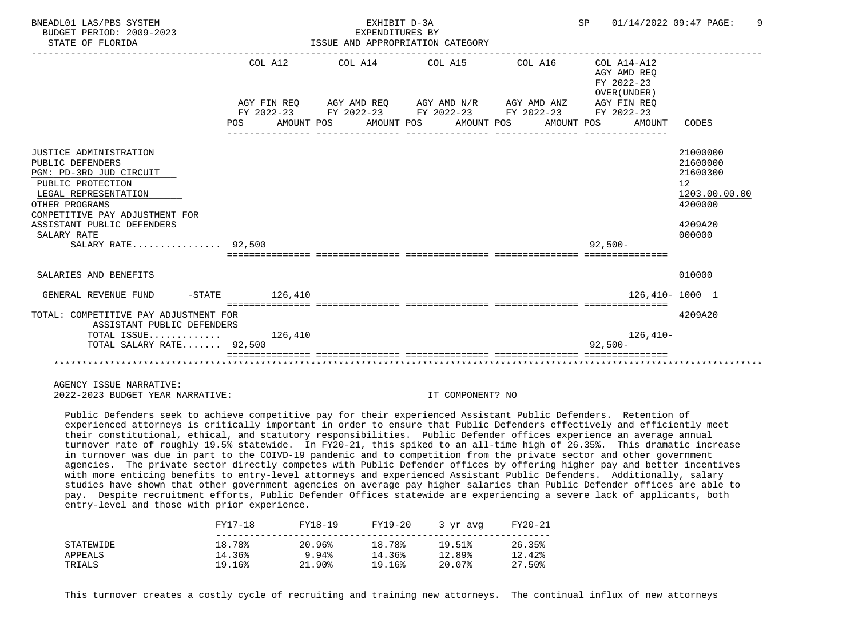| BNEADL01 LAS/PBS SYSTEM<br>BUDGET PERIOD: 2009-2023<br>STATE OF FLORIDA                                                                                                                                                                   |                                    | EXHIBIT D-3A<br>EXPENDITURES BY | ISSUE AND APPROPRIATION CATEGORY                                                                          | SP 01/14/2022 09:47 PAGE:                                | 9                                                                                                    |
|-------------------------------------------------------------------------------------------------------------------------------------------------------------------------------------------------------------------------------------------|------------------------------------|---------------------------------|-----------------------------------------------------------------------------------------------------------|----------------------------------------------------------|------------------------------------------------------------------------------------------------------|
|                                                                                                                                                                                                                                           | COL A12                            |                                 | AGY FIN REO AGY AMD REO AGY AMD N/R AGY AMD ANZ<br>FY 2022-23 FY 2022-23 FY 2022-23 FY 2022-23 FY 2022-23 | AGY AMD REO<br>FY 2022-23<br>OVER (UNDER)<br>AGY FIN REO |                                                                                                      |
|                                                                                                                                                                                                                                           | POS                                |                                 | AMOUNT POS AMOUNT POS AMOUNT POS AMOUNT POS                                                               | AMOUNT                                                   | CODES                                                                                                |
| JUSTICE ADMINISTRATION<br>PUBLIC DEFENDERS<br>PGM: PD-3RD JUD CIRCUIT<br>PUBLIC PROTECTION<br>LEGAL REPRESENTATION<br>OTHER PROGRAMS<br>COMPETITIVE PAY ADJUSTMENT FOR<br>ASSISTANT PUBLIC DEFENDERS<br>SALARY RATE<br>SALARY RATE 92,500 |                                    |                                 |                                                                                                           | $92,500 -$                                               | 21000000<br>21600000<br>21600300<br>12 <sup>°</sup><br>1203.00.00.00<br>4200000<br>4209A20<br>000000 |
| SALARIES AND BENEFITS                                                                                                                                                                                                                     |                                    |                                 |                                                                                                           |                                                          | 010000                                                                                               |
| GENERAL REVENUE FUND                                                                                                                                                                                                                      | $-STATE$ 126.410                   |                                 |                                                                                                           | 126,410-1000 1                                           |                                                                                                      |
| TOTAL: COMPETITIVE PAY ADJUSTMENT FOR<br>ASSISTANT PUBLIC DEFENDERS                                                                                                                                                                       | ================================== |                                 |                                                                                                           |                                                          | 4209A20                                                                                              |
| TOTAL ISSUE $126,410$<br>TOTAL SALARY RATE 92,500                                                                                                                                                                                         |                                    |                                 |                                                                                                           | $126,410-$<br>$92,500-$                                  |                                                                                                      |
|                                                                                                                                                                                                                                           |                                    |                                 |                                                                                                           |                                                          |                                                                                                      |

 Public Defenders seek to achieve competitive pay for their experienced Assistant Public Defenders. Retention of experienced attorneys is critically important in order to ensure that Public Defenders effectively and efficiently meet their constitutional, ethical, and statutory responsibilities. Public Defender offices experience an average annual turnover rate of roughly 19.5% statewide. In FY20-21, this spiked to an all-time high of 26.35%. This dramatic increase in turnover was due in part to the COIVD-19 pandemic and to competition from the private sector and other government agencies. The private sector directly competes with Public Defender offices by offering higher pay and better incentives with more enticing benefits to entry-level attorneys and experienced Assistant Public Defenders. Additionally, salary studies have shown that other government agencies on average pay higher salaries than Public Defender offices are able to pay. Despite recruitment efforts, Public Defender Offices statewide are experiencing a severe lack of applicants, both entry-level and those with prior experience.

|           | FY17-18 | FY18-19   | FY19-20 | 3 yr avg | FY20-21 |
|-----------|---------|-----------|---------|----------|---------|
| STATEWIDE | 18.78%  | 20.96%    | 18.78%  | 19.51%   | 26.35%  |
| APPEALS   | 14.36%  | 9.94%     | 14.36%  | 12.89%   | 12.42%  |
| TRIALS    | 19.16%  | $21.90\%$ | 19.16%  | 20.07%   | 27.50%  |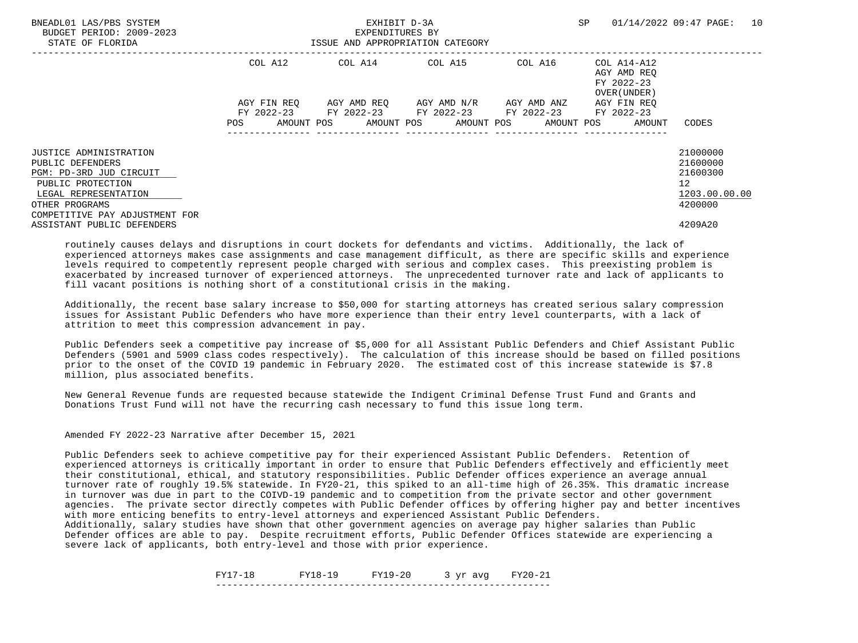| BNEADL01 LAS/PBS SYSTEM<br>BUDGET PERIOD: 2009-2023<br>STATE OF FLORIDA      |             | EXHIBIT D-3A<br>EXPENDITURES BY<br>ISSUE AND APPROPRIATION CATEGORY | SP                                  | 10<br>01/14/2022 09:47 PAGE: |                                                          |                                  |
|------------------------------------------------------------------------------|-------------|---------------------------------------------------------------------|-------------------------------------|------------------------------|----------------------------------------------------------|----------------------------------|
|                                                                              | COL A12     |                                                                     | COL A14 COL A15                     | COL A16                      | COL A14-A12<br>AGY AMD REO<br>FY 2022-23<br>OVER (UNDER) |                                  |
|                                                                              | AGY FIN REO | FY 2022-23 FY 2022-23 FY 2022-23 FY 2022-23                         | AGY AMD REO AGY AMD N/R AGY AMD ANZ |                              | AGY FIN REO<br>FY 2022-23                                |                                  |
|                                                                              | POS         | AMOUNT POS AMOUNT POS AMOUNT POS AMOUNT POS                         |                                     |                              | AMOUNT                                                   | CODES                            |
| <b>JUSTICE ADMINISTRATION</b><br>PUBLIC DEFENDERS<br>PGM: PD-3RD JUD CIRCUIT |             |                                                                     |                                     |                              |                                                          | 21000000<br>21600000<br>21600300 |
| PUBLIC PROTECTION<br>LEGAL REPRESENTATION                                    |             |                                                                     |                                     |                              |                                                          | 12<br>1203.00.00.00              |
| OTHER PROGRAMS<br>COMPETITIVE PAY ADJUSTMENT FOR                             |             |                                                                     |                                     |                              |                                                          | 4200000                          |
| ASSISTANT PUBLIC DEFENDERS                                                   |             |                                                                     |                                     |                              |                                                          | 4209A20                          |

 Additionally, the recent base salary increase to \$50,000 for starting attorneys has created serious salary compression issues for Assistant Public Defenders who have more experience than their entry level counterparts, with a lack of attrition to meet this compression advancement in pay.

 Public Defenders seek a competitive pay increase of \$5,000 for all Assistant Public Defenders and Chief Assistant Public Defenders (5901 and 5909 class codes respectively). The calculation of this increase should be based on filled positions prior to the onset of the COVID 19 pandemic in February 2020. The estimated cost of this increase statewide is \$7.8 million, plus associated benefits.

 New General Revenue funds are requested because statewide the Indigent Criminal Defense Trust Fund and Grants and Donations Trust Fund will not have the recurring cash necessary to fund this issue long term.

Amended FY 2022-23 Narrative after December 15, 2021

 Public Defenders seek to achieve competitive pay for their experienced Assistant Public Defenders. Retention of experienced attorneys is critically important in order to ensure that Public Defenders effectively and efficiently meet their constitutional, ethical, and statutory responsibilities. Public Defender offices experience an average annual turnover rate of roughly 19.5% statewide. In FY20-21, this spiked to an all-time high of 26.35%. This dramatic increase in turnover was due in part to the COIVD-19 pandemic and to competition from the private sector and other government agencies. The private sector directly competes with Public Defender offices by offering higher pay and better incentives with more enticing benefits to entry-level attorneys and experienced Assistant Public Defenders.

 Additionally, salary studies have shown that other government agencies on average pay higher salaries than Public Defender offices are able to pay. Despite recruitment efforts, Public Defender Offices statewide are experiencing a severe lack of applicants, both entry-level and those with prior experience.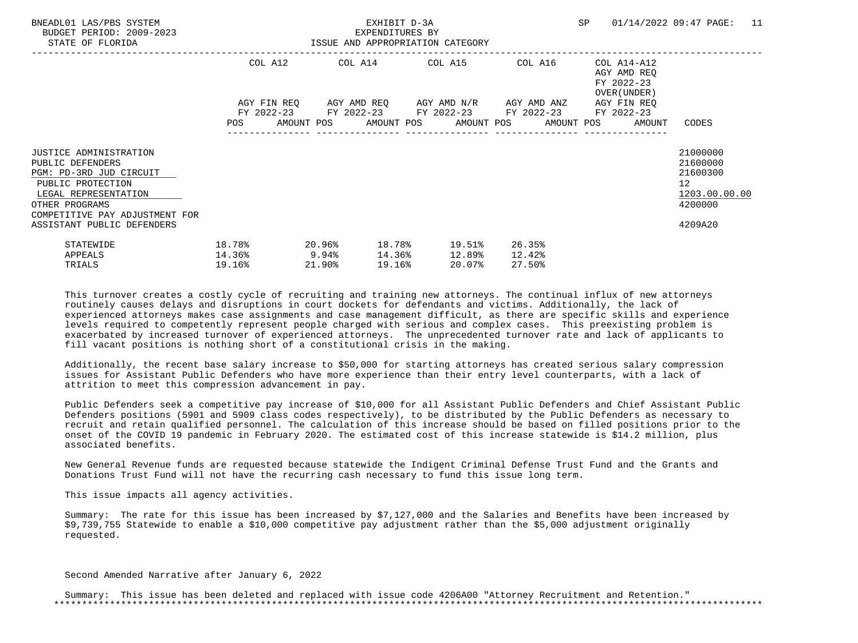| BNEADL01 LAS/PBS SYSTEM<br>BUDGET PERIOD: 2009-2023<br>STATE OF FLORIDA                                                                                                                              |                                                                                                                                                                                                        | EXHIBIT D-3A<br>EXPENDITURES BY<br>ISSUE AND APPROPRIATION CATEGORY |                     |  |        |                                          |  |                                                                          |  |  | SP 01/14/2022 09:47 PAGE:                                                                  | 11 |
|------------------------------------------------------------------------------------------------------------------------------------------------------------------------------------------------------|--------------------------------------------------------------------------------------------------------------------------------------------------------------------------------------------------------|---------------------------------------------------------------------|---------------------|--|--------|------------------------------------------|--|--------------------------------------------------------------------------|--|--|--------------------------------------------------------------------------------------------|----|
|                                                                                                                                                                                                      | COL A12 COL A14 COL A15 COL A16<br>AGY FIN REQ 6GY AMD REQ 6GY AMD N/R 6GY AMD ANZ<br>FY 2022-23 FY 2022-23 FY 2022-23 FY 2022-23 FY 2022-23<br>POS AMOUNT POS AMOUNT POS AMOUNT POS AMOUNT POS AMOUNT |                                                                     |                     |  |        |                                          |  | COL A14-A12<br>AGY AMD REO<br>FY 2022-23<br>OVER (UNDER )<br>AGY FIN REO |  |  |                                                                                            |    |
|                                                                                                                                                                                                      |                                                                                                                                                                                                        |                                                                     |                     |  |        |                                          |  |                                                                          |  |  | CODES                                                                                      |    |
| JUSTICE ADMINISTRATION<br>PUBLIC DEFENDERS<br>PGM: PD-3RD JUD CIRCUIT<br>PUBLIC PROTECTION<br>LEGAL REPRESENTATION<br>OTHER PROGRAMS<br>COMPETITIVE PAY ADJUSTMENT FOR<br>ASSISTANT PUBLIC DEFENDERS |                                                                                                                                                                                                        |                                                                     |                     |  |        |                                          |  |                                                                          |  |  | 21000000<br>21600000<br>21600300<br>12 <sup>°</sup><br>1203.00.00.00<br>4200000<br>4209A20 |    |
| STATEWIDE<br>APPEALS<br>TRIALS                                                                                                                                                                       | 18.78%<br>$14.36\%$ 9.94%<br>19.16%                                                                                                                                                                    |                                                                     | $20.96\%$<br>21.90% |  | 19.16% | 18.78% 19.51%<br>14.36% 12.89%<br>20.07% |  | 26.35%<br>12.42%<br>27.50%                                               |  |  |                                                                                            |    |

 Additionally, the recent base salary increase to \$50,000 for starting attorneys has created serious salary compression issues for Assistant Public Defenders who have more experience than their entry level counterparts, with a lack of attrition to meet this compression advancement in pay.

 Public Defenders seek a competitive pay increase of \$10,000 for all Assistant Public Defenders and Chief Assistant Public Defenders positions (5901 and 5909 class codes respectively), to be distributed by the Public Defenders as necessary to recruit and retain qualified personnel. The calculation of this increase should be based on filled positions prior to the onset of the COVID 19 pandemic in February 2020. The estimated cost of this increase statewide is \$14.2 million, plus associated benefits.

 New General Revenue funds are requested because statewide the Indigent Criminal Defense Trust Fund and the Grants and Donations Trust Fund will not have the recurring cash necessary to fund this issue long term.

This issue impacts all agency activities.

 Summary: The rate for this issue has been increased by \$7,127,000 and the Salaries and Benefits have been increased by \$9,739,755 Statewide to enable a \$10,000 competitive pay adjustment rather than the \$5,000 adjustment originally requested.

Second Amended Narrative after January 6, 2022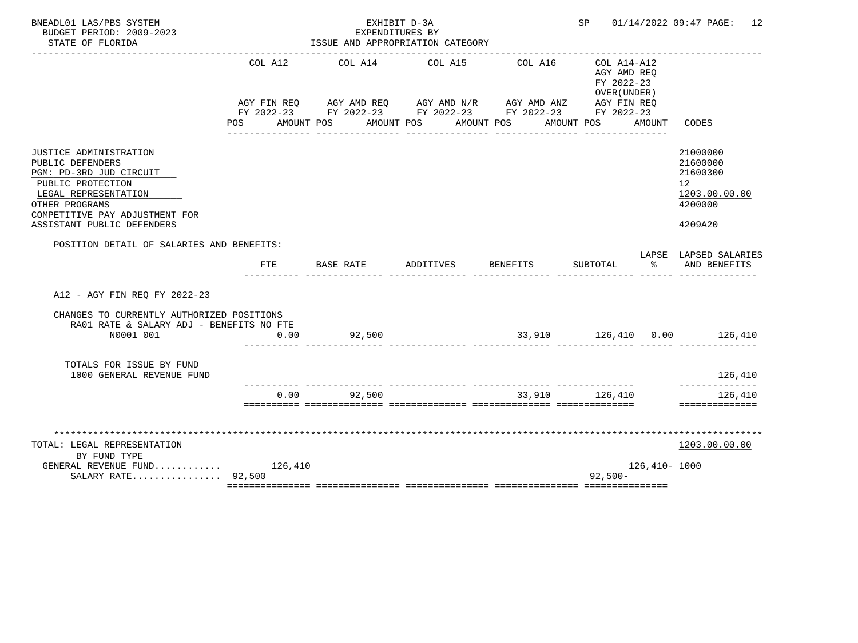| BNEADL01 LAS/PBS SYSTEM<br>BUDGET PERIOD: 2009-2023<br>STATE OF FLORIDA                                                                                                                              |                    | EXHIBIT D-3A<br>EXPENDITURES BY<br>ISSUE AND APPROPRIATION CATEGORY                                                                                                  |           | SP       |                                                                            | 01/14/2022 09:47 PAGE: 12 |                                                                               |
|------------------------------------------------------------------------------------------------------------------------------------------------------------------------------------------------------|--------------------|----------------------------------------------------------------------------------------------------------------------------------------------------------------------|-----------|----------|----------------------------------------------------------------------------|---------------------------|-------------------------------------------------------------------------------|
|                                                                                                                                                                                                      | COL A12<br>POS FOR | COL A14<br>AGY FIN REQ AGY AMD REQ AGY AMD N/R AGY AMD ANZ AGY FIN REQ<br>FY 2022-23 FY 2022-23 FY 2022-23 FY 2022-23 FY 2022-23<br>AMOUNT POS AMOUNT POS AMOUNT POS | COL A15   | COL A16  | $COL A14 - A12$<br>AGY AMD REQ<br>FY 2022-23<br>OVER (UNDER)<br>AMOUNT POS | AMOUNT                    | CODES                                                                         |
| JUSTICE ADMINISTRATION<br>PUBLIC DEFENDERS<br>PGM: PD-3RD JUD CIRCUIT<br>PUBLIC PROTECTION<br>LEGAL REPRESENTATION<br>OTHER PROGRAMS<br>COMPETITIVE PAY ADJUSTMENT FOR<br>ASSISTANT PUBLIC DEFENDERS |                    |                                                                                                                                                                      |           |          |                                                                            |                           | 21000000<br>21600000<br>21600300<br>12<br>1203.00.00.00<br>4200000<br>4209A20 |
| POSITION DETAIL OF SALARIES AND BENEFITS:                                                                                                                                                            | FTE                | BASE RATE                                                                                                                                                            | ADDITIVES | BENEFITS | SUBTOTAL                                                                   | °≈                        | LAPSE LAPSED SALARIES<br>AND BENEFITS                                         |
| A12 - AGY FIN REO FY 2022-23                                                                                                                                                                         |                    |                                                                                                                                                                      |           |          |                                                                            |                           |                                                                               |
| CHANGES TO CURRENTLY AUTHORIZED POSITIONS<br>RA01 RATE & SALARY ADJ - BENEFITS NO FTE<br>N0001 001                                                                                                   | 0.00               | 92,500                                                                                                                                                               |           |          |                                                                            |                           | $33,910$ $126,410$ $0.00$ $126,410$                                           |
| TOTALS FOR ISSUE BY FUND<br>1000 GENERAL REVENUE FUND                                                                                                                                                |                    |                                                                                                                                                                      |           |          |                                                                            |                           | 126,410                                                                       |
|                                                                                                                                                                                                      | 0.00               | 92,500                                                                                                                                                               |           |          | 33,910 126,410                                                             |                           | -----------<br>126,410<br>==============                                      |
| TOTAL: LEGAL REPRESENTATION<br>BY FUND TYPE<br>GENERAL REVENUE FUND $126,410$                                                                                                                        |                    |                                                                                                                                                                      |           |          |                                                                            | 126,410- 1000             | 1203.00.00.00                                                                 |
| SALARY RATE 92,500                                                                                                                                                                                   |                    |                                                                                                                                                                      |           |          | $92,500-$                                                                  |                           |                                                                               |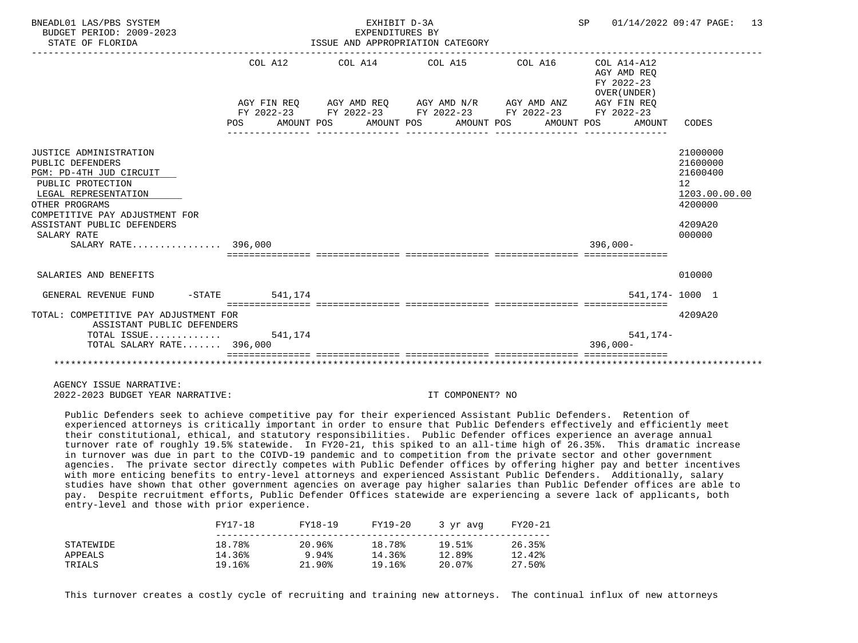| BNEADL01 LAS/PBS SYSTEM<br>BUDGET PERIOD: 2009-2023<br>STATE OF FLORIDA                                                                                                                                                                    |                       | EXHIBIT D-3A<br>EXPENDITURES BY<br>ISSUE AND APPROPRIATION CATEGORY | SP 01/14/2022 09:47 PAGE:                                                                                                                                                                                   | 13 |                                                     |                                                                                                      |
|--------------------------------------------------------------------------------------------------------------------------------------------------------------------------------------------------------------------------------------------|-----------------------|---------------------------------------------------------------------|-------------------------------------------------------------------------------------------------------------------------------------------------------------------------------------------------------------|----|-----------------------------------------------------|------------------------------------------------------------------------------------------------------|
|                                                                                                                                                                                                                                            | COL A12<br><b>POS</b> |                                                                     | COL A14 COL A15 COL A16 COL A14-A12<br>AGY FIN REQ AGY AMD REQ AGY AMD N/R AGY AMD ANZ AGY FIN REQ<br>FY 2022-23 FY 2022-23 FY 2022-23 FY 2022-23 FY 2022-23<br>AMOUNT POS AMOUNT POS AMOUNT POS AMOUNT POS |    | AGY AMD REO<br>FY 2022-23<br>OVER (UNDER)<br>AMOUNT | CODES                                                                                                |
|                                                                                                                                                                                                                                            |                       |                                                                     |                                                                                                                                                                                                             |    |                                                     |                                                                                                      |
| JUSTICE ADMINISTRATION<br>PUBLIC DEFENDERS<br>PGM: PD-4TH JUD CIRCUIT<br>PUBLIC PROTECTION<br>LEGAL REPRESENTATION<br>OTHER PROGRAMS<br>COMPETITIVE PAY ADJUSTMENT FOR<br>ASSISTANT PUBLIC DEFENDERS<br>SALARY RATE<br>SALARY RATE 396,000 |                       |                                                                     |                                                                                                                                                                                                             |    | $396.000 -$                                         | 21000000<br>21600000<br>21600400<br>12 <sup>°</sup><br>1203.00.00.00<br>4200000<br>4209A20<br>000000 |
| SALARIES AND BENEFITS                                                                                                                                                                                                                      |                       |                                                                     |                                                                                                                                                                                                             |    |                                                     | 010000                                                                                               |
| GENERAL REVENUE FUND                                                                                                                                                                                                                       | $-STATE$ 541.174      |                                                                     |                                                                                                                                                                                                             |    |                                                     | 541, 174 - 1000 1                                                                                    |
| TOTAL: COMPETITIVE PAY ADJUSTMENT FOR<br>ASSISTANT PUBLIC DEFENDERS                                                                                                                                                                        |                       |                                                                     |                                                                                                                                                                                                             |    |                                                     | 4209A20                                                                                              |
| TOTAL ISSUE $541,174$<br>TOTAL SALARY RATE 396,000                                                                                                                                                                                         |                       |                                                                     |                                                                                                                                                                                                             |    | 541,174-<br>$396,000 -$                             |                                                                                                      |
|                                                                                                                                                                                                                                            |                       |                                                                     |                                                                                                                                                                                                             |    |                                                     |                                                                                                      |

 Public Defenders seek to achieve competitive pay for their experienced Assistant Public Defenders. Retention of experienced attorneys is critically important in order to ensure that Public Defenders effectively and efficiently meet their constitutional, ethical, and statutory responsibilities. Public Defender offices experience an average annual turnover rate of roughly 19.5% statewide. In FY20-21, this spiked to an all-time high of 26.35%. This dramatic increase in turnover was due in part to the COIVD-19 pandemic and to competition from the private sector and other government agencies. The private sector directly competes with Public Defender offices by offering higher pay and better incentives with more enticing benefits to entry-level attorneys and experienced Assistant Public Defenders. Additionally, salary studies have shown that other government agencies on average pay higher salaries than Public Defender offices are able to pay. Despite recruitment efforts, Public Defender Offices statewide are experiencing a severe lack of applicants, both entry-level and those with prior experience.

|           | FY17-18 | FY18-19   | FY19-20 | 3 yr avg | FY20-21 |
|-----------|---------|-----------|---------|----------|---------|
| STATEWIDE | 18.78%  | 20.96%    | 18.78%  | 19.51%   | 26.35%  |
| APPEALS   | 14.36%  | 9.94%     | 14.36%  | 12.89%   | 12.42%  |
| TRIALS    | 19.16%  | $21.90\%$ | 19.16%  | 20.07%   | 27.50%  |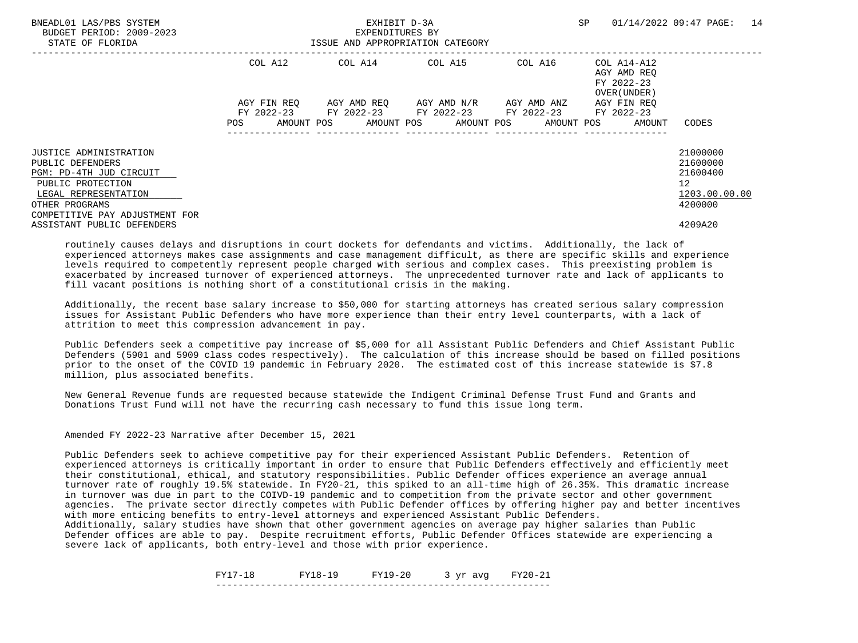| BNEADL01 LAS/PBS SYSTEM<br>BUDGET PERIOD: 2009-2023<br>STATE OF FLORIDA |             | EXHIBIT D-3A<br>EXPENDITURES BY<br>ISSUE AND APPROPRIATION CATEGORY | SP                                  | 14<br>01/14/2022 09:47 PAGE: |                                                          |                      |
|-------------------------------------------------------------------------|-------------|---------------------------------------------------------------------|-------------------------------------|------------------------------|----------------------------------------------------------|----------------------|
|                                                                         | COL A12     |                                                                     | COL A14 COL A15                     | COL A16                      | COL A14-A12<br>AGY AMD REO<br>FY 2022-23<br>OVER (UNDER) |                      |
|                                                                         | AGY FIN REO | FY 2022-23 FY 2022-23 FY 2022-23 FY 2022-23                         | AGY AMD REO AGY AMD N/R AGY AMD ANZ |                              | AGY FIN REO<br>FY 2022-23                                |                      |
|                                                                         | POS         | AMOUNT POS AMOUNT POS AMOUNT POS AMOUNT POS                         |                                     |                              | AMOUNT                                                   | CODES                |
| <b>JUSTICE ADMINISTRATION</b><br>PUBLIC DEFENDERS                       |             |                                                                     |                                     |                              |                                                          | 21000000<br>21600000 |
| PGM: PD-4TH JUD CIRCUIT<br>PUBLIC PROTECTION                            |             |                                                                     |                                     |                              |                                                          | 21600400<br>12       |
| LEGAL REPRESENTATION                                                    |             |                                                                     |                                     |                              |                                                          | 1203.00.00.00        |
| OTHER PROGRAMS<br>COMPETITIVE PAY ADJUSTMENT FOR                        |             |                                                                     |                                     |                              |                                                          | 4200000              |
| ASSISTANT PUBLIC DEFENDERS                                              |             |                                                                     |                                     |                              |                                                          | 4209A20              |

 Additionally, the recent base salary increase to \$50,000 for starting attorneys has created serious salary compression issues for Assistant Public Defenders who have more experience than their entry level counterparts, with a lack of attrition to meet this compression advancement in pay.

 Public Defenders seek a competitive pay increase of \$5,000 for all Assistant Public Defenders and Chief Assistant Public Defenders (5901 and 5909 class codes respectively). The calculation of this increase should be based on filled positions prior to the onset of the COVID 19 pandemic in February 2020. The estimated cost of this increase statewide is \$7.8 million, plus associated benefits.

 New General Revenue funds are requested because statewide the Indigent Criminal Defense Trust Fund and Grants and Donations Trust Fund will not have the recurring cash necessary to fund this issue long term.

Amended FY 2022-23 Narrative after December 15, 2021

 Public Defenders seek to achieve competitive pay for their experienced Assistant Public Defenders. Retention of experienced attorneys is critically important in order to ensure that Public Defenders effectively and efficiently meet their constitutional, ethical, and statutory responsibilities. Public Defender offices experience an average annual turnover rate of roughly 19.5% statewide. In FY20-21, this spiked to an all-time high of 26.35%. This dramatic increase in turnover was due in part to the COIVD-19 pandemic and to competition from the private sector and other government agencies. The private sector directly competes with Public Defender offices by offering higher pay and better incentives with more enticing benefits to entry-level attorneys and experienced Assistant Public Defenders.

 Additionally, salary studies have shown that other government agencies on average pay higher salaries than Public Defender offices are able to pay. Despite recruitment efforts, Public Defender Offices statewide are experiencing a severe lack of applicants, both entry-level and those with prior experience.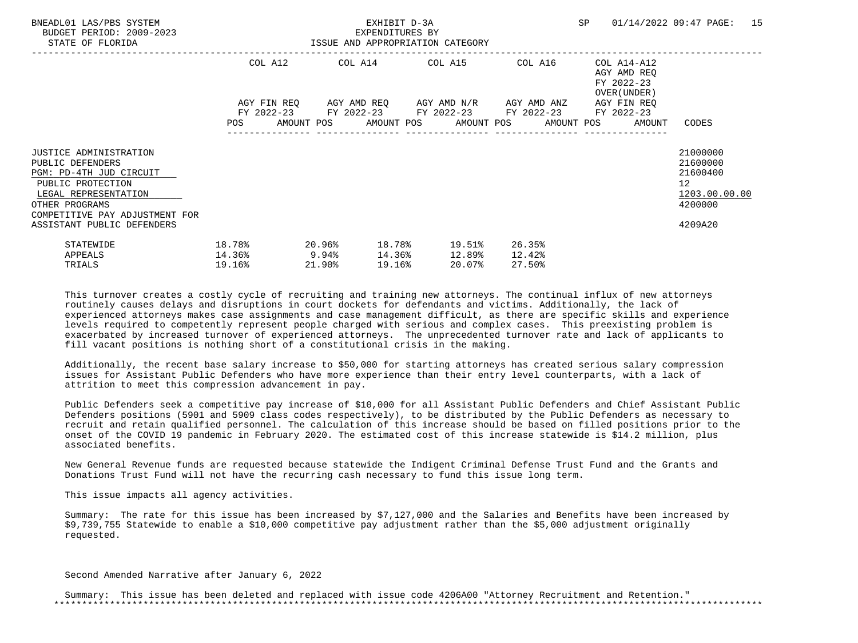| BNEADL01 LAS/PBS SYSTEM<br>BUDGET PERIOD: 2009-2023<br>STATE OF FLORIDA                                                                                                                              |                                                                                    | EXHIBIT D-3A<br>EXPENDITURES BY<br>ISSUE AND APPROPRIATION CATEGORY |                     |  |        |                                                                                                                                    |  |                            |  | SP 01/14/2022 09:47 PAGE: 15                                                               |  |
|------------------------------------------------------------------------------------------------------------------------------------------------------------------------------------------------------|------------------------------------------------------------------------------------|---------------------------------------------------------------------|---------------------|--|--------|------------------------------------------------------------------------------------------------------------------------------------|--|----------------------------|--|--------------------------------------------------------------------------------------------|--|
|                                                                                                                                                                                                      | COL A12 COL A14 COL A15 COL A16<br>AGY FIN REQ 6GY AMD REQ 6GY AMD N/R 6GY AMD ANZ |                                                                     |                     |  |        | COL A14-A12<br>AGY AMD REO<br>FY 2022-23<br>OVER (UNDER )<br>AGY FIN REO<br>FY 2022-23 FY 2022-23 FY 2022-23 FY 2022-23 FY 2022-23 |  |                            |  |                                                                                            |  |
|                                                                                                                                                                                                      |                                                                                    |                                                                     |                     |  |        | POS AMOUNT POS AMOUNT POS AMOUNT POS AMOUNT POS AMOUNT                                                                             |  |                            |  | CODES                                                                                      |  |
| JUSTICE ADMINISTRATION<br>PUBLIC DEFENDERS<br>PGM: PD-4TH JUD CIRCUIT<br>PUBLIC PROTECTION<br>LEGAL REPRESENTATION<br>OTHER PROGRAMS<br>COMPETITIVE PAY ADJUSTMENT FOR<br>ASSISTANT PUBLIC DEFENDERS |                                                                                    |                                                                     |                     |  |        |                                                                                                                                    |  |                            |  | 21000000<br>21600000<br>21600400<br>12 <sup>°</sup><br>1203.00.00.00<br>4200000<br>4209A20 |  |
| STATEWIDE<br>APPEALS<br>TRIALS                                                                                                                                                                       | 18.78%<br>$14.36\%$ 9.94%<br>19.16%                                                |                                                                     | $20.96\%$<br>21.90% |  | 19.16% | 18.78% 19.51%<br>14.36% 12.89%<br>20.07%                                                                                           |  | 26.35%<br>12.42%<br>27.50% |  |                                                                                            |  |

 Additionally, the recent base salary increase to \$50,000 for starting attorneys has created serious salary compression issues for Assistant Public Defenders who have more experience than their entry level counterparts, with a lack of attrition to meet this compression advancement in pay.

 Public Defenders seek a competitive pay increase of \$10,000 for all Assistant Public Defenders and Chief Assistant Public Defenders positions (5901 and 5909 class codes respectively), to be distributed by the Public Defenders as necessary to recruit and retain qualified personnel. The calculation of this increase should be based on filled positions prior to the onset of the COVID 19 pandemic in February 2020. The estimated cost of this increase statewide is \$14.2 million, plus associated benefits.

 New General Revenue funds are requested because statewide the Indigent Criminal Defense Trust Fund and the Grants and Donations Trust Fund will not have the recurring cash necessary to fund this issue long term.

This issue impacts all agency activities.

 Summary: The rate for this issue has been increased by \$7,127,000 and the Salaries and Benefits have been increased by \$9,739,755 Statewide to enable a \$10,000 competitive pay adjustment rather than the \$5,000 adjustment originally requested.

Second Amended Narrative after January 6, 2022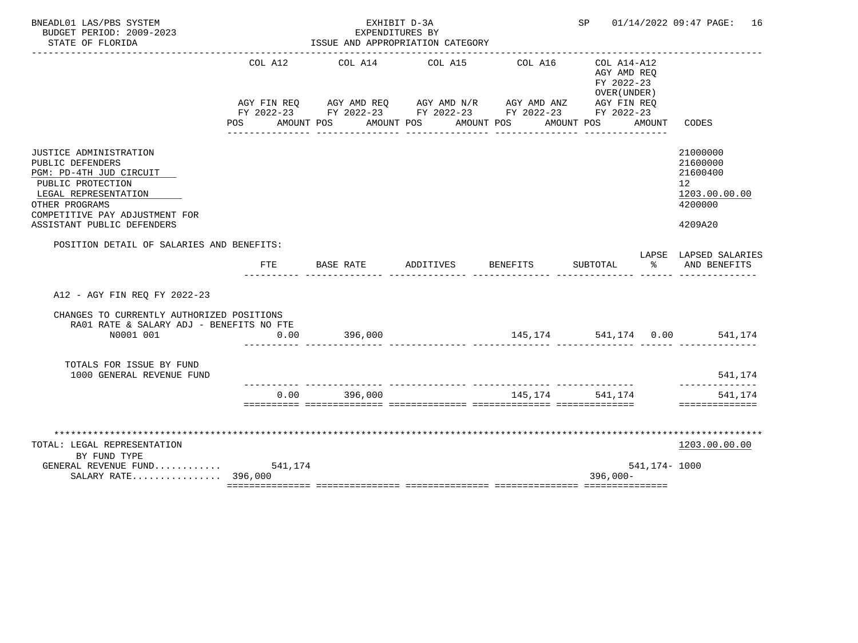| BNEADL01 LAS/PBS SYSTEM<br>BUDGET PERIOD: 2009-2023<br>STATE OF FLORIDA                                                                                                                              |                    | EXHIBIT D-3A<br>EXPENDITURES BY<br>ISSUE AND APPROPRIATION CATEGORY                                                                                                 |                                            |                                       | SP                                                                      |               | 01/14/2022 09:47 PAGE: 16                                                                  |
|------------------------------------------------------------------------------------------------------------------------------------------------------------------------------------------------------|--------------------|---------------------------------------------------------------------------------------------------------------------------------------------------------------------|--------------------------------------------|---------------------------------------|-------------------------------------------------------------------------|---------------|--------------------------------------------------------------------------------------------|
|                                                                                                                                                                                                      | COL A12<br>POS FOR | COL A14<br>AGY FIN REQ AGY AMD REQ AGY AMD N/R AGY AMD ANZ<br>FY 2022-23 FY 2022-23 FY 2022-23 FY 2022-23 FY 2022-23<br>AMOUNT POS AMOUNT POS AMOUNT POS AMOUNT POS | COL A15<br>_______________________________ | COL A16<br><u>u u u u u u u u u u</u> | COL A14-A12<br>AGY AMD REO<br>FY 2022-23<br>OVER (UNDER)<br>AGY FIN REQ | AMOUNT        | CODES                                                                                      |
| JUSTICE ADMINISTRATION<br>PUBLIC DEFENDERS<br>PGM: PD-4TH JUD CIRCUIT<br>PUBLIC PROTECTION<br>LEGAL REPRESENTATION<br>OTHER PROGRAMS<br>COMPETITIVE PAY ADJUSTMENT FOR<br>ASSISTANT PUBLIC DEFENDERS |                    |                                                                                                                                                                     |                                            |                                       |                                                                         |               | 21000000<br>21600000<br>21600400<br>12 <sup>°</sup><br>1203.00.00.00<br>4200000<br>4209A20 |
| POSITION DETAIL OF SALARIES AND BENEFITS:                                                                                                                                                            | <b>FTE</b>         | BASE RATE                                                                                                                                                           | ADDITIVES                                  | <b>BENEFITS</b>                       | SUBTOTAL                                                                | ిన            | LAPSE LAPSED SALARIES<br>AND BENEFITS                                                      |
| A12 - AGY FIN REO FY 2022-23                                                                                                                                                                         |                    |                                                                                                                                                                     |                                            |                                       |                                                                         |               |                                                                                            |
| CHANGES TO CURRENTLY AUTHORIZED POSITIONS<br>RA01 RATE & SALARY ADJ - BENEFITS NO FTE<br>N0001 001                                                                                                   | 0.00               | 396,000                                                                                                                                                             |                                            |                                       |                                                                         |               | $145, 174$ 541, 174 0.00 541, 174                                                          |
| TOTALS FOR ISSUE BY FUND<br>1000 GENERAL REVENUE FUND                                                                                                                                                |                    |                                                                                                                                                                     |                                            |                                       |                                                                         |               | 541,174                                                                                    |
|                                                                                                                                                                                                      | 0.00               | 396,000                                                                                                                                                             |                                            | _______________________________       | 145.174 541.174                                                         |               | -----------<br>541,174<br>==============                                                   |
| TOTAL: LEGAL REPRESENTATION<br>BY FUND TYPE<br>GENERAL REVENUE FUND $541,174$<br>SALARY RATE 396,000                                                                                                 |                    |                                                                                                                                                                     |                                            |                                       | $396,000 -$                                                             | 541,174- 1000 | 1203.00.00.00                                                                              |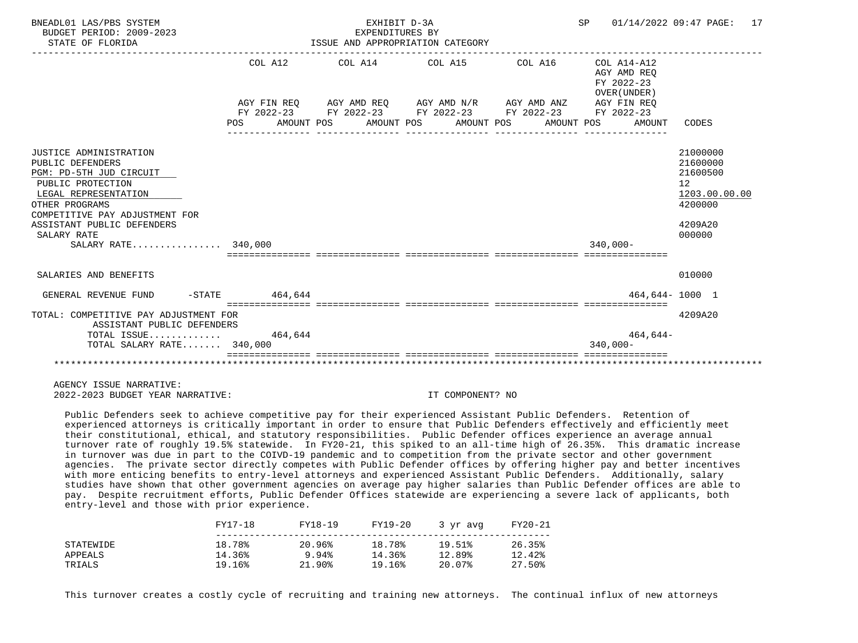| BNEADL01 LAS/PBS SYSTEM<br>BUDGET PERIOD: 2009-2023<br>STATE OF FLORIDA                                                                                                                                                                    | ISSUE AND APPROPRIATION CATEGORY |                                                                                                                                                          | SP 01/14/2022 09:47 PAGE: 17 |                                                                    |                                                                                                      |
|--------------------------------------------------------------------------------------------------------------------------------------------------------------------------------------------------------------------------------------------|----------------------------------|----------------------------------------------------------------------------------------------------------------------------------------------------------|------------------------------|--------------------------------------------------------------------|------------------------------------------------------------------------------------------------------|
|                                                                                                                                                                                                                                            | COL A12<br>POS                   | AGY FIN REO AGY AMD REO AGY AMD N/R AGY AMD ANZ<br>FY 2022-23 FY 2022-23 FY 2022-23 FY 2022-23 FY 2022-23<br>AMOUNT POS AMOUNT POS AMOUNT POS AMOUNT POS |                              | AGY AMD REO<br>FY 2022-23<br>OVER (UNDER)<br>AGY FIN REO<br>AMOUNT | CODES                                                                                                |
| JUSTICE ADMINISTRATION<br>PUBLIC DEFENDERS<br>PGM: PD-5TH JUD CIRCUIT<br>PUBLIC PROTECTION<br>LEGAL REPRESENTATION<br>OTHER PROGRAMS<br>COMPETITIVE PAY ADJUSTMENT FOR<br>ASSISTANT PUBLIC DEFENDERS<br>SALARY RATE<br>SALARY RATE 340,000 |                                  |                                                                                                                                                          |                              | $340.000 -$                                                        | 21000000<br>21600000<br>21600500<br>12 <sup>°</sup><br>1203.00.00.00<br>4200000<br>4209A20<br>000000 |
| SALARIES AND BENEFITS                                                                                                                                                                                                                      |                                  |                                                                                                                                                          |                              |                                                                    | 010000                                                                                               |
| GENERAL REVENUE FUND -STATE 464,644                                                                                                                                                                                                        |                                  |                                                                                                                                                          |                              |                                                                    | 464,644-1000 1                                                                                       |
| TOTAL: COMPETITIVE PAY ADJUSTMENT FOR<br>ASSISTANT PUBLIC DEFENDERS<br>TOTAL ISSUE $464,644$<br>TOTAL SALARY RATE 340,000                                                                                                                  |                                  |                                                                                                                                                          |                              | 464,644-<br>$340.000 -$                                            | 4209A20                                                                                              |
|                                                                                                                                                                                                                                            |                                  |                                                                                                                                                          |                              |                                                                    |                                                                                                      |

 Public Defenders seek to achieve competitive pay for their experienced Assistant Public Defenders. Retention of experienced attorneys is critically important in order to ensure that Public Defenders effectively and efficiently meet their constitutional, ethical, and statutory responsibilities. Public Defender offices experience an average annual turnover rate of roughly 19.5% statewide. In FY20-21, this spiked to an all-time high of 26.35%. This dramatic increase in turnover was due in part to the COIVD-19 pandemic and to competition from the private sector and other government agencies. The private sector directly competes with Public Defender offices by offering higher pay and better incentives with more enticing benefits to entry-level attorneys and experienced Assistant Public Defenders. Additionally, salary studies have shown that other government agencies on average pay higher salaries than Public Defender offices are able to pay. Despite recruitment efforts, Public Defender Offices statewide are experiencing a severe lack of applicants, both entry-level and those with prior experience.

|           | FY17-18 | FY18-19   | FY19-20 | 3 yr avg | FY20-21 |
|-----------|---------|-----------|---------|----------|---------|
| STATEWIDE | 18.78%  | 20.96%    | 18.78%  | 19.51%   | 26.35%  |
| APPEALS   | 14.36%  | 9.94%     | 14.36%  | 12.89%   | 12.42%  |
| TRIALS    | 19.16%  | $21.90\%$ | 19.16%  | 20.07%   | 27.50%  |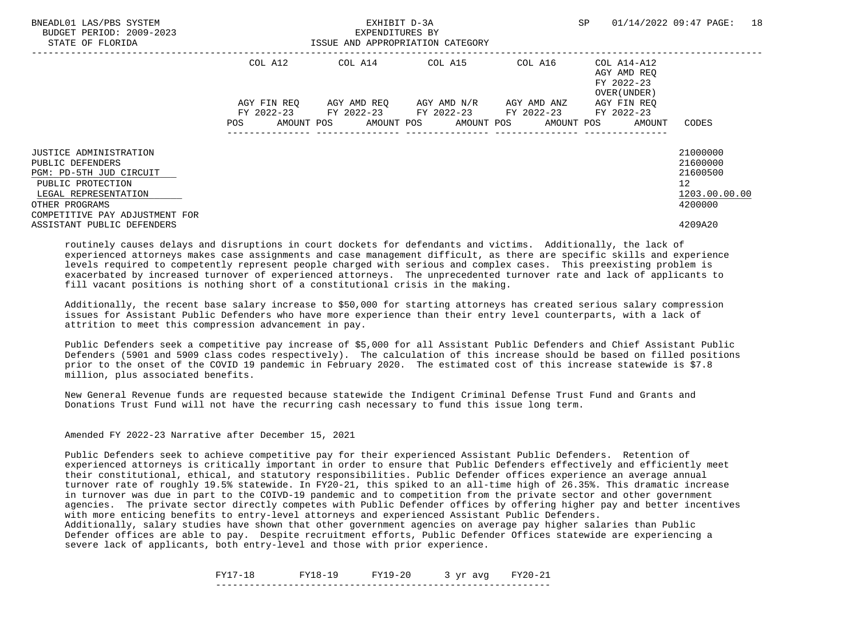| BNEADL01 LAS/PBS SYSTEM<br>BUDGET PERIOD: 2009-2023<br>STATE OF FLORIDA |             | EXHIBIT D-3A<br>EXPENDITURES BY<br>ISSUE AND APPROPRIATION CATEGORY | SP                                  | 18<br>01/14/2022 09:47 PAGE: |                                                          |                      |
|-------------------------------------------------------------------------|-------------|---------------------------------------------------------------------|-------------------------------------|------------------------------|----------------------------------------------------------|----------------------|
|                                                                         | COL A12     |                                                                     | COL A14 COL A15                     | COL A16                      | COL A14-A12<br>AGY AMD REO<br>FY 2022-23<br>OVER (UNDER) |                      |
|                                                                         | AGY FIN REO | FY 2022-23 FY 2022-23 FY 2022-23 FY 2022-23                         | AGY AMD REO AGY AMD N/R AGY AMD ANZ |                              | AGY FIN REO<br>FY 2022-23                                |                      |
|                                                                         | POS         | AMOUNT POS AMOUNT POS AMOUNT POS AMOUNT POS                         |                                     |                              | AMOUNT                                                   | CODES                |
| <b>JUSTICE ADMINISTRATION</b><br>PUBLIC DEFENDERS                       |             |                                                                     |                                     |                              |                                                          | 21000000<br>21600000 |
| PGM: PD-5TH JUD CIRCUIT                                                 |             |                                                                     |                                     |                              |                                                          | 21600500             |
| PUBLIC PROTECTION<br>LEGAL REPRESENTATION                               |             |                                                                     |                                     |                              |                                                          | 12<br>1203.00.00.00  |
| OTHER PROGRAMS<br>COMPETITIVE PAY ADJUSTMENT FOR                        |             |                                                                     |                                     |                              |                                                          | 4200000              |
| ASSISTANT PUBLIC DEFENDERS                                              |             |                                                                     |                                     |                              |                                                          | 4209A20              |

 Additionally, the recent base salary increase to \$50,000 for starting attorneys has created serious salary compression issues for Assistant Public Defenders who have more experience than their entry level counterparts, with a lack of attrition to meet this compression advancement in pay.

 Public Defenders seek a competitive pay increase of \$5,000 for all Assistant Public Defenders and Chief Assistant Public Defenders (5901 and 5909 class codes respectively). The calculation of this increase should be based on filled positions prior to the onset of the COVID 19 pandemic in February 2020. The estimated cost of this increase statewide is \$7.8 million, plus associated benefits.

 New General Revenue funds are requested because statewide the Indigent Criminal Defense Trust Fund and Grants and Donations Trust Fund will not have the recurring cash necessary to fund this issue long term.

Amended FY 2022-23 Narrative after December 15, 2021

 Public Defenders seek to achieve competitive pay for their experienced Assistant Public Defenders. Retention of experienced attorneys is critically important in order to ensure that Public Defenders effectively and efficiently meet their constitutional, ethical, and statutory responsibilities. Public Defender offices experience an average annual turnover rate of roughly 19.5% statewide. In FY20-21, this spiked to an all-time high of 26.35%. This dramatic increase in turnover was due in part to the COIVD-19 pandemic and to competition from the private sector and other government agencies. The private sector directly competes with Public Defender offices by offering higher pay and better incentives with more enticing benefits to entry-level attorneys and experienced Assistant Public Defenders.

 Additionally, salary studies have shown that other government agencies on average pay higher salaries than Public Defender offices are able to pay. Despite recruitment efforts, Public Defender Offices statewide are experiencing a severe lack of applicants, both entry-level and those with prior experience.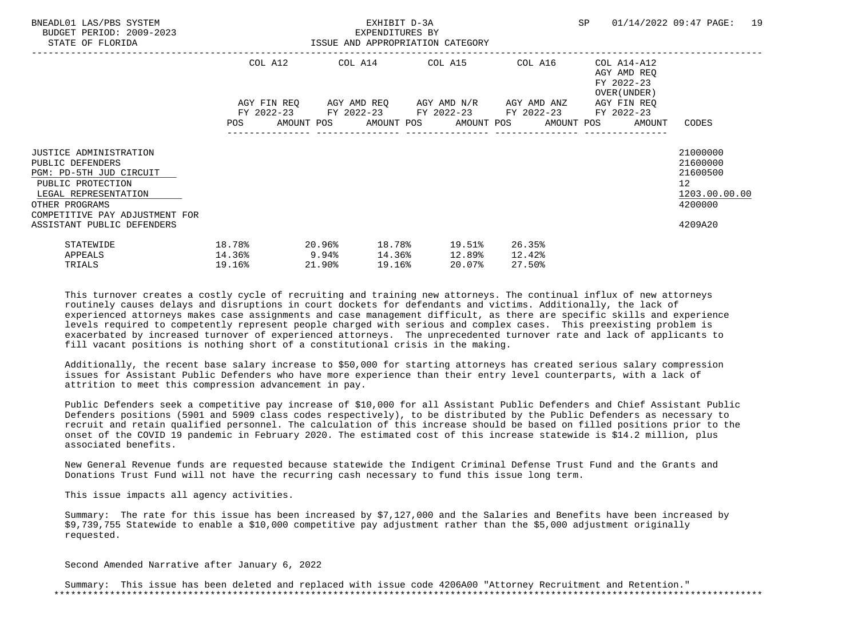| BNEADL01 LAS/PBS SYSTEM<br>BUDGET PERIOD: 2009-2023<br>STATE OF FLORIDA                                                                                                       |                                               | EXHIBIT D-3A<br>EXPENDITURES BY<br>ISSUE AND APPROPRIATION CATEGORY |        |        |  |                                                                                                                  |  |                            |                                                                          |  | SP 01/14/2022 09:47 PAGE:<br>19                                                 |  |
|-------------------------------------------------------------------------------------------------------------------------------------------------------------------------------|-----------------------------------------------|---------------------------------------------------------------------|--------|--------|--|------------------------------------------------------------------------------------------------------------------|--|----------------------------|--------------------------------------------------------------------------|--|---------------------------------------------------------------------------------|--|
|                                                                                                                                                                               |                                               | AGY FIN REQ 6GY AMD REQ 6GY AMD N/R 6GY AMD ANZ                     |        |        |  | COL A12 COL A14 COL A15 COL A16                                                                                  |  |                            | COL A14-A12<br>AGY AMD REO<br>FY 2022-23<br>OVER (UNDER )<br>AGY FIN REO |  |                                                                                 |  |
|                                                                                                                                                                               |                                               |                                                                     |        |        |  | FY 2022-23 FY 2022-23 FY 2022-23 FY 2022-23 FY 2022-23<br>POS AMOUNT POS AMOUNT POS AMOUNT POS AMOUNT POS AMOUNT |  |                            |                                                                          |  | CODES                                                                           |  |
| <b>JUSTICE ADMINISTRATION</b><br>PUBLIC DEFENDERS<br>PGM: PD-5TH JUD CIRCUIT<br>PUBLIC PROTECTION<br>LEGAL REPRESENTATION<br>OTHER PROGRAMS<br>COMPETITIVE PAY ADJUSTMENT FOR |                                               |                                                                     |        |        |  |                                                                                                                  |  |                            |                                                                          |  | 21000000<br>21600000<br>21600500<br>12 <sup>°</sup><br>1203.00.00.00<br>4200000 |  |
| ASSISTANT PUBLIC DEFENDERS<br>STATEWIDE<br>APPEALS<br>TRIALS                                                                                                                  | 18.78%<br>$14.36$ <sup>8</sup> 9.94<br>19.16% | $20.96\%$                                                           | 21.90% | 19.16% |  | 18.78% 19.51%<br>14.36% 12.89%<br>20.07%                                                                         |  | 26.35%<br>12.42%<br>27.50% |                                                                          |  | 4209A20                                                                         |  |

 Additionally, the recent base salary increase to \$50,000 for starting attorneys has created serious salary compression issues for Assistant Public Defenders who have more experience than their entry level counterparts, with a lack of attrition to meet this compression advancement in pay.

 Public Defenders seek a competitive pay increase of \$10,000 for all Assistant Public Defenders and Chief Assistant Public Defenders positions (5901 and 5909 class codes respectively), to be distributed by the Public Defenders as necessary to recruit and retain qualified personnel. The calculation of this increase should be based on filled positions prior to the onset of the COVID 19 pandemic in February 2020. The estimated cost of this increase statewide is \$14.2 million, plus associated benefits.

 New General Revenue funds are requested because statewide the Indigent Criminal Defense Trust Fund and the Grants and Donations Trust Fund will not have the recurring cash necessary to fund this issue long term.

This issue impacts all agency activities.

 Summary: The rate for this issue has been increased by \$7,127,000 and the Salaries and Benefits have been increased by \$9,739,755 Statewide to enable a \$10,000 competitive pay adjustment rather than the \$5,000 adjustment originally requested.

Second Amended Narrative after January 6, 2022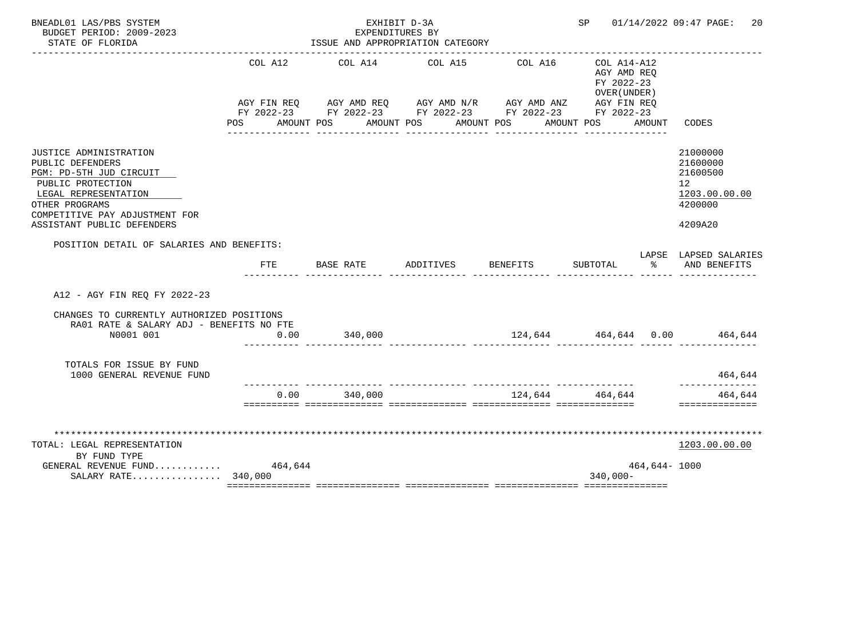| BNEADL01 LAS/PBS SYSTEM<br>BUDGET PERIOD: 2009-2023<br>STATE OF FLORIDA                                                                                                                              | EXHIBIT D-3A<br>EXPENDITURES BY<br>ISSUE AND APPROPRIATION CATEGORY |                                                                                                                                                              |           |                                  |                                                                                       |                  | 01/14/2022 09:47 PAGE:<br>20                                                               |
|------------------------------------------------------------------------------------------------------------------------------------------------------------------------------------------------------|---------------------------------------------------------------------|--------------------------------------------------------------------------------------------------------------------------------------------------------------|-----------|----------------------------------|---------------------------------------------------------------------------------------|------------------|--------------------------------------------------------------------------------------------|
|                                                                                                                                                                                                      | COL A12                                                             | COL A14<br>AGY FIN REQ AGY AMD REQ AGY AMD N/R AGY AMD ANZ<br>FY 2022-23 FY 2022-23 FY 2022-23 FY 2022-23 FY 2022-23<br>POS AMOUNT POS AMOUNT POS AMOUNT POS | COL A15   | COL A16                          | COL A14-A12<br>AGY AMD REO<br>FY 2022-23<br>OVER (UNDER)<br>AGY FIN REQ<br>AMOUNT POS | AMOUNT           | CODES                                                                                      |
| JUSTICE ADMINISTRATION<br>PUBLIC DEFENDERS<br>PGM: PD-5TH JUD CIRCUIT<br>PUBLIC PROTECTION<br>LEGAL REPRESENTATION<br>OTHER PROGRAMS<br>COMPETITIVE PAY ADJUSTMENT FOR<br>ASSISTANT PUBLIC DEFENDERS |                                                                     |                                                                                                                                                              |           |                                  |                                                                                       |                  | 21000000<br>21600000<br>21600500<br>12 <sup>°</sup><br>1203.00.00.00<br>4200000<br>4209A20 |
| POSITION DETAIL OF SALARIES AND BENEFITS:                                                                                                                                                            | FTE                                                                 | BASE RATE                                                                                                                                                    | ADDITIVES | BENEFITS                         | SUBTOTAL                                                                              | ့                | LAPSE LAPSED SALARIES<br>AND BENEFITS                                                      |
| A12 - AGY FIN REO FY 2022-23                                                                                                                                                                         |                                                                     |                                                                                                                                                              |           |                                  |                                                                                       |                  |                                                                                            |
| CHANGES TO CURRENTLY AUTHORIZED POSITIONS<br>RA01 RATE & SALARY ADJ - BENEFITS NO FTE<br>N0001 001                                                                                                   | 0.00                                                                | 340,000                                                                                                                                                      |           |                                  |                                                                                       |                  | 124,644 464,644 0.00 464,644                                                               |
| TOTALS FOR ISSUE BY FUND<br>1000 GENERAL REVENUE FUND                                                                                                                                                |                                                                     |                                                                                                                                                              |           |                                  |                                                                                       |                  | 464,644                                                                                    |
|                                                                                                                                                                                                      | 0.00                                                                | 340,000                                                                                                                                                      |           | ________________________________ | 124.644 464.644                                                                       |                  | ----------<br>464,644<br>==============                                                    |
| TOTAL: LEGAL REPRESENTATION<br>BY FUND TYPE<br>GENERAL REVENUE FUND<br>SALARY RATE $340,000$                                                                                                         | 464,644                                                             |                                                                                                                                                              |           |                                  | $340,000 -$                                                                           | $464,644 - 1000$ | 1203.00.00.00                                                                              |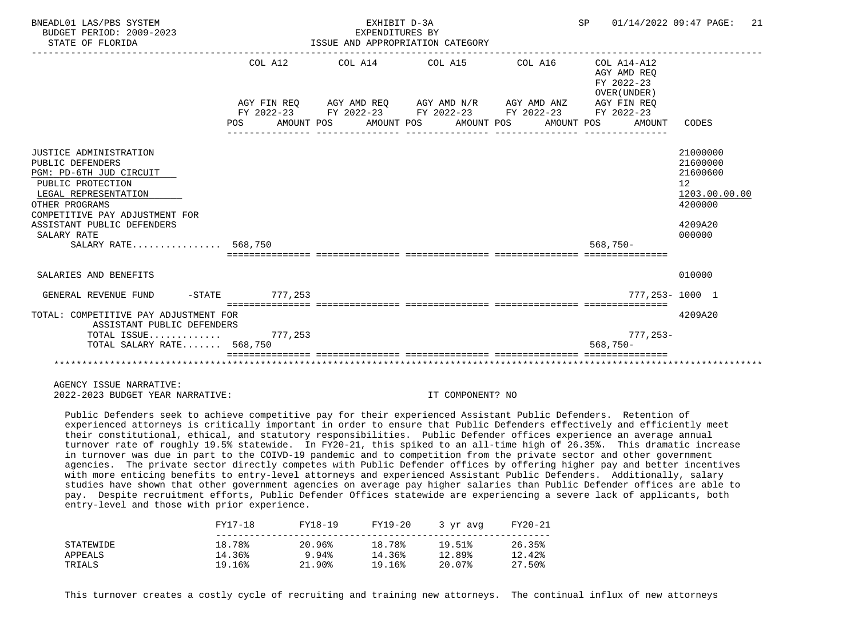| BNEADL01 LAS/PBS SYSTEM<br>BUDGET PERIOD: 2009-2023<br>STATE OF FLORIDA                                                                                                                                                                    |                 | EXHIBIT D-3A<br>EXPENDITURES BY | ISSUE AND APPROPRIATION CATEGORY                                                                                                                         | SP 01/14/2022 09:47 PAGE:                                          | 21                                                                                      |
|--------------------------------------------------------------------------------------------------------------------------------------------------------------------------------------------------------------------------------------------|-----------------|---------------------------------|----------------------------------------------------------------------------------------------------------------------------------------------------------|--------------------------------------------------------------------|-----------------------------------------------------------------------------------------|
|                                                                                                                                                                                                                                            | COL A12<br>POS  |                                 | AGY FIN REO AGY AMD REO AGY AMD N/R AGY AMD ANZ<br>FY 2022-23 FY 2022-23 FY 2022-23 FY 2022-23 FY 2022-23<br>AMOUNT POS AMOUNT POS AMOUNT POS AMOUNT POS | AGY AMD REO<br>FY 2022-23<br>OVER (UNDER)<br>AGY FIN REO<br>AMOUNT | CODES                                                                                   |
| JUSTICE ADMINISTRATION<br>PUBLIC DEFENDERS<br>PGM: PD-6TH JUD CIRCUIT<br>PUBLIC PROTECTION<br>LEGAL REPRESENTATION<br>OTHER PROGRAMS<br>COMPETITIVE PAY ADJUSTMENT FOR<br>ASSISTANT PUBLIC DEFENDERS<br>SALARY RATE<br>SALARY RATE 568,750 |                 |                                 |                                                                                                                                                          | $568.750 -$                                                        | 21000000<br>21600000<br>21600600<br>12<br>1203.00.00.00<br>4200000<br>4209A20<br>000000 |
| SALARIES AND BENEFITS                                                                                                                                                                                                                      |                 |                                 |                                                                                                                                                          |                                                                    | 010000                                                                                  |
| GENERAL REVENUE FUND                                                                                                                                                                                                                       | -STATE 777, 253 |                                 |                                                                                                                                                          |                                                                    | 777.253-1000 1                                                                          |
| TOTAL: COMPETITIVE PAY ADJUSTMENT FOR<br>ASSISTANT PUBLIC DEFENDERS<br>TOTAL ISSUE $777,253$<br>TOTAL SALARY RATE 568,750                                                                                                                  |                 |                                 |                                                                                                                                                          | $777,253-$<br>$568.750 -$                                          | 4209A20                                                                                 |
|                                                                                                                                                                                                                                            |                 |                                 |                                                                                                                                                          |                                                                    |                                                                                         |

 Public Defenders seek to achieve competitive pay for their experienced Assistant Public Defenders. Retention of experienced attorneys is critically important in order to ensure that Public Defenders effectively and efficiently meet their constitutional, ethical, and statutory responsibilities. Public Defender offices experience an average annual turnover rate of roughly 19.5% statewide. In FY20-21, this spiked to an all-time high of 26.35%. This dramatic increase in turnover was due in part to the COIVD-19 pandemic and to competition from the private sector and other government agencies. The private sector directly competes with Public Defender offices by offering higher pay and better incentives with more enticing benefits to entry-level attorneys and experienced Assistant Public Defenders. Additionally, salary studies have shown that other government agencies on average pay higher salaries than Public Defender offices are able to pay. Despite recruitment efforts, Public Defender Offices statewide are experiencing a severe lack of applicants, both entry-level and those with prior experience.

|           | FY17-18 | FY18-19   | FY19-20 | 3 yr avg | FY20-21 |
|-----------|---------|-----------|---------|----------|---------|
| STATEWIDE | 18.78%  | 20.96%    | 18.78%  | 19.51%   | 26.35%  |
| APPEALS   | 14.36%  | 9.94%     | 14.36%  | 12.89%   | 12.42%  |
| TRIALS    | 19.16%  | $21.90\%$ | 19.16%  | 20.07%   | 27.50%  |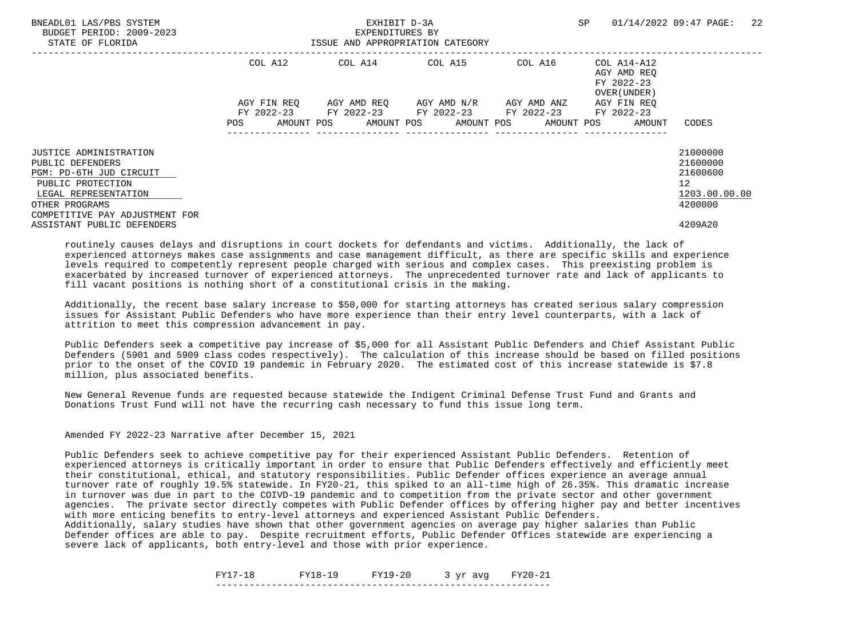| BNEADL01 LAS/PBS SYSTEM<br>BUDGET PERIOD: 2009-2023<br>STATE OF FLORIDA |             | EXHIBIT D-3A<br>EXPENDITURES BY<br>ISSUE AND APPROPRIATION CATEGORY | SP                                  | 22<br>01/14/2022 09:47 PAGE: |                                                          |                      |
|-------------------------------------------------------------------------|-------------|---------------------------------------------------------------------|-------------------------------------|------------------------------|----------------------------------------------------------|----------------------|
|                                                                         | COL A12     |                                                                     | COL A14 COL A15                     | COL A16                      | COL A14-A12<br>AGY AMD REO<br>FY 2022-23<br>OVER (UNDER) |                      |
|                                                                         | AGY FIN REO | FY 2022-23 FY 2022-23 FY 2022-23 FY 2022-23                         | AGY AMD REO AGY AMD N/R AGY AMD ANZ |                              | AGY FIN REO<br>FY 2022-23                                |                      |
|                                                                         | POS         | AMOUNT POS AMOUNT POS AMOUNT POS AMOUNT POS                         |                                     |                              | AMOUNT                                                   | CODES                |
| <b>JUSTICE ADMINISTRATION</b><br>PUBLIC DEFENDERS                       |             |                                                                     |                                     |                              |                                                          | 21000000<br>21600000 |
| PGM: PD-6TH JUD CIRCUIT                                                 |             |                                                                     |                                     |                              |                                                          | 21600600             |
| PUBLIC PROTECTION                                                       |             |                                                                     |                                     |                              |                                                          | 12                   |
| LEGAL REPRESENTATION                                                    |             |                                                                     |                                     |                              |                                                          | 1203.00.00.00        |
| OTHER PROGRAMS<br>COMPETITIVE PAY ADJUSTMENT FOR                        |             |                                                                     |                                     |                              |                                                          | 4200000              |
| ASSISTANT PUBLIC DEFENDERS                                              |             |                                                                     |                                     |                              |                                                          | 4209A20              |

 Additionally, the recent base salary increase to \$50,000 for starting attorneys has created serious salary compression issues for Assistant Public Defenders who have more experience than their entry level counterparts, with a lack of attrition to meet this compression advancement in pay.

 Public Defenders seek a competitive pay increase of \$5,000 for all Assistant Public Defenders and Chief Assistant Public Defenders (5901 and 5909 class codes respectively). The calculation of this increase should be based on filled positions prior to the onset of the COVID 19 pandemic in February 2020. The estimated cost of this increase statewide is \$7.8 million, plus associated benefits.

 New General Revenue funds are requested because statewide the Indigent Criminal Defense Trust Fund and Grants and Donations Trust Fund will not have the recurring cash necessary to fund this issue long term.

Amended FY 2022-23 Narrative after December 15, 2021

 Public Defenders seek to achieve competitive pay for their experienced Assistant Public Defenders. Retention of experienced attorneys is critically important in order to ensure that Public Defenders effectively and efficiently meet their constitutional, ethical, and statutory responsibilities. Public Defender offices experience an average annual turnover rate of roughly 19.5% statewide. In FY20-21, this spiked to an all-time high of 26.35%. This dramatic increase in turnover was due in part to the COIVD-19 pandemic and to competition from the private sector and other government agencies. The private sector directly competes with Public Defender offices by offering higher pay and better incentives with more enticing benefits to entry-level attorneys and experienced Assistant Public Defenders.

 Additionally, salary studies have shown that other government agencies on average pay higher salaries than Public Defender offices are able to pay. Despite recruitment efforts, Public Defender Offices statewide are experiencing a severe lack of applicants, both entry-level and those with prior experience.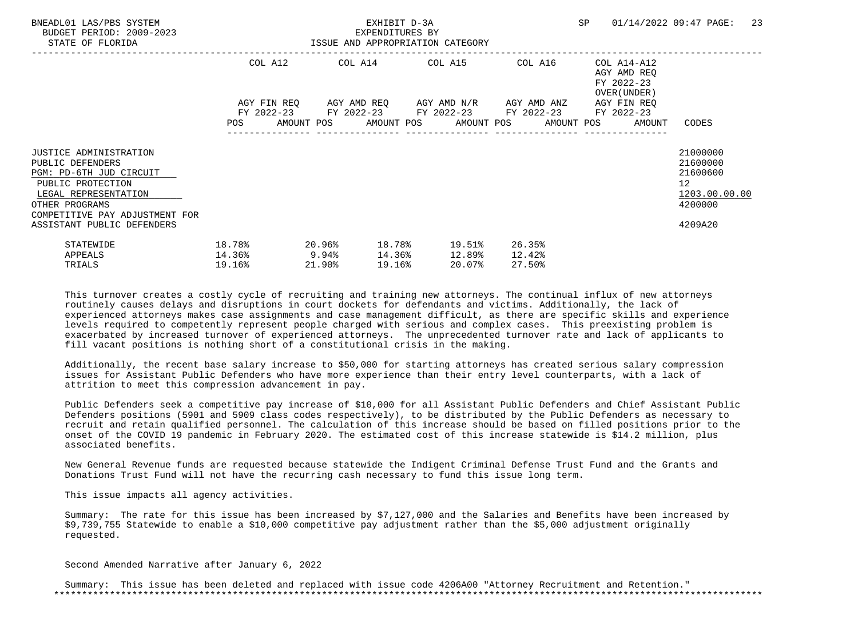| BNEADL01 LAS/PBS SYSTEM<br>BUDGET PERIOD: 2009-2023<br>STATE OF FLORIDA                                                                                                       | ISSUE AND APPROPRIATION CATEGORY              |           |        | EXHIBIT D-3A<br>EXPENDITURES BY |                                                                                                                  |        |                  |                                                                          | SP 01/14/2022 09:47 PAGE:                                                       | -23 |
|-------------------------------------------------------------------------------------------------------------------------------------------------------------------------------|-----------------------------------------------|-----------|--------|---------------------------------|------------------------------------------------------------------------------------------------------------------|--------|------------------|--------------------------------------------------------------------------|---------------------------------------------------------------------------------|-----|
|                                                                                                                                                                               |                                               |           |        |                                 | COL A12 COL A14 COL A15 COL A16<br>AGY FIN REQ 6GY AMD REQ 6GY AMD N/R 6GY AMD ANZ                               |        |                  | COL A14-A12<br>AGY AMD REO<br>FY 2022-23<br>OVER (UNDER )<br>AGY FIN REO |                                                                                 |     |
|                                                                                                                                                                               |                                               |           |        |                                 | FY 2022-23 FY 2022-23 FY 2022-23 FY 2022-23 FY 2022-23<br>POS AMOUNT POS AMOUNT POS AMOUNT POS AMOUNT POS AMOUNT |        |                  |                                                                          | CODES                                                                           |     |
| <b>JUSTICE ADMINISTRATION</b><br>PUBLIC DEFENDERS<br>PGM: PD-6TH JUD CIRCUIT<br>PUBLIC PROTECTION<br>LEGAL REPRESENTATION<br>OTHER PROGRAMS<br>COMPETITIVE PAY ADJUSTMENT FOR |                                               |           |        |                                 |                                                                                                                  |        |                  |                                                                          | 21000000<br>21600000<br>21600600<br>12 <sup>°</sup><br>1203.00.00.00<br>4200000 |     |
| ASSISTANT PUBLIC DEFENDERS<br>STATEWIDE<br>APPEALS<br>TRIALS                                                                                                                  | 18.78%<br>$14.36$ <sup>8</sup> 9.94<br>19.16% | $20.96\%$ | 21.90% | 19.16%                          | 18.78% 19.51%<br>14.36% 12.89%<br>20.07%                                                                         | 12.42% | 26.35%<br>27.50% |                                                                          | 4209A20                                                                         |     |

 Additionally, the recent base salary increase to \$50,000 for starting attorneys has created serious salary compression issues for Assistant Public Defenders who have more experience than their entry level counterparts, with a lack of attrition to meet this compression advancement in pay.

 Public Defenders seek a competitive pay increase of \$10,000 for all Assistant Public Defenders and Chief Assistant Public Defenders positions (5901 and 5909 class codes respectively), to be distributed by the Public Defenders as necessary to recruit and retain qualified personnel. The calculation of this increase should be based on filled positions prior to the onset of the COVID 19 pandemic in February 2020. The estimated cost of this increase statewide is \$14.2 million, plus associated benefits.

 New General Revenue funds are requested because statewide the Indigent Criminal Defense Trust Fund and the Grants and Donations Trust Fund will not have the recurring cash necessary to fund this issue long term.

This issue impacts all agency activities.

 Summary: The rate for this issue has been increased by \$7,127,000 and the Salaries and Benefits have been increased by \$9,739,755 Statewide to enable a \$10,000 competitive pay adjustment rather than the \$5,000 adjustment originally requested.

Second Amended Narrative after January 6, 2022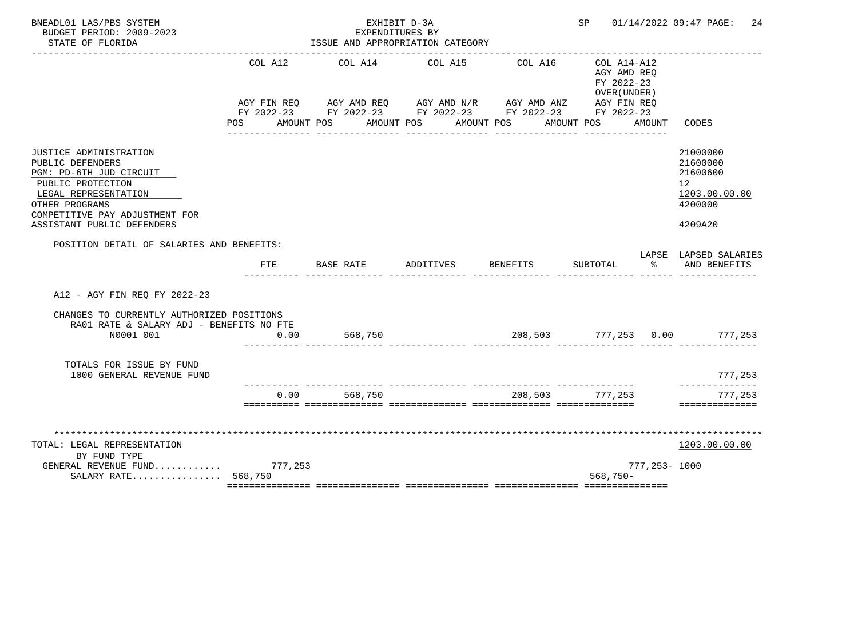| BNEADL01 LAS/PBS SYSTEM<br>BUDGET PERIOD: 2009-2023                                                                                                                                                  |                       | EXPENDITURES BY                                                                                                                                           | EXHIBIT D-3A |                                  | SP <sub>2</sub>                                          |              | 01/14/2022 09:47 PAGE:<br>24                                                  |
|------------------------------------------------------------------------------------------------------------------------------------------------------------------------------------------------------|-----------------------|-----------------------------------------------------------------------------------------------------------------------------------------------------------|--------------|----------------------------------|----------------------------------------------------------|--------------|-------------------------------------------------------------------------------|
| STATE OF FLORIDA                                                                                                                                                                                     |                       | ISSUE AND APPROPRIATION CATEGORY                                                                                                                          |              |                                  |                                                          |              |                                                                               |
|                                                                                                                                                                                                      | COL A12<br><b>POS</b> | COL A14<br>AGY FIN REQ AGY AMD REQ AGY AMD N/R AGY AMD ANZ AGY FIN REQ<br>FY 2022-23 FY 2022-23 FY 2022-23 FY 2022-23 FY 2022-23<br>AMOUNT POS AMOUNT POS | COL A15      | COL A16<br>AMOUNT POS AMOUNT POS | COL A14-A12<br>AGY AMD REQ<br>FY 2022-23<br>OVER (UNDER) | AMOUNT       | CODES                                                                         |
| JUSTICE ADMINISTRATION<br>PUBLIC DEFENDERS<br>PGM: PD-6TH JUD CIRCUIT<br>PUBLIC PROTECTION<br>LEGAL REPRESENTATION<br>OTHER PROGRAMS<br>COMPETITIVE PAY ADJUSTMENT FOR<br>ASSISTANT PUBLIC DEFENDERS |                       |                                                                                                                                                           |              |                                  |                                                          |              | 21000000<br>21600000<br>21600600<br>12<br>1203.00.00.00<br>4200000<br>4209A20 |
| POSITION DETAIL OF SALARIES AND BENEFITS:                                                                                                                                                            | FTE                   | BASE RATE                                                                                                                                                 | ADDITIVES    | <b>BENEFITS</b>                  | SUBTOTAL                                                 | ႜႂ           | LAPSE LAPSED SALARIES<br>AND BENEFITS                                         |
| A12 - AGY FIN REO FY 2022-23                                                                                                                                                                         |                       |                                                                                                                                                           |              |                                  |                                                          |              |                                                                               |
| CHANGES TO CURRENTLY AUTHORIZED POSITIONS<br>RA01 RATE & SALARY ADJ - BENEFITS NO FTE<br>N0001 001                                                                                                   | 0.00                  | 568,750                                                                                                                                                   |              |                                  |                                                          |              | $208,503$ $777,253$ 0.00 $777,253$                                            |
| TOTALS FOR ISSUE BY FUND<br>1000 GENERAL REVENUE FUND                                                                                                                                                |                       |                                                                                                                                                           |              |                                  |                                                          |              | 777,253                                                                       |
|                                                                                                                                                                                                      | 0.00                  | 568,750                                                                                                                                                   |              |                                  | 208,503 777,253                                          |              | ---------<br>777,253<br>==============                                        |
| TOTAL: LEGAL REPRESENTATION<br>BY FUND TYPE<br>GENERAL REVENUE FUND 777,253                                                                                                                          |                       |                                                                                                                                                           |              |                                  |                                                          | 777,253-1000 | 1203.00.00.00                                                                 |
| SALARY RATE 568,750                                                                                                                                                                                  |                       |                                                                                                                                                           |              |                                  | $568,750-$                                               |              |                                                                               |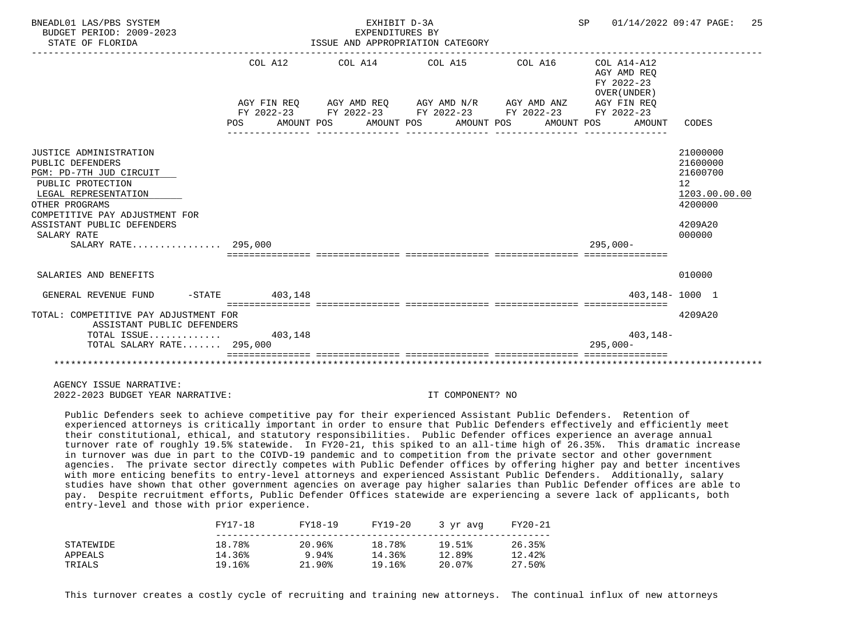| BNEADL01 LAS/PBS SYSTEM<br>BUDGET PERIOD: 2009-2023<br>STATE OF FLORIDA                                                                                                                                                                    |                   | EXHIBIT D-3A<br>EXPENDITURES BY | ISSUE AND APPROPRIATION CATEGORY                                                                                                                                                                                    | SP 01/14/2022 09:47 PAGE:                           | 25                                                                                      |
|--------------------------------------------------------------------------------------------------------------------------------------------------------------------------------------------------------------------------------------------|-------------------|---------------------------------|---------------------------------------------------------------------------------------------------------------------------------------------------------------------------------------------------------------------|-----------------------------------------------------|-----------------------------------------------------------------------------------------|
|                                                                                                                                                                                                                                            | COL A12<br>POS DO |                                 | $COL A14$ $COL A15$ $COL A16$ $COL A14-A12$<br>AGY FIN REQ AGY AMD REQ AGY AMD N/R AGY AMD ANZ AGY FIN REQ<br>FY 2022-23 FY 2022-23 FY 2022-23 FY 2022-23 FY 2022-23<br>AMOUNT POS AMOUNT POS AMOUNT POS AMOUNT POS | AGY AMD REO<br>FY 2022-23<br>OVER (UNDER)<br>AMOUNT | CODES                                                                                   |
| JUSTICE ADMINISTRATION<br>PUBLIC DEFENDERS<br>PGM: PD-7TH JUD CIRCUIT<br>PUBLIC PROTECTION<br>LEGAL REPRESENTATION<br>OTHER PROGRAMS<br>COMPETITIVE PAY ADJUSTMENT FOR<br>ASSISTANT PUBLIC DEFENDERS<br>SALARY RATE<br>SALARY RATE 295,000 |                   |                                 |                                                                                                                                                                                                                     | $295.000 -$                                         | 21000000<br>21600000<br>21600700<br>12<br>1203.00.00.00<br>4200000<br>4209A20<br>000000 |
| SALARIES AND BENEFITS                                                                                                                                                                                                                      |                   |                                 |                                                                                                                                                                                                                     |                                                     | 010000                                                                                  |
| GENERAL REVENUE FUND -STATE 403,148                                                                                                                                                                                                        |                   |                                 |                                                                                                                                                                                                                     |                                                     | $403.148 - 1000$ 1                                                                      |
| TOTAL: COMPETITIVE PAY ADJUSTMENT FOR<br>ASSISTANT PUBLIC DEFENDERS<br>TOTAL ISSUE $403,148$<br>TOTAL SALARY RATE 295,000                                                                                                                  |                   |                                 |                                                                                                                                                                                                                     | $403, 148 -$<br>$295.000 -$                         | 4209A20                                                                                 |
|                                                                                                                                                                                                                                            |                   |                                 |                                                                                                                                                                                                                     |                                                     |                                                                                         |

 Public Defenders seek to achieve competitive pay for their experienced Assistant Public Defenders. Retention of experienced attorneys is critically important in order to ensure that Public Defenders effectively and efficiently meet their constitutional, ethical, and statutory responsibilities. Public Defender offices experience an average annual turnover rate of roughly 19.5% statewide. In FY20-21, this spiked to an all-time high of 26.35%. This dramatic increase in turnover was due in part to the COIVD-19 pandemic and to competition from the private sector and other government agencies. The private sector directly competes with Public Defender offices by offering higher pay and better incentives with more enticing benefits to entry-level attorneys and experienced Assistant Public Defenders. Additionally, salary studies have shown that other government agencies on average pay higher salaries than Public Defender offices are able to pay. Despite recruitment efforts, Public Defender Offices statewide are experiencing a severe lack of applicants, both entry-level and those with prior experience.

|           | FY17-18 | FY18-19 | FY19-20 | 3 vr avg | FY20-21 |
|-----------|---------|---------|---------|----------|---------|
| STATEWIDE | 18.78%  | 20.96%  | 18.78%  | 19.51%   | 26.35%  |
| APPEALS   | 14.36%  | 9.94%   | 14.36%  | 12.89%   | 12.42%  |
| TRIALS    | 19.16%  | 21.90%  | 19.16%  | 20.07%   | 27.50%  |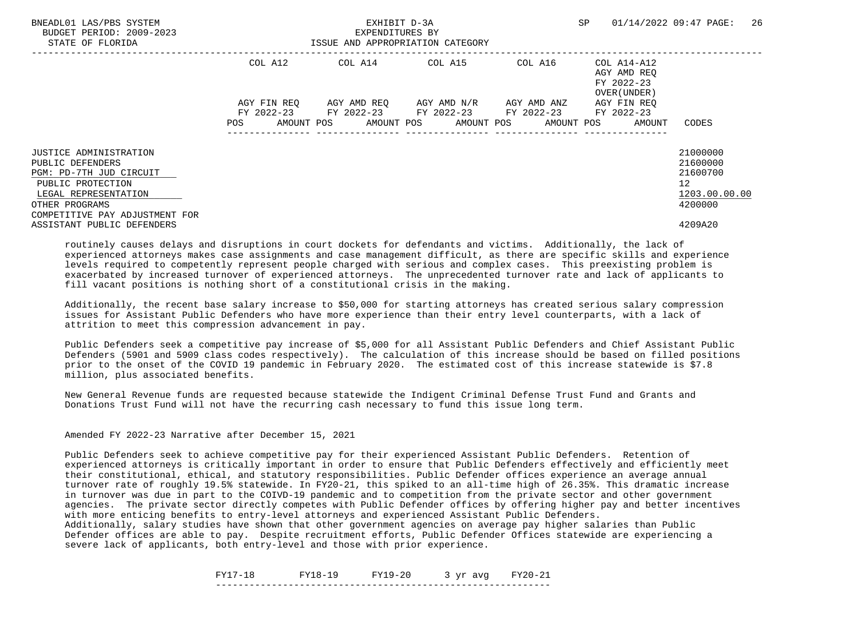| BNEADL01 LAS/PBS SYSTEM<br>BUDGET PERIOD: 2009-2023<br>STATE OF FLORIDA |             | EXHIBIT D-3A<br>EXPENDITURES BY<br>ISSUE AND APPROPRIATION CATEGORY | SP                                  | 26<br>01/14/2022 09:47 PAGE: |                                                          |                                 |
|-------------------------------------------------------------------------|-------------|---------------------------------------------------------------------|-------------------------------------|------------------------------|----------------------------------------------------------|---------------------------------|
|                                                                         | COL A12     |                                                                     | COL A14 COL A15                     | COL A16                      | COL A14-A12<br>AGY AMD REO<br>FY 2022-23<br>OVER (UNDER) |                                 |
|                                                                         | AGY FIN REO | FY 2022-23 FY 2022-23 FY 2022-23 FY 2022-23                         | AGY AMD REO AGY AMD N/R AGY AMD ANZ |                              | AGY FIN REO<br>FY 2022-23                                |                                 |
|                                                                         | POS         | AMOUNT POS AMOUNT POS AMOUNT POS AMOUNT POS                         |                                     |                              | AMOUNT                                                   | CODES                           |
| <b>JUSTICE ADMINISTRATION</b><br>PUBLIC DEFENDERS                       |             |                                                                     |                                     |                              |                                                          | 21000000<br>21600000            |
| PGM: PD-7TH JUD CIRCUIT<br>PUBLIC PROTECTION<br>LEGAL REPRESENTATION    |             |                                                                     |                                     |                              |                                                          | 21600700<br>12<br>1203.00.00.00 |
| OTHER PROGRAMS<br>COMPETITIVE PAY ADJUSTMENT FOR                        |             |                                                                     |                                     |                              |                                                          | 4200000                         |
| ASSISTANT PUBLIC DEFENDERS                                              |             |                                                                     |                                     |                              |                                                          | 4209A20                         |

 Additionally, the recent base salary increase to \$50,000 for starting attorneys has created serious salary compression issues for Assistant Public Defenders who have more experience than their entry level counterparts, with a lack of attrition to meet this compression advancement in pay.

 Public Defenders seek a competitive pay increase of \$5,000 for all Assistant Public Defenders and Chief Assistant Public Defenders (5901 and 5909 class codes respectively). The calculation of this increase should be based on filled positions prior to the onset of the COVID 19 pandemic in February 2020. The estimated cost of this increase statewide is \$7.8 million, plus associated benefits.

 New General Revenue funds are requested because statewide the Indigent Criminal Defense Trust Fund and Grants and Donations Trust Fund will not have the recurring cash necessary to fund this issue long term.

Amended FY 2022-23 Narrative after December 15, 2021

 Public Defenders seek to achieve competitive pay for their experienced Assistant Public Defenders. Retention of experienced attorneys is critically important in order to ensure that Public Defenders effectively and efficiently meet their constitutional, ethical, and statutory responsibilities. Public Defender offices experience an average annual turnover rate of roughly 19.5% statewide. In FY20-21, this spiked to an all-time high of 26.35%. This dramatic increase in turnover was due in part to the COIVD-19 pandemic and to competition from the private sector and other government agencies. The private sector directly competes with Public Defender offices by offering higher pay and better incentives with more enticing benefits to entry-level attorneys and experienced Assistant Public Defenders.

 Additionally, salary studies have shown that other government agencies on average pay higher salaries than Public Defender offices are able to pay. Despite recruitment efforts, Public Defender Offices statewide are experiencing a severe lack of applicants, both entry-level and those with prior experience.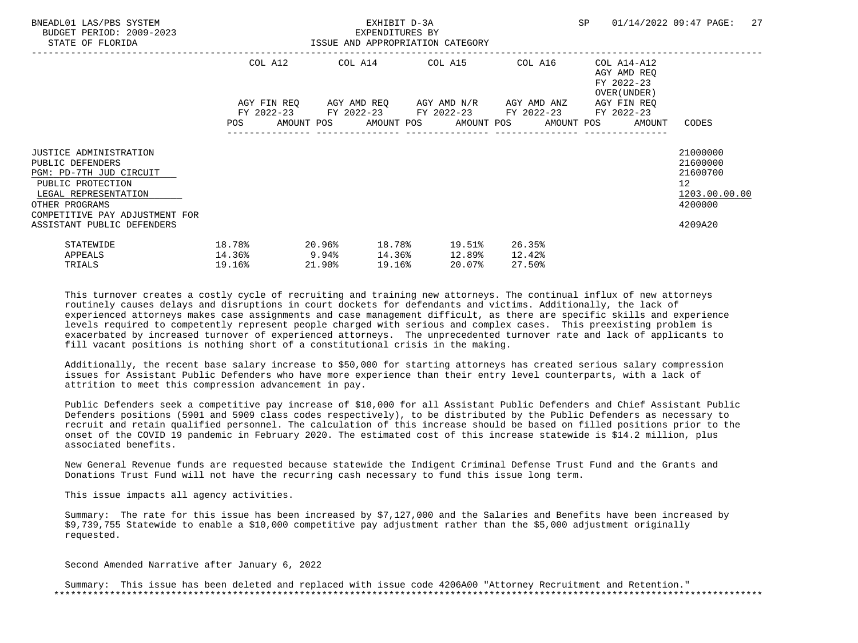| BNEADL01 LAS/PBS SYSTEM<br>BUDGET PERIOD: 2009-2023<br>STATE OF FLORIDA                                                                                                       | ISSUE AND APPROPRIATION CATEGORY              |           |        | EXHIBIT D-3A<br>EXPENDITURES BY |                                                                                                                  |        |                  |                                                                          | SP 01/14/2022 09:47 PAGE:                                                       | 27 |
|-------------------------------------------------------------------------------------------------------------------------------------------------------------------------------|-----------------------------------------------|-----------|--------|---------------------------------|------------------------------------------------------------------------------------------------------------------|--------|------------------|--------------------------------------------------------------------------|---------------------------------------------------------------------------------|----|
|                                                                                                                                                                               |                                               |           |        |                                 | COL A12 COL A14 COL A15 COL A16<br>AGY FIN REQ 6GY AMD REQ 6GY AMD N/R 6GY AMD ANZ                               |        |                  | COL A14-A12<br>AGY AMD REO<br>FY 2022-23<br>OVER (UNDER )<br>AGY FIN REO |                                                                                 |    |
|                                                                                                                                                                               |                                               |           |        |                                 | FY 2022-23 FY 2022-23 FY 2022-23 FY 2022-23 FY 2022-23<br>POS AMOUNT POS AMOUNT POS AMOUNT POS AMOUNT POS AMOUNT |        |                  |                                                                          | CODES                                                                           |    |
| <b>JUSTICE ADMINISTRATION</b><br>PUBLIC DEFENDERS<br>PGM: PD-7TH JUD CIRCUIT<br>PUBLIC PROTECTION<br>LEGAL REPRESENTATION<br>OTHER PROGRAMS<br>COMPETITIVE PAY ADJUSTMENT FOR |                                               |           |        |                                 |                                                                                                                  |        |                  |                                                                          | 21000000<br>21600000<br>21600700<br>12 <sup>°</sup><br>1203.00.00.00<br>4200000 |    |
| ASSISTANT PUBLIC DEFENDERS<br>STATEWIDE<br>APPEALS<br>TRIALS                                                                                                                  | 18.78%<br>$14.36$ <sup>8</sup> 9.94<br>19.16% | $20.96\%$ | 21.90% | 19.16%                          | 18.78% 19.51%<br>14.36% 12.89%<br>20.07%                                                                         | 12.42% | 26.35%<br>27.50% |                                                                          | 4209A20                                                                         |    |

 Additionally, the recent base salary increase to \$50,000 for starting attorneys has created serious salary compression issues for Assistant Public Defenders who have more experience than their entry level counterparts, with a lack of attrition to meet this compression advancement in pay.

 Public Defenders seek a competitive pay increase of \$10,000 for all Assistant Public Defenders and Chief Assistant Public Defenders positions (5901 and 5909 class codes respectively), to be distributed by the Public Defenders as necessary to recruit and retain qualified personnel. The calculation of this increase should be based on filled positions prior to the onset of the COVID 19 pandemic in February 2020. The estimated cost of this increase statewide is \$14.2 million, plus associated benefits.

 New General Revenue funds are requested because statewide the Indigent Criminal Defense Trust Fund and the Grants and Donations Trust Fund will not have the recurring cash necessary to fund this issue long term.

This issue impacts all agency activities.

 Summary: The rate for this issue has been increased by \$7,127,000 and the Salaries and Benefits have been increased by \$9,739,755 Statewide to enable a \$10,000 competitive pay adjustment rather than the \$5,000 adjustment originally requested.

Second Amended Narrative after January 6, 2022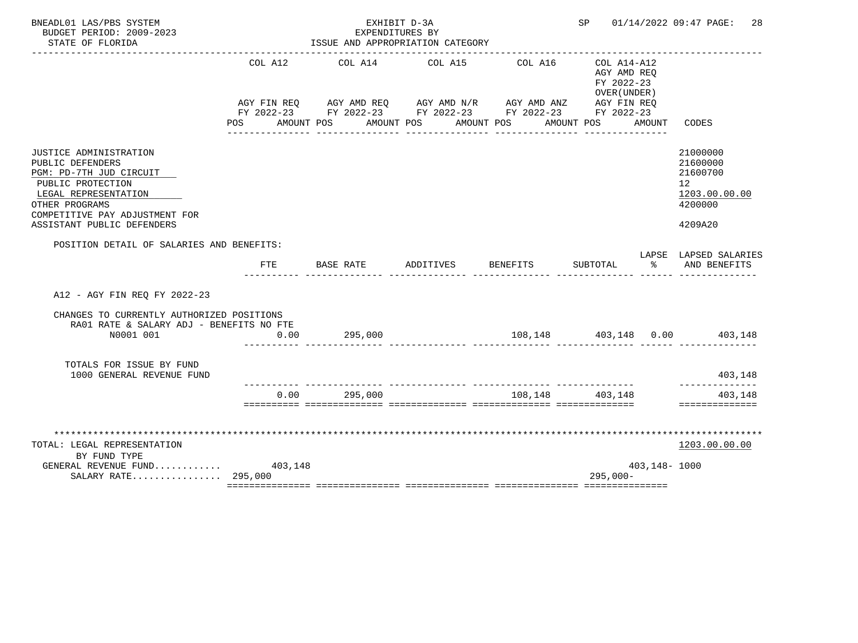| BNEADL01 LAS/PBS SYSTEM<br>BUDGET PERIOD: 2009-2023<br>STATE OF FLORIDA                                                                                                                              |                   | EXHIBIT D-3A<br>EXPENDITURES BY<br>ISSUE AND APPROPRIATION CATEGORY                                                                                       |           |                                 | SP and the set of the set of the set of the set of the set of the set of the set of the set of the set of the set of the set of the set of the set of the set of the set of the set of the set of the set of the set of the se |              | 01/14/2022 09:47 PAGE:<br>28                                                  |
|------------------------------------------------------------------------------------------------------------------------------------------------------------------------------------------------------|-------------------|-----------------------------------------------------------------------------------------------------------------------------------------------------------|-----------|---------------------------------|--------------------------------------------------------------------------------------------------------------------------------------------------------------------------------------------------------------------------------|--------------|-------------------------------------------------------------------------------|
|                                                                                                                                                                                                      | COL A12<br>POS DO | COL A14<br>AGY FIN REQ AGY AMD REQ AGY AMD N/R AGY AMD ANZ AGY FIN REQ<br>FY 2022-23 FY 2022-23 FY 2022-23 FY 2022-23 FY 2022-23<br>AMOUNT POS AMOUNT POS | COL A15   | COL A16<br>AMOUNT POS           | COL A14-A12<br>AGY AMD REO<br>FY 2022-23<br>OVER (UNDER)<br>AMOUNT POS                                                                                                                                                         | AMOUNT       | CODES                                                                         |
| JUSTICE ADMINISTRATION<br>PUBLIC DEFENDERS<br>PGM: PD-7TH JUD CIRCUIT<br>PUBLIC PROTECTION<br>LEGAL REPRESENTATION<br>OTHER PROGRAMS<br>COMPETITIVE PAY ADJUSTMENT FOR<br>ASSISTANT PUBLIC DEFENDERS |                   |                                                                                                                                                           |           |                                 |                                                                                                                                                                                                                                |              | 21000000<br>21600000<br>21600700<br>12<br>1203.00.00.00<br>4200000<br>4209A20 |
| POSITION DETAIL OF SALARIES AND BENEFITS:                                                                                                                                                            | FTE               | BASE RATE                                                                                                                                                 | ADDITIVES | BENEFITS                        | SUBTOTAL                                                                                                                                                                                                                       | ႜ            | LAPSE LAPSED SALARIES<br>AND BENEFITS                                         |
| A12 - AGY FIN REO FY 2022-23                                                                                                                                                                         |                   |                                                                                                                                                           |           |                                 |                                                                                                                                                                                                                                |              |                                                                               |
| CHANGES TO CURRENTLY AUTHORIZED POSITIONS<br>RA01 RATE & SALARY ADJ - BENEFITS NO FTE<br>N0001 001                                                                                                   | 0.00              | 295,000                                                                                                                                                   |           |                                 |                                                                                                                                                                                                                                |              | $108,148$ $403,148$ $0.00$ $403,148$                                          |
| TOTALS FOR ISSUE BY FUND<br>1000 GENERAL REVENUE FUND                                                                                                                                                |                   |                                                                                                                                                           |           |                                 |                                                                                                                                                                                                                                |              | 403,148                                                                       |
|                                                                                                                                                                                                      | 0.00              | 295,000                                                                                                                                                   |           | _______________________________ | 108,148 403,148                                                                                                                                                                                                                |              | ___________<br>403,148<br>==============                                      |
| TOTAL: LEGAL REPRESENTATION<br>BY FUND TYPE<br>GENERAL REVENUE FUND $403,148$<br>SALARY RATE 295,000                                                                                                 |                   |                                                                                                                                                           |           |                                 | $295,000-$                                                                                                                                                                                                                     | 403,148-1000 | 1203.00.00.00                                                                 |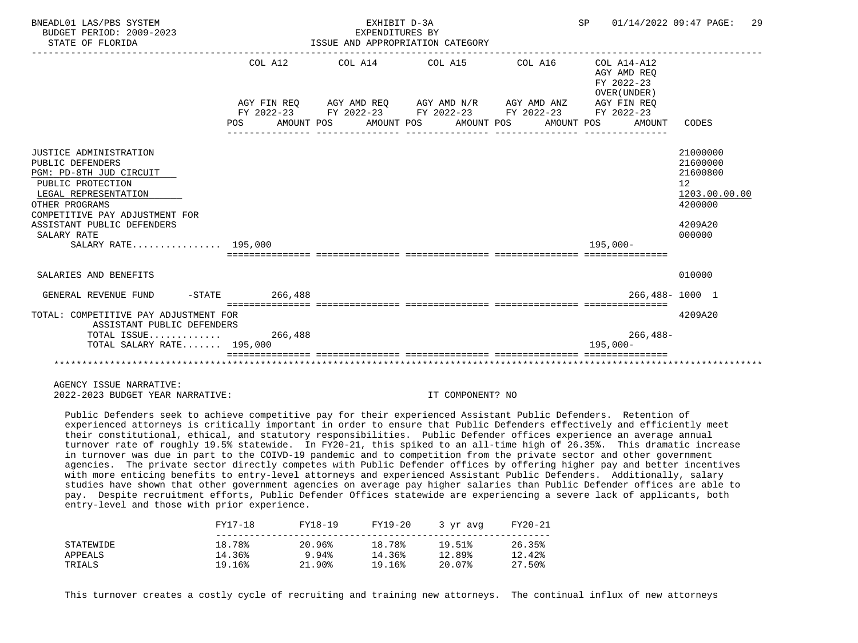| BNEADL01 LAS/PBS SYSTEM<br>BUDGET PERIOD: 2009-2023<br>STATE OF FLORIDA                                                                                                                                                                    |         | EXHIBIT D-3A<br>EXPENDITURES BY<br>ISSUE AND APPROPRIATION CATEGORY                                                                                                         |  | SP 01/14/2022 09:47 PAGE:                                          | 29                                                                                                   |
|--------------------------------------------------------------------------------------------------------------------------------------------------------------------------------------------------------------------------------------------|---------|-----------------------------------------------------------------------------------------------------------------------------------------------------------------------------|--|--------------------------------------------------------------------|------------------------------------------------------------------------------------------------------|
|                                                                                                                                                                                                                                            | COL A12 | AGY FIN REQ      AGY AMD REQ      AGY AMD N/R      AGY AMD ANZ<br>FY 2022-23 FY 2022-23 FY 2022-23 FY 2022-23 FY 2022-23<br>POS AMOUNT POS AMOUNT POS AMOUNT POS AMOUNT POS |  | AGY AMD REO<br>FY 2022-23<br>OVER (UNDER)<br>AGY FIN REO<br>AMOUNT | CODES                                                                                                |
| JUSTICE ADMINISTRATION<br>PUBLIC DEFENDERS<br>PGM: PD-8TH JUD CIRCUIT<br>PUBLIC PROTECTION<br>LEGAL REPRESENTATION<br>OTHER PROGRAMS<br>COMPETITIVE PAY ADJUSTMENT FOR<br>ASSISTANT PUBLIC DEFENDERS<br>SALARY RATE<br>SALARY RATE 195,000 |         |                                                                                                                                                                             |  | $195.000 -$                                                        | 21000000<br>21600000<br>21600800<br>12 <sup>°</sup><br>1203.00.00.00<br>4200000<br>4209A20<br>000000 |
| SALARIES AND BENEFITS                                                                                                                                                                                                                      |         |                                                                                                                                                                             |  |                                                                    | 010000                                                                                               |
| GENERAL REVENUE FUND -STATE 266,488                                                                                                                                                                                                        |         |                                                                                                                                                                             |  |                                                                    | 266,488-1000 1                                                                                       |
| TOTAL: COMPETITIVE PAY ADJUSTMENT FOR<br>ASSISTANT PUBLIC DEFENDERS                                                                                                                                                                        |         |                                                                                                                                                                             |  |                                                                    | 4209A20                                                                                              |
| TOTAL ISSUE $266,488$<br>TOTAL SALARY RATE 195,000                                                                                                                                                                                         |         |                                                                                                                                                                             |  | $266, 488 -$<br>$195.000 -$                                        |                                                                                                      |
|                                                                                                                                                                                                                                            |         |                                                                                                                                                                             |  |                                                                    |                                                                                                      |

 Public Defenders seek to achieve competitive pay for their experienced Assistant Public Defenders. Retention of experienced attorneys is critically important in order to ensure that Public Defenders effectively and efficiently meet their constitutional, ethical, and statutory responsibilities. Public Defender offices experience an average annual turnover rate of roughly 19.5% statewide. In FY20-21, this spiked to an all-time high of 26.35%. This dramatic increase in turnover was due in part to the COIVD-19 pandemic and to competition from the private sector and other government agencies. The private sector directly competes with Public Defender offices by offering higher pay and better incentives with more enticing benefits to entry-level attorneys and experienced Assistant Public Defenders. Additionally, salary studies have shown that other government agencies on average pay higher salaries than Public Defender offices are able to pay. Despite recruitment efforts, Public Defender Offices statewide are experiencing a severe lack of applicants, both entry-level and those with prior experience.

|           | FY17-18 | FY18-19   | FY19-20 | 3 yr avg | FY20-21 |
|-----------|---------|-----------|---------|----------|---------|
| STATEWIDE | 18.78%  | 20.96%    | 18.78%  | 19.51%   | 26.35%  |
| APPEALS   | 14.36%  | 9.94%     | 14.36%  | 12.89%   | 12.42%  |
| TRIALS    | 19.16%  | $21.90\%$ | 19.16%  | 20.07%   | 27.50%  |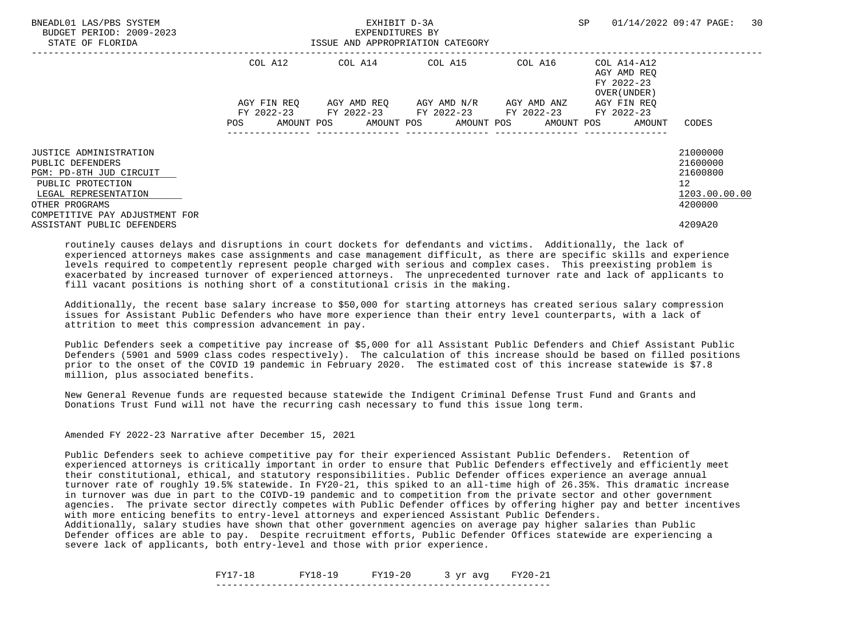| BNEADL01 LAS/PBS SYSTEM<br>BUDGET PERIOD: 2009-2023<br>STATE OF FLORIDA |             | EXHIBIT D-3A<br>EXPENDITURES BY<br>ISSUE AND APPROPRIATION CATEGORY | SP                                            | 30<br>01/14/2022 09:47 PAGE: |                                                          |                      |
|-------------------------------------------------------------------------|-------------|---------------------------------------------------------------------|-----------------------------------------------|------------------------------|----------------------------------------------------------|----------------------|
|                                                                         | COL A12     |                                                                     | COL A14 COL A15                               | COL A16                      | COL A14-A12<br>AGY AMD REO<br>FY 2022-23<br>OVER (UNDER) |                      |
|                                                                         | AGY FIN REO | FY 2022-23 FY 2022-23 FY 2022-23 FY 2022-23                         | AGY AMD REO      AGY AMD N/R      AGY AMD ANZ |                              | AGY FIN REO<br>FY 2022-23                                |                      |
|                                                                         | POS         | AMOUNT POS AMOUNT POS AMOUNT POS AMOUNT POS                         |                                               |                              | AMOUNT                                                   | CODES                |
| <b>JUSTICE ADMINISTRATION</b><br>PUBLIC DEFENDERS                       |             |                                                                     |                                               |                              |                                                          | 21000000<br>21600000 |
| PGM: PD-8TH JUD CIRCUIT                                                 |             |                                                                     |                                               |                              |                                                          | 21600800             |
| PUBLIC PROTECTION                                                       |             |                                                                     |                                               |                              |                                                          | 12                   |
| LEGAL REPRESENTATION                                                    |             |                                                                     |                                               |                              |                                                          | 1203.00.00.00        |
| OTHER PROGRAMS<br>COMPETITIVE PAY ADJUSTMENT FOR                        |             |                                                                     |                                               |                              |                                                          | 4200000              |
| ASSISTANT PUBLIC DEFENDERS                                              |             |                                                                     |                                               |                              |                                                          | 4209A20              |

 Additionally, the recent base salary increase to \$50,000 for starting attorneys has created serious salary compression issues for Assistant Public Defenders who have more experience than their entry level counterparts, with a lack of attrition to meet this compression advancement in pay.

 Public Defenders seek a competitive pay increase of \$5,000 for all Assistant Public Defenders and Chief Assistant Public Defenders (5901 and 5909 class codes respectively). The calculation of this increase should be based on filled positions prior to the onset of the COVID 19 pandemic in February 2020. The estimated cost of this increase statewide is \$7.8 million, plus associated benefits.

 New General Revenue funds are requested because statewide the Indigent Criminal Defense Trust Fund and Grants and Donations Trust Fund will not have the recurring cash necessary to fund this issue long term.

Amended FY 2022-23 Narrative after December 15, 2021

 Public Defenders seek to achieve competitive pay for their experienced Assistant Public Defenders. Retention of experienced attorneys is critically important in order to ensure that Public Defenders effectively and efficiently meet their constitutional, ethical, and statutory responsibilities. Public Defender offices experience an average annual turnover rate of roughly 19.5% statewide. In FY20-21, this spiked to an all-time high of 26.35%. This dramatic increase in turnover was due in part to the COIVD-19 pandemic and to competition from the private sector and other government agencies. The private sector directly competes with Public Defender offices by offering higher pay and better incentives with more enticing benefits to entry-level attorneys and experienced Assistant Public Defenders.

 Additionally, salary studies have shown that other government agencies on average pay higher salaries than Public Defender offices are able to pay. Despite recruitment efforts, Public Defender Offices statewide are experiencing a severe lack of applicants, both entry-level and those with prior experience.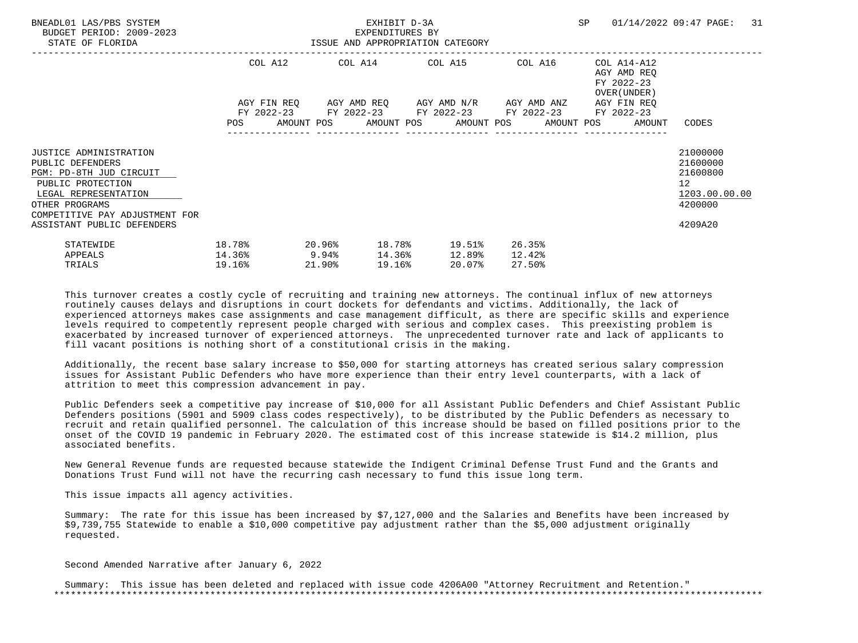| BNEADL01 LAS/PBS SYSTEM<br>BUDGET PERIOD: 2009-2023<br>STATE OF FLORIDA                                                                                                                                     |                                               |                     | EXHIBIT D-3A<br>EXPENDITURES BY | ISSUE AND APPROPRIATION CATEGORY                                                   |                            | SP 01/14/2022 09:47 PAGE:                                                | 31                                                                                         |
|-------------------------------------------------------------------------------------------------------------------------------------------------------------------------------------------------------------|-----------------------------------------------|---------------------|---------------------------------|------------------------------------------------------------------------------------|----------------------------|--------------------------------------------------------------------------|--------------------------------------------------------------------------------------------|
|                                                                                                                                                                                                             |                                               |                     |                                 | COL A12 COL A14 COL A15 COL A16<br>AGY FIN REQ 6GY AMD REQ 6GY AMD N/R 6GY AMD ANZ |                            | COL A14-A12<br>AGY AMD REO<br>FY 2022-23<br>OVER (UNDER )<br>AGY FIN REO |                                                                                            |
|                                                                                                                                                                                                             |                                               |                     |                                 | FY 2022-23 FY 2022-23 FY 2022-23 FY 2022-23 FY 2022-23                             |                            | POS AMOUNT POS AMOUNT POS AMOUNT POS AMOUNT POS AMOUNT                   | CODES                                                                                      |
| <b>JUSTICE ADMINISTRATION</b><br>PUBLIC DEFENDERS<br>PGM: PD-8TH JUD CIRCUIT<br>PUBLIC PROTECTION<br>LEGAL REPRESENTATION<br>OTHER PROGRAMS<br>COMPETITIVE PAY ADJUSTMENT FOR<br>ASSISTANT PUBLIC DEFENDERS |                                               |                     |                                 |                                                                                    |                            |                                                                          | 21000000<br>21600000<br>21600800<br>12 <sup>°</sup><br>1203.00.00.00<br>4200000<br>4209A20 |
| STATEWIDE<br>APPEALS<br>TRIALS                                                                                                                                                                              | 18.78%<br>$14.36$ <sup>8</sup> 9.94<br>19.16% | $20.96\%$<br>21.90% | 19.16%                          | 18.78% 19.51%<br>14.36% 12.89%<br>20.07%                                           | 26.35%<br>12.42%<br>27.50% |                                                                          |                                                                                            |

 Additionally, the recent base salary increase to \$50,000 for starting attorneys has created serious salary compression issues for Assistant Public Defenders who have more experience than their entry level counterparts, with a lack of attrition to meet this compression advancement in pay.

 Public Defenders seek a competitive pay increase of \$10,000 for all Assistant Public Defenders and Chief Assistant Public Defenders positions (5901 and 5909 class codes respectively), to be distributed by the Public Defenders as necessary to recruit and retain qualified personnel. The calculation of this increase should be based on filled positions prior to the onset of the COVID 19 pandemic in February 2020. The estimated cost of this increase statewide is \$14.2 million, plus associated benefits.

 New General Revenue funds are requested because statewide the Indigent Criminal Defense Trust Fund and the Grants and Donations Trust Fund will not have the recurring cash necessary to fund this issue long term.

This issue impacts all agency activities.

 Summary: The rate for this issue has been increased by \$7,127,000 and the Salaries and Benefits have been increased by \$9,739,755 Statewide to enable a \$10,000 competitive pay adjustment rather than the \$5,000 adjustment originally requested.

Second Amended Narrative after January 6, 2022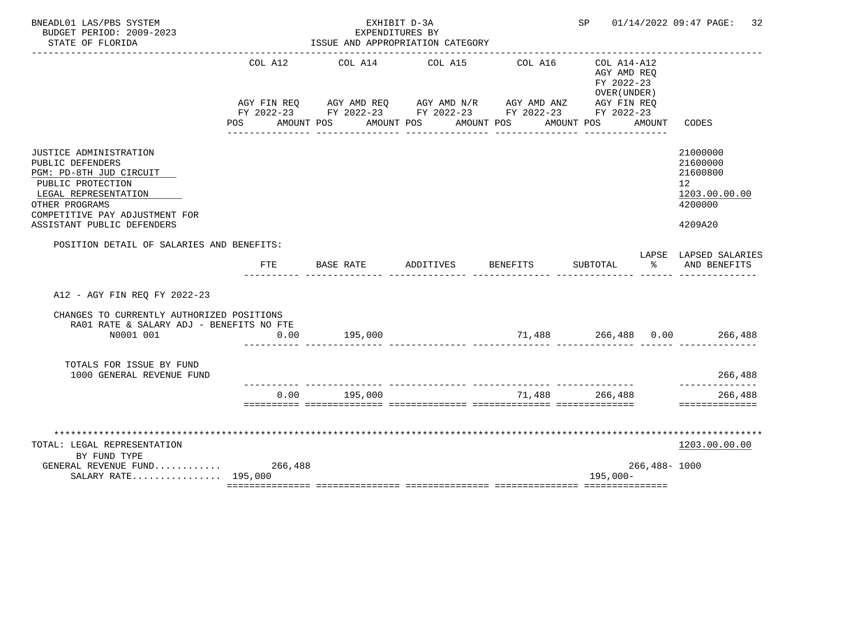| BNEADL01 LAS/PBS SYSTEM<br>BUDGET PERIOD: 2009-2023<br>STATE OF FLORIDA                                                                                                                              |         | EXPENDITURES BY<br>ISSUE AND APPROPRIATION CATEGORY                                                                                                                     | EXHIBIT D-3A                              |                                        | SP                                                                      |                  | 01/14/2022 09:47 PAGE:<br>32                                                               |
|------------------------------------------------------------------------------------------------------------------------------------------------------------------------------------------------------|---------|-------------------------------------------------------------------------------------------------------------------------------------------------------------------------|-------------------------------------------|----------------------------------------|-------------------------------------------------------------------------|------------------|--------------------------------------------------------------------------------------------|
|                                                                                                                                                                                                      | COL A12 | COL A14<br>AGY FIN REQ AGY AMD REQ AGY AMD N/R AGY AMD ANZ<br>FY 2022-23 FY 2022-23 FY 2022-23 FY 2022-23 FY 2022-23<br>POS AMOUNT POS AMOUNT POS AMOUNT POS AMOUNT POS | COL A15<br>______________________________ | COL A16<br><u> - - - - - - - - - -</u> | COL A14-A12<br>AGY AMD REO<br>FY 2022-23<br>OVER (UNDER)<br>AGY FIN REQ | AMOUNT           | CODES                                                                                      |
| JUSTICE ADMINISTRATION<br>PUBLIC DEFENDERS<br>PGM: PD-8TH JUD CIRCUIT<br>PUBLIC PROTECTION<br>LEGAL REPRESENTATION<br>OTHER PROGRAMS<br>COMPETITIVE PAY ADJUSTMENT FOR<br>ASSISTANT PUBLIC DEFENDERS |         |                                                                                                                                                                         |                                           |                                        |                                                                         |                  | 21000000<br>21600000<br>21600800<br>12 <sup>°</sup><br>1203.00.00.00<br>4200000<br>4209A20 |
| POSITION DETAIL OF SALARIES AND BENEFITS:                                                                                                                                                            | FTE     | BASE RATE                                                                                                                                                               | ADDITIVES                                 | BENEFITS                               | SUBTOTAL                                                                | ిన               | LAPSE LAPSED SALARIES<br>AND BENEFITS                                                      |
| A12 - AGY FIN REQ FY 2022-23                                                                                                                                                                         |         |                                                                                                                                                                         |                                           |                                        |                                                                         |                  |                                                                                            |
| CHANGES TO CURRENTLY AUTHORIZED POSITIONS<br>RA01 RATE & SALARY ADJ - BENEFITS NO FTE<br>N0001 001                                                                                                   | 0.00    | 195,000                                                                                                                                                                 |                                           |                                        |                                                                         |                  |                                                                                            |
| TOTALS FOR ISSUE BY FUND<br>1000 GENERAL REVENUE FUND                                                                                                                                                |         |                                                                                                                                                                         |                                           |                                        |                                                                         |                  | 266,488                                                                                    |
|                                                                                                                                                                                                      | 0.00    | 195,000                                                                                                                                                                 |                                           | _______________________________        | 71.488 266.488                                                          |                  | ----------<br>266,488<br>==============                                                    |
| TOTAL: LEGAL REPRESENTATION<br>BY FUND TYPE<br>GENERAL REVENUE FUND<br>SALARY RATE 195,000                                                                                                           | 266,488 |                                                                                                                                                                         |                                           |                                        | $195,000-$                                                              | $266,488 - 1000$ | 1203.00.00.00                                                                              |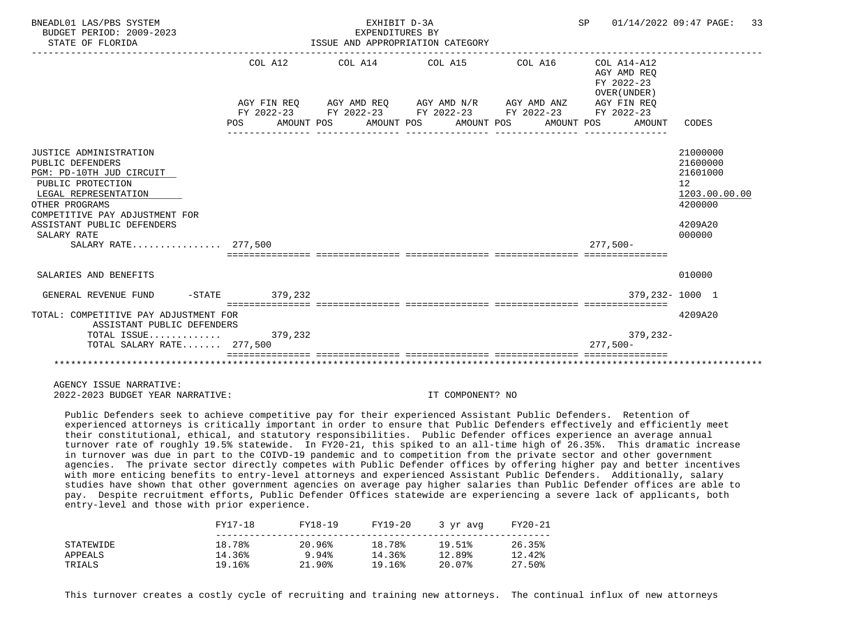| BNEADL01 LAS/PBS SYSTEM<br>BUDGET PERIOD: 2009-2023<br>STATE OF FLORIDA                                                                                                                                                                     |                       | EXHIBIT D-3A<br>EXPENDITURES BY<br>ISSUE AND APPROPRIATION CATEGORY                                                                                      |  |                                                                    | SP 01/14/2022 09:47 PAGE: 33                                                                         |
|---------------------------------------------------------------------------------------------------------------------------------------------------------------------------------------------------------------------------------------------|-----------------------|----------------------------------------------------------------------------------------------------------------------------------------------------------|--|--------------------------------------------------------------------|------------------------------------------------------------------------------------------------------|
|                                                                                                                                                                                                                                             | COL A12<br><b>POS</b> | AGY FIN REQ AGY AMD REQ AGY AMD N/R AGY AMD ANZ<br>FY 2022-23 FY 2022-23 FY 2022-23 FY 2022-23 FY 2022-23<br>AMOUNT POS AMOUNT POS AMOUNT POS AMOUNT POS |  | AGY AMD REO<br>FY 2022-23<br>OVER (UNDER)<br>AGY FIN REO<br>AMOUNT | CODES                                                                                                |
| JUSTICE ADMINISTRATION<br>PUBLIC DEFENDERS<br>PGM: PD-10TH JUD CIRCUIT<br>PUBLIC PROTECTION<br>LEGAL REPRESENTATION<br>OTHER PROGRAMS<br>COMPETITIVE PAY ADJUSTMENT FOR<br>ASSISTANT PUBLIC DEFENDERS<br>SALARY RATE<br>SALARY RATE 277,500 |                       |                                                                                                                                                          |  | $277.500 -$                                                        | 21000000<br>21600000<br>21601000<br>12 <sup>°</sup><br>1203.00.00.00<br>4200000<br>4209A20<br>000000 |
| SALARIES AND BENEFITS                                                                                                                                                                                                                       |                       |                                                                                                                                                          |  |                                                                    | 010000                                                                                               |
| GENERAL REVENUE FUND -STATE 379,232                                                                                                                                                                                                         |                       |                                                                                                                                                          |  |                                                                    | 379,232-1000 1                                                                                       |
| TOTAL: COMPETITIVE PAY ADJUSTMENT FOR<br>ASSISTANT PUBLIC DEFENDERS<br>TOTAL ISSUE 379,232<br>TOTAL SALARY RATE 277,500                                                                                                                     |                       |                                                                                                                                                          |  | 379,232-<br>$277.500 -$                                            | 4209A20                                                                                              |
|                                                                                                                                                                                                                                             |                       |                                                                                                                                                          |  |                                                                    |                                                                                                      |

 Public Defenders seek to achieve competitive pay for their experienced Assistant Public Defenders. Retention of experienced attorneys is critically important in order to ensure that Public Defenders effectively and efficiently meet their constitutional, ethical, and statutory responsibilities. Public Defender offices experience an average annual turnover rate of roughly 19.5% statewide. In FY20-21, this spiked to an all-time high of 26.35%. This dramatic increase in turnover was due in part to the COIVD-19 pandemic and to competition from the private sector and other government agencies. The private sector directly competes with Public Defender offices by offering higher pay and better incentives with more enticing benefits to entry-level attorneys and experienced Assistant Public Defenders. Additionally, salary studies have shown that other government agencies on average pay higher salaries than Public Defender offices are able to pay. Despite recruitment efforts, Public Defender Offices statewide are experiencing a severe lack of applicants, both entry-level and those with prior experience.

|           | FY17-18 | FY18-19 | FY19-20 | 3 vr avg | FY20-21 |
|-----------|---------|---------|---------|----------|---------|
| STATEWIDE | 18.78%  | 20.96%  | 18.78%  | 19.51%   | 26.35%  |
| APPEALS   | 14.36%  | 9.94%   | 14.36%  | 12.89%   | 12.42%  |
| TRIALS    | 19.16%  | 21.90%  | 19.16%  | 20.07%   | 27.50%  |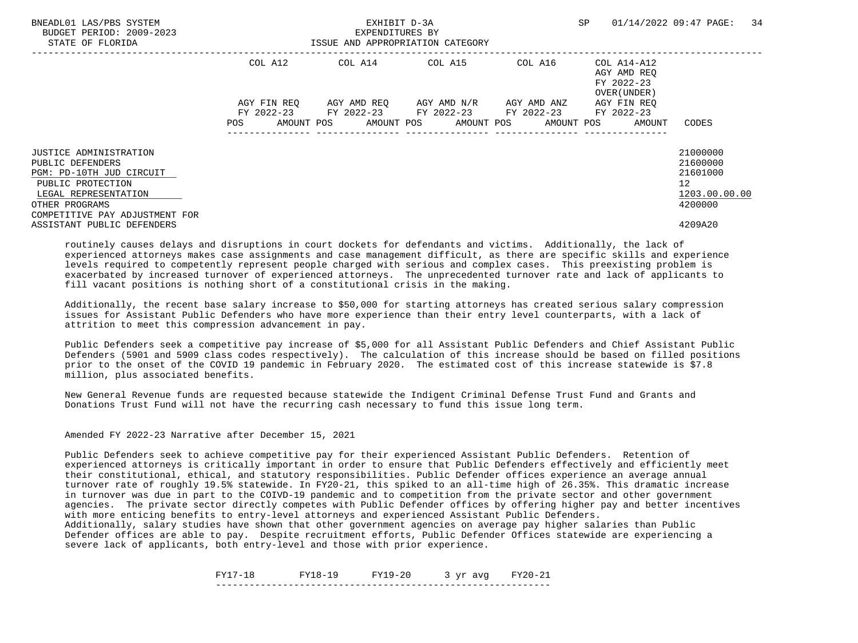| BNEADL01 LAS/PBS SYSTEM<br>BUDGET PERIOD: 2009-2023<br>STATE OF FLORIDA |             | EXHIBIT D-3A<br>EXPENDITURES BY<br>ISSUE AND APPROPRIATION CATEGORY | SP                                  | 34<br>01/14/2022 09:47 PAGE: |                                                          |                      |
|-------------------------------------------------------------------------|-------------|---------------------------------------------------------------------|-------------------------------------|------------------------------|----------------------------------------------------------|----------------------|
|                                                                         | COL A12     |                                                                     | COL A14 COL A15                     | COL A16                      | COL A14-A12<br>AGY AMD REO<br>FY 2022-23<br>OVER (UNDER) |                      |
|                                                                         | AGY FIN REO | FY 2022-23 FY 2022-23 FY 2022-23 FY 2022-23                         | AGY AMD REO AGY AMD N/R AGY AMD ANZ |                              | AGY FIN REO<br>FY 2022-23                                |                      |
|                                                                         | POS         | AMOUNT POS AMOUNT POS AMOUNT POS AMOUNT POS                         |                                     |                              | AMOUNT                                                   | CODES                |
| <b>JUSTICE ADMINISTRATION</b><br>PUBLIC DEFENDERS                       |             |                                                                     |                                     |                              |                                                          | 21000000<br>21600000 |
| PGM: PD-10TH JUD CIRCUIT                                                |             |                                                                     |                                     |                              |                                                          | 21601000             |
| PUBLIC PROTECTION<br>LEGAL REPRESENTATION                               |             |                                                                     |                                     |                              |                                                          | 12<br>1203.00.00.00  |
| OTHER PROGRAMS<br>COMPETITIVE PAY ADJUSTMENT FOR                        |             |                                                                     |                                     |                              |                                                          | 4200000              |
| ASSISTANT PUBLIC DEFENDERS                                              |             |                                                                     |                                     |                              |                                                          | 4209A20              |

 Additionally, the recent base salary increase to \$50,000 for starting attorneys has created serious salary compression issues for Assistant Public Defenders who have more experience than their entry level counterparts, with a lack of attrition to meet this compression advancement in pay.

 Public Defenders seek a competitive pay increase of \$5,000 for all Assistant Public Defenders and Chief Assistant Public Defenders (5901 and 5909 class codes respectively). The calculation of this increase should be based on filled positions prior to the onset of the COVID 19 pandemic in February 2020. The estimated cost of this increase statewide is \$7.8 million, plus associated benefits.

 New General Revenue funds are requested because statewide the Indigent Criminal Defense Trust Fund and Grants and Donations Trust Fund will not have the recurring cash necessary to fund this issue long term.

Amended FY 2022-23 Narrative after December 15, 2021

 Public Defenders seek to achieve competitive pay for their experienced Assistant Public Defenders. Retention of experienced attorneys is critically important in order to ensure that Public Defenders effectively and efficiently meet their constitutional, ethical, and statutory responsibilities. Public Defender offices experience an average annual turnover rate of roughly 19.5% statewide. In FY20-21, this spiked to an all-time high of 26.35%. This dramatic increase in turnover was due in part to the COIVD-19 pandemic and to competition from the private sector and other government agencies. The private sector directly competes with Public Defender offices by offering higher pay and better incentives with more enticing benefits to entry-level attorneys and experienced Assistant Public Defenders.

 Additionally, salary studies have shown that other government agencies on average pay higher salaries than Public Defender offices are able to pay. Despite recruitment efforts, Public Defender Offices statewide are experiencing a severe lack of applicants, both entry-level and those with prior experience.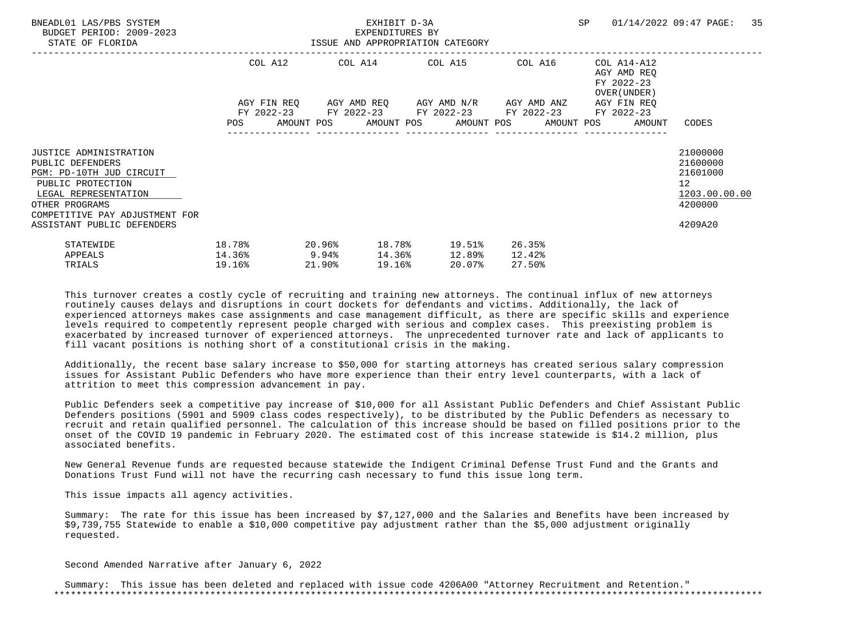| BNEADL01 LAS/PBS SYSTEM<br>BUDGET PERIOD: 2009-2023<br>STATE OF FLORIDA                                                                                                        | ISSUE AND APPROPRIATION CATEGORY              |           |        | EXHIBIT D-3A<br>EXPENDITURES BY |                                                                                                                  |        |                  |                                                                          | SP 01/14/2022 09:47 PAGE:                                                       | 35 |
|--------------------------------------------------------------------------------------------------------------------------------------------------------------------------------|-----------------------------------------------|-----------|--------|---------------------------------|------------------------------------------------------------------------------------------------------------------|--------|------------------|--------------------------------------------------------------------------|---------------------------------------------------------------------------------|----|
|                                                                                                                                                                                |                                               |           |        |                                 | COL A12 COL A14 COL A15 COL A16<br>AGY FIN REQ 6GY AMD REQ 6GY AMD N/R 6GY AMD ANZ                               |        |                  | COL A14-A12<br>AGY AMD REO<br>FY 2022-23<br>OVER (UNDER )<br>AGY FIN REO |                                                                                 |    |
|                                                                                                                                                                                |                                               |           |        |                                 | FY 2022-23 FY 2022-23 FY 2022-23 FY 2022-23 FY 2022-23<br>POS AMOUNT POS AMOUNT POS AMOUNT POS AMOUNT POS AMOUNT |        |                  |                                                                          | CODES                                                                           |    |
| <b>JUSTICE ADMINISTRATION</b><br>PUBLIC DEFENDERS<br>PGM: PD-10TH JUD CIRCUIT<br>PUBLIC PROTECTION<br>LEGAL REPRESENTATION<br>OTHER PROGRAMS<br>COMPETITIVE PAY ADJUSTMENT FOR |                                               |           |        |                                 |                                                                                                                  |        |                  |                                                                          | 21000000<br>21600000<br>21601000<br>12 <sup>°</sup><br>1203.00.00.00<br>4200000 |    |
| ASSISTANT PUBLIC DEFENDERS<br>STATEWIDE<br>APPEALS<br>TRIALS                                                                                                                   | 18.78%<br>$14.36$ <sup>8</sup> 9.94<br>19.16% | $20.96\%$ | 21.90% | 19.16%                          | 18.78% 19.51%<br>14.36% 12.89%<br>20.07%                                                                         | 12.42% | 26.35%<br>27.50% |                                                                          | 4209A20                                                                         |    |

 Additionally, the recent base salary increase to \$50,000 for starting attorneys has created serious salary compression issues for Assistant Public Defenders who have more experience than their entry level counterparts, with a lack of attrition to meet this compression advancement in pay.

 Public Defenders seek a competitive pay increase of \$10,000 for all Assistant Public Defenders and Chief Assistant Public Defenders positions (5901 and 5909 class codes respectively), to be distributed by the Public Defenders as necessary to recruit and retain qualified personnel. The calculation of this increase should be based on filled positions prior to the onset of the COVID 19 pandemic in February 2020. The estimated cost of this increase statewide is \$14.2 million, plus associated benefits.

 New General Revenue funds are requested because statewide the Indigent Criminal Defense Trust Fund and the Grants and Donations Trust Fund will not have the recurring cash necessary to fund this issue long term.

This issue impacts all agency activities.

 Summary: The rate for this issue has been increased by \$7,127,000 and the Salaries and Benefits have been increased by \$9,739,755 Statewide to enable a \$10,000 competitive pay adjustment rather than the \$5,000 adjustment originally requested.

Second Amended Narrative after January 6, 2022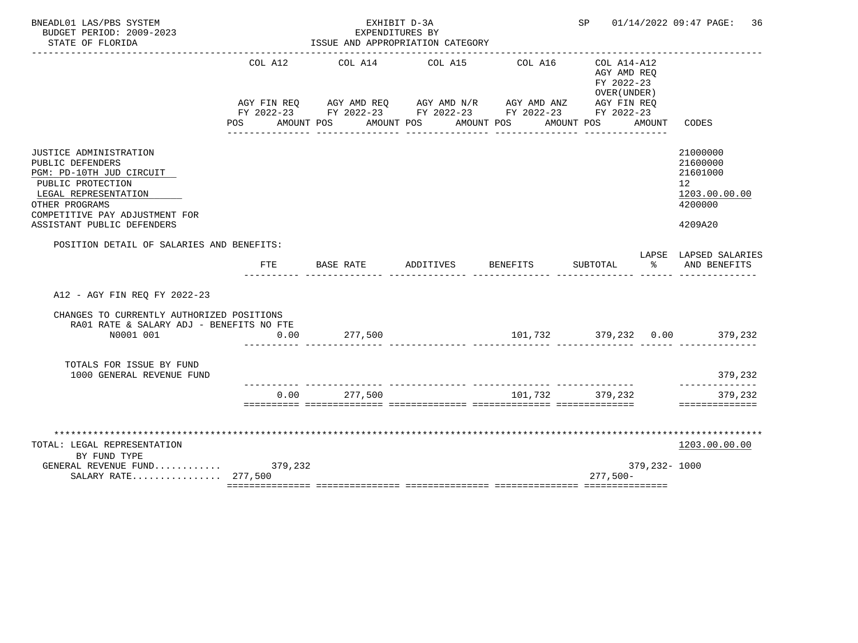| BNEADL01 LAS/PBS SYSTEM<br>BUDGET PERIOD: 2009-2023<br>STATE OF FLORIDA                                                                                                                               |         | EXHIBIT D-3A<br>EXPENDITURES BY<br>ISSUE AND APPROPRIATION CATEGORY                                                                                                      | SP        |          | 01/14/2022 09:47 PAGE:<br>36                                               |              |                                                                               |
|-------------------------------------------------------------------------------------------------------------------------------------------------------------------------------------------------------|---------|--------------------------------------------------------------------------------------------------------------------------------------------------------------------------|-----------|----------|----------------------------------------------------------------------------|--------------|-------------------------------------------------------------------------------|
|                                                                                                                                                                                                       | COL A12 | COL A14<br>AGY FIN REQ AGY AMD REQ AGY AMD N/R AGY AMD ANZ AGY FIN REQ<br>FY 2022-23 FY 2022-23 FY 2022-23 FY 2022-23 FY 2022-23<br>POS AMOUNT POS AMOUNT POS AMOUNT POS | COL A15   | COL A16  | $COL A14 - A12$<br>AGY AMD REQ<br>FY 2022-23<br>OVER (UNDER)<br>AMOUNT POS | AMOUNT       | CODES                                                                         |
| JUSTICE ADMINISTRATION<br>PUBLIC DEFENDERS<br>PGM: PD-10TH JUD CIRCUIT<br>PUBLIC PROTECTION<br>LEGAL REPRESENTATION<br>OTHER PROGRAMS<br>COMPETITIVE PAY ADJUSTMENT FOR<br>ASSISTANT PUBLIC DEFENDERS |         |                                                                                                                                                                          |           |          |                                                                            |              | 21000000<br>21600000<br>21601000<br>12<br>1203.00.00.00<br>4200000<br>4209A20 |
| POSITION DETAIL OF SALARIES AND BENEFITS:                                                                                                                                                             | FTE     | BASE RATE                                                                                                                                                                | ADDITIVES | BENEFITS | SUBTOTAL                                                                   | ႜೢ           | LAPSE LAPSED SALARIES<br>AND BENEFITS                                         |
| A12 - AGY FIN REQ FY 2022-23                                                                                                                                                                          |         |                                                                                                                                                                          |           |          |                                                                            |              |                                                                               |
| CHANGES TO CURRENTLY AUTHORIZED POSITIONS<br>RA01 RATE & SALARY ADJ - BENEFITS NO FTE<br>N0001 001                                                                                                    | 0.00    | 277,500                                                                                                                                                                  |           |          |                                                                            |              |                                                                               |
| TOTALS FOR ISSUE BY FUND<br>1000 GENERAL REVENUE FUND                                                                                                                                                 |         |                                                                                                                                                                          |           |          |                                                                            |              | 379,232                                                                       |
|                                                                                                                                                                                                       | 0.00    | 277,500                                                                                                                                                                  |           |          | 101.732 379.232                                                            |              | ---------<br>379,232<br>==============                                        |
| TOTAL: LEGAL REPRESENTATION<br>BY FUND TYPE<br>GENERAL REVENUE FUND 379,232<br>SALARY RATE 277,500                                                                                                    |         |                                                                                                                                                                          |           |          | $277,500-$                                                                 | 379,232-1000 | 1203.00.00.00                                                                 |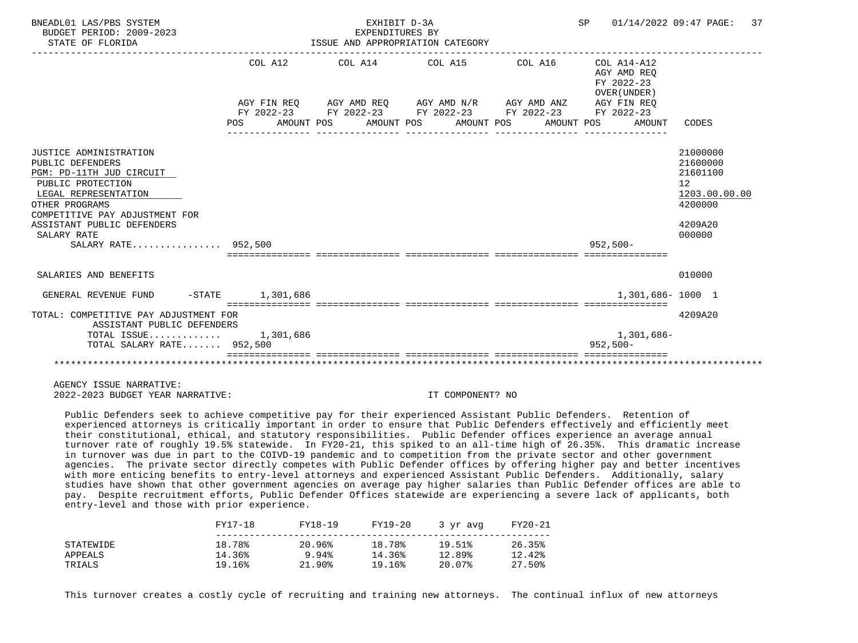| BNEADL01 LAS/PBS SYSTEM<br>BUDGET PERIOD: 2009-2023<br>STATE OF FLORIDA                                                                                                                                                                     |                    | EXHIBIT D-3A<br>EXPENDITURES BY | ISSUE AND APPROPRIATION CATEGORY                                                                                                                                                                        | SP 01/14/2022 09:47 PAGE:                                          | 37                                                                                                   |
|---------------------------------------------------------------------------------------------------------------------------------------------------------------------------------------------------------------------------------------------|--------------------|---------------------------------|---------------------------------------------------------------------------------------------------------------------------------------------------------------------------------------------------------|--------------------------------------------------------------------|------------------------------------------------------------------------------------------------------|
|                                                                                                                                                                                                                                             | COL A12<br>POS FOR |                                 | $COL A14$ $COL A15$ $COL A16$ $COL A14-A12$<br>AGY FIN REO AGY AMD REO AGY AMD N/R AGY AMD ANZ<br>FY 2022-23 FY 2022-23 FY 2022-23 FY 2022-23 FY 2022-23<br>AMOUNT POS AMOUNT POS AMOUNT POS AMOUNT POS | AGY AMD REO<br>FY 2022-23<br>OVER (UNDER)<br>AGY FIN REO<br>AMOUNT | CODES                                                                                                |
| JUSTICE ADMINISTRATION<br>PUBLIC DEFENDERS<br>PGM: PD-11TH JUD CIRCUIT<br>PUBLIC PROTECTION<br>LEGAL REPRESENTATION<br>OTHER PROGRAMS<br>COMPETITIVE PAY ADJUSTMENT FOR<br>ASSISTANT PUBLIC DEFENDERS<br>SALARY RATE<br>SALARY RATE 952,500 |                    |                                 |                                                                                                                                                                                                         | $952,500 -$                                                        | 21000000<br>21600000<br>21601100<br>12 <sup>°</sup><br>1203.00.00.00<br>4200000<br>4209A20<br>000000 |
| SALARIES AND BENEFITS                                                                                                                                                                                                                       |                    |                                 |                                                                                                                                                                                                         |                                                                    | 010000                                                                                               |
| GENERAL REVENUE FUND                                                                                                                                                                                                                        | -STATE 1,301,686   |                                 |                                                                                                                                                                                                         | 1,301,686-1000 1                                                   |                                                                                                      |
| TOTAL: COMPETITIVE PAY ADJUSTMENT FOR<br>ASSISTANT PUBLIC DEFENDERS<br>TOTAL ISSUE $1,301,686$<br>TOTAL SALARY RATE 952,500                                                                                                                 |                    |                                 |                                                                                                                                                                                                         | 1,301,686-<br>$952,500 -$                                          | 4209A20                                                                                              |
|                                                                                                                                                                                                                                             |                    |                                 |                                                                                                                                                                                                         |                                                                    |                                                                                                      |

 Public Defenders seek to achieve competitive pay for their experienced Assistant Public Defenders. Retention of experienced attorneys is critically important in order to ensure that Public Defenders effectively and efficiently meet their constitutional, ethical, and statutory responsibilities. Public Defender offices experience an average annual turnover rate of roughly 19.5% statewide. In FY20-21, this spiked to an all-time high of 26.35%. This dramatic increase in turnover was due in part to the COIVD-19 pandemic and to competition from the private sector and other government agencies. The private sector directly competes with Public Defender offices by offering higher pay and better incentives with more enticing benefits to entry-level attorneys and experienced Assistant Public Defenders. Additionally, salary studies have shown that other government agencies on average pay higher salaries than Public Defender offices are able to pay. Despite recruitment efforts, Public Defender Offices statewide are experiencing a severe lack of applicants, both entry-level and those with prior experience.

|           | FY17-18 | FY18-19   | FY19-20 | 3 yr avg | FY20-21 |
|-----------|---------|-----------|---------|----------|---------|
| STATEWIDE | 18.78%  | 20.96%    | 18.78%  | 19.51%   | 26.35%  |
| APPEALS   | 14.36%  | 9.94%     | 14.36%  | 12.89%   | 12.42%  |
| TRIALS    | 19.16%  | $21.90\%$ | 19.16%  | 20.07%   | 27.50%  |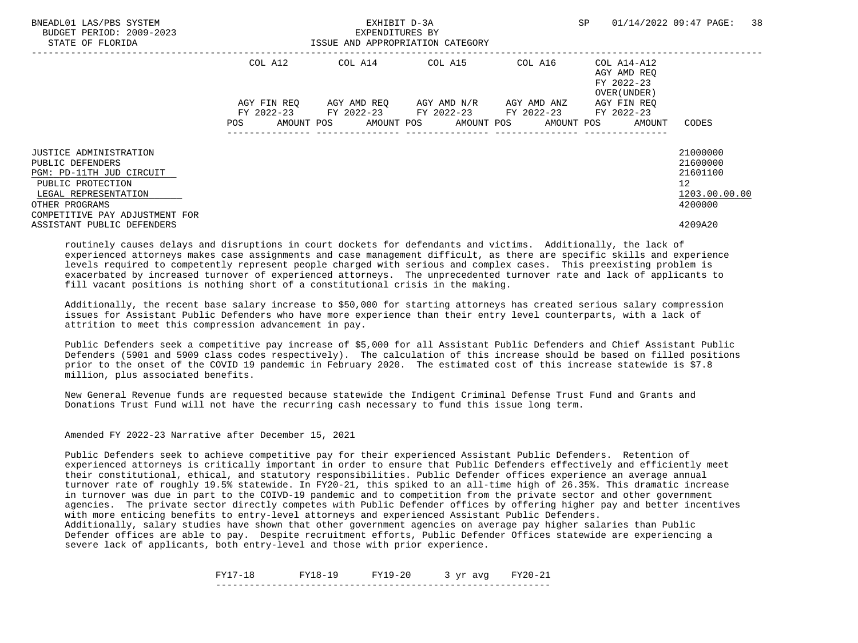| BNEADL01 LAS/PBS SYSTEM<br>BUDGET PERIOD: 2009-2023<br>STATE OF FLORIDA |             | EXHIBIT D-3A<br>EXPENDITURES BY<br>ISSUE AND APPROPRIATION CATEGORY |                                     |         | SP                                                       | 38<br>01/14/2022 09:47 PAGE: |
|-------------------------------------------------------------------------|-------------|---------------------------------------------------------------------|-------------------------------------|---------|----------------------------------------------------------|------------------------------|
|                                                                         | COL A12     |                                                                     | COL A14 COL A15                     | COL A16 | COL A14-A12<br>AGY AMD REO<br>FY 2022-23<br>OVER (UNDER) |                              |
|                                                                         | AGY FIN REO | FY 2022-23 FY 2022-23 FY 2022-23 FY 2022-23                         | AGY AMD REO AGY AMD N/R AGY AMD ANZ |         | AGY FIN REO<br>FY 2022-23                                |                              |
|                                                                         | POS         | AMOUNT POS AMOUNT POS AMOUNT POS AMOUNT POS                         |                                     |         | AMOUNT                                                   | CODES                        |
| <b>JUSTICE ADMINISTRATION</b><br>PUBLIC DEFENDERS                       |             |                                                                     |                                     |         |                                                          | 21000000<br>21600000         |
| PGM: PD-11TH JUD CIRCUIT                                                |             |                                                                     |                                     |         |                                                          | 21601100                     |
| PUBLIC PROTECTION<br>LEGAL REPRESENTATION                               |             |                                                                     |                                     |         |                                                          | 12<br>1203.00.00.00          |
| OTHER PROGRAMS<br>COMPETITIVE PAY ADJUSTMENT FOR                        |             |                                                                     |                                     |         |                                                          | 4200000                      |
| ASSISTANT PUBLIC DEFENDERS                                              |             |                                                                     |                                     |         |                                                          | 4209A20                      |

 Additionally, the recent base salary increase to \$50,000 for starting attorneys has created serious salary compression issues for Assistant Public Defenders who have more experience than their entry level counterparts, with a lack of attrition to meet this compression advancement in pay.

 Public Defenders seek a competitive pay increase of \$5,000 for all Assistant Public Defenders and Chief Assistant Public Defenders (5901 and 5909 class codes respectively). The calculation of this increase should be based on filled positions prior to the onset of the COVID 19 pandemic in February 2020. The estimated cost of this increase statewide is \$7.8 million, plus associated benefits.

 New General Revenue funds are requested because statewide the Indigent Criminal Defense Trust Fund and Grants and Donations Trust Fund will not have the recurring cash necessary to fund this issue long term.

Amended FY 2022-23 Narrative after December 15, 2021

 Public Defenders seek to achieve competitive pay for their experienced Assistant Public Defenders. Retention of experienced attorneys is critically important in order to ensure that Public Defenders effectively and efficiently meet their constitutional, ethical, and statutory responsibilities. Public Defender offices experience an average annual turnover rate of roughly 19.5% statewide. In FY20-21, this spiked to an all-time high of 26.35%. This dramatic increase in turnover was due in part to the COIVD-19 pandemic and to competition from the private sector and other government agencies. The private sector directly competes with Public Defender offices by offering higher pay and better incentives with more enticing benefits to entry-level attorneys and experienced Assistant Public Defenders.

 Additionally, salary studies have shown that other government agencies on average pay higher salaries than Public Defender offices are able to pay. Despite recruitment efforts, Public Defender Offices statewide are experiencing a severe lack of applicants, both entry-level and those with prior experience.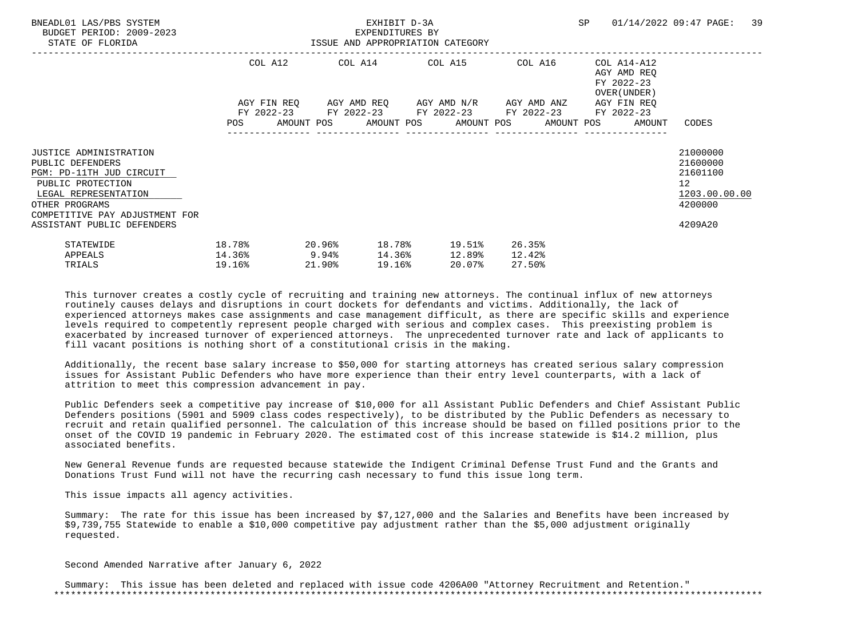| BNEADL01 LAS/PBS SYSTEM<br>BUDGET PERIOD: 2009-2023<br>STATE OF FLORIDA                                                                                                        | ISSUE AND APPROPRIATION CATEGORY         |           |        | EXHIBIT D-3A<br>EXPENDITURES BY |                                                                                                                  |                            |                                                                          | SP 01/14/2022 09:47 PAGE:                                                       | 39 |
|--------------------------------------------------------------------------------------------------------------------------------------------------------------------------------|------------------------------------------|-----------|--------|---------------------------------|------------------------------------------------------------------------------------------------------------------|----------------------------|--------------------------------------------------------------------------|---------------------------------------------------------------------------------|----|
|                                                                                                                                                                                |                                          |           |        |                                 | COL A12 COL A14 COL A15 COL A16<br>AGY FIN REQ 6GY AMD REQ 6GY AMD N/R 6GY AMD ANZ                               |                            | COL A14-A12<br>AGY AMD REO<br>FY 2022-23<br>OVER (UNDER )<br>AGY FIN REO |                                                                                 |    |
|                                                                                                                                                                                |                                          |           |        |                                 | FY 2022-23 FY 2022-23 FY 2022-23 FY 2022-23 FY 2022-23<br>POS AMOUNT POS AMOUNT POS AMOUNT POS AMOUNT POS AMOUNT |                            |                                                                          | CODES                                                                           |    |
| <b>JUSTICE ADMINISTRATION</b><br>PUBLIC DEFENDERS<br>PGM: PD-11TH JUD CIRCUIT<br>PUBLIC PROTECTION<br>LEGAL REPRESENTATION<br>OTHER PROGRAMS<br>COMPETITIVE PAY ADJUSTMENT FOR |                                          |           |        |                                 |                                                                                                                  |                            |                                                                          | 21000000<br>21600000<br>21601100<br>12 <sup>°</sup><br>1203.00.00.00<br>4200000 |    |
| ASSISTANT PUBLIC DEFENDERS<br>STATEWIDE<br>APPEALS<br>TRIALS                                                                                                                   | 18.78%<br>$14.36$ <sup>9</sup><br>19.16% | $20.96\%$ | 21.90% | 19.16%                          | 18.78% 19.51%<br>14.36% 12.89%<br>20.07%                                                                         | 26.35%<br>12.42%<br>27.50% |                                                                          | 4209A20                                                                         |    |

 Additionally, the recent base salary increase to \$50,000 for starting attorneys has created serious salary compression issues for Assistant Public Defenders who have more experience than their entry level counterparts, with a lack of attrition to meet this compression advancement in pay.

 Public Defenders seek a competitive pay increase of \$10,000 for all Assistant Public Defenders and Chief Assistant Public Defenders positions (5901 and 5909 class codes respectively), to be distributed by the Public Defenders as necessary to recruit and retain qualified personnel. The calculation of this increase should be based on filled positions prior to the onset of the COVID 19 pandemic in February 2020. The estimated cost of this increase statewide is \$14.2 million, plus associated benefits.

 New General Revenue funds are requested because statewide the Indigent Criminal Defense Trust Fund and the Grants and Donations Trust Fund will not have the recurring cash necessary to fund this issue long term.

This issue impacts all agency activities.

 Summary: The rate for this issue has been increased by \$7,127,000 and the Salaries and Benefits have been increased by \$9,739,755 Statewide to enable a \$10,000 competitive pay adjustment rather than the \$5,000 adjustment originally requested.

Second Amended Narrative after January 6, 2022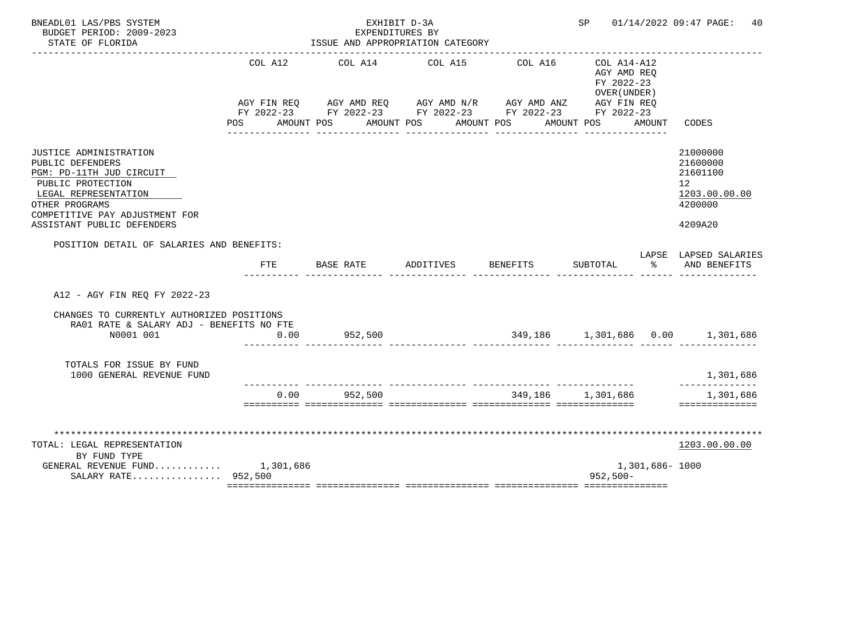| BNEADL01 LAS/PBS SYSTEM<br>BUDGET PERIOD: 2009-2023<br>STATE OF FLORIDA                                                                                                                                      |                    | EXHIBIT D-3A<br>EXPENDITURES BY<br>ISSUE AND APPROPRIATION CATEGORY                                                                                       |           |                       | SP                                                                     |                | 01/14/2022 09:47 PAGE:<br>40                                                  |
|--------------------------------------------------------------------------------------------------------------------------------------------------------------------------------------------------------------|--------------------|-----------------------------------------------------------------------------------------------------------------------------------------------------------|-----------|-----------------------|------------------------------------------------------------------------|----------------|-------------------------------------------------------------------------------|
|                                                                                                                                                                                                              | COL A12<br>POS FOR | COL A14<br>AGY FIN REQ AGY AMD REQ AGY AMD N/R AGY AMD ANZ AGY FIN REQ<br>FY 2022-23 FY 2022-23 FY 2022-23 FY 2022-23 FY 2022-23<br>AMOUNT POS AMOUNT POS | COL A15   | COL A16<br>AMOUNT POS | COL A14-A12<br>AGY AMD REO<br>FY 2022-23<br>OVER (UNDER)<br>AMOUNT POS | AMOUNT         | CODES                                                                         |
| <b>JUSTICE ADMINISTRATION</b><br>PUBLIC DEFENDERS<br>PGM: PD-11TH JUD CIRCUIT<br>PUBLIC PROTECTION<br>LEGAL REPRESENTATION<br>OTHER PROGRAMS<br>COMPETITIVE PAY ADJUSTMENT FOR<br>ASSISTANT PUBLIC DEFENDERS |                    |                                                                                                                                                           |           |                       |                                                                        |                | 21000000<br>21600000<br>21601100<br>12<br>1203.00.00.00<br>4200000<br>4209A20 |
| POSITION DETAIL OF SALARIES AND BENEFITS:                                                                                                                                                                    | <b>FTE</b>         | BASE RATE                                                                                                                                                 | ADDITIVES | <b>BENEFITS</b>       | SUBTOTAL                                                               | ႜೢ             | LAPSE LAPSED SALARIES<br>AND BENEFITS                                         |
| A12 - AGY FIN REO FY 2022-23                                                                                                                                                                                 |                    |                                                                                                                                                           |           |                       |                                                                        |                |                                                                               |
| CHANGES TO CURRENTLY AUTHORIZED POSITIONS<br>RA01 RATE & SALARY ADJ - BENEFITS NO FTE<br>N0001 001                                                                                                           | 0.00               | 952,500                                                                                                                                                   |           |                       |                                                                        |                | $349,186$ $1,301,686$ $0.00$ $1,301,686$                                      |
| TOTALS FOR ISSUE BY FUND<br>1000 GENERAL REVENUE FUND                                                                                                                                                        |                    |                                                                                                                                                           |           |                       |                                                                        |                | 1,301,686                                                                     |
|                                                                                                                                                                                                              | 0.00               | 952,500                                                                                                                                                   |           |                       | 349,186 1,301,686                                                      |                | ----------<br>1,301,686<br>==============                                     |
| TOTAL: LEGAL REPRESENTATION<br>BY FUND TYPE<br>GENERAL REVENUE FUND $1,301,686$<br>SALARY RATE 952,500                                                                                                       |                    |                                                                                                                                                           |           |                       | $952,500 -$                                                            | 1,301,686-1000 | 1203.00.00.00                                                                 |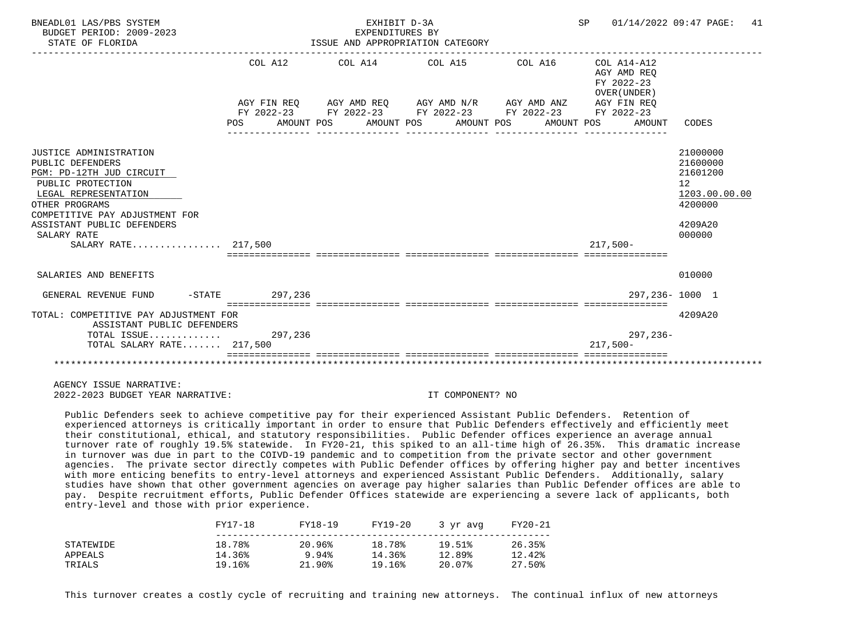| BNEADL01 LAS/PBS SYSTEM<br>BUDGET PERIOD: 2009-2023<br>STATE OF FLORIDA                                                                                                                                                                     |                                                            | EXHIBIT D-3A<br>EXPENDITURES BY | ISSUE AND APPROPRIATION CATEGORY                                                                                                                                     | SP 01/14/2022 09:47 PAGE:                                                                | 41                                                                                                   |
|---------------------------------------------------------------------------------------------------------------------------------------------------------------------------------------------------------------------------------------------|------------------------------------------------------------|---------------------------------|----------------------------------------------------------------------------------------------------------------------------------------------------------------------|------------------------------------------------------------------------------------------|------------------------------------------------------------------------------------------------------|
|                                                                                                                                                                                                                                             | COL A12<br>POS AMOUNT POS AMOUNT POS AMOUNT POS AMOUNT POS |                                 | $COL A14$ $COL A15$ $COL A16$ $COL A14-A12$<br>AGY FIN REO AGY AMD REO AGY AMD N/R AGY AMD ANZ AGY FIN REO<br>FY 2022-23 FY 2022-23 FY 2022-23 FY 2022-23 FY 2022-23 | AGY AMD REO<br>FY 2022-23<br>OVER (UNDER)<br>AMOUNT                                      | CODES                                                                                                |
| JUSTICE ADMINISTRATION<br>PUBLIC DEFENDERS<br>PGM: PD-12TH JUD CIRCUIT<br>PUBLIC PROTECTION<br>LEGAL REPRESENTATION<br>OTHER PROGRAMS<br>COMPETITIVE PAY ADJUSTMENT FOR<br>ASSISTANT PUBLIC DEFENDERS<br>SALARY RATE<br>SALARY RATE 217.500 |                                                            |                                 |                                                                                                                                                                      | $217,500-$<br>sicicicicici intricticici intrictici interestici intricticiali interestici | 21000000<br>21600000<br>21601200<br>12 <sup>°</sup><br>1203.00.00.00<br>4200000<br>4209A20<br>000000 |
| SALARIES AND BENEFITS                                                                                                                                                                                                                       |                                                            |                                 |                                                                                                                                                                      |                                                                                          | 010000                                                                                               |
| GENERAL REVENUE FUND                                                                                                                                                                                                                        | -STATE 297.236                                             |                                 |                                                                                                                                                                      |                                                                                          | 297.236-1000 1                                                                                       |
| TOTAL: COMPETITIVE PAY ADJUSTMENT FOR<br>ASSISTANT PUBLIC DEFENDERS<br>TOTAL ISSUE 297,236<br>TOTAL SALARY RATE 217,500                                                                                                                     |                                                            |                                 |                                                                                                                                                                      | 297,236-<br>$217.500 -$                                                                  | 4209A20                                                                                              |
|                                                                                                                                                                                                                                             |                                                            |                                 |                                                                                                                                                                      |                                                                                          |                                                                                                      |

 Public Defenders seek to achieve competitive pay for their experienced Assistant Public Defenders. Retention of experienced attorneys is critically important in order to ensure that Public Defenders effectively and efficiently meet their constitutional, ethical, and statutory responsibilities. Public Defender offices experience an average annual turnover rate of roughly 19.5% statewide. In FY20-21, this spiked to an all-time high of 26.35%. This dramatic increase in turnover was due in part to the COIVD-19 pandemic and to competition from the private sector and other government agencies. The private sector directly competes with Public Defender offices by offering higher pay and better incentives with more enticing benefits to entry-level attorneys and experienced Assistant Public Defenders. Additionally, salary studies have shown that other government agencies on average pay higher salaries than Public Defender offices are able to pay. Despite recruitment efforts, Public Defender Offices statewide are experiencing a severe lack of applicants, both entry-level and those with prior experience.

|           | FY17-18 | FY18-19 | FY19-20 | 3 vr avg | FY20-21 |
|-----------|---------|---------|---------|----------|---------|
| STATEWIDE | 18.78%  | 20.96%  | 18.78%  | 19.51%   | 26.35%  |
| APPEALS   | 14.36%  | 9.94%   | 14.36%  | 12.89%   | 12.42%  |
| TRIALS    | 19.16%  | 21.90%  | 19.16%  | 20.07%   | 27.50%  |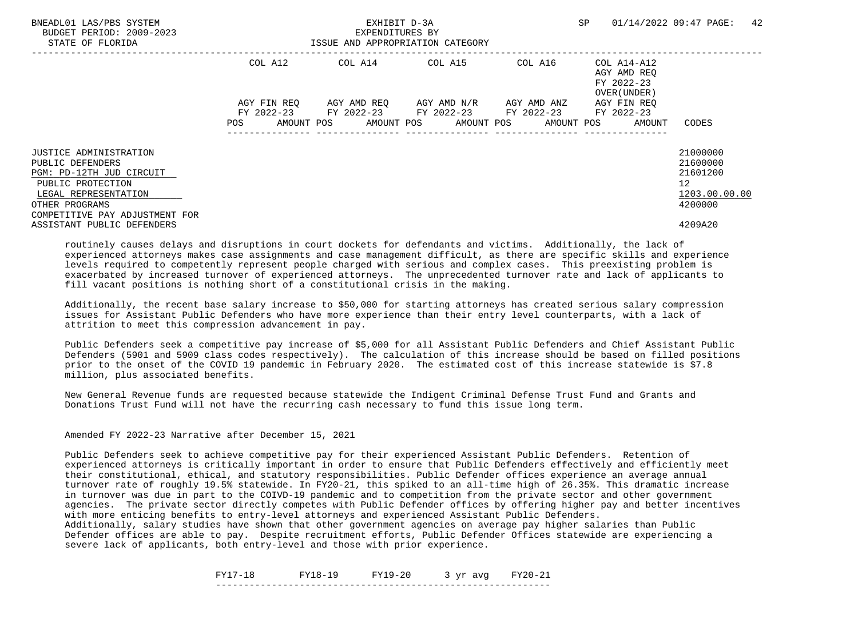| BNEADL01 LAS/PBS SYSTEM<br>BUDGET PERIOD: 2009-2023<br>STATE OF FLORIDA |             | EXHIBIT D-3A<br>EXPENDITURES BY<br>ISSUE AND APPROPRIATION CATEGORY |                                     |         | SP                                                       | 42<br>01/14/2022 09:47 PAGE: |
|-------------------------------------------------------------------------|-------------|---------------------------------------------------------------------|-------------------------------------|---------|----------------------------------------------------------|------------------------------|
|                                                                         | COL A12     |                                                                     | COL A14 COL A15                     | COL A16 | COL A14-A12<br>AGY AMD REO<br>FY 2022-23<br>OVER (UNDER) |                              |
|                                                                         | AGY FIN REO | FY 2022-23 FY 2022-23 FY 2022-23 FY 2022-23 FY 2022-23              | AGY AMD REO AGY AMD N/R AGY AMD ANZ |         | AGY FIN REO                                              |                              |
|                                                                         | POS         | AMOUNT POS AMOUNT POS AMOUNT POS AMOUNT POS                         |                                     |         | AMOUNT                                                   | CODES                        |
| <b>JUSTICE ADMINISTRATION</b><br>PUBLIC DEFENDERS                       |             |                                                                     |                                     |         |                                                          | 21000000<br>21600000         |
| PGM: PD-12TH JUD CIRCUIT                                                |             |                                                                     |                                     |         |                                                          | 21601200                     |
| PUBLIC PROTECTION<br>LEGAL REPRESENTATION                               |             |                                                                     |                                     |         |                                                          | 12<br>1203.00.00.00          |
| OTHER PROGRAMS<br>COMPETITIVE PAY ADJUSTMENT FOR                        |             |                                                                     |                                     |         |                                                          | 4200000                      |
| ASSISTANT PUBLIC DEFENDERS                                              |             |                                                                     |                                     |         |                                                          | 4209A20                      |

 Additionally, the recent base salary increase to \$50,000 for starting attorneys has created serious salary compression issues for Assistant Public Defenders who have more experience than their entry level counterparts, with a lack of attrition to meet this compression advancement in pay.

 Public Defenders seek a competitive pay increase of \$5,000 for all Assistant Public Defenders and Chief Assistant Public Defenders (5901 and 5909 class codes respectively). The calculation of this increase should be based on filled positions prior to the onset of the COVID 19 pandemic in February 2020. The estimated cost of this increase statewide is \$7.8 million, plus associated benefits.

 New General Revenue funds are requested because statewide the Indigent Criminal Defense Trust Fund and Grants and Donations Trust Fund will not have the recurring cash necessary to fund this issue long term.

Amended FY 2022-23 Narrative after December 15, 2021

 Public Defenders seek to achieve competitive pay for their experienced Assistant Public Defenders. Retention of experienced attorneys is critically important in order to ensure that Public Defenders effectively and efficiently meet their constitutional, ethical, and statutory responsibilities. Public Defender offices experience an average annual turnover rate of roughly 19.5% statewide. In FY20-21, this spiked to an all-time high of 26.35%. This dramatic increase in turnover was due in part to the COIVD-19 pandemic and to competition from the private sector and other government agencies. The private sector directly competes with Public Defender offices by offering higher pay and better incentives with more enticing benefits to entry-level attorneys and experienced Assistant Public Defenders.

 Additionally, salary studies have shown that other government agencies on average pay higher salaries than Public Defender offices are able to pay. Despite recruitment efforts, Public Defender Offices statewide are experiencing a severe lack of applicants, both entry-level and those with prior experience.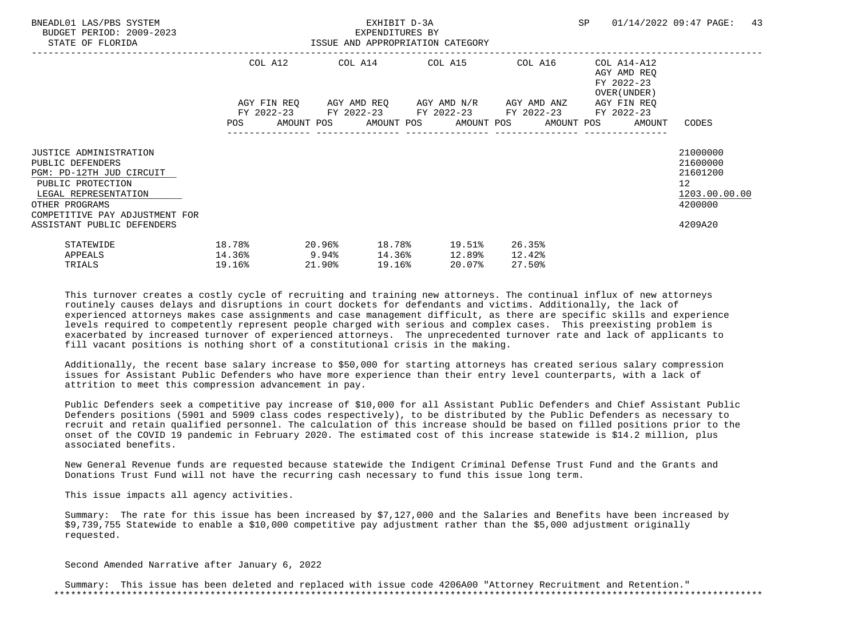| BNEADL01 LAS/PBS SYSTEM<br>BUDGET PERIOD: 2009-2023<br>STATE OF FLORIDA                                                                                                 | ISSUE AND APPROPRIATION CATEGORY |                           | EXHIBIT D-3A<br>EXPENDITURES BY |                                                                                                       |                            |                                                                          | SP 01/14/2022 09:47 PAGE:                                                       | 43 |
|-------------------------------------------------------------------------------------------------------------------------------------------------------------------------|----------------------------------|---------------------------|---------------------------------|-------------------------------------------------------------------------------------------------------|----------------------------|--------------------------------------------------------------------------|---------------------------------------------------------------------------------|----|
|                                                                                                                                                                         |                                  |                           |                                 | COL A12 COL A14 COL A15 COL A16<br>AGY FIN REQ 6GY AMD REQ 6GY AMD N/R 6GY AMD ANZ                    |                            | COL A14-A12<br>AGY AMD REO<br>FY 2022-23<br>OVER (UNDER )<br>AGY FIN REO |                                                                                 |    |
|                                                                                                                                                                         |                                  |                           |                                 | FY 2022-23 FY 2022-23 FY 2022-23 FY 2022-23<br>POS AMOUNT POS AMOUNT POS AMOUNT POS AMOUNT POS AMOUNT |                            | FY 2022-23                                                               | CODES                                                                           |    |
| JUSTICE ADMINISTRATION<br>PUBLIC DEFENDERS<br>PGM: PD-12TH JUD CIRCUIT<br>PUBLIC PROTECTION<br>LEGAL REPRESENTATION<br>OTHER PROGRAMS<br>COMPETITIVE PAY ADJUSTMENT FOR |                                  |                           |                                 |                                                                                                       |                            |                                                                          | 21000000<br>21600000<br>21601200<br>12 <sup>°</sup><br>1203.00.00.00<br>4200000 |    |
| ASSISTANT PUBLIC DEFENDERS<br>STATEWIDE<br>APPEALS<br>TRIALS                                                                                                            | 18.78%<br>14.36%<br>19.16%       | 20.96%<br>9.94%<br>21.90% | 19.16%                          | 18.78% 19.51%<br>14.36% 12.89%<br>20.07%                                                              | 26.35%<br>12.42%<br>27.50% |                                                                          | 4209A20                                                                         |    |

 Additionally, the recent base salary increase to \$50,000 for starting attorneys has created serious salary compression issues for Assistant Public Defenders who have more experience than their entry level counterparts, with a lack of attrition to meet this compression advancement in pay.

 Public Defenders seek a competitive pay increase of \$10,000 for all Assistant Public Defenders and Chief Assistant Public Defenders positions (5901 and 5909 class codes respectively), to be distributed by the Public Defenders as necessary to recruit and retain qualified personnel. The calculation of this increase should be based on filled positions prior to the onset of the COVID 19 pandemic in February 2020. The estimated cost of this increase statewide is \$14.2 million, plus associated benefits.

 New General Revenue funds are requested because statewide the Indigent Criminal Defense Trust Fund and the Grants and Donations Trust Fund will not have the recurring cash necessary to fund this issue long term.

This issue impacts all agency activities.

 Summary: The rate for this issue has been increased by \$7,127,000 and the Salaries and Benefits have been increased by \$9,739,755 Statewide to enable a \$10,000 competitive pay adjustment rather than the \$5,000 adjustment originally requested.

Second Amended Narrative after January 6, 2022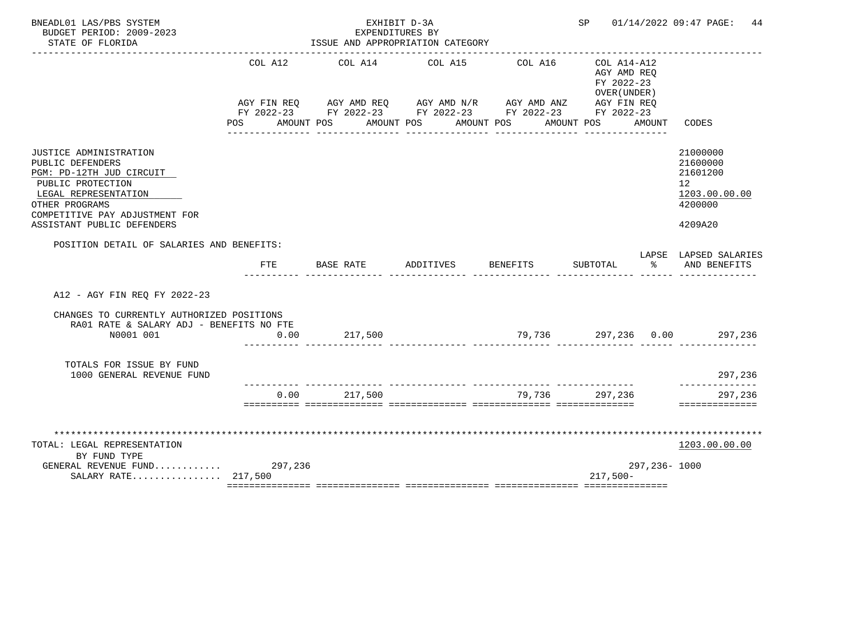| BNEADL01 LAS/PBS SYSTEM<br>BUDGET PERIOD: 2009-2023<br>STATE OF FLORIDA                                                                                                                               |                       | EXHIBIT D-3A<br>EXPENDITURES BY<br>ISSUE AND APPROPRIATION CATEGORY                                                                                                  |           |          | SP                                                                         |              | 01/14/2022 09:47 PAGE:<br>44                                                  |
|-------------------------------------------------------------------------------------------------------------------------------------------------------------------------------------------------------|-----------------------|----------------------------------------------------------------------------------------------------------------------------------------------------------------------|-----------|----------|----------------------------------------------------------------------------|--------------|-------------------------------------------------------------------------------|
|                                                                                                                                                                                                       | COL A12<br><b>POS</b> | COL A14<br>AGY FIN REQ AGY AMD REQ AGY AMD N/R AGY AMD ANZ AGY FIN REQ<br>FY 2022-23 FY 2022-23 FY 2022-23 FY 2022-23 FY 2022-23<br>AMOUNT POS AMOUNT POS AMOUNT POS | COL A15   | COL A16  | $COL A14 - A12$<br>AGY AMD REQ<br>FY 2022-23<br>OVER (UNDER)<br>AMOUNT POS | AMOUNT       | CODES                                                                         |
| JUSTICE ADMINISTRATION<br>PUBLIC DEFENDERS<br>PGM: PD-12TH JUD CIRCUIT<br>PUBLIC PROTECTION<br>LEGAL REPRESENTATION<br>OTHER PROGRAMS<br>COMPETITIVE PAY ADJUSTMENT FOR<br>ASSISTANT PUBLIC DEFENDERS |                       |                                                                                                                                                                      |           |          |                                                                            |              | 21000000<br>21600000<br>21601200<br>12<br>1203.00.00.00<br>4200000<br>4209A20 |
| POSITION DETAIL OF SALARIES AND BENEFITS:                                                                                                                                                             | <b>FTE</b>            | BASE RATE                                                                                                                                                            | ADDITIVES | BENEFITS | SUBTOTAL                                                                   | °≈           | LAPSE LAPSED SALARIES<br>AND BENEFITS                                         |
| A12 - AGY FIN REQ FY 2022-23                                                                                                                                                                          |                       |                                                                                                                                                                      |           |          |                                                                            |              |                                                                               |
| CHANGES TO CURRENTLY AUTHORIZED POSITIONS<br>RA01 RATE & SALARY ADJ - BENEFITS NO FTE<br>N0001 001                                                                                                    | 0.00                  | 217,500                                                                                                                                                              |           |          |                                                                            |              | $79,736$ $297,236$ $0.00$ $297,236$                                           |
| TOTALS FOR ISSUE BY FUND<br>1000 GENERAL REVENUE FUND                                                                                                                                                 |                       |                                                                                                                                                                      |           |          |                                                                            |              | 297,236                                                                       |
|                                                                                                                                                                                                       | 0.00                  | 217,500                                                                                                                                                              |           | 79.736   | 297,236                                                                    |              | ---------<br>297,236<br>==============                                        |
| TOTAL: LEGAL REPRESENTATION<br>BY FUND TYPE<br>GENERAL REVENUE FUND 297,236                                                                                                                           |                       |                                                                                                                                                                      |           |          |                                                                            | 297,236-1000 | 1203.00.00.00                                                                 |
| SALARY RATE 217,500                                                                                                                                                                                   |                       |                                                                                                                                                                      |           |          | $217,500-$                                                                 |              |                                                                               |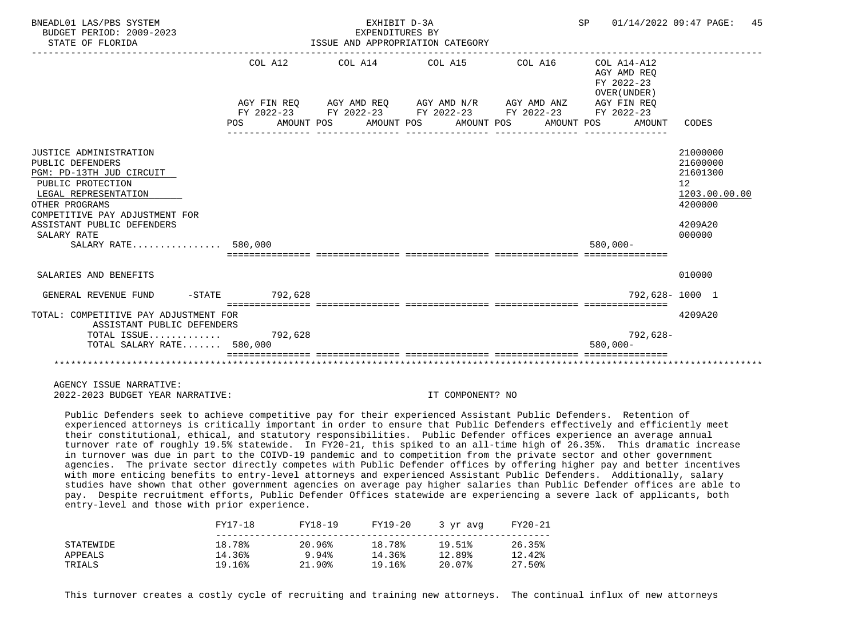| BNEADL01 LAS/PBS SYSTEM<br>BUDGET PERIOD: 2009-2023<br>STATE OF FLORIDA                                                                                                                                                                            |         | EXHIBIT D-3A<br>EXPENDITURES BY<br>ISSUE AND APPROPRIATION CATEGORY |                                                                                                                                                              | SP 01/14/2022 09:47 PAGE:                                          | 45                                                                                                   |
|----------------------------------------------------------------------------------------------------------------------------------------------------------------------------------------------------------------------------------------------------|---------|---------------------------------------------------------------------|--------------------------------------------------------------------------------------------------------------------------------------------------------------|--------------------------------------------------------------------|------------------------------------------------------------------------------------------------------|
|                                                                                                                                                                                                                                                    | COL A12 |                                                                     | AGY FIN REO AGY AMD REO AGY AMD N/R AGY AMD ANZ<br>FY 2022-23 FY 2022-23 FY 2022-23 FY 2022-23 FY 2022-23<br>POS AMOUNT POS AMOUNT POS AMOUNT POS AMOUNT POS | AGY AMD REO<br>FY 2022-23<br>OVER (UNDER)<br>AGY FIN REO<br>AMOUNT | CODES                                                                                                |
| <b>JUSTICE ADMINISTRATION</b><br>PUBLIC DEFENDERS<br>PGM: PD-13TH JUD CIRCUIT<br>PUBLIC PROTECTION<br>LEGAL REPRESENTATION<br>OTHER PROGRAMS<br>COMPETITIVE PAY ADJUSTMENT FOR<br>ASSISTANT PUBLIC DEFENDERS<br>SALARY RATE<br>SALARY RATE 580,000 |         |                                                                     |                                                                                                                                                              | $580.000 -$                                                        | 21000000<br>21600000<br>21601300<br>12 <sup>°</sup><br>1203.00.00.00<br>4200000<br>4209A20<br>000000 |
| SALARIES AND BENEFITS                                                                                                                                                                                                                              |         |                                                                     |                                                                                                                                                              |                                                                    | 010000                                                                                               |
| GENERAL REVENUE FUND -STATE 792.628                                                                                                                                                                                                                |         |                                                                     |                                                                                                                                                              |                                                                    | 792,628-1000 1                                                                                       |
| TOTAL: COMPETITIVE PAY ADJUSTMENT FOR<br>ASSISTANT PUBLIC DEFENDERS<br>TOTAL ISSUE 792,628<br>TOTAL SALARY RATE 580,000                                                                                                                            |         | _____________________________________                               |                                                                                                                                                              | $792,628-$<br>$580.000 -$                                          | 4209A20                                                                                              |
|                                                                                                                                                                                                                                                    |         |                                                                     |                                                                                                                                                              |                                                                    |                                                                                                      |

 Public Defenders seek to achieve competitive pay for their experienced Assistant Public Defenders. Retention of experienced attorneys is critically important in order to ensure that Public Defenders effectively and efficiently meet their constitutional, ethical, and statutory responsibilities. Public Defender offices experience an average annual turnover rate of roughly 19.5% statewide. In FY20-21, this spiked to an all-time high of 26.35%. This dramatic increase in turnover was due in part to the COIVD-19 pandemic and to competition from the private sector and other government agencies. The private sector directly competes with Public Defender offices by offering higher pay and better incentives with more enticing benefits to entry-level attorneys and experienced Assistant Public Defenders. Additionally, salary studies have shown that other government agencies on average pay higher salaries than Public Defender offices are able to pay. Despite recruitment efforts, Public Defender Offices statewide are experiencing a severe lack of applicants, both entry-level and those with prior experience.

|           | FY17-18 | FY18-19   | FY19-20 | 3 yr avg | FY20-21 |
|-----------|---------|-----------|---------|----------|---------|
| STATEWIDE | 18.78%  | 20.96%    | 18.78%  | 19.51%   | 26.35%  |
| APPEALS   | 14.36%  | 9.94%     | 14.36%  | 12.89%   | 12.42%  |
| TRIALS    | 19.16%  | $21.90\%$ | 19.16%  | 20.07%   | 27.50%  |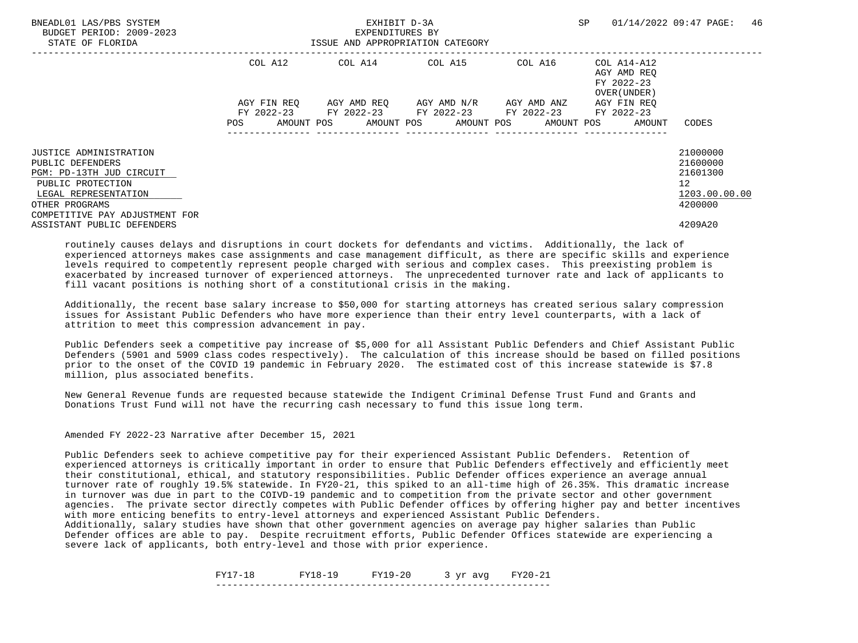| BNEADL01 LAS/PBS SYSTEM<br>BUDGET PERIOD: 2009-2023<br>STATE OF FLORIDA |             | EXHIBIT D-3A<br>EXPENDITURES BY<br>ISSUE AND APPROPRIATION CATEGORY |                                                                                               | SP      | 46<br>01/14/2022 09:47 PAGE:                             |                      |
|-------------------------------------------------------------------------|-------------|---------------------------------------------------------------------|-----------------------------------------------------------------------------------------------|---------|----------------------------------------------------------|----------------------|
|                                                                         | COL A12     |                                                                     | COL A14 COL A15                                                                               | COL A16 | COL A14-A12<br>AGY AMD REO<br>FY 2022-23<br>OVER (UNDER) |                      |
|                                                                         | AGY FIN REO |                                                                     | AGY AMD REO AGY AMD N/R AGY AMD ANZ<br>FY 2022-23 FY 2022-23 FY 2022-23 FY 2022-23 FY 2022-23 |         | AGY FIN REO                                              |                      |
|                                                                         | POS         |                                                                     | AMOUNT POS AMOUNT POS AMOUNT POS AMOUNT POS                                                   |         | AMOUNT                                                   | CODES                |
| <b>JUSTICE ADMINISTRATION</b><br>PUBLIC DEFENDERS                       |             |                                                                     |                                                                                               |         |                                                          | 21000000<br>21600000 |
| PGM: PD-13TH JUD CIRCUIT                                                |             |                                                                     |                                                                                               |         |                                                          | 21601300             |
| PUBLIC PROTECTION<br>LEGAL REPRESENTATION                               |             |                                                                     |                                                                                               |         |                                                          | 12<br>1203.00.00.00  |
| OTHER PROGRAMS<br>COMPETITIVE PAY ADJUSTMENT FOR                        |             |                                                                     |                                                                                               |         |                                                          | 4200000              |
| ASSISTANT PUBLIC DEFENDERS                                              |             |                                                                     |                                                                                               |         |                                                          | 4209A20              |

 Additionally, the recent base salary increase to \$50,000 for starting attorneys has created serious salary compression issues for Assistant Public Defenders who have more experience than their entry level counterparts, with a lack of attrition to meet this compression advancement in pay.

 Public Defenders seek a competitive pay increase of \$5,000 for all Assistant Public Defenders and Chief Assistant Public Defenders (5901 and 5909 class codes respectively). The calculation of this increase should be based on filled positions prior to the onset of the COVID 19 pandemic in February 2020. The estimated cost of this increase statewide is \$7.8 million, plus associated benefits.

 New General Revenue funds are requested because statewide the Indigent Criminal Defense Trust Fund and Grants and Donations Trust Fund will not have the recurring cash necessary to fund this issue long term.

Amended FY 2022-23 Narrative after December 15, 2021

 Public Defenders seek to achieve competitive pay for their experienced Assistant Public Defenders. Retention of experienced attorneys is critically important in order to ensure that Public Defenders effectively and efficiently meet their constitutional, ethical, and statutory responsibilities. Public Defender offices experience an average annual turnover rate of roughly 19.5% statewide. In FY20-21, this spiked to an all-time high of 26.35%. This dramatic increase in turnover was due in part to the COIVD-19 pandemic and to competition from the private sector and other government agencies. The private sector directly competes with Public Defender offices by offering higher pay and better incentives with more enticing benefits to entry-level attorneys and experienced Assistant Public Defenders.

 Additionally, salary studies have shown that other government agencies on average pay higher salaries than Public Defender offices are able to pay. Despite recruitment efforts, Public Defender Offices statewide are experiencing a severe lack of applicants, both entry-level and those with prior experience.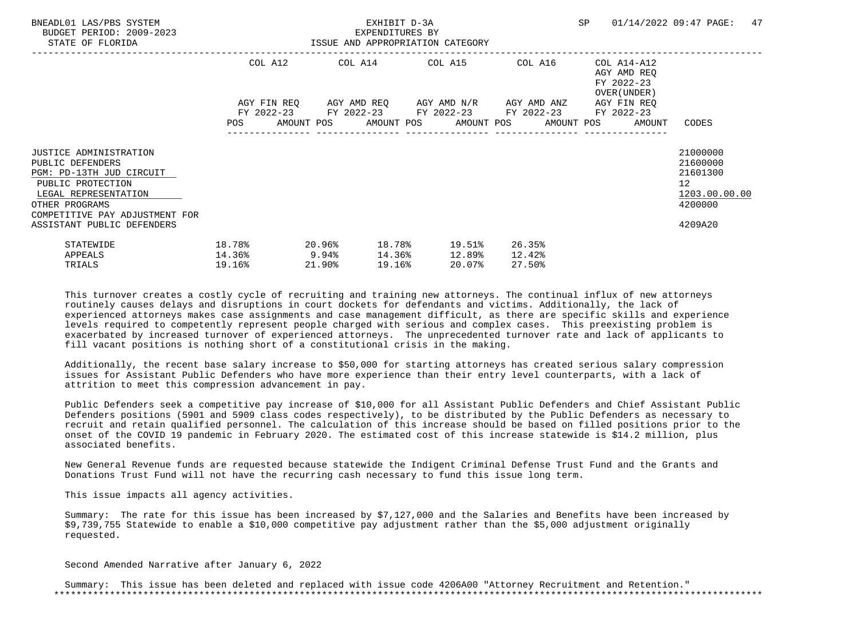| BNEADL01 LAS/PBS SYSTEM<br>BUDGET PERIOD: 2009-2023<br>STATE OF FLORIDA                                                                                                        | ISSUE AND APPROPRIATION CATEGORY         |                     | SP 01/14/2022 09:47 PAGE: | 47                                                                                 |                            |                                                                          |                                                                                 |
|--------------------------------------------------------------------------------------------------------------------------------------------------------------------------------|------------------------------------------|---------------------|---------------------------|------------------------------------------------------------------------------------|----------------------------|--------------------------------------------------------------------------|---------------------------------------------------------------------------------|
|                                                                                                                                                                                |                                          |                     |                           | COL A12 COL A14 COL A15 COL A16<br>AGY FIN REQ 6GY AMD REQ 6GY AMD N/R 6GY AMD ANZ |                            | COL A14-A12<br>AGY AMD REO<br>FY 2022-23<br>OVER (UNDER )<br>AGY FIN REO |                                                                                 |
|                                                                                                                                                                                |                                          |                     |                           | FY 2022-23 FY 2022-23 FY 2022-23 FY 2022-23 FY 2022-23                             |                            | POS AMOUNT POS AMOUNT POS AMOUNT POS AMOUNT POS AMOUNT                   | CODES                                                                           |
| <b>JUSTICE ADMINISTRATION</b><br>PUBLIC DEFENDERS<br>PGM: PD-13TH JUD CIRCUIT<br>PUBLIC PROTECTION<br>LEGAL REPRESENTATION<br>OTHER PROGRAMS<br>COMPETITIVE PAY ADJUSTMENT FOR |                                          |                     |                           |                                                                                    |                            |                                                                          | 21000000<br>21600000<br>21601300<br>12 <sup>°</sup><br>1203.00.00.00<br>4200000 |
| ASSISTANT PUBLIC DEFENDERS<br>STATEWIDE<br>APPEALS<br>TRIALS                                                                                                                   | 18.78%<br>$14.36$ <sup>9</sup><br>19.16% | $20.96\%$<br>21.90% | 19.16%                    | 18.78% 19.51%<br>14.36% 12.89%<br>20.07%                                           | 26.35%<br>12.42%<br>27.50% |                                                                          | 4209A20                                                                         |

 Additionally, the recent base salary increase to \$50,000 for starting attorneys has created serious salary compression issues for Assistant Public Defenders who have more experience than their entry level counterparts, with a lack of attrition to meet this compression advancement in pay.

 Public Defenders seek a competitive pay increase of \$10,000 for all Assistant Public Defenders and Chief Assistant Public Defenders positions (5901 and 5909 class codes respectively), to be distributed by the Public Defenders as necessary to recruit and retain qualified personnel. The calculation of this increase should be based on filled positions prior to the onset of the COVID 19 pandemic in February 2020. The estimated cost of this increase statewide is \$14.2 million, plus associated benefits.

 New General Revenue funds are requested because statewide the Indigent Criminal Defense Trust Fund and the Grants and Donations Trust Fund will not have the recurring cash necessary to fund this issue long term.

This issue impacts all agency activities.

 Summary: The rate for this issue has been increased by \$7,127,000 and the Salaries and Benefits have been increased by \$9,739,755 Statewide to enable a \$10,000 competitive pay adjustment rather than the \$5,000 adjustment originally requested.

Second Amended Narrative after January 6, 2022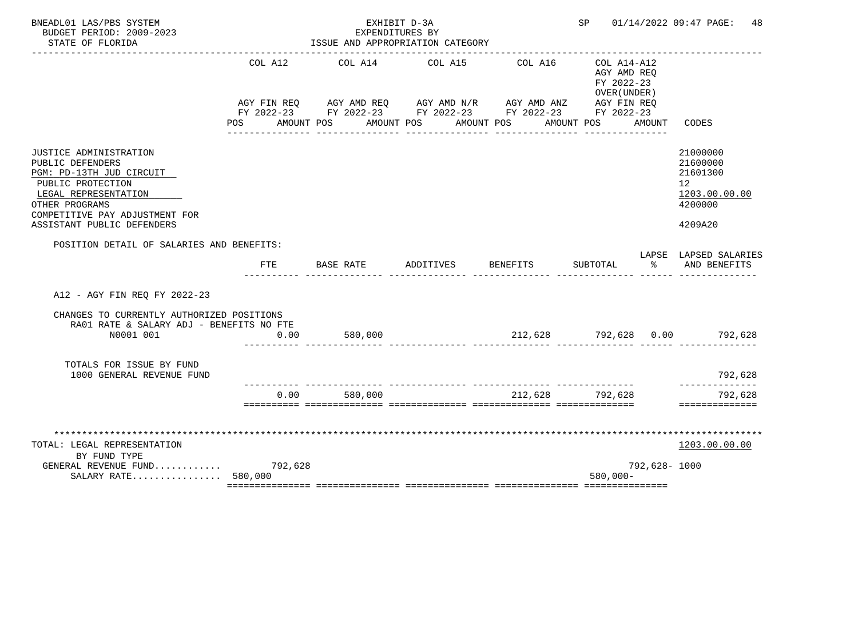| BNEADL01 LAS/PBS SYSTEM<br>BUDGET PERIOD: 2009-2023<br>STATE OF FLORIDA                                                                                                                               |                    | EXHIBIT D-3A<br>EXPENDITURES BY<br>ISSUE AND APPROPRIATION CATEGORY                                                                                       |           |                             | SP 01/14/2022 09:47 PAGE:<br>48                                        |              |                                                                               |
|-------------------------------------------------------------------------------------------------------------------------------------------------------------------------------------------------------|--------------------|-----------------------------------------------------------------------------------------------------------------------------------------------------------|-----------|-----------------------------|------------------------------------------------------------------------|--------------|-------------------------------------------------------------------------------|
|                                                                                                                                                                                                       | COL A12<br>POS FOR | COL A14<br>AGY FIN REQ AGY AMD REQ AGY AMD N/R AGY AMD ANZ AGY FIN REQ<br>FY 2022-23 FY 2022-23 FY 2022-23 FY 2022-23 FY 2022-23<br>AMOUNT POS AMOUNT POS | COL A15   | COL A16<br>AMOUNT POS       | COL A14-A12<br>AGY AMD REO<br>FY 2022-23<br>OVER (UNDER)<br>AMOUNT POS | AMOUNT       | CODES                                                                         |
| JUSTICE ADMINISTRATION<br>PUBLIC DEFENDERS<br>PGM: PD-13TH JUD CIRCUIT<br>PUBLIC PROTECTION<br>LEGAL REPRESENTATION<br>OTHER PROGRAMS<br>COMPETITIVE PAY ADJUSTMENT FOR<br>ASSISTANT PUBLIC DEFENDERS |                    |                                                                                                                                                           |           |                             |                                                                        |              | 21000000<br>21600000<br>21601300<br>12<br>1203.00.00.00<br>4200000<br>4209A20 |
| POSITION DETAIL OF SALARIES AND BENEFITS:                                                                                                                                                             | <b>FTE</b>         | BASE RATE                                                                                                                                                 | ADDITIVES | BENEFITS                    | SUBTOTAL                                                               | ွေ           | LAPSE LAPSED SALARIES<br>AND BENEFITS                                         |
| A12 - AGY FIN REO FY 2022-23                                                                                                                                                                          |                    |                                                                                                                                                           |           |                             |                                                                        |              |                                                                               |
| CHANGES TO CURRENTLY AUTHORIZED POSITIONS<br>RA01 RATE & SALARY ADJ - BENEFITS NO FTE<br>N0001 001                                                                                                    | 0.00               | 580,000                                                                                                                                                   |           |                             |                                                                        |              | $212,628$ $792,628$ $0.00$ $792,628$                                          |
| TOTALS FOR ISSUE BY FUND<br>1000 GENERAL REVENUE FUND                                                                                                                                                 |                    |                                                                                                                                                           |           |                             |                                                                        |              | 792,628                                                                       |
|                                                                                                                                                                                                       | 0.00               | 580,000                                                                                                                                                   |           | ___________________________ | 212,628 792,628                                                        |              | ---------<br>792,628<br>==============                                        |
| TOTAL: LEGAL REPRESENTATION<br>BY FUND TYPE<br>GENERAL REVENUE FUND 792,628<br>SALARY RATE 580,000                                                                                                    |                    |                                                                                                                                                           |           |                             | $580,000 -$                                                            | 792,628-1000 | ************<br>1203.00.00.00                                                 |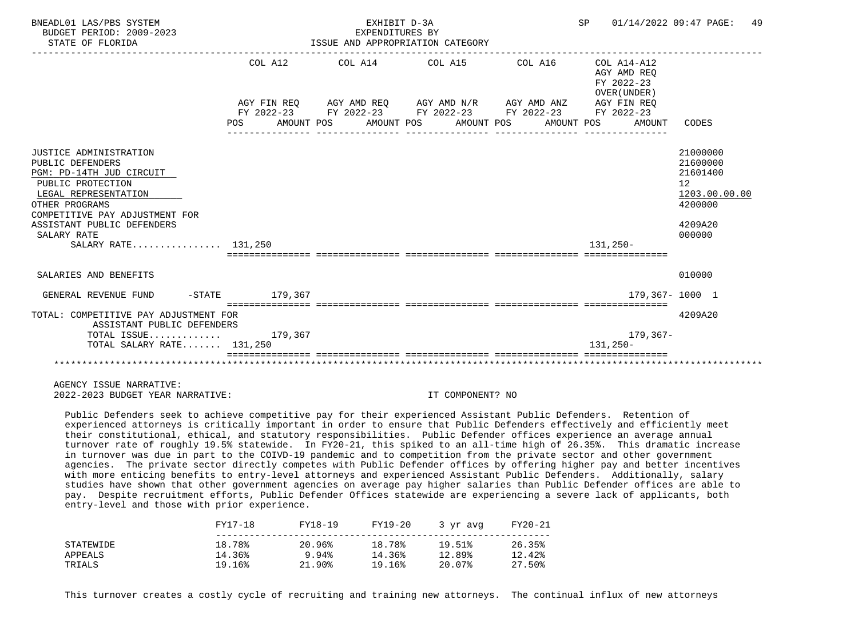| BNEADL01 LAS/PBS SYSTEM<br>BUDGET PERIOD: 2009-2023<br>STATE OF FLORIDA                                             |                                                            | EXHIBIT D-3A<br>EXPENDITURES BY | ISSUE AND APPROPRIATION CATEGORY                                                                                                                                     | SP 01/14/2022 09:47 PAGE:                           | 49                                                                   |
|---------------------------------------------------------------------------------------------------------------------|------------------------------------------------------------|---------------------------------|----------------------------------------------------------------------------------------------------------------------------------------------------------------------|-----------------------------------------------------|----------------------------------------------------------------------|
|                                                                                                                     | COL A12<br>POS AMOUNT POS AMOUNT POS AMOUNT POS AMOUNT POS |                                 | $COL A14$ $COL A15$ $COL A16$ $COL A14-A12$<br>AGY FIN REO AGY AMD REO AGY AMD N/R AGY AMD ANZ AGY FIN REO<br>FY 2022-23 FY 2022-23 FY 2022-23 FY 2022-23 FY 2022-23 | AGY AMD REO<br>FY 2022-23<br>OVER (UNDER)<br>AMOUNT | CODES                                                                |
|                                                                                                                     |                                                            |                                 |                                                                                                                                                                      |                                                     |                                                                      |
| JUSTICE ADMINISTRATION<br>PUBLIC DEFENDERS<br>PGM: PD-14TH JUD CIRCUIT<br>PUBLIC PROTECTION<br>LEGAL REPRESENTATION |                                                            |                                 |                                                                                                                                                                      |                                                     | 21000000<br>21600000<br>21601400<br>12 <sup>°</sup><br>1203.00.00.00 |
| OTHER PROGRAMS                                                                                                      |                                                            |                                 |                                                                                                                                                                      |                                                     | 4200000                                                              |
| COMPETITIVE PAY ADJUSTMENT FOR<br>ASSISTANT PUBLIC DEFENDERS<br>SALARY RATE                                         |                                                            |                                 |                                                                                                                                                                      |                                                     | 4209A20<br>000000                                                    |
| SALARY RATE 131,250                                                                                                 |                                                            |                                 |                                                                                                                                                                      | $131.250 -$                                         |                                                                      |
|                                                                                                                     |                                                            |                                 | sicicicicici intricticici intrictici interestici intricticiali interestici                                                                                           |                                                     |                                                                      |
| SALARIES AND BENEFITS                                                                                               |                                                            |                                 |                                                                                                                                                                      |                                                     | 010000                                                               |
| GENERAL REVENUE FUND                                                                                                | -STATE 179.367                                             |                                 |                                                                                                                                                                      |                                                     | 179.367-1000 1                                                       |
| TOTAL: COMPETITIVE PAY ADJUSTMENT FOR<br>ASSISTANT PUBLIC DEFENDERS                                                 |                                                            |                                 |                                                                                                                                                                      |                                                     | 4209A20                                                              |
| TOTAL ISSUE $179,367$<br>TOTAL SALARY RATE 131,250                                                                  |                                                            |                                 |                                                                                                                                                                      | 179,367-<br>$131.250 -$                             |                                                                      |
|                                                                                                                     |                                                            |                                 |                                                                                                                                                                      |                                                     |                                                                      |
|                                                                                                                     |                                                            |                                 |                                                                                                                                                                      |                                                     |                                                                      |
|                                                                                                                     |                                                            |                                 |                                                                                                                                                                      |                                                     |                                                                      |

 Public Defenders seek to achieve competitive pay for their experienced Assistant Public Defenders. Retention of experienced attorneys is critically important in order to ensure that Public Defenders effectively and efficiently meet their constitutional, ethical, and statutory responsibilities. Public Defender offices experience an average annual turnover rate of roughly 19.5% statewide. In FY20-21, this spiked to an all-time high of 26.35%. This dramatic increase in turnover was due in part to the COIVD-19 pandemic and to competition from the private sector and other government agencies. The private sector directly competes with Public Defender offices by offering higher pay and better incentives with more enticing benefits to entry-level attorneys and experienced Assistant Public Defenders. Additionally, salary studies have shown that other government agencies on average pay higher salaries than Public Defender offices are able to pay. Despite recruitment efforts, Public Defender Offices statewide are experiencing a severe lack of applicants, both entry-level and those with prior experience.

|           | FY17-18 | FY18-19 | FY19-20 | 3 vr avg | FY20-21 |
|-----------|---------|---------|---------|----------|---------|
| STATEWIDE | 18.78%  | 20.96%  | 18.78%  | 19.51%   | 26.35%  |
| APPEALS   | 14.36%  | 9.94%   | 14.36%  | 12.89%   | 12.42%  |
| TRIALS    | 19.16%  | 21.90%  | 19.16%  | 20.07%   | 27.50%  |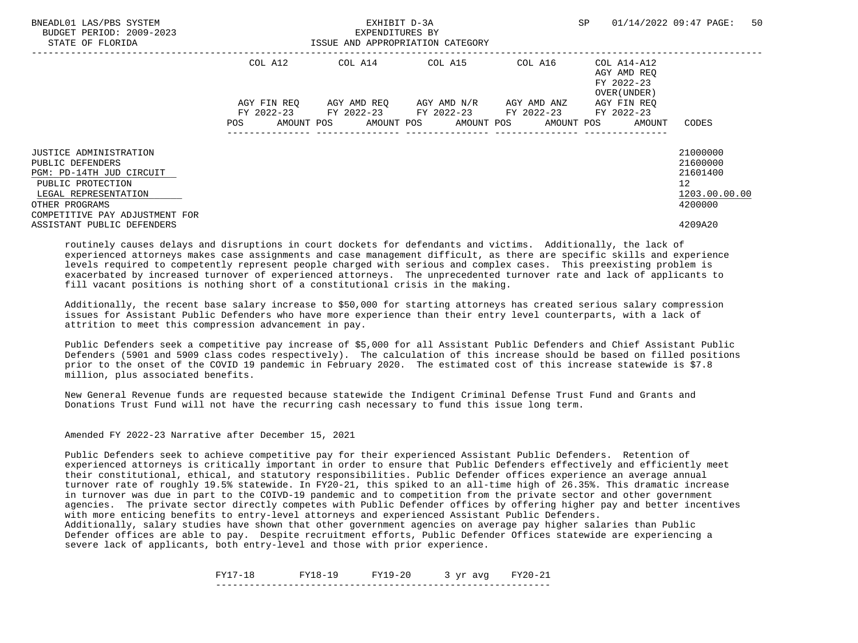| BNEADL01 LAS/PBS SYSTEM<br>BUDGET PERIOD: 2009-2023<br>STATE OF FLORIDA |             | EXHIBIT D-3A<br>EXPENDITURES BY<br>ISSUE AND APPROPRIATION CATEGORY |                                     | SP      | 50<br>01/14/2022 09:47 PAGE:                             |                      |
|-------------------------------------------------------------------------|-------------|---------------------------------------------------------------------|-------------------------------------|---------|----------------------------------------------------------|----------------------|
|                                                                         | COL A12     |                                                                     | COL A14 COL A15                     | COL A16 | COL A14-A12<br>AGY AMD REO<br>FY 2022-23<br>OVER (UNDER) |                      |
|                                                                         | AGY FIN REO | FY 2022-23 FY 2022-23 FY 2022-23 FY 2022-23                         | AGY AMD REO AGY AMD N/R AGY AMD ANZ |         | AGY FIN REO<br>FY 2022-23                                |                      |
|                                                                         | POS         | AMOUNT POS AMOUNT POS AMOUNT POS AMOUNT POS                         |                                     |         | AMOUNT                                                   | CODES                |
| <b>JUSTICE ADMINISTRATION</b><br>PUBLIC DEFENDERS                       |             |                                                                     |                                     |         |                                                          | 21000000<br>21600000 |
| PGM: PD-14TH JUD CIRCUIT                                                |             |                                                                     |                                     |         |                                                          | 21601400             |
| PUBLIC PROTECTION<br>LEGAL REPRESENTATION                               |             |                                                                     |                                     |         |                                                          | 12<br>1203.00.00.00  |
| OTHER PROGRAMS<br>COMPETITIVE PAY ADJUSTMENT FOR                        |             |                                                                     |                                     |         |                                                          | 4200000              |
| ASSISTANT PUBLIC DEFENDERS                                              |             |                                                                     |                                     |         |                                                          | 4209A20              |

 Additionally, the recent base salary increase to \$50,000 for starting attorneys has created serious salary compression issues for Assistant Public Defenders who have more experience than their entry level counterparts, with a lack of attrition to meet this compression advancement in pay.

 Public Defenders seek a competitive pay increase of \$5,000 for all Assistant Public Defenders and Chief Assistant Public Defenders (5901 and 5909 class codes respectively). The calculation of this increase should be based on filled positions prior to the onset of the COVID 19 pandemic in February 2020. The estimated cost of this increase statewide is \$7.8 million, plus associated benefits.

 New General Revenue funds are requested because statewide the Indigent Criminal Defense Trust Fund and Grants and Donations Trust Fund will not have the recurring cash necessary to fund this issue long term.

Amended FY 2022-23 Narrative after December 15, 2021

 Public Defenders seek to achieve competitive pay for their experienced Assistant Public Defenders. Retention of experienced attorneys is critically important in order to ensure that Public Defenders effectively and efficiently meet their constitutional, ethical, and statutory responsibilities. Public Defender offices experience an average annual turnover rate of roughly 19.5% statewide. In FY20-21, this spiked to an all-time high of 26.35%. This dramatic increase in turnover was due in part to the COIVD-19 pandemic and to competition from the private sector and other government agencies. The private sector directly competes with Public Defender offices by offering higher pay and better incentives with more enticing benefits to entry-level attorneys and experienced Assistant Public Defenders.

 Additionally, salary studies have shown that other government agencies on average pay higher salaries than Public Defender offices are able to pay. Despite recruitment efforts, Public Defender Offices statewide are experiencing a severe lack of applicants, both entry-level and those with prior experience.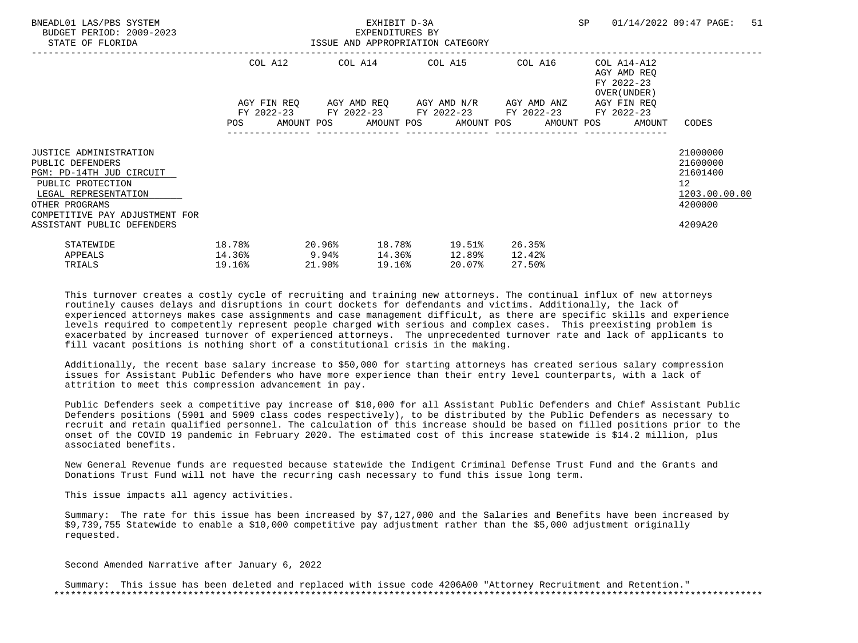| BNEADL01 LAS/PBS SYSTEM<br>BUDGET PERIOD: 2009-2023<br>STATE OF FLORIDA                                                                                                        | EXHIBIT D-3A<br>EXPENDITURES BY<br>ISSUE AND APPROPRIATION CATEGORY |  |        |  |        |                                                          |  |                            | SP 01/14/2022 09:47 PAGE:                                                | 51                                                     |                                                                    |  |
|--------------------------------------------------------------------------------------------------------------------------------------------------------------------------------|---------------------------------------------------------------------|--|--------|--|--------|----------------------------------------------------------|--|----------------------------|--------------------------------------------------------------------------|--------------------------------------------------------|--------------------------------------------------------------------|--|
|                                                                                                                                                                                | AGY FIN REQ      AGY AMD REQ      AGY AMD N/R      AGY AMD ANZ      |  |        |  |        | COL A12 COL A14 COL A15 COL A16                          |  |                            | COL A14-A12<br>AGY AMD REO<br>FY 2022-23<br>OVER (UNDER )<br>AGY FIN REO |                                                        |                                                                    |  |
|                                                                                                                                                                                |                                                                     |  |        |  |        | FY 2022-23 FY 2022-23 FY 2022-23 FY 2022-23 FY 2022-23   |  |                            |                                                                          | POS AMOUNT POS AMOUNT POS AMOUNT POS AMOUNT POS AMOUNT | CODES                                                              |  |
| <b>JUSTICE ADMINISTRATION</b><br>PUBLIC DEFENDERS<br>PGM: PD-14TH JUD CIRCUIT<br>PUBLIC PROTECTION<br>LEGAL REPRESENTATION<br>OTHER PROGRAMS<br>COMPETITIVE PAY ADJUSTMENT FOR |                                                                     |  |        |  |        |                                                          |  |                            |                                                                          |                                                        | 21000000<br>21600000<br>21601400<br>12<br>1203.00.00.00<br>4200000 |  |
| ASSISTANT PUBLIC DEFENDERS<br>STATEWIDE<br>APPEALS<br>TRIALS                                                                                                                   | 18.78%<br>$14.36\%$ 9.94%<br>19.16%                                 |  | 21.90% |  | 19.16% | $20.96$ % $18.78$ % $19.51$ %<br>14.36% 12.89%<br>20.07% |  | 26.35%<br>12.42%<br>27.50% |                                                                          |                                                        | 4209A20                                                            |  |

 Additionally, the recent base salary increase to \$50,000 for starting attorneys has created serious salary compression issues for Assistant Public Defenders who have more experience than their entry level counterparts, with a lack of attrition to meet this compression advancement in pay.

 Public Defenders seek a competitive pay increase of \$10,000 for all Assistant Public Defenders and Chief Assistant Public Defenders positions (5901 and 5909 class codes respectively), to be distributed by the Public Defenders as necessary to recruit and retain qualified personnel. The calculation of this increase should be based on filled positions prior to the onset of the COVID 19 pandemic in February 2020. The estimated cost of this increase statewide is \$14.2 million, plus associated benefits.

 New General Revenue funds are requested because statewide the Indigent Criminal Defense Trust Fund and the Grants and Donations Trust Fund will not have the recurring cash necessary to fund this issue long term.

This issue impacts all agency activities.

 Summary: The rate for this issue has been increased by \$7,127,000 and the Salaries and Benefits have been increased by \$9,739,755 Statewide to enable a \$10,000 competitive pay adjustment rather than the \$5,000 adjustment originally requested.

Second Amended Narrative after January 6, 2022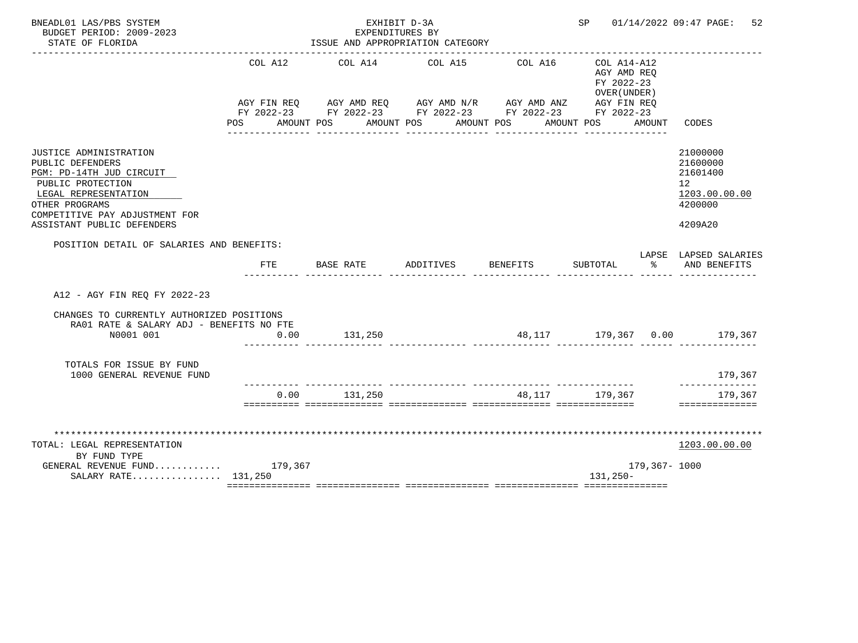| BNEADL01 LAS/PBS SYSTEM<br>BUDGET PERIOD: 2009-2023                                                                                                                                                   |                       | EXPENDITURES BY                                                                                                                                           | EXHIBIT D-3A |                                   | SP                                                       |               | 01/14/2022 09:47 PAGE:<br>52                                                  |
|-------------------------------------------------------------------------------------------------------------------------------------------------------------------------------------------------------|-----------------------|-----------------------------------------------------------------------------------------------------------------------------------------------------------|--------------|-----------------------------------|----------------------------------------------------------|---------------|-------------------------------------------------------------------------------|
| STATE OF FLORIDA                                                                                                                                                                                      |                       | ISSUE AND APPROPRIATION CATEGORY                                                                                                                          |              |                                   |                                                          |               |                                                                               |
|                                                                                                                                                                                                       | COL A12<br><b>POS</b> | COL A14<br>AGY FIN REQ AGY AMD REQ AGY AMD N/R AGY AMD ANZ AGY FIN REQ<br>FY 2022-23 FY 2022-23 FY 2022-23 FY 2022-23 FY 2022-23<br>AMOUNT POS AMOUNT POS | COL A15      | COL A16<br>AMOUNT POS AMOUNT POS  | COL A14-A12<br>AGY AMD REQ<br>FY 2022-23<br>OVER (UNDER) | AMOUNT        | CODES                                                                         |
| JUSTICE ADMINISTRATION<br>PUBLIC DEFENDERS<br>PGM: PD-14TH JUD CIRCUIT<br>PUBLIC PROTECTION<br>LEGAL REPRESENTATION<br>OTHER PROGRAMS<br>COMPETITIVE PAY ADJUSTMENT FOR<br>ASSISTANT PUBLIC DEFENDERS |                       |                                                                                                                                                           |              |                                   |                                                          |               | 21000000<br>21600000<br>21601400<br>12<br>1203.00.00.00<br>4200000<br>4209A20 |
| POSITION DETAIL OF SALARIES AND BENEFITS:                                                                                                                                                             | FTE                   | BASE RATE                                                                                                                                                 | ADDITIVES    | <b>BENEFITS</b>                   | SUBTOTAL                                                 | ႜೢ            | LAPSE LAPSED SALARIES<br>AND BENEFITS                                         |
| A12 - AGY FIN REO FY 2022-23                                                                                                                                                                          |                       |                                                                                                                                                           |              |                                   |                                                          |               |                                                                               |
| CHANGES TO CURRENTLY AUTHORIZED POSITIONS<br>RA01 RATE & SALARY ADJ - BENEFITS NO FTE<br>N0001 001                                                                                                    | 0.00                  | 131,250                                                                                                                                                   |              |                                   |                                                          |               | 48,117 179,367 0.00 179,367                                                   |
| TOTALS FOR ISSUE BY FUND<br>1000 GENERAL REVENUE FUND                                                                                                                                                 |                       |                                                                                                                                                           |              |                                   |                                                          |               | 179,367                                                                       |
|                                                                                                                                                                                                       | 0.00                  | 131,250                                                                                                                                                   |              | _________________________________ | 48,117 179,367                                           |               | ---------<br>179,367<br>==============                                        |
| TOTAL: LEGAL REPRESENTATION<br>BY FUND TYPE<br>GENERAL REVENUE FUND $179,367$                                                                                                                         |                       |                                                                                                                                                           |              |                                   |                                                          | 179,367- 1000 | 1203.00.00.00                                                                 |
| SALARY RATE 131,250                                                                                                                                                                                   |                       |                                                                                                                                                           |              |                                   | $131,250-$                                               |               |                                                                               |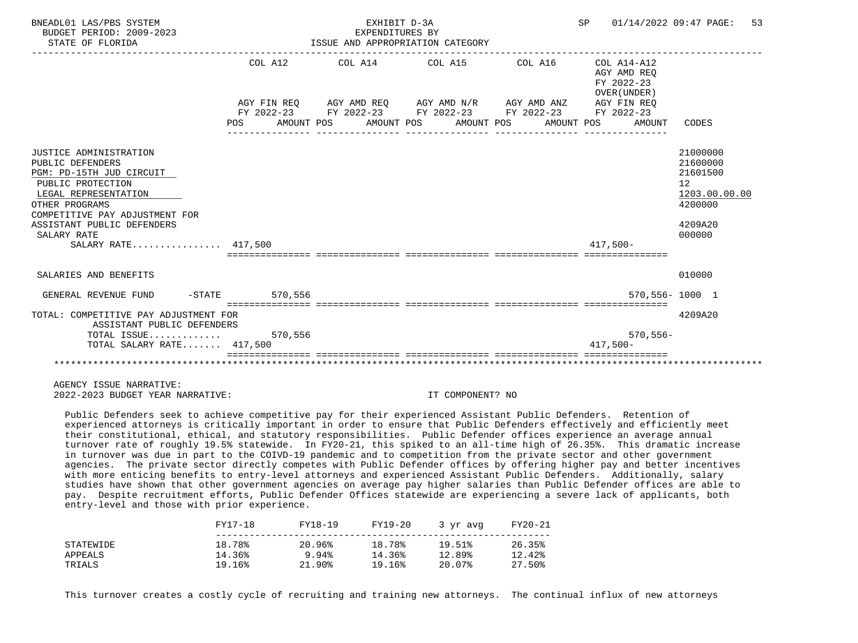| BNEADL01 LAS/PBS SYSTEM<br>BUDGET PERIOD: 2009-2023<br>STATE OF FLORIDA                                                                                                                                                                     |                                                            | EXHIBIT D-3A<br>EXPENDITURES BY | ISSUE AND APPROPRIATION CATEGORY                                                                                                                         | SP 01/14/2022 09:47 PAGE:                                                                 | 53                                                                                      |
|---------------------------------------------------------------------------------------------------------------------------------------------------------------------------------------------------------------------------------------------|------------------------------------------------------------|---------------------------------|----------------------------------------------------------------------------------------------------------------------------------------------------------|-------------------------------------------------------------------------------------------|-----------------------------------------------------------------------------------------|
|                                                                                                                                                                                                                                             | COL A12<br>POS AMOUNT POS AMOUNT POS AMOUNT POS AMOUNT POS |                                 | $COL A14$ $COL A15$ $COL A16$ $COL A14-A12$<br>AGY FIN REO AGY AMD REO AGY AMD N/R AGY AMD ANZ<br>FY 2022-23 FY 2022-23 FY 2022-23 FY 2022-23 FY 2022-23 | AGY AMD REO<br>FY 2022-23<br>OVER (UNDER)<br>AGY FIN REO<br>AMOUNT                        | CODES                                                                                   |
|                                                                                                                                                                                                                                             |                                                            |                                 |                                                                                                                                                          |                                                                                           |                                                                                         |
| JUSTICE ADMINISTRATION<br>PUBLIC DEFENDERS<br>PGM: PD-15TH JUD CIRCUIT<br>PUBLIC PROTECTION<br>LEGAL REPRESENTATION<br>OTHER PROGRAMS<br>COMPETITIVE PAY ADJUSTMENT FOR<br>ASSISTANT PUBLIC DEFENDERS<br>SALARY RATE<br>SALARY RATE 417.500 |                                                            |                                 |                                                                                                                                                          | $417.500 -$<br>sicicicicici intricticici intrictici interestici intricticiali interestici | 21000000<br>21600000<br>21601500<br>12<br>1203.00.00.00<br>4200000<br>4209A20<br>000000 |
| SALARIES AND BENEFITS                                                                                                                                                                                                                       |                                                            |                                 |                                                                                                                                                          |                                                                                           | 010000                                                                                  |
| GENERAL REVENUE FUND                                                                                                                                                                                                                        | -STATE 570,556                                             |                                 |                                                                                                                                                          |                                                                                           | 570,556-1000 1                                                                          |
| TOTAL: COMPETITIVE PAY ADJUSTMENT FOR<br>ASSISTANT PUBLIC DEFENDERS                                                                                                                                                                         |                                                            |                                 |                                                                                                                                                          |                                                                                           | 4209A20                                                                                 |
| TOTAL ISSUE $570,556$<br>TOTAL SALARY RATE 417,500                                                                                                                                                                                          |                                                            |                                 |                                                                                                                                                          | $570, 556 -$<br>$417,500-$                                                                |                                                                                         |
|                                                                                                                                                                                                                                             |                                                            |                                 |                                                                                                                                                          |                                                                                           |                                                                                         |

 Public Defenders seek to achieve competitive pay for their experienced Assistant Public Defenders. Retention of experienced attorneys is critically important in order to ensure that Public Defenders effectively and efficiently meet their constitutional, ethical, and statutory responsibilities. Public Defender offices experience an average annual turnover rate of roughly 19.5% statewide. In FY20-21, this spiked to an all-time high of 26.35%. This dramatic increase in turnover was due in part to the COIVD-19 pandemic and to competition from the private sector and other government agencies. The private sector directly competes with Public Defender offices by offering higher pay and better incentives with more enticing benefits to entry-level attorneys and experienced Assistant Public Defenders. Additionally, salary studies have shown that other government agencies on average pay higher salaries than Public Defender offices are able to pay. Despite recruitment efforts, Public Defender Offices statewide are experiencing a severe lack of applicants, both entry-level and those with prior experience.

|           | FY17-18 | FY18-19   | FY19-20 | 3 yr avg | FY20-21 |
|-----------|---------|-----------|---------|----------|---------|
| STATEWIDE | 18.78%  | 20.96%    | 18.78%  | 19.51%   | 26.35%  |
| APPEALS   | 14.36%  | 9.94%     | 14.36%  | 12.89%   | 12.42%  |
| TRIALS    | 19.16%  | $21.90\%$ | 19.16%  | 20.07%   | 27.50%  |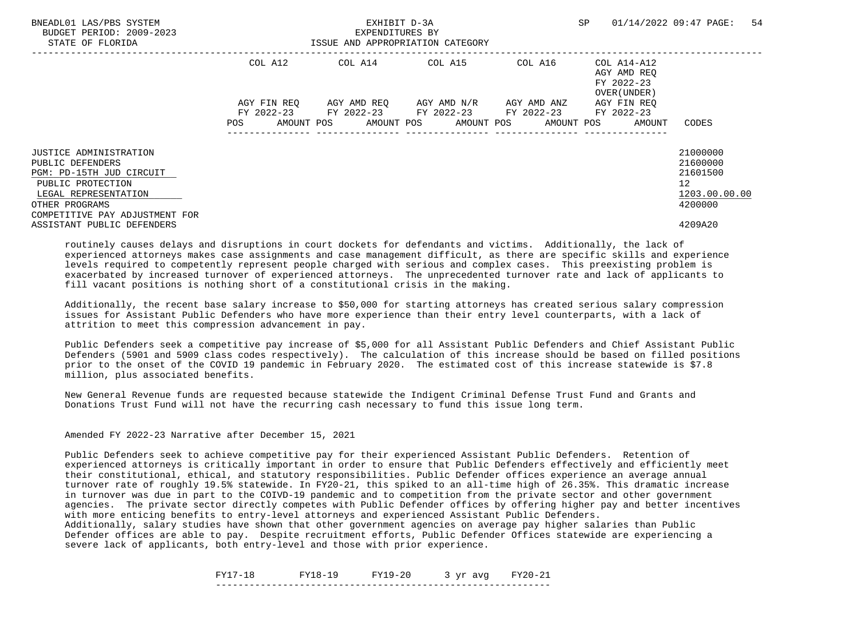| BNEADL01 LAS/PBS SYSTEM<br>BUDGET PERIOD: 2009-2023<br>STATE OF FLORIDA |             | EXHIBIT D-3A<br>EXPENDITURES BY<br>ISSUE AND APPROPRIATION CATEGORY |                                     | SP      | 54<br>01/14/2022 09:47 PAGE:                             |                      |
|-------------------------------------------------------------------------|-------------|---------------------------------------------------------------------|-------------------------------------|---------|----------------------------------------------------------|----------------------|
|                                                                         | COL A12     |                                                                     | COL A14 COL A15                     | COL A16 | COL A14-A12<br>AGY AMD REO<br>FY 2022-23<br>OVER (UNDER) |                      |
|                                                                         | AGY FIN REO | FY 2022-23 FY 2022-23 FY 2022-23 FY 2022-23                         | AGY AMD REO AGY AMD N/R AGY AMD ANZ |         | AGY FIN REO<br>FY 2022-23                                |                      |
|                                                                         | POS         | AMOUNT POS AMOUNT POS AMOUNT POS AMOUNT POS                         |                                     |         | AMOUNT                                                   | CODES                |
| <b>JUSTICE ADMINISTRATION</b><br>PUBLIC DEFENDERS                       |             |                                                                     |                                     |         |                                                          | 21000000<br>21600000 |
| PGM: PD-15TH JUD CIRCUIT                                                |             |                                                                     |                                     |         |                                                          | 21601500             |
| PUBLIC PROTECTION<br>LEGAL REPRESENTATION                               |             |                                                                     |                                     |         |                                                          | 12<br>1203.00.00.00  |
| OTHER PROGRAMS<br>COMPETITIVE PAY ADJUSTMENT FOR                        |             |                                                                     |                                     |         |                                                          | 4200000              |
| ASSISTANT PUBLIC DEFENDERS                                              |             |                                                                     |                                     |         |                                                          | 4209A20              |

 Additionally, the recent base salary increase to \$50,000 for starting attorneys has created serious salary compression issues for Assistant Public Defenders who have more experience than their entry level counterparts, with a lack of attrition to meet this compression advancement in pay.

 Public Defenders seek a competitive pay increase of \$5,000 for all Assistant Public Defenders and Chief Assistant Public Defenders (5901 and 5909 class codes respectively). The calculation of this increase should be based on filled positions prior to the onset of the COVID 19 pandemic in February 2020. The estimated cost of this increase statewide is \$7.8 million, plus associated benefits.

 New General Revenue funds are requested because statewide the Indigent Criminal Defense Trust Fund and Grants and Donations Trust Fund will not have the recurring cash necessary to fund this issue long term.

Amended FY 2022-23 Narrative after December 15, 2021

 Public Defenders seek to achieve competitive pay for their experienced Assistant Public Defenders. Retention of experienced attorneys is critically important in order to ensure that Public Defenders effectively and efficiently meet their constitutional, ethical, and statutory responsibilities. Public Defender offices experience an average annual turnover rate of roughly 19.5% statewide. In FY20-21, this spiked to an all-time high of 26.35%. This dramatic increase in turnover was due in part to the COIVD-19 pandemic and to competition from the private sector and other government agencies. The private sector directly competes with Public Defender offices by offering higher pay and better incentives with more enticing benefits to entry-level attorneys and experienced Assistant Public Defenders.

 Additionally, salary studies have shown that other government agencies on average pay higher salaries than Public Defender offices are able to pay. Despite recruitment efforts, Public Defender Offices statewide are experiencing a severe lack of applicants, both entry-level and those with prior experience.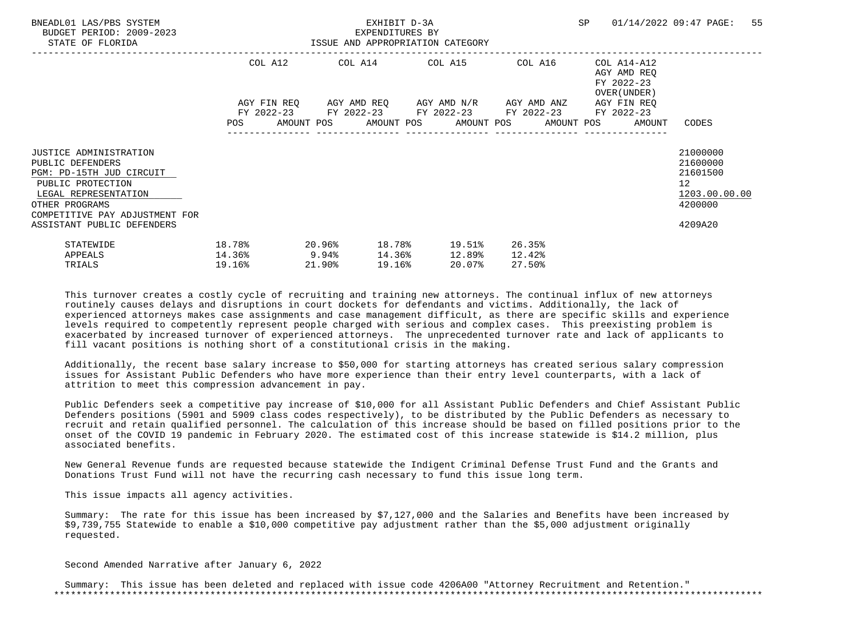| BNEADL01 LAS/PBS SYSTEM<br>BUDGET PERIOD: 2009-2023<br>STATE OF FLORIDA                                                                                                                                      | EXHIBIT D-3A<br>EXPENDITURES BY<br>ISSUE AND APPROPRIATION CATEGORY |  |        |  |        |                                                                                                                  |  |                            | SP 01/14/2022 09:47 PAGE:                                                | 55 |                                                                               |  |
|--------------------------------------------------------------------------------------------------------------------------------------------------------------------------------------------------------------|---------------------------------------------------------------------|--|--------|--|--------|------------------------------------------------------------------------------------------------------------------|--|----------------------------|--------------------------------------------------------------------------|----|-------------------------------------------------------------------------------|--|
|                                                                                                                                                                                                              | AGY FIN REQ      AGY AMD REQ      AGY AMD N/R      AGY AMD ANZ      |  |        |  |        | COL A12 COL A14 COL A15 COL A16                                                                                  |  |                            | COL A14-A12<br>AGY AMD REO<br>FY 2022-23<br>OVER (UNDER )<br>AGY FIN REO |    |                                                                               |  |
|                                                                                                                                                                                                              |                                                                     |  |        |  |        | FY 2022-23 FY 2022-23 FY 2022-23 FY 2022-23 FY 2022-23<br>POS AMOUNT POS AMOUNT POS AMOUNT POS AMOUNT POS AMOUNT |  |                            |                                                                          |    | CODES                                                                         |  |
| <b>JUSTICE ADMINISTRATION</b><br>PUBLIC DEFENDERS<br>PGM: PD-15TH JUD CIRCUIT<br>PUBLIC PROTECTION<br>LEGAL REPRESENTATION<br>OTHER PROGRAMS<br>COMPETITIVE PAY ADJUSTMENT FOR<br>ASSISTANT PUBLIC DEFENDERS |                                                                     |  |        |  |        |                                                                                                                  |  |                            |                                                                          |    | 21000000<br>21600000<br>21601500<br>12<br>1203.00.00.00<br>4200000<br>4209A20 |  |
| STATEWIDE<br>APPEALS<br>TRIALS                                                                                                                                                                               | 18.78%<br>$14.36\%$ 9.94%<br>19.16%                                 |  | 21.90% |  | 19.16% | $20.96$ <sup>8</sup> 18.78 <sup>8</sup> 19.51 <sup>8</sup><br>14.36% 12.89%<br>20.07%                            |  | 26.35%<br>12.42%<br>27.50% |                                                                          |    |                                                                               |  |

 Additionally, the recent base salary increase to \$50,000 for starting attorneys has created serious salary compression issues for Assistant Public Defenders who have more experience than their entry level counterparts, with a lack of attrition to meet this compression advancement in pay.

 Public Defenders seek a competitive pay increase of \$10,000 for all Assistant Public Defenders and Chief Assistant Public Defenders positions (5901 and 5909 class codes respectively), to be distributed by the Public Defenders as necessary to recruit and retain qualified personnel. The calculation of this increase should be based on filled positions prior to the onset of the COVID 19 pandemic in February 2020. The estimated cost of this increase statewide is \$14.2 million, plus associated benefits.

 New General Revenue funds are requested because statewide the Indigent Criminal Defense Trust Fund and the Grants and Donations Trust Fund will not have the recurring cash necessary to fund this issue long term.

This issue impacts all agency activities.

 Summary: The rate for this issue has been increased by \$7,127,000 and the Salaries and Benefits have been increased by \$9,739,755 Statewide to enable a \$10,000 competitive pay adjustment rather than the \$5,000 adjustment originally requested.

Second Amended Narrative after January 6, 2022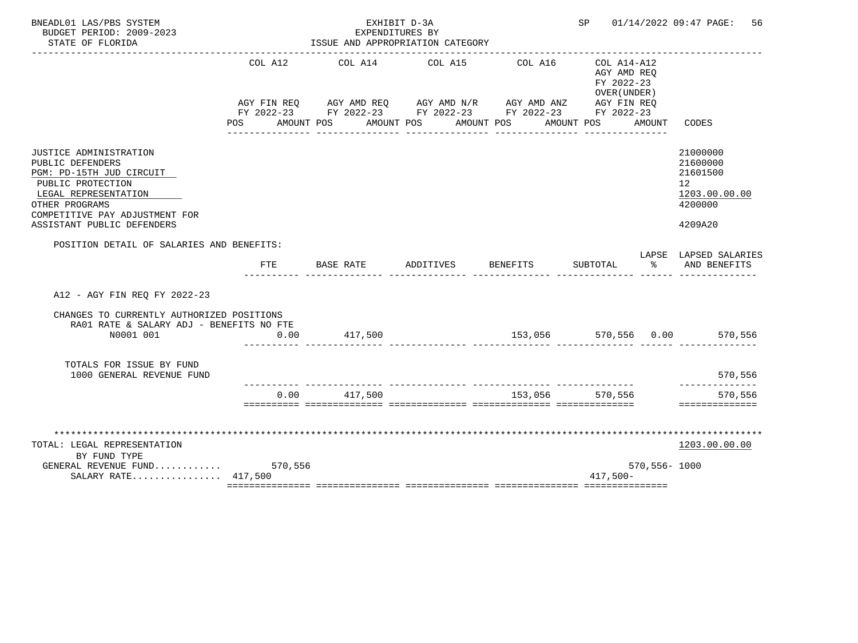| BNEADL01 LAS/PBS SYSTEM<br>BUDGET PERIOD: 2009-2023<br>STATE OF FLORIDA                                                                                                                               |                    | EXHIBIT D-3A<br>EXPENDITURES BY<br>ISSUE AND APPROPRIATION CATEGORY                                                                                                  |           | SP              |                                                                            | 01/14/2022 09:47 PAGE:<br>56 |                                                                               |
|-------------------------------------------------------------------------------------------------------------------------------------------------------------------------------------------------------|--------------------|----------------------------------------------------------------------------------------------------------------------------------------------------------------------|-----------|-----------------|----------------------------------------------------------------------------|------------------------------|-------------------------------------------------------------------------------|
|                                                                                                                                                                                                       | COL A12<br>POS FOR | COL A14<br>AGY FIN REQ AGY AMD REQ AGY AMD N/R AGY AMD ANZ AGY FIN REQ<br>FY 2022-23 FY 2022-23 FY 2022-23 FY 2022-23 FY 2022-23<br>AMOUNT POS AMOUNT POS AMOUNT POS | COL A15   | COL A16         | $COL A14 - A12$<br>AGY AMD REQ<br>FY 2022-23<br>OVER (UNDER)<br>AMOUNT POS | AMOUNT                       | CODES                                                                         |
| JUSTICE ADMINISTRATION<br>PUBLIC DEFENDERS<br>PGM: PD-15TH JUD CIRCUIT<br>PUBLIC PROTECTION<br>LEGAL REPRESENTATION<br>OTHER PROGRAMS<br>COMPETITIVE PAY ADJUSTMENT FOR<br>ASSISTANT PUBLIC DEFENDERS |                    |                                                                                                                                                                      |           |                 |                                                                            |                              | 21000000<br>21600000<br>21601500<br>12<br>1203.00.00.00<br>4200000<br>4209A20 |
| POSITION DETAIL OF SALARIES AND BENEFITS:                                                                                                                                                             | FTE                | BASE RATE                                                                                                                                                            | ADDITIVES | <b>BENEFITS</b> | SUBTOTAL                                                                   | ႜೢ                           | LAPSE LAPSED SALARIES<br>AND BENEFITS                                         |
| A12 - AGY FIN REQ FY 2022-23                                                                                                                                                                          |                    |                                                                                                                                                                      |           |                 |                                                                            |                              |                                                                               |
| CHANGES TO CURRENTLY AUTHORIZED POSITIONS<br>RA01 RATE & SALARY ADJ - BENEFITS NO FTE<br>N0001 001                                                                                                    | 0.00               | 417,500                                                                                                                                                              |           |                 |                                                                            |                              | 153,056 570,556 0.00 570,556                                                  |
| TOTALS FOR ISSUE BY FUND<br>1000 GENERAL REVENUE FUND                                                                                                                                                 |                    |                                                                                                                                                                      |           |                 |                                                                            |                              | 570,556                                                                       |
|                                                                                                                                                                                                       | 0.00               | 417,500                                                                                                                                                              |           | 153,056         | 570,556                                                                    |                              | -------<br>570,556<br>==============                                          |
| TOTAL: LEGAL REPRESENTATION<br>BY FUND TYPE<br>GENERAL REVENUE FUND $570,556$                                                                                                                         |                    |                                                                                                                                                                      |           |                 |                                                                            | 570,556-1000                 | 1203.00.00.00                                                                 |
| SALARY RATE 417,500                                                                                                                                                                                   |                    |                                                                                                                                                                      |           |                 | $417,500-$                                                                 |                              |                                                                               |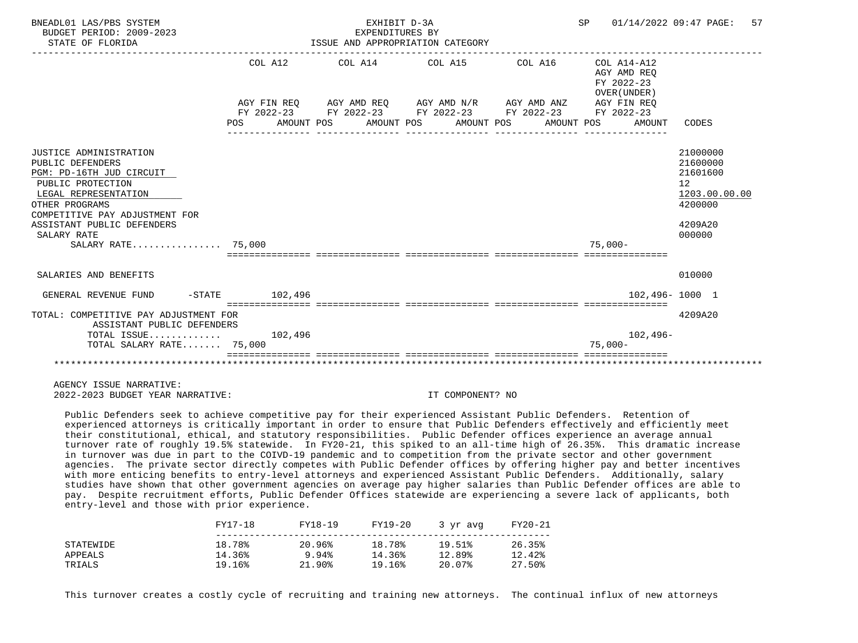| BNEADL01 LAS/PBS SYSTEM<br>BUDGET PERIOD: 2009-2023<br>STATE OF FLORIDA                                                                                                                                              |         | EXHIBIT D-3A<br>EXPENDITURES BY<br>ISSUE AND APPROPRIATION CATEGORY                                                                                                         |  | SP 01/14/2022 09:47 PAGE:                                          | 57                                                                                      |
|----------------------------------------------------------------------------------------------------------------------------------------------------------------------------------------------------------------------|---------|-----------------------------------------------------------------------------------------------------------------------------------------------------------------------------|--|--------------------------------------------------------------------|-----------------------------------------------------------------------------------------|
|                                                                                                                                                                                                                      | COL A12 | AGY FIN REQ      AGY AMD REQ      AGY AMD N/R      AGY AMD ANZ<br>FY 2022-23 FY 2022-23 FY 2022-23 FY 2022-23 FY 2022-23<br>POS AMOUNT POS AMOUNT POS AMOUNT POS AMOUNT POS |  | AGY AMD REO<br>FY 2022-23<br>OVER (UNDER)<br>AGY FIN REO<br>AMOUNT | CODES                                                                                   |
|                                                                                                                                                                                                                      |         |                                                                                                                                                                             |  |                                                                    |                                                                                         |
| JUSTICE ADMINISTRATION<br>PUBLIC DEFENDERS<br>PGM: PD-16TH JUD CIRCUIT<br>PUBLIC PROTECTION<br>LEGAL REPRESENTATION<br>OTHER PROGRAMS<br>COMPETITIVE PAY ADJUSTMENT FOR<br>ASSISTANT PUBLIC DEFENDERS<br>SALARY RATE |         |                                                                                                                                                                             |  |                                                                    | 21000000<br>21600000<br>21601600<br>12<br>1203.00.00.00<br>4200000<br>4209A20<br>000000 |
| SALARY RATE 75,000                                                                                                                                                                                                   |         |                                                                                                                                                                             |  | $75.000 -$                                                         |                                                                                         |
|                                                                                                                                                                                                                      |         |                                                                                                                                                                             |  |                                                                    |                                                                                         |
| SALARIES AND BENEFITS                                                                                                                                                                                                |         |                                                                                                                                                                             |  |                                                                    | 010000                                                                                  |
| GENERAL REVENUE FUND -STATE 102,496                                                                                                                                                                                  |         |                                                                                                                                                                             |  |                                                                    | 102,496-1000 1                                                                          |
| TOTAL: COMPETITIVE PAY ADJUSTMENT FOR<br>ASSISTANT PUBLIC DEFENDERS                                                                                                                                                  |         |                                                                                                                                                                             |  |                                                                    | 4209A20                                                                                 |
| TOTAL ISSUE $102,496$                                                                                                                                                                                                |         |                                                                                                                                                                             |  | $102,496-$                                                         |                                                                                         |
| TOTAL SALARY RATE 75,000                                                                                                                                                                                             |         |                                                                                                                                                                             |  | $75.000 -$                                                         |                                                                                         |
|                                                                                                                                                                                                                      |         |                                                                                                                                                                             |  |                                                                    |                                                                                         |

 Public Defenders seek to achieve competitive pay for their experienced Assistant Public Defenders. Retention of experienced attorneys is critically important in order to ensure that Public Defenders effectively and efficiently meet their constitutional, ethical, and statutory responsibilities. Public Defender offices experience an average annual turnover rate of roughly 19.5% statewide. In FY20-21, this spiked to an all-time high of 26.35%. This dramatic increase in turnover was due in part to the COIVD-19 pandemic and to competition from the private sector and other government agencies. The private sector directly competes with Public Defender offices by offering higher pay and better incentives with more enticing benefits to entry-level attorneys and experienced Assistant Public Defenders. Additionally, salary studies have shown that other government agencies on average pay higher salaries than Public Defender offices are able to pay. Despite recruitment efforts, Public Defender Offices statewide are experiencing a severe lack of applicants, both entry-level and those with prior experience.

|           | FY17-18 | FY18-19   | FY19-20 | 3 yr avg | FY20-21 |
|-----------|---------|-----------|---------|----------|---------|
| STATEWIDE | 18.78%  | 20.96%    | 18.78%  | 19.51%   | 26.35%  |
| APPEALS   | 14.36%  | 9.94%     | 14.36%  | 12.89%   | 12.42%  |
| TRIALS    | 19.16%  | $21.90\%$ | 19.16%  | 20.07%   | 27.50%  |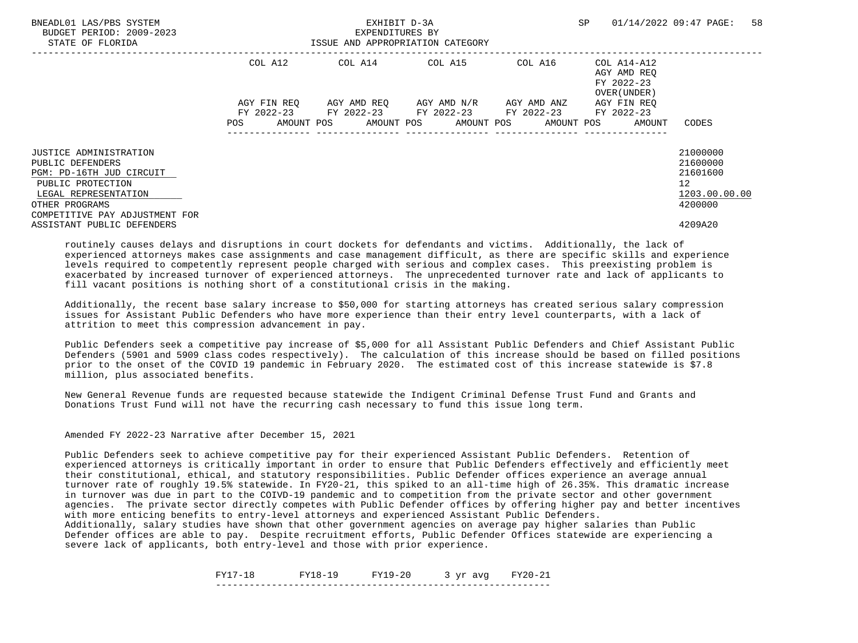| BNEADL01 LAS/PBS SYSTEM<br>BUDGET PERIOD: 2009-2023<br>STATE OF FLORIDA |             | EXHIBIT D-3A<br>EXPENDITURES BY<br>ISSUE AND APPROPRIATION CATEGORY | SP                                  | 58<br>01/14/2022 09:47 PAGE: |                                                          |                      |
|-------------------------------------------------------------------------|-------------|---------------------------------------------------------------------|-------------------------------------|------------------------------|----------------------------------------------------------|----------------------|
|                                                                         | COL A12     |                                                                     | COL A14 COL A15                     | COL A16                      | COL A14-A12<br>AGY AMD REO<br>FY 2022-23<br>OVER (UNDER) |                      |
|                                                                         | AGY FIN REO | FY 2022-23 FY 2022-23 FY 2022-23 FY 2022-23                         | AGY AMD REO AGY AMD N/R AGY AMD ANZ |                              | AGY FIN REO<br>FY 2022-23                                |                      |
|                                                                         | POS         | AMOUNT POS AMOUNT POS AMOUNT POS AMOUNT POS                         |                                     |                              | AMOUNT                                                   | CODES                |
| <b>JUSTICE ADMINISTRATION</b><br>PUBLIC DEFENDERS                       |             |                                                                     |                                     |                              |                                                          | 21000000<br>21600000 |
| PGM: PD-16TH JUD CIRCUIT                                                |             |                                                                     |                                     |                              |                                                          | 21601600             |
| PUBLIC PROTECTION<br>LEGAL REPRESENTATION                               |             |                                                                     |                                     |                              |                                                          | 12<br>1203.00.00.00  |
| OTHER PROGRAMS<br>COMPETITIVE PAY ADJUSTMENT FOR                        |             |                                                                     |                                     |                              |                                                          | 4200000              |
| ASSISTANT PUBLIC DEFENDERS                                              |             |                                                                     |                                     |                              |                                                          | 4209A20              |

 Additionally, the recent base salary increase to \$50,000 for starting attorneys has created serious salary compression issues for Assistant Public Defenders who have more experience than their entry level counterparts, with a lack of attrition to meet this compression advancement in pay.

 Public Defenders seek a competitive pay increase of \$5,000 for all Assistant Public Defenders and Chief Assistant Public Defenders (5901 and 5909 class codes respectively). The calculation of this increase should be based on filled positions prior to the onset of the COVID 19 pandemic in February 2020. The estimated cost of this increase statewide is \$7.8 million, plus associated benefits.

 New General Revenue funds are requested because statewide the Indigent Criminal Defense Trust Fund and Grants and Donations Trust Fund will not have the recurring cash necessary to fund this issue long term.

Amended FY 2022-23 Narrative after December 15, 2021

 Public Defenders seek to achieve competitive pay for their experienced Assistant Public Defenders. Retention of experienced attorneys is critically important in order to ensure that Public Defenders effectively and efficiently meet their constitutional, ethical, and statutory responsibilities. Public Defender offices experience an average annual turnover rate of roughly 19.5% statewide. In FY20-21, this spiked to an all-time high of 26.35%. This dramatic increase in turnover was due in part to the COIVD-19 pandemic and to competition from the private sector and other government agencies. The private sector directly competes with Public Defender offices by offering higher pay and better incentives with more enticing benefits to entry-level attorneys and experienced Assistant Public Defenders.

 Additionally, salary studies have shown that other government agencies on average pay higher salaries than Public Defender offices are able to pay. Despite recruitment efforts, Public Defender Offices statewide are experiencing a severe lack of applicants, both entry-level and those with prior experience.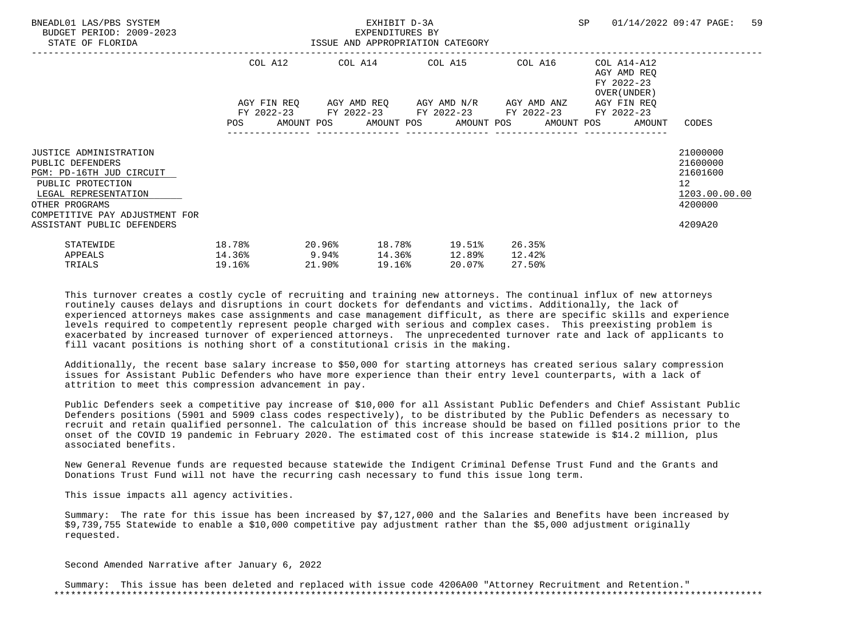| BNEADL01 LAS/PBS SYSTEM<br>BUDGET PERIOD: 2009-2023<br>STATE OF FLORIDA                                                                                                        | ISSUE AND APPROPRIATION CATEGORY    |        | EXHIBIT D-3A<br>EXPENDITURES BY |        |                                                                                                                  |                            |                                                                          | SP 01/14/2022 09:47 PAGE:                                          | 59 |
|--------------------------------------------------------------------------------------------------------------------------------------------------------------------------------|-------------------------------------|--------|---------------------------------|--------|------------------------------------------------------------------------------------------------------------------|----------------------------|--------------------------------------------------------------------------|--------------------------------------------------------------------|----|
|                                                                                                                                                                                |                                     |        |                                 |        | COL A12 COL A14 COL A15 COL A16<br>AGY FIN REQ      AGY AMD REQ      AGY AMD N/R      AGY AMD ANZ                |                            | COL A14-A12<br>AGY AMD REO<br>FY 2022-23<br>OVER (UNDER )<br>AGY FIN REO |                                                                    |    |
|                                                                                                                                                                                |                                     |        |                                 |        | FY 2022-23 FY 2022-23 FY 2022-23 FY 2022-23 FY 2022-23<br>POS AMOUNT POS AMOUNT POS AMOUNT POS AMOUNT POS AMOUNT |                            |                                                                          | CODES                                                              |    |
| <b>JUSTICE ADMINISTRATION</b><br>PUBLIC DEFENDERS<br>PGM: PD-16TH JUD CIRCUIT<br>PUBLIC PROTECTION<br>LEGAL REPRESENTATION<br>OTHER PROGRAMS<br>COMPETITIVE PAY ADJUSTMENT FOR |                                     |        |                                 |        |                                                                                                                  |                            |                                                                          | 21000000<br>21600000<br>21601600<br>12<br>1203.00.00.00<br>4200000 |    |
| ASSISTANT PUBLIC DEFENDERS<br>STATEWIDE<br>APPEALS<br>TRIALS                                                                                                                   | 18.78%<br>$14.36\%$ 9.94%<br>19.16% | 21.90% |                                 | 19.16% | $20.96$ % $18.78$ % $19.51$ %<br>14.36% 12.89%<br>20.07%                                                         | 26.35%<br>12.42%<br>27.50% |                                                                          | 4209A20                                                            |    |

 Additionally, the recent base salary increase to \$50,000 for starting attorneys has created serious salary compression issues for Assistant Public Defenders who have more experience than their entry level counterparts, with a lack of attrition to meet this compression advancement in pay.

 Public Defenders seek a competitive pay increase of \$10,000 for all Assistant Public Defenders and Chief Assistant Public Defenders positions (5901 and 5909 class codes respectively), to be distributed by the Public Defenders as necessary to recruit and retain qualified personnel. The calculation of this increase should be based on filled positions prior to the onset of the COVID 19 pandemic in February 2020. The estimated cost of this increase statewide is \$14.2 million, plus associated benefits.

 New General Revenue funds are requested because statewide the Indigent Criminal Defense Trust Fund and the Grants and Donations Trust Fund will not have the recurring cash necessary to fund this issue long term.

This issue impacts all agency activities.

 Summary: The rate for this issue has been increased by \$7,127,000 and the Salaries and Benefits have been increased by \$9,739,755 Statewide to enable a \$10,000 competitive pay adjustment rather than the \$5,000 adjustment originally requested.

Second Amended Narrative after January 6, 2022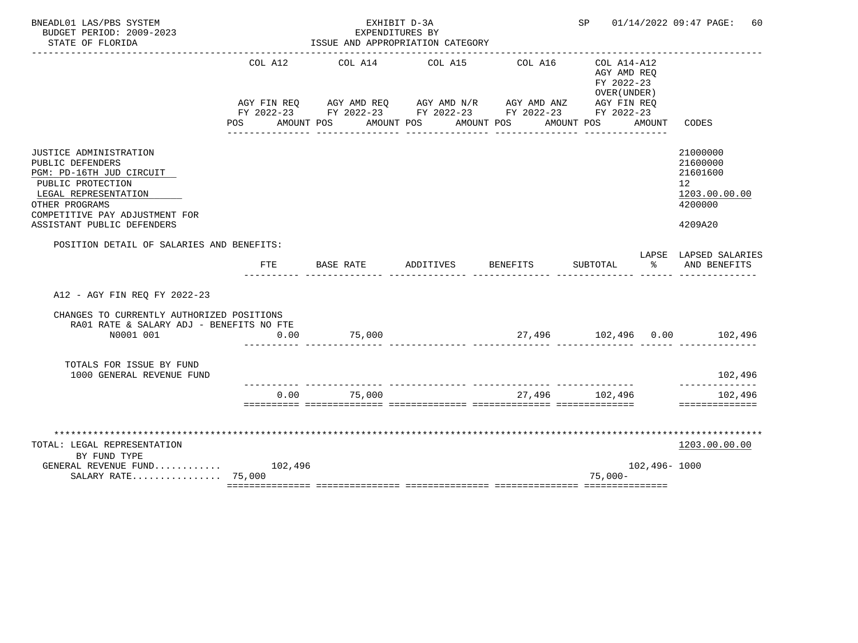| BNEADL01 LAS/PBS SYSTEM<br>BUDGET PERIOD: 2009-2023<br>STATE OF FLORIDA                                                                                                                               | ISSUE AND APPROPRIATION CATEGORY |                                                                                                                                                                      | SP        |          | 01/14/2022 09:47 PAGE:<br>60                                               |              |                                                                               |
|-------------------------------------------------------------------------------------------------------------------------------------------------------------------------------------------------------|----------------------------------|----------------------------------------------------------------------------------------------------------------------------------------------------------------------|-----------|----------|----------------------------------------------------------------------------|--------------|-------------------------------------------------------------------------------|
|                                                                                                                                                                                                       | COL A12<br><b>POS</b>            | COL A14<br>AGY FIN REQ AGY AMD REQ AGY AMD N/R AGY AMD ANZ AGY FIN REQ<br>FY 2022-23 FY 2022-23 FY 2022-23 FY 2022-23 FY 2022-23<br>AMOUNT POS AMOUNT POS AMOUNT POS | COL A15   | COL A16  | $COL A14 - A12$<br>AGY AMD REQ<br>FY 2022-23<br>OVER (UNDER)<br>AMOUNT POS | AMOUNT       | CODES                                                                         |
| JUSTICE ADMINISTRATION<br>PUBLIC DEFENDERS<br>PGM: PD-16TH JUD CIRCUIT<br>PUBLIC PROTECTION<br>LEGAL REPRESENTATION<br>OTHER PROGRAMS<br>COMPETITIVE PAY ADJUSTMENT FOR<br>ASSISTANT PUBLIC DEFENDERS |                                  |                                                                                                                                                                      |           |          |                                                                            |              | 21000000<br>21600000<br>21601600<br>12<br>1203.00.00.00<br>4200000<br>4209A20 |
| POSITION DETAIL OF SALARIES AND BENEFITS:                                                                                                                                                             | <b>FTE</b>                       | BASE RATE                                                                                                                                                            | ADDITIVES | BENEFITS | SUBTOTAL                                                                   | °≈           | LAPSE LAPSED SALARIES<br>AND BENEFITS                                         |
| A12 - AGY FIN REQ FY 2022-23                                                                                                                                                                          |                                  |                                                                                                                                                                      |           |          |                                                                            |              |                                                                               |
| CHANGES TO CURRENTLY AUTHORIZED POSITIONS<br>RA01 RATE & SALARY ADJ - BENEFITS NO FTE<br>N0001 001                                                                                                    | 0.00                             | 75,000                                                                                                                                                               |           |          |                                                                            |              |                                                                               |
| TOTALS FOR ISSUE BY FUND<br>1000 GENERAL REVENUE FUND                                                                                                                                                 |                                  |                                                                                                                                                                      |           |          |                                                                            |              | 102,496                                                                       |
|                                                                                                                                                                                                       | 0.00                             | 75,000                                                                                                                                                               |           |          | 27,496 102,496                                                             |              | ---------<br>102,496<br>==============                                        |
| TOTAL: LEGAL REPRESENTATION<br>BY FUND TYPE<br>GENERAL REVENUE FUND $102,496$<br>SALARY RATE 75,000                                                                                                   |                                  |                                                                                                                                                                      |           |          | $75,000-$                                                                  | 102,496-1000 | 1203.00.00.00                                                                 |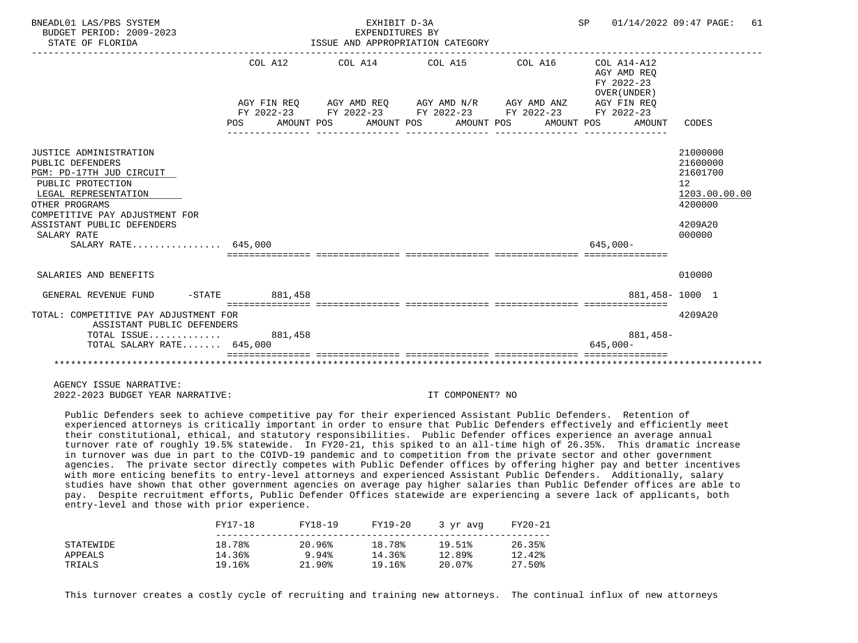| BNEADL01 LAS/PBS SYSTEM<br>BUDGET PERIOD: 2009-2023<br>STATE OF FLORIDA                                                                                                                                                                     |         | EXHIBIT D-3A<br>EXPENDITURES BY | ISSUE AND APPROPRIATION CATEGORY                                                                                                                                                                                    | SP 01/14/2022 09:47 PAGE:                           | 61                                                                                                   |
|---------------------------------------------------------------------------------------------------------------------------------------------------------------------------------------------------------------------------------------------|---------|---------------------------------|---------------------------------------------------------------------------------------------------------------------------------------------------------------------------------------------------------------------|-----------------------------------------------------|------------------------------------------------------------------------------------------------------|
|                                                                                                                                                                                                                                             | POS FOR |                                 | COL A12 COL A14 COL A15 COL A16 COL A14-A12<br>AGY FIN REO AGY AMD REO AGY AMD N/R AGY AMD ANZ AGY FIN REO<br>FY 2022-23 FY 2022-23 FY 2022-23 FY 2022-23 FY 2022-23<br>AMOUNT POS AMOUNT POS AMOUNT POS AMOUNT POS | AGY AMD REO<br>FY 2022-23<br>OVER (UNDER)<br>AMOUNT | CODES                                                                                                |
| JUSTICE ADMINISTRATION<br>PUBLIC DEFENDERS<br>PGM: PD-17TH JUD CIRCUIT<br>PUBLIC PROTECTION<br>LEGAL REPRESENTATION<br>OTHER PROGRAMS<br>COMPETITIVE PAY ADJUSTMENT FOR<br>ASSISTANT PUBLIC DEFENDERS<br>SALARY RATE<br>SALARY RATE 645,000 |         |                                 |                                                                                                                                                                                                                     | $645.000 -$                                         | 21000000<br>21600000<br>21601700<br>12 <sup>°</sup><br>1203.00.00.00<br>4200000<br>4209A20<br>000000 |
| SALARIES AND BENEFITS                                                                                                                                                                                                                       |         |                                 |                                                                                                                                                                                                                     |                                                     | 010000                                                                                               |
| GENERAL REVENUE FUND -STATE 681,458                                                                                                                                                                                                         |         |                                 |                                                                                                                                                                                                                     |                                                     | 881.458-1000 1                                                                                       |
| TOTAL: COMPETITIVE PAY ADJUSTMENT FOR<br>ASSISTANT PUBLIC DEFENDERS<br>TOTAL ISSUE 881,458<br>TOTAL SALARY RATE 645,000                                                                                                                     |         |                                 |                                                                                                                                                                                                                     | 881,458-<br>$645.000 -$                             | 4209A20                                                                                              |
|                                                                                                                                                                                                                                             |         |                                 |                                                                                                                                                                                                                     |                                                     |                                                                                                      |

 Public Defenders seek to achieve competitive pay for their experienced Assistant Public Defenders. Retention of experienced attorneys is critically important in order to ensure that Public Defenders effectively and efficiently meet their constitutional, ethical, and statutory responsibilities. Public Defender offices experience an average annual turnover rate of roughly 19.5% statewide. In FY20-21, this spiked to an all-time high of 26.35%. This dramatic increase in turnover was due in part to the COIVD-19 pandemic and to competition from the private sector and other government agencies. The private sector directly competes with Public Defender offices by offering higher pay and better incentives with more enticing benefits to entry-level attorneys and experienced Assistant Public Defenders. Additionally, salary studies have shown that other government agencies on average pay higher salaries than Public Defender offices are able to pay. Despite recruitment efforts, Public Defender Offices statewide are experiencing a severe lack of applicants, both entry-level and those with prior experience.

|           | FY17-18 | FY18-19   | FY19-20 | 3 yr avg | FY20-21 |
|-----------|---------|-----------|---------|----------|---------|
| STATEWIDE | 18.78%  | 20.96%    | 18.78%  | 19.51%   | 26.35%  |
| APPEALS   | 14.36%  | 9.94%     | 14.36%  | 12.89%   | 12.42%  |
| TRIALS    | 19.16%  | $21.90\%$ | 19.16%  | 20.07%   | 27.50%  |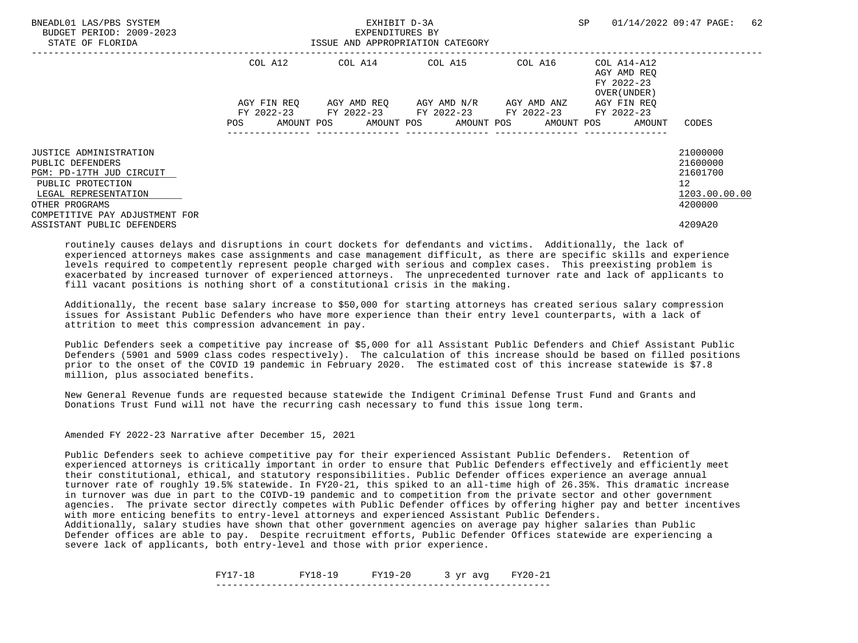| BNEADL01 LAS/PBS SYSTEM<br>BUDGET PERIOD: 2009-2023<br>STATE OF FLORIDA |             | EXHIBIT D-3A<br>EXPENDITURES BY<br>ISSUE AND APPROPRIATION CATEGORY |                                     | SP      | 62<br>01/14/2022 09:47 PAGE:                             |                      |
|-------------------------------------------------------------------------|-------------|---------------------------------------------------------------------|-------------------------------------|---------|----------------------------------------------------------|----------------------|
|                                                                         | COL A12     |                                                                     | COL A14 COL A15                     | COL A16 | COL A14-A12<br>AGY AMD REO<br>FY 2022-23<br>OVER (UNDER) |                      |
|                                                                         | AGY FIN REO | FY 2022-23 FY 2022-23 FY 2022-23 FY 2022-23                         | AGY AMD REO AGY AMD N/R AGY AMD ANZ |         | AGY FIN REO<br>FY 2022-23                                |                      |
|                                                                         | POS         | AMOUNT POS AMOUNT POS AMOUNT POS AMOUNT POS                         |                                     |         | AMOUNT                                                   | CODES                |
| <b>JUSTICE ADMINISTRATION</b><br>PUBLIC DEFENDERS                       |             |                                                                     |                                     |         |                                                          | 21000000<br>21600000 |
| PGM: PD-17TH JUD CIRCUIT                                                |             |                                                                     |                                     |         |                                                          | 21601700             |
| PUBLIC PROTECTION<br>LEGAL REPRESENTATION                               |             |                                                                     |                                     |         |                                                          | 12<br>1203.00.00.00  |
| OTHER PROGRAMS<br>COMPETITIVE PAY ADJUSTMENT FOR                        |             |                                                                     |                                     |         |                                                          | 4200000              |
| ASSISTANT PUBLIC DEFENDERS                                              |             |                                                                     |                                     |         |                                                          | 4209A20              |

 Additionally, the recent base salary increase to \$50,000 for starting attorneys has created serious salary compression issues for Assistant Public Defenders who have more experience than their entry level counterparts, with a lack of attrition to meet this compression advancement in pay.

 Public Defenders seek a competitive pay increase of \$5,000 for all Assistant Public Defenders and Chief Assistant Public Defenders (5901 and 5909 class codes respectively). The calculation of this increase should be based on filled positions prior to the onset of the COVID 19 pandemic in February 2020. The estimated cost of this increase statewide is \$7.8 million, plus associated benefits.

 New General Revenue funds are requested because statewide the Indigent Criminal Defense Trust Fund and Grants and Donations Trust Fund will not have the recurring cash necessary to fund this issue long term.

Amended FY 2022-23 Narrative after December 15, 2021

 Public Defenders seek to achieve competitive pay for their experienced Assistant Public Defenders. Retention of experienced attorneys is critically important in order to ensure that Public Defenders effectively and efficiently meet their constitutional, ethical, and statutory responsibilities. Public Defender offices experience an average annual turnover rate of roughly 19.5% statewide. In FY20-21, this spiked to an all-time high of 26.35%. This dramatic increase in turnover was due in part to the COIVD-19 pandemic and to competition from the private sector and other government agencies. The private sector directly competes with Public Defender offices by offering higher pay and better incentives with more enticing benefits to entry-level attorneys and experienced Assistant Public Defenders.

 Additionally, salary studies have shown that other government agencies on average pay higher salaries than Public Defender offices are able to pay. Despite recruitment efforts, Public Defender Offices statewide are experiencing a severe lack of applicants, both entry-level and those with prior experience.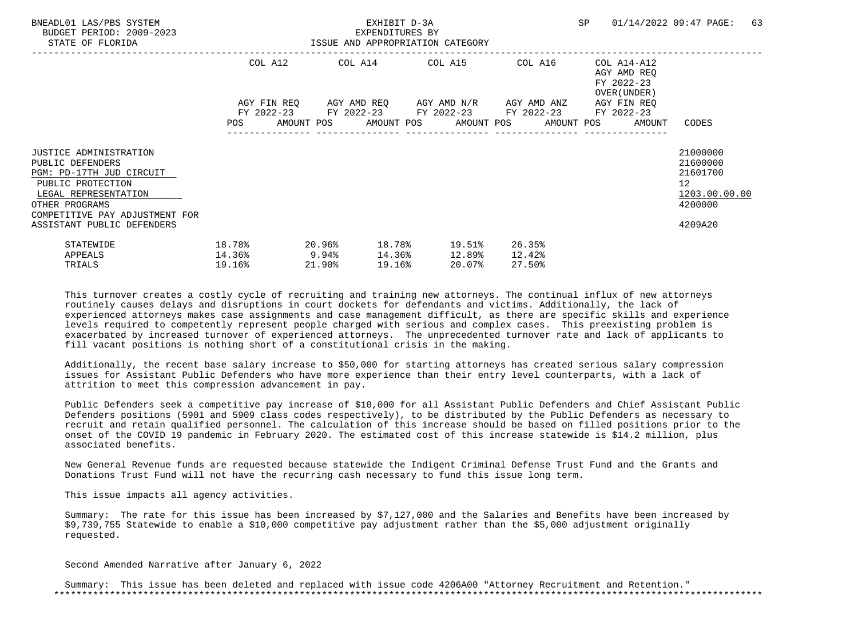| BNEADL01 LAS/PBS SYSTEM<br>BUDGET PERIOD: 2009-2023<br>STATE OF FLORIDA                                                                                                        | ISSUE AND APPROPRIATION CATEGORY         |           |        | EXHIBIT D-3A<br>EXPENDITURES BY |                                                                                                                  |        |                  |                                                                          | SP 01/14/2022 09:47 PAGE:                                                       | 63 |
|--------------------------------------------------------------------------------------------------------------------------------------------------------------------------------|------------------------------------------|-----------|--------|---------------------------------|------------------------------------------------------------------------------------------------------------------|--------|------------------|--------------------------------------------------------------------------|---------------------------------------------------------------------------------|----|
|                                                                                                                                                                                |                                          |           |        |                                 | COL A12 COL A14 COL A15 COL A16<br>AGY FIN REQ 6GY AMD REQ 6GY AMD N/R 6GY AMD ANZ                               |        |                  | COL A14-A12<br>AGY AMD REO<br>FY 2022-23<br>OVER (UNDER )<br>AGY FIN REO |                                                                                 |    |
|                                                                                                                                                                                |                                          |           |        |                                 | FY 2022-23 FY 2022-23 FY 2022-23 FY 2022-23 FY 2022-23<br>POS AMOUNT POS AMOUNT POS AMOUNT POS AMOUNT POS AMOUNT |        |                  |                                                                          | CODES                                                                           |    |
| <b>JUSTICE ADMINISTRATION</b><br>PUBLIC DEFENDERS<br>PGM: PD-17TH JUD CIRCUIT<br>PUBLIC PROTECTION<br>LEGAL REPRESENTATION<br>OTHER PROGRAMS<br>COMPETITIVE PAY ADJUSTMENT FOR |                                          |           |        |                                 |                                                                                                                  |        |                  |                                                                          | 21000000<br>21600000<br>21601700<br>12 <sup>°</sup><br>1203.00.00.00<br>4200000 |    |
| ASSISTANT PUBLIC DEFENDERS<br>STATEWIDE<br>APPEALS<br>TRIALS                                                                                                                   | 18.78%<br>$14.36$ <sup>9</sup><br>19.16% | $20.96\%$ | 21.90% | 19.16%                          | 18.78% 19.51%<br>14.36% 12.89%<br>20.07%                                                                         | 12.42% | 26.35%<br>27.50% |                                                                          | 4209A20                                                                         |    |

 Additionally, the recent base salary increase to \$50,000 for starting attorneys has created serious salary compression issues for Assistant Public Defenders who have more experience than their entry level counterparts, with a lack of attrition to meet this compression advancement in pay.

 Public Defenders seek a competitive pay increase of \$10,000 for all Assistant Public Defenders and Chief Assistant Public Defenders positions (5901 and 5909 class codes respectively), to be distributed by the Public Defenders as necessary to recruit and retain qualified personnel. The calculation of this increase should be based on filled positions prior to the onset of the COVID 19 pandemic in February 2020. The estimated cost of this increase statewide is \$14.2 million, plus associated benefits.

 New General Revenue funds are requested because statewide the Indigent Criminal Defense Trust Fund and the Grants and Donations Trust Fund will not have the recurring cash necessary to fund this issue long term.

This issue impacts all agency activities.

 Summary: The rate for this issue has been increased by \$7,127,000 and the Salaries and Benefits have been increased by \$9,739,755 Statewide to enable a \$10,000 competitive pay adjustment rather than the \$5,000 adjustment originally requested.

Second Amended Narrative after January 6, 2022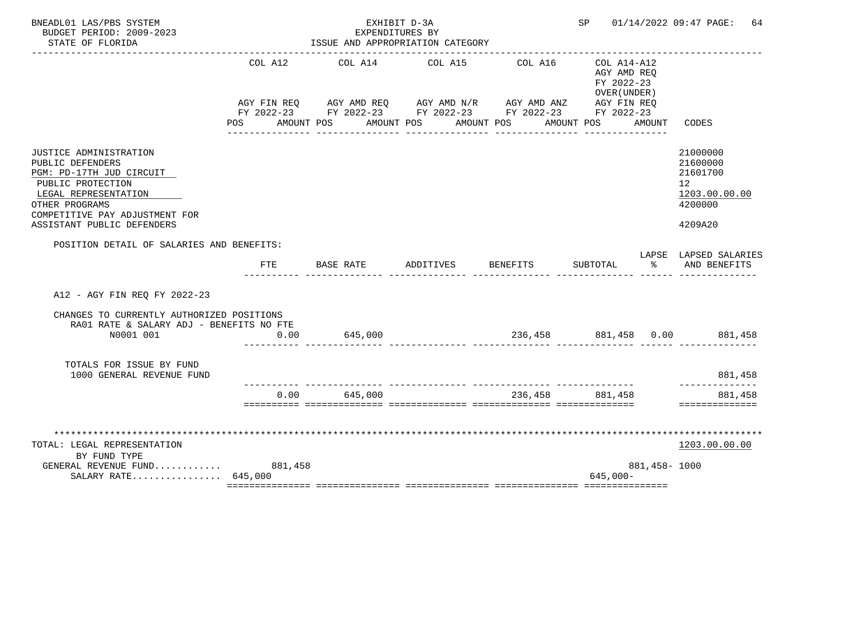| BNEADL01 LAS/PBS SYSTEM<br>BUDGET PERIOD: 2009-2023<br>STATE OF FLORIDA                                                                                                                                      |                    | EXHIBIT D-3A<br>EXPENDITURES BY<br>ISSUE AND APPROPRIATION CATEGORY                                                                                       |           |                                 | SP <sub>2</sub>                                                        |                | 01/14/2022 09:47 PAGE:<br>64                                                  |
|--------------------------------------------------------------------------------------------------------------------------------------------------------------------------------------------------------------|--------------------|-----------------------------------------------------------------------------------------------------------------------------------------------------------|-----------|---------------------------------|------------------------------------------------------------------------|----------------|-------------------------------------------------------------------------------|
|                                                                                                                                                                                                              | COL A12<br>POS FOR | COL A14<br>AGY FIN REQ AGY AMD REQ AGY AMD N/R AGY AMD ANZ AGY FIN REQ<br>FY 2022-23 FY 2022-23 FY 2022-23 FY 2022-23 FY 2022-23<br>AMOUNT POS AMOUNT POS | COL A15   | COL A16<br>AMOUNT POS           | COL A14-A12<br>AGY AMD REO<br>FY 2022-23<br>OVER (UNDER)<br>AMOUNT POS | AMOUNT         | CODES                                                                         |
| <b>JUSTICE ADMINISTRATION</b><br>PUBLIC DEFENDERS<br>PGM: PD-17TH JUD CIRCUIT<br>PUBLIC PROTECTION<br>LEGAL REPRESENTATION<br>OTHER PROGRAMS<br>COMPETITIVE PAY ADJUSTMENT FOR<br>ASSISTANT PUBLIC DEFENDERS |                    |                                                                                                                                                           |           |                                 |                                                                        |                | 21000000<br>21600000<br>21601700<br>12<br>1203.00.00.00<br>4200000<br>4209A20 |
| POSITION DETAIL OF SALARIES AND BENEFITS:                                                                                                                                                                    | <b>FTE</b>         | BASE RATE                                                                                                                                                 | ADDITIVES | <b>BENEFITS</b>                 | SUBTOTAL                                                               | ႜೢ             | LAPSE LAPSED SALARIES<br>AND BENEFITS                                         |
| A12 - AGY FIN REO FY 2022-23                                                                                                                                                                                 |                    |                                                                                                                                                           |           |                                 |                                                                        |                |                                                                               |
| CHANGES TO CURRENTLY AUTHORIZED POSITIONS<br>RA01 RATE & SALARY ADJ - BENEFITS NO FTE<br>N0001 001                                                                                                           | 0.00               | 645,000                                                                                                                                                   |           |                                 |                                                                        |                | 236,458 881,458 0.00 881,458                                                  |
| TOTALS FOR ISSUE BY FUND<br>1000 GENERAL REVENUE FUND                                                                                                                                                        |                    |                                                                                                                                                           |           |                                 |                                                                        |                | 881,458                                                                       |
|                                                                                                                                                                                                              | 0.00               | 645,000                                                                                                                                                   |           | _______________________________ | 236,458 881,458                                                        |                | . _ _ _ _ _ _ _ _<br>881,458<br>==============                                |
| TOTAL: LEGAL REPRESENTATION<br>BY FUND TYPE<br>GENERAL REVENUE FUND 881,458<br>SALARY RATE 645,000                                                                                                           |                    |                                                                                                                                                           |           |                                 | $645.000 -$                                                            | 881, 458- 1000 | 1203.00.00.00                                                                 |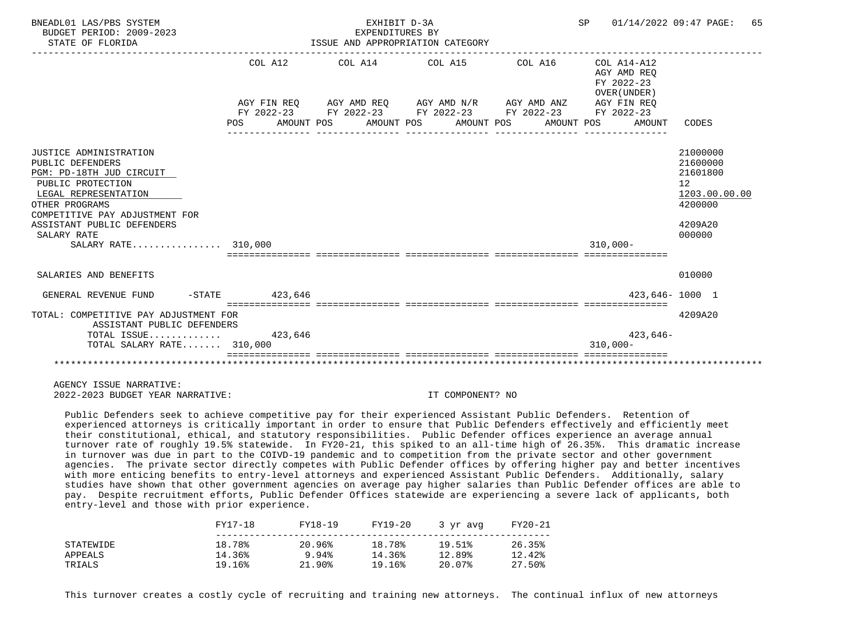| BNEADL01 LAS/PBS SYSTEM<br>BUDGET PERIOD: 2009-2023<br>STATE OF FLORIDA                                                                                                                                                                            |                   | EXHIBIT D-3A<br>EXPENDITURES BY<br>ISSUE AND APPROPRIATION CATEGORY |                                                                                                                                                              | SP 01/14/2022 09:47 PAGE:                                          | 65                                                                                                   |
|----------------------------------------------------------------------------------------------------------------------------------------------------------------------------------------------------------------------------------------------------|-------------------|---------------------------------------------------------------------|--------------------------------------------------------------------------------------------------------------------------------------------------------------|--------------------------------------------------------------------|------------------------------------------------------------------------------------------------------|
|                                                                                                                                                                                                                                                    | COL A12           |                                                                     | AGY FIN REO AGY AMD REO AGY AMD N/R AGY AMD ANZ<br>FY 2022-23 FY 2022-23 FY 2022-23 FY 2022-23 FY 2022-23<br>POS AMOUNT POS AMOUNT POS AMOUNT POS AMOUNT POS | AGY AMD REO<br>FY 2022-23<br>OVER (UNDER)<br>AGY FIN REO<br>AMOUNT | CODES                                                                                                |
| <b>JUSTICE ADMINISTRATION</b><br>PUBLIC DEFENDERS<br>PGM: PD-18TH JUD CIRCUIT<br>PUBLIC PROTECTION<br>LEGAL REPRESENTATION<br>OTHER PROGRAMS<br>COMPETITIVE PAY ADJUSTMENT FOR<br>ASSISTANT PUBLIC DEFENDERS<br>SALARY RATE<br>SALARY RATE 310,000 |                   |                                                                     |                                                                                                                                                              | $310,000 -$                                                        | 21000000<br>21600000<br>21601800<br>12 <sup>°</sup><br>1203.00.00.00<br>4200000<br>4209A20<br>000000 |
| SALARIES AND BENEFITS                                                                                                                                                                                                                              |                   |                                                                     |                                                                                                                                                              |                                                                    | 010000                                                                                               |
| GENERAL REVENUE FUND                                                                                                                                                                                                                               | $-$ STATE 423,646 |                                                                     |                                                                                                                                                              |                                                                    | 423,646-1000 1                                                                                       |
| TOTAL: COMPETITIVE PAY ADJUSTMENT FOR<br>ASSISTANT PUBLIC DEFENDERS<br>TOTAL ISSUE $423,646$<br>TOTAL SALARY RATE 310,000                                                                                                                          |                   |                                                                     |                                                                                                                                                              | $423,646-$<br>$310,000 -$                                          | 4209A20                                                                                              |
|                                                                                                                                                                                                                                                    |                   |                                                                     |                                                                                                                                                              |                                                                    |                                                                                                      |

 Public Defenders seek to achieve competitive pay for their experienced Assistant Public Defenders. Retention of experienced attorneys is critically important in order to ensure that Public Defenders effectively and efficiently meet their constitutional, ethical, and statutory responsibilities. Public Defender offices experience an average annual turnover rate of roughly 19.5% statewide. In FY20-21, this spiked to an all-time high of 26.35%. This dramatic increase in turnover was due in part to the COIVD-19 pandemic and to competition from the private sector and other government agencies. The private sector directly competes with Public Defender offices by offering higher pay and better incentives with more enticing benefits to entry-level attorneys and experienced Assistant Public Defenders. Additionally, salary studies have shown that other government agencies on average pay higher salaries than Public Defender offices are able to pay. Despite recruitment efforts, Public Defender Offices statewide are experiencing a severe lack of applicants, both entry-level and those with prior experience.

|           | FY17-18 | FY18-19   | FY19-20 | 3 yr avg | FY20-21 |  |
|-----------|---------|-----------|---------|----------|---------|--|
| STATEWIDE | 18.78%  | 20.96%    | 18.78%  | 19.51%   | 26.35%  |  |
| APPEALS   | 14.36%  | 9.94%     | 14.36%  | 12.89%   | 12.42%  |  |
| TRIALS    | 19.16%  | $21.90\%$ | 19.16%  | 20.07%   | 27.50%  |  |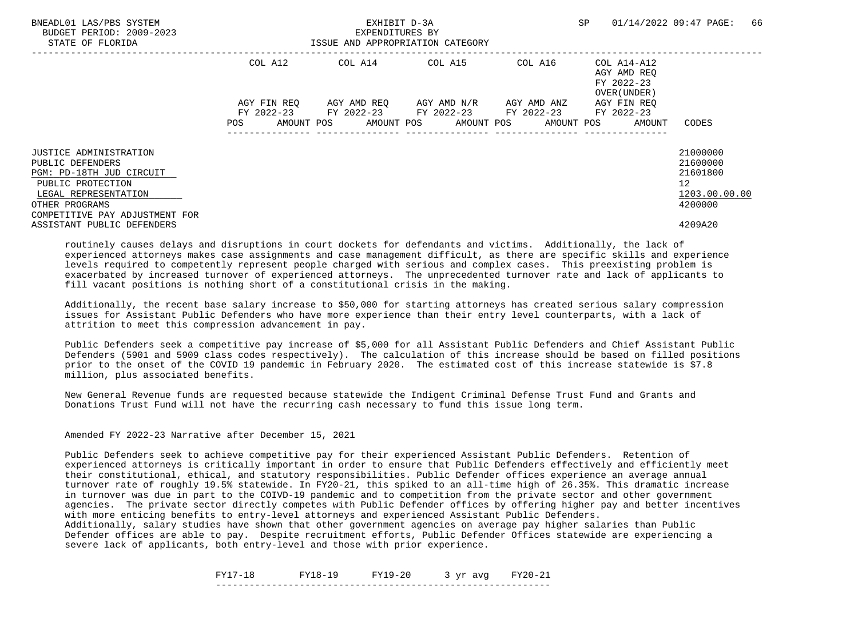| BNEADL01 LAS/PBS SYSTEM<br>BUDGET PERIOD: 2009-2023<br>STATE OF FLORIDA |             | EXHIBIT D-3A<br>EXPENDITURES BY<br>ISSUE AND APPROPRIATION CATEGORY | SP                                  | 01/14/2022 09:47 PAGE:<br>66 |                                                          |                      |
|-------------------------------------------------------------------------|-------------|---------------------------------------------------------------------|-------------------------------------|------------------------------|----------------------------------------------------------|----------------------|
|                                                                         | COL A12     |                                                                     | COL A14 COL A15                     | COL A16                      | COL A14-A12<br>AGY AMD REO<br>FY 2022-23<br>OVER (UNDER) |                      |
|                                                                         | AGY FIN REO | FY 2022-23 FY 2022-23 FY 2022-23 FY 2022-23                         | AGY AMD REO AGY AMD N/R AGY AMD ANZ |                              | AGY FIN REO<br>FY 2022-23                                |                      |
|                                                                         | POS         | AMOUNT POS AMOUNT POS AMOUNT POS AMOUNT POS                         |                                     |                              | AMOUNT                                                   | CODES                |
| <b>JUSTICE ADMINISTRATION</b><br>PUBLIC DEFENDERS                       |             |                                                                     |                                     |                              |                                                          | 21000000<br>21600000 |
| PGM: PD-18TH JUD CIRCUIT                                                |             |                                                                     |                                     |                              |                                                          | 21601800             |
| PUBLIC PROTECTION<br>LEGAL REPRESENTATION                               |             |                                                                     |                                     |                              |                                                          | 12<br>1203.00.00.00  |
| OTHER PROGRAMS<br>COMPETITIVE PAY ADJUSTMENT FOR                        |             |                                                                     |                                     |                              |                                                          | 4200000              |
| ASSISTANT PUBLIC DEFENDERS                                              |             |                                                                     |                                     |                              |                                                          | 4209A20              |

 Additionally, the recent base salary increase to \$50,000 for starting attorneys has created serious salary compression issues for Assistant Public Defenders who have more experience than their entry level counterparts, with a lack of attrition to meet this compression advancement in pay.

 Public Defenders seek a competitive pay increase of \$5,000 for all Assistant Public Defenders and Chief Assistant Public Defenders (5901 and 5909 class codes respectively). The calculation of this increase should be based on filled positions prior to the onset of the COVID 19 pandemic in February 2020. The estimated cost of this increase statewide is \$7.8 million, plus associated benefits.

 New General Revenue funds are requested because statewide the Indigent Criminal Defense Trust Fund and Grants and Donations Trust Fund will not have the recurring cash necessary to fund this issue long term.

Amended FY 2022-23 Narrative after December 15, 2021

 Public Defenders seek to achieve competitive pay for their experienced Assistant Public Defenders. Retention of experienced attorneys is critically important in order to ensure that Public Defenders effectively and efficiently meet their constitutional, ethical, and statutory responsibilities. Public Defender offices experience an average annual turnover rate of roughly 19.5% statewide. In FY20-21, this spiked to an all-time high of 26.35%. This dramatic increase in turnover was due in part to the COIVD-19 pandemic and to competition from the private sector and other government agencies. The private sector directly competes with Public Defender offices by offering higher pay and better incentives with more enticing benefits to entry-level attorneys and experienced Assistant Public Defenders.

 Additionally, salary studies have shown that other government agencies on average pay higher salaries than Public Defender offices are able to pay. Despite recruitment efforts, Public Defender Offices statewide are experiencing a severe lack of applicants, both entry-level and those with prior experience.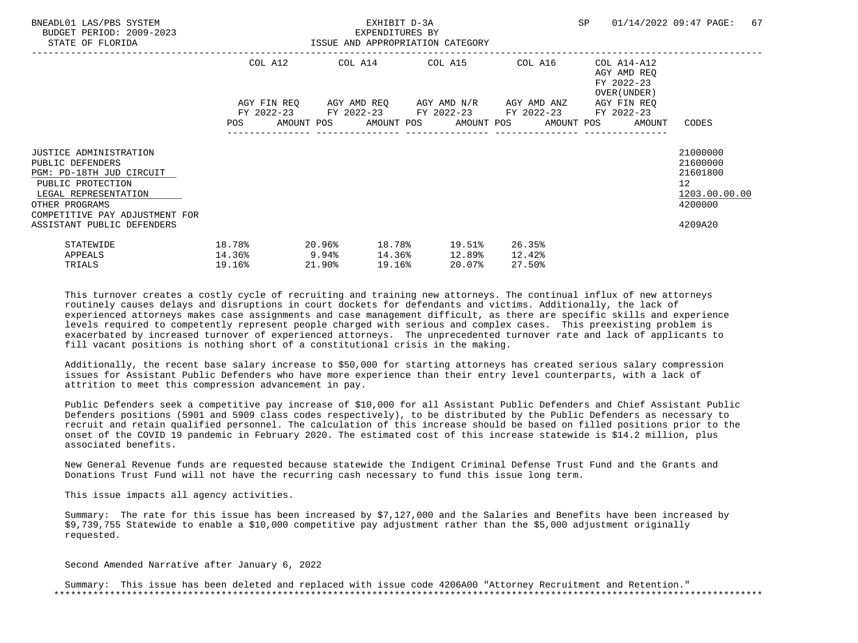| BNEADL01 LAS/PBS SYSTEM<br>BUDGET PERIOD: 2009-2023<br>STATE OF FLORIDA                                                                                                        | ISSUE AND APPROPRIATION CATEGORY         |           |        | EXHIBIT D-3A<br>EXPENDITURES BY |                                                                                                                  |                            |                                                                          | SP 01/14/2022 09:47 PAGE:                                                       | 67 |
|--------------------------------------------------------------------------------------------------------------------------------------------------------------------------------|------------------------------------------|-----------|--------|---------------------------------|------------------------------------------------------------------------------------------------------------------|----------------------------|--------------------------------------------------------------------------|---------------------------------------------------------------------------------|----|
|                                                                                                                                                                                |                                          |           |        |                                 | COL A12 COL A14 COL A15 COL A16<br>AGY FIN REQ 6GY AMD REQ 6GY AMD N/R 6GY AMD ANZ                               |                            | COL A14-A12<br>AGY AMD REO<br>FY 2022-23<br>OVER (UNDER )<br>AGY FIN REO |                                                                                 |    |
|                                                                                                                                                                                |                                          |           |        |                                 | FY 2022-23 FY 2022-23 FY 2022-23 FY 2022-23 FY 2022-23<br>POS AMOUNT POS AMOUNT POS AMOUNT POS AMOUNT POS AMOUNT |                            |                                                                          | CODES                                                                           |    |
| <b>JUSTICE ADMINISTRATION</b><br>PUBLIC DEFENDERS<br>PGM: PD-18TH JUD CIRCUIT<br>PUBLIC PROTECTION<br>LEGAL REPRESENTATION<br>OTHER PROGRAMS<br>COMPETITIVE PAY ADJUSTMENT FOR |                                          |           |        |                                 |                                                                                                                  |                            |                                                                          | 21000000<br>21600000<br>21601800<br>12 <sup>°</sup><br>1203.00.00.00<br>4200000 |    |
| ASSISTANT PUBLIC DEFENDERS<br>STATEWIDE<br>APPEALS<br>TRIALS                                                                                                                   | 18.78%<br>$14.36$ <sup>9</sup><br>19.16% | $20.96\%$ | 21.90% | 19.16%                          | 18.78% 19.51%<br>14.36% 12.89%<br>20.07%                                                                         | 26.35%<br>12.42%<br>27.50% |                                                                          | 4209A20                                                                         |    |

 Additionally, the recent base salary increase to \$50,000 for starting attorneys has created serious salary compression issues for Assistant Public Defenders who have more experience than their entry level counterparts, with a lack of attrition to meet this compression advancement in pay.

 Public Defenders seek a competitive pay increase of \$10,000 for all Assistant Public Defenders and Chief Assistant Public Defenders positions (5901 and 5909 class codes respectively), to be distributed by the Public Defenders as necessary to recruit and retain qualified personnel. The calculation of this increase should be based on filled positions prior to the onset of the COVID 19 pandemic in February 2020. The estimated cost of this increase statewide is \$14.2 million, plus associated benefits.

 New General Revenue funds are requested because statewide the Indigent Criminal Defense Trust Fund and the Grants and Donations Trust Fund will not have the recurring cash necessary to fund this issue long term.

This issue impacts all agency activities.

 Summary: The rate for this issue has been increased by \$7,127,000 and the Salaries and Benefits have been increased by \$9,739,755 Statewide to enable a \$10,000 competitive pay adjustment rather than the \$5,000 adjustment originally requested.

Second Amended Narrative after January 6, 2022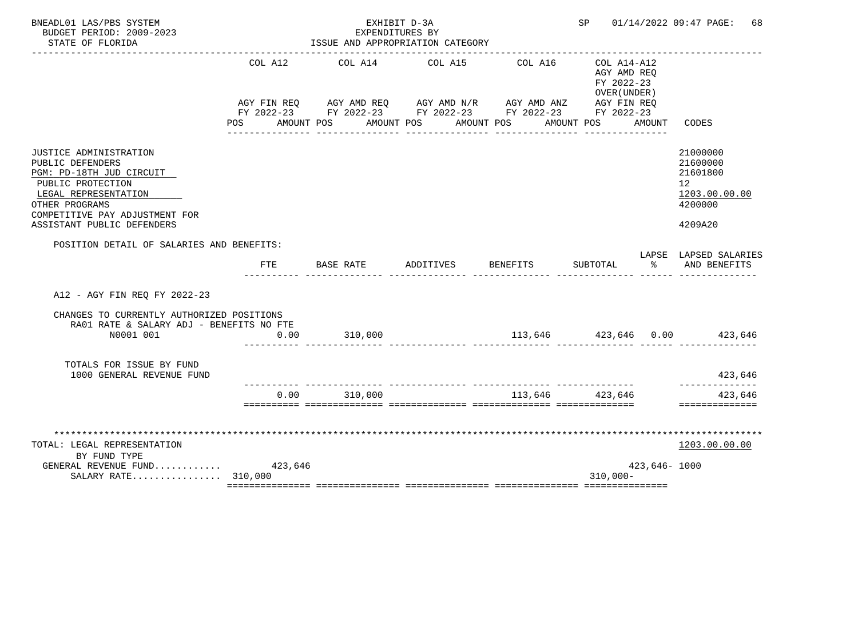| BNEADL01 LAS/PBS SYSTEM<br>BUDGET PERIOD: 2009-2023<br>STATE OF FLORIDA                                                                                                                                      |                    | EXHIBIT D-3A<br>EXPENDITURES BY<br>ISSUE AND APPROPRIATION CATEGORY                                                                                       |           |                       | SP <sub>2</sub>                                                        |               | 01/14/2022 09:47 PAGE:<br>68                                                  |
|--------------------------------------------------------------------------------------------------------------------------------------------------------------------------------------------------------------|--------------------|-----------------------------------------------------------------------------------------------------------------------------------------------------------|-----------|-----------------------|------------------------------------------------------------------------|---------------|-------------------------------------------------------------------------------|
|                                                                                                                                                                                                              | COL A12<br>POS FOR | COL A14<br>AGY FIN REQ AGY AMD REQ AGY AMD N/R AGY AMD ANZ AGY FIN REQ<br>FY 2022-23 FY 2022-23 FY 2022-23 FY 2022-23 FY 2022-23<br>AMOUNT POS AMOUNT POS | COL A15   | COL A16<br>AMOUNT POS | COL A14-A12<br>AGY AMD REO<br>FY 2022-23<br>OVER (UNDER)<br>AMOUNT POS | AMOUNT        | CODES                                                                         |
| <b>JUSTICE ADMINISTRATION</b><br>PUBLIC DEFENDERS<br>PGM: PD-18TH JUD CIRCUIT<br>PUBLIC PROTECTION<br>LEGAL REPRESENTATION<br>OTHER PROGRAMS<br>COMPETITIVE PAY ADJUSTMENT FOR<br>ASSISTANT PUBLIC DEFENDERS |                    |                                                                                                                                                           |           |                       |                                                                        |               | 21000000<br>21600000<br>21601800<br>12<br>1203.00.00.00<br>4200000<br>4209A20 |
| POSITION DETAIL OF SALARIES AND BENEFITS:                                                                                                                                                                    | <b>FTE</b>         | BASE RATE                                                                                                                                                 | ADDITIVES | <b>BENEFITS</b>       | SUBTOTAL                                                               | ႜ             | LAPSE LAPSED SALARIES<br>AND BENEFITS                                         |
| A12 - AGY FIN REO FY 2022-23                                                                                                                                                                                 |                    |                                                                                                                                                           |           |                       |                                                                        |               |                                                                               |
| CHANGES TO CURRENTLY AUTHORIZED POSITIONS<br>RA01 RATE & SALARY ADJ - BENEFITS NO FTE<br>N0001 001                                                                                                           | 0.00               | 310,000                                                                                                                                                   |           |                       |                                                                        |               | $113,646$ $423,646$ $0.00$ $423,646$                                          |
| TOTALS FOR ISSUE BY FUND<br>1000 GENERAL REVENUE FUND                                                                                                                                                        |                    |                                                                                                                                                           |           |                       |                                                                        |               | 423,646                                                                       |
|                                                                                                                                                                                                              | 0.00               | 310,000                                                                                                                                                   |           |                       | 113,646 423,646                                                        |               | ---------<br>423,646<br>==============                                        |
| TOTAL: LEGAL REPRESENTATION<br>BY FUND TYPE<br>GENERAL REVENUE FUND $423,646$<br>SALARY RATE 310,000                                                                                                         |                    |                                                                                                                                                           |           |                       | $310.000 -$                                                            | 423,646- 1000 | 1203.00.00.00                                                                 |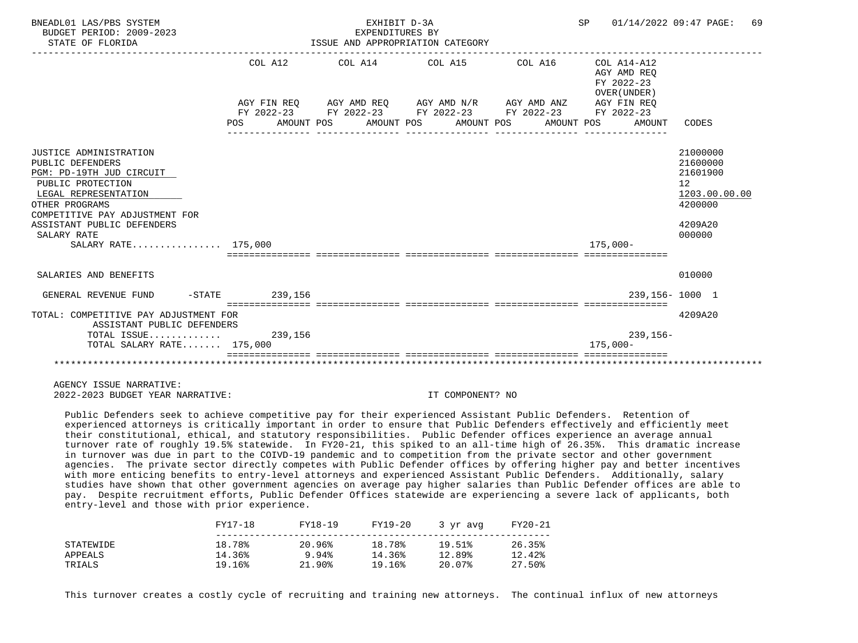| BNEADL01 LAS/PBS SYSTEM<br>BUDGET PERIOD: 2009-2023<br>STATE OF FLORIDA                                                                                                                                                                            |         | EXHIBIT D-3A<br>EXPENDITURES BY<br>ISSUE AND APPROPRIATION CATEGORY                                                                                          |  | SP 01/14/2022 09:47 PAGE:                                          | 69                                                                                                   |
|----------------------------------------------------------------------------------------------------------------------------------------------------------------------------------------------------------------------------------------------------|---------|--------------------------------------------------------------------------------------------------------------------------------------------------------------|--|--------------------------------------------------------------------|------------------------------------------------------------------------------------------------------|
|                                                                                                                                                                                                                                                    | COL A12 | AGY FIN REO AGY AMD REO AGY AMD N/R AGY AMD ANZ<br>FY 2022-23 FY 2022-23 FY 2022-23 FY 2022-23 FY 2022-23<br>POS AMOUNT POS AMOUNT POS AMOUNT POS AMOUNT POS |  | AGY AMD REO<br>FY 2022-23<br>OVER (UNDER)<br>AGY FIN REO<br>AMOUNT | CODES                                                                                                |
| <b>JUSTICE ADMINISTRATION</b><br>PUBLIC DEFENDERS<br>PGM: PD-19TH JUD CIRCUIT<br>PUBLIC PROTECTION<br>LEGAL REPRESENTATION<br>OTHER PROGRAMS<br>COMPETITIVE PAY ADJUSTMENT FOR<br>ASSISTANT PUBLIC DEFENDERS<br>SALARY RATE<br>SALARY RATE 175,000 |         |                                                                                                                                                              |  | 175,000-                                                           | 21000000<br>21600000<br>21601900<br>12 <sup>°</sup><br>1203.00.00.00<br>4200000<br>4209A20<br>000000 |
| SALARIES AND BENEFITS                                                                                                                                                                                                                              |         |                                                                                                                                                              |  |                                                                    | 010000                                                                                               |
| GENERAL REVENUE FUND -STATE 239,156                                                                                                                                                                                                                |         |                                                                                                                                                              |  |                                                                    | 239,156-1000 1                                                                                       |
| TOTAL: COMPETITIVE PAY ADJUSTMENT FOR<br>ASSISTANT PUBLIC DEFENDERS<br>TOTAL ISSUE 239,156                                                                                                                                                         |         |                                                                                                                                                              |  | $239, 156 -$                                                       | 4209A20                                                                                              |
| TOTAL SALARY RATE $175,000$                                                                                                                                                                                                                        |         |                                                                                                                                                              |  | $175.000 -$                                                        |                                                                                                      |
|                                                                                                                                                                                                                                                    |         |                                                                                                                                                              |  |                                                                    |                                                                                                      |

 Public Defenders seek to achieve competitive pay for their experienced Assistant Public Defenders. Retention of experienced attorneys is critically important in order to ensure that Public Defenders effectively and efficiently meet their constitutional, ethical, and statutory responsibilities. Public Defender offices experience an average annual turnover rate of roughly 19.5% statewide. In FY20-21, this spiked to an all-time high of 26.35%. This dramatic increase in turnover was due in part to the COIVD-19 pandemic and to competition from the private sector and other government agencies. The private sector directly competes with Public Defender offices by offering higher pay and better incentives with more enticing benefits to entry-level attorneys and experienced Assistant Public Defenders. Additionally, salary studies have shown that other government agencies on average pay higher salaries than Public Defender offices are able to pay. Despite recruitment efforts, Public Defender Offices statewide are experiencing a severe lack of applicants, both entry-level and those with prior experience.

|           | FY17-18 | FY18-19 | FY19-20 | 3 vr avg | FY20-21 |  |
|-----------|---------|---------|---------|----------|---------|--|
| STATEWIDE | 18.78%  | 20.96%  | 18.78%  | 19.51%   | 26.35%  |  |
| APPEALS   | 14.36%  | 9.94%   | 14.36%  | 12.89%   | 12.42%  |  |
| TRIALS    | 19.16%  | 21.90%  | 19.16%  | 20.07%   | 27.50%  |  |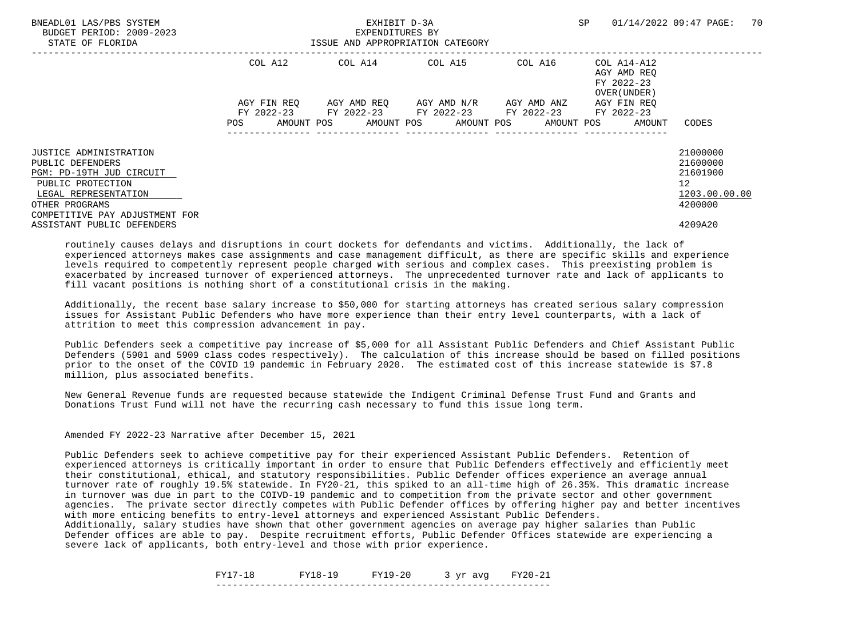| COL A14-A12<br>AGY AMD REO<br>FY 2022-23<br>OVER (UNDER) |
|----------------------------------------------------------|
| AGY FIN REO<br>FY 2022-23                                |
| CODES<br>AMOUNT                                          |
| 21000000<br>21600000                                     |
| 21601900<br>12<br>1203.00.00.00                          |
| 4200000<br>4209A20                                       |
|                                                          |

 Additionally, the recent base salary increase to \$50,000 for starting attorneys has created serious salary compression issues for Assistant Public Defenders who have more experience than their entry level counterparts, with a lack of attrition to meet this compression advancement in pay.

 Public Defenders seek a competitive pay increase of \$5,000 for all Assistant Public Defenders and Chief Assistant Public Defenders (5901 and 5909 class codes respectively). The calculation of this increase should be based on filled positions prior to the onset of the COVID 19 pandemic in February 2020. The estimated cost of this increase statewide is \$7.8 million, plus associated benefits.

 New General Revenue funds are requested because statewide the Indigent Criminal Defense Trust Fund and Grants and Donations Trust Fund will not have the recurring cash necessary to fund this issue long term.

Amended FY 2022-23 Narrative after December 15, 2021

 Public Defenders seek to achieve competitive pay for their experienced Assistant Public Defenders. Retention of experienced attorneys is critically important in order to ensure that Public Defenders effectively and efficiently meet their constitutional, ethical, and statutory responsibilities. Public Defender offices experience an average annual turnover rate of roughly 19.5% statewide. In FY20-21, this spiked to an all-time high of 26.35%. This dramatic increase in turnover was due in part to the COIVD-19 pandemic and to competition from the private sector and other government agencies. The private sector directly competes with Public Defender offices by offering higher pay and better incentives with more enticing benefits to entry-level attorneys and experienced Assistant Public Defenders.

 Additionally, salary studies have shown that other government agencies on average pay higher salaries than Public Defender offices are able to pay. Despite recruitment efforts, Public Defender Offices statewide are experiencing a severe lack of applicants, both entry-level and those with prior experience.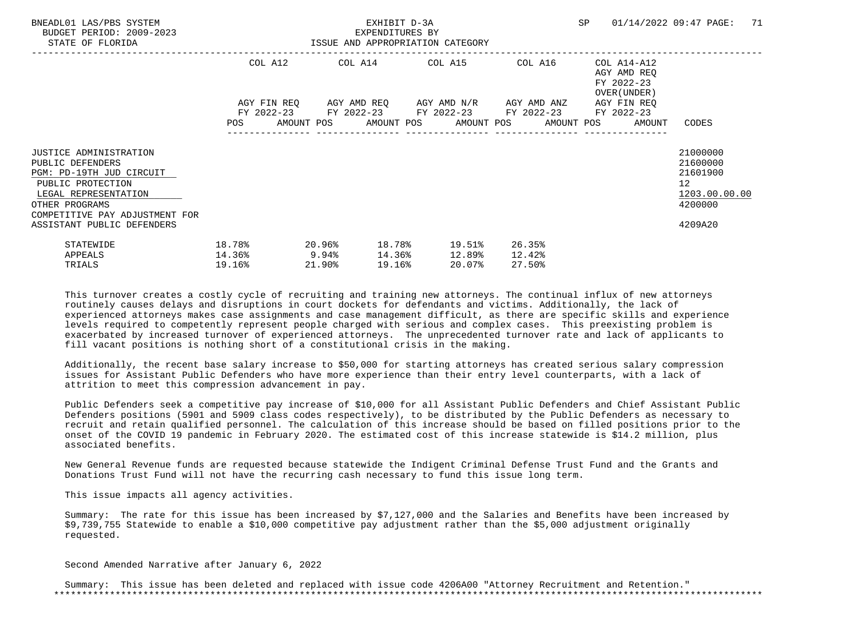| BNEADL01 LAS/PBS SYSTEM<br>BUDGET PERIOD: 2009-2023<br>STATE OF FLORIDA                                                                                                                                      | ISSUE AND APPROPRIATION CATEGORY    |        | EXHIBIT D-3A<br>EXPENDITURES BY |        |                                                                                       |                            |                                                                          | SP 01/14/2022 09:47 PAGE:                                                     | 71 |
|--------------------------------------------------------------------------------------------------------------------------------------------------------------------------------------------------------------|-------------------------------------|--------|---------------------------------|--------|---------------------------------------------------------------------------------------|----------------------------|--------------------------------------------------------------------------|-------------------------------------------------------------------------------|----|
|                                                                                                                                                                                                              |                                     |        |                                 |        | COL A12 COL A14 COL A15 COL A16<br>AGY FIN REQ 6GY AMD REQ 6GY AMD N/R 6GY AMD ANZ    |                            | COL A14-A12<br>AGY AMD REO<br>FY 2022-23<br>OVER (UNDER )<br>AGY FIN REO |                                                                               |    |
|                                                                                                                                                                                                              |                                     |        |                                 |        | FY 2022-23 FY 2022-23 FY 2022-23 FY 2022-23 FY 2022-23                                |                            | POS AMOUNT POS AMOUNT POS AMOUNT POS AMOUNT POS AMOUNT                   | CODES                                                                         |    |
| <b>JUSTICE ADMINISTRATION</b><br>PUBLIC DEFENDERS<br>PGM: PD-19TH JUD CIRCUIT<br>PUBLIC PROTECTION<br>LEGAL REPRESENTATION<br>OTHER PROGRAMS<br>COMPETITIVE PAY ADJUSTMENT FOR<br>ASSISTANT PUBLIC DEFENDERS |                                     |        |                                 |        |                                                                                       |                            |                                                                          | 21000000<br>21600000<br>21601900<br>12<br>1203.00.00.00<br>4200000<br>4209A20 |    |
| STATEWIDE<br>APPEALS<br>TRIALS                                                                                                                                                                               | 18.78%<br>$14.36\%$ 9.94%<br>19.16% | 21.90% |                                 | 19.16% | $20.96$ <sup>8</sup> 18.78 <sup>8</sup> 19.51 <sup>8</sup><br>14.36% 12.89%<br>20.07% | 26.35%<br>12.42%<br>27.50% |                                                                          |                                                                               |    |

 Additionally, the recent base salary increase to \$50,000 for starting attorneys has created serious salary compression issues for Assistant Public Defenders who have more experience than their entry level counterparts, with a lack of attrition to meet this compression advancement in pay.

 Public Defenders seek a competitive pay increase of \$10,000 for all Assistant Public Defenders and Chief Assistant Public Defenders positions (5901 and 5909 class codes respectively), to be distributed by the Public Defenders as necessary to recruit and retain qualified personnel. The calculation of this increase should be based on filled positions prior to the onset of the COVID 19 pandemic in February 2020. The estimated cost of this increase statewide is \$14.2 million, plus associated benefits.

 New General Revenue funds are requested because statewide the Indigent Criminal Defense Trust Fund and the Grants and Donations Trust Fund will not have the recurring cash necessary to fund this issue long term.

This issue impacts all agency activities.

 Summary: The rate for this issue has been increased by \$7,127,000 and the Salaries and Benefits have been increased by \$9,739,755 Statewide to enable a \$10,000 competitive pay adjustment rather than the \$5,000 adjustment originally requested.

Second Amended Narrative after January 6, 2022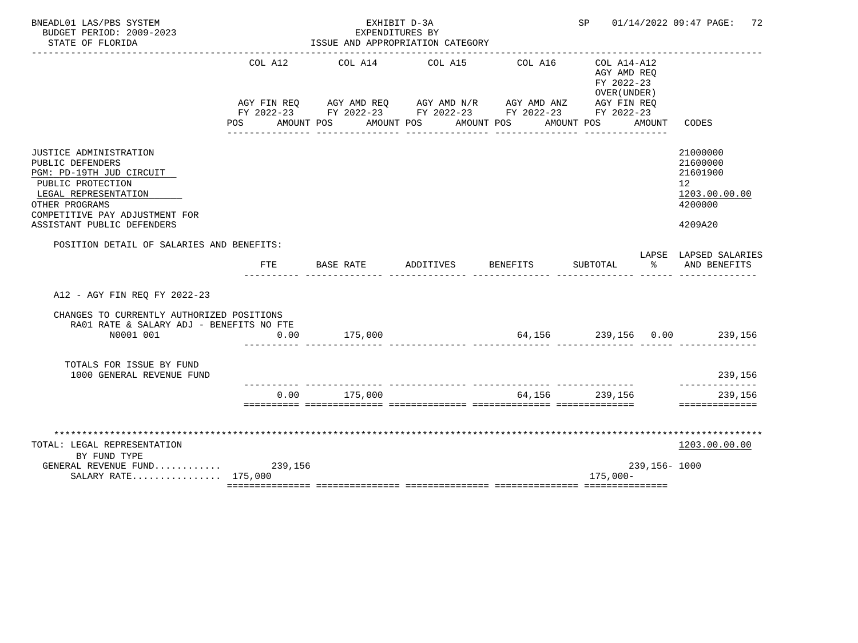| BNEADL01 LAS/PBS SYSTEM<br>BUDGET PERIOD: 2009-2023<br>STATE OF FLORIDA                                                                                                                               |                       | EXHIBIT D-3A<br>EXPENDITURES BY<br>ISSUE AND APPROPRIATION CATEGORY                                                                                                  | SP        |          | 01/14/2022 09:47 PAGE:<br>72                                               |              |                                                                               |
|-------------------------------------------------------------------------------------------------------------------------------------------------------------------------------------------------------|-----------------------|----------------------------------------------------------------------------------------------------------------------------------------------------------------------|-----------|----------|----------------------------------------------------------------------------|--------------|-------------------------------------------------------------------------------|
|                                                                                                                                                                                                       | COL A12<br><b>POS</b> | COL A14<br>AGY FIN REQ AGY AMD REQ AGY AMD N/R AGY AMD ANZ AGY FIN REQ<br>FY 2022-23 FY 2022-23 FY 2022-23 FY 2022-23 FY 2022-23<br>AMOUNT POS AMOUNT POS AMOUNT POS | COL A15   | COL A16  | $COL A14 - A12$<br>AGY AMD REQ<br>FY 2022-23<br>OVER (UNDER)<br>AMOUNT POS | AMOUNT       | CODES                                                                         |
| JUSTICE ADMINISTRATION<br>PUBLIC DEFENDERS<br>PGM: PD-19TH JUD CIRCUIT<br>PUBLIC PROTECTION<br>LEGAL REPRESENTATION<br>OTHER PROGRAMS<br>COMPETITIVE PAY ADJUSTMENT FOR<br>ASSISTANT PUBLIC DEFENDERS |                       |                                                                                                                                                                      |           |          |                                                                            |              | 21000000<br>21600000<br>21601900<br>12<br>1203.00.00.00<br>4200000<br>4209A20 |
| POSITION DETAIL OF SALARIES AND BENEFITS:                                                                                                                                                             | <b>FTE</b>            | BASE RATE                                                                                                                                                            | ADDITIVES | BENEFITS | SUBTOTAL                                                                   | °≈           | LAPSE LAPSED SALARIES<br>AND BENEFITS                                         |
| A12 - AGY FIN REQ FY 2022-23                                                                                                                                                                          |                       |                                                                                                                                                                      |           |          |                                                                            |              |                                                                               |
| CHANGES TO CURRENTLY AUTHORIZED POSITIONS<br>RA01 RATE & SALARY ADJ - BENEFITS NO FTE<br>N0001 001                                                                                                    | 0.00                  | 175,000                                                                                                                                                              |           |          |                                                                            |              | $64,156$ $239,156$ $0.00$ $239,156$                                           |
| TOTALS FOR ISSUE BY FUND<br>1000 GENERAL REVENUE FUND                                                                                                                                                 |                       |                                                                                                                                                                      |           |          |                                                                            |              | 239,156                                                                       |
|                                                                                                                                                                                                       | 0.00                  | 175,000                                                                                                                                                              |           | 64,156   | 239,156                                                                    |              | ---------<br>239,156<br>==============                                        |
| TOTAL: LEGAL REPRESENTATION<br>BY FUND TYPE<br>GENERAL REVENUE FUND 239,156<br>SALARY RATE 175,000                                                                                                    |                       |                                                                                                                                                                      |           |          | $175,000-$                                                                 | 239,156-1000 | 1203.00.00.00                                                                 |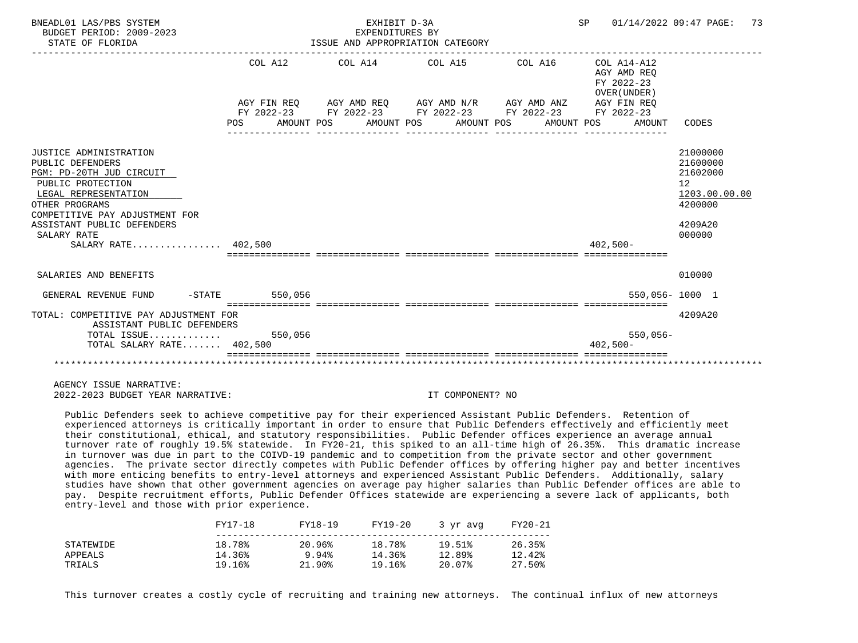| BNEADL01 LAS/PBS SYSTEM<br>BUDGET PERIOD: 2009-2023<br>STATE OF FLORIDA                     |         | EXHIBIT D-3A<br>EXPENDITURES BY | ISSUE AND APPROPRIATION CATEGORY                                                                                                                                            |                                                                    | SP 01/14/2022 09:47 PAGE: 73           |
|---------------------------------------------------------------------------------------------|---------|---------------------------------|-----------------------------------------------------------------------------------------------------------------------------------------------------------------------------|--------------------------------------------------------------------|----------------------------------------|
|                                                                                             | COL A12 |                                 | AGY FIN REQ      AGY AMD REQ      AGY AMD N/R      AGY AMD ANZ<br>FY 2022-23 FY 2022-23 FY 2022-23 FY 2022-23 FY 2022-23<br>POS AMOUNT POS AMOUNT POS AMOUNT POS AMOUNT POS | AGY AMD REO<br>FY 2022-23<br>OVER (UNDER)<br>AGY FIN REO<br>AMOUNT | CODES                                  |
|                                                                                             |         |                                 |                                                                                                                                                                             |                                                                    |                                        |
| JUSTICE ADMINISTRATION<br>PUBLIC DEFENDERS<br>PGM: PD-20TH JUD CIRCUIT<br>PUBLIC PROTECTION |         |                                 |                                                                                                                                                                             |                                                                    | 21000000<br>21600000<br>21602000<br>12 |
| LEGAL REPRESENTATION                                                                        |         |                                 |                                                                                                                                                                             |                                                                    | 1203.00.00.00                          |
| OTHER PROGRAMS                                                                              |         |                                 |                                                                                                                                                                             |                                                                    | 4200000                                |
| COMPETITIVE PAY ADJUSTMENT FOR<br>ASSISTANT PUBLIC DEFENDERS                                |         |                                 |                                                                                                                                                                             |                                                                    | 4209A20                                |
| SALARY RATE                                                                                 |         |                                 |                                                                                                                                                                             |                                                                    | 000000                                 |
| SALARY RATE 402,500                                                                         |         |                                 |                                                                                                                                                                             | $402.500 -$                                                        |                                        |
|                                                                                             |         |                                 |                                                                                                                                                                             |                                                                    |                                        |
|                                                                                             |         |                                 |                                                                                                                                                                             |                                                                    |                                        |
| SALARIES AND BENEFITS                                                                       |         |                                 |                                                                                                                                                                             |                                                                    | 010000                                 |
| GENERAL REVENUE FUND -STATE 550,056                                                         |         |                                 |                                                                                                                                                                             |                                                                    | 550,056-1000 1                         |
| TOTAL: COMPETITIVE PAY ADJUSTMENT FOR<br>ASSISTANT PUBLIC DEFENDERS                         |         |                                 |                                                                                                                                                                             |                                                                    | 4209A20                                |
| TOTAL ISSUE $550,056$                                                                       |         |                                 |                                                                                                                                                                             | $550,056-$                                                         |                                        |
| TOTAL SALARY RATE 402,500                                                                   |         |                                 |                                                                                                                                                                             | $402.500 -$                                                        |                                        |
|                                                                                             |         |                                 |                                                                                                                                                                             |                                                                    |                                        |
|                                                                                             |         |                                 |                                                                                                                                                                             |                                                                    |                                        |
|                                                                                             |         |                                 |                                                                                                                                                                             |                                                                    |                                        |

 Public Defenders seek to achieve competitive pay for their experienced Assistant Public Defenders. Retention of experienced attorneys is critically important in order to ensure that Public Defenders effectively and efficiently meet their constitutional, ethical, and statutory responsibilities. Public Defender offices experience an average annual turnover rate of roughly 19.5% statewide. In FY20-21, this spiked to an all-time high of 26.35%. This dramatic increase in turnover was due in part to the COIVD-19 pandemic and to competition from the private sector and other government agencies. The private sector directly competes with Public Defender offices by offering higher pay and better incentives with more enticing benefits to entry-level attorneys and experienced Assistant Public Defenders. Additionally, salary studies have shown that other government agencies on average pay higher salaries than Public Defender offices are able to pay. Despite recruitment efforts, Public Defender Offices statewide are experiencing a severe lack of applicants, both entry-level and those with prior experience.

|           | FY17-18 | FY18-19 | FY19-20 | 3 vr avg | FY20-21 |
|-----------|---------|---------|---------|----------|---------|
| STATEWIDE | 18.78%  | 20.96%  | 18.78%  | 19.51%   | 26.35%  |
| APPEALS   | 14.36%  | 9.94%   | 14.36%  | 12.89%   | 12.42%  |
| TRIALS    | 19.16%  | 21.90%  | 19.16%  | 20.07%   | 27.50%  |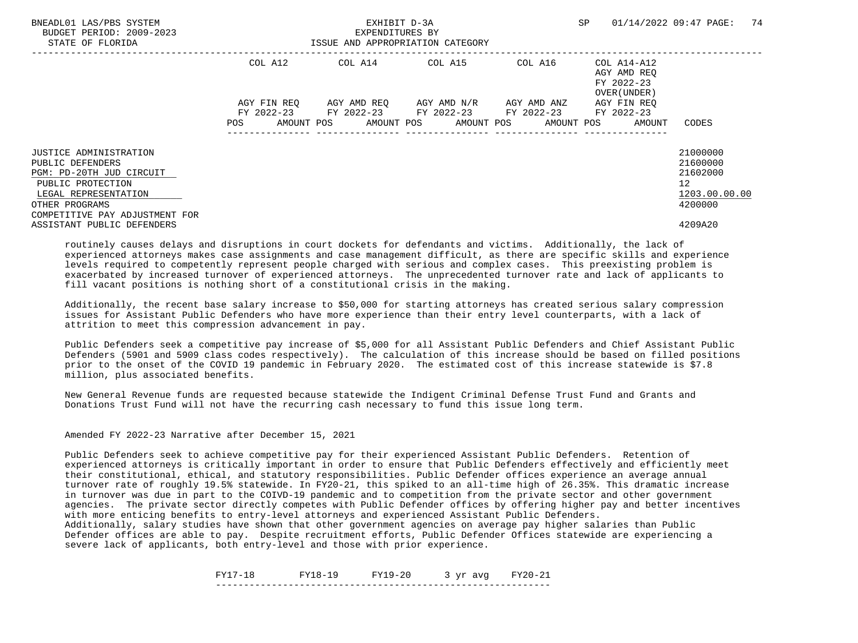| BNEADL01 LAS/PBS SYSTEM<br>BUDGET PERIOD: 2009-2023<br>STATE OF FLORIDA        |             | EXHIBIT D-3A<br>EXPENDITURES BY<br>ISSUE AND APPROPRIATION CATEGORY |                                     | SP      | 74<br>01/14/2022 09:47 PAGE:                             |                                 |
|--------------------------------------------------------------------------------|-------------|---------------------------------------------------------------------|-------------------------------------|---------|----------------------------------------------------------|---------------------------------|
|                                                                                | COL A12     |                                                                     | COL A14 COL A15                     | COL A16 | COL A14-A12<br>AGY AMD REO<br>FY 2022-23<br>OVER (UNDER) |                                 |
|                                                                                | AGY FIN REO | FY 2022-23 FY 2022-23 FY 2022-23 FY 2022-23                         | AGY AMD REO AGY AMD N/R AGY AMD ANZ |         | AGY FIN REO<br>FY 2022-23                                |                                 |
|                                                                                | POS         | AMOUNT POS AMOUNT POS AMOUNT POS AMOUNT POS                         |                                     |         | AMOUNT                                                   | CODES                           |
| <b>JUSTICE ADMINISTRATION</b><br>PUBLIC DEFENDERS                              |             |                                                                     |                                     |         |                                                          | 21000000<br>21600000            |
| PGM: PD-20TH JUD CIRCUIT<br>PUBLIC PROTECTION<br>LEGAL REPRESENTATION          |             |                                                                     |                                     |         |                                                          | 21602000<br>12<br>1203.00.00.00 |
| OTHER PROGRAMS<br>COMPETITIVE PAY ADJUSTMENT FOR<br>ASSISTANT PUBLIC DEFENDERS |             |                                                                     |                                     |         |                                                          | 4200000<br>4209A20              |
|                                                                                |             |                                                                     |                                     |         |                                                          |                                 |

 Additionally, the recent base salary increase to \$50,000 for starting attorneys has created serious salary compression issues for Assistant Public Defenders who have more experience than their entry level counterparts, with a lack of attrition to meet this compression advancement in pay.

 Public Defenders seek a competitive pay increase of \$5,000 for all Assistant Public Defenders and Chief Assistant Public Defenders (5901 and 5909 class codes respectively). The calculation of this increase should be based on filled positions prior to the onset of the COVID 19 pandemic in February 2020. The estimated cost of this increase statewide is \$7.8 million, plus associated benefits.

 New General Revenue funds are requested because statewide the Indigent Criminal Defense Trust Fund and Grants and Donations Trust Fund will not have the recurring cash necessary to fund this issue long term.

Amended FY 2022-23 Narrative after December 15, 2021

 Public Defenders seek to achieve competitive pay for their experienced Assistant Public Defenders. Retention of experienced attorneys is critically important in order to ensure that Public Defenders effectively and efficiently meet their constitutional, ethical, and statutory responsibilities. Public Defender offices experience an average annual turnover rate of roughly 19.5% statewide. In FY20-21, this spiked to an all-time high of 26.35%. This dramatic increase in turnover was due in part to the COIVD-19 pandemic and to competition from the private sector and other government agencies. The private sector directly competes with Public Defender offices by offering higher pay and better incentives with more enticing benefits to entry-level attorneys and experienced Assistant Public Defenders.

 Additionally, salary studies have shown that other government agencies on average pay higher salaries than Public Defender offices are able to pay. Despite recruitment efforts, Public Defender Offices statewide are experiencing a severe lack of applicants, both entry-level and those with prior experience.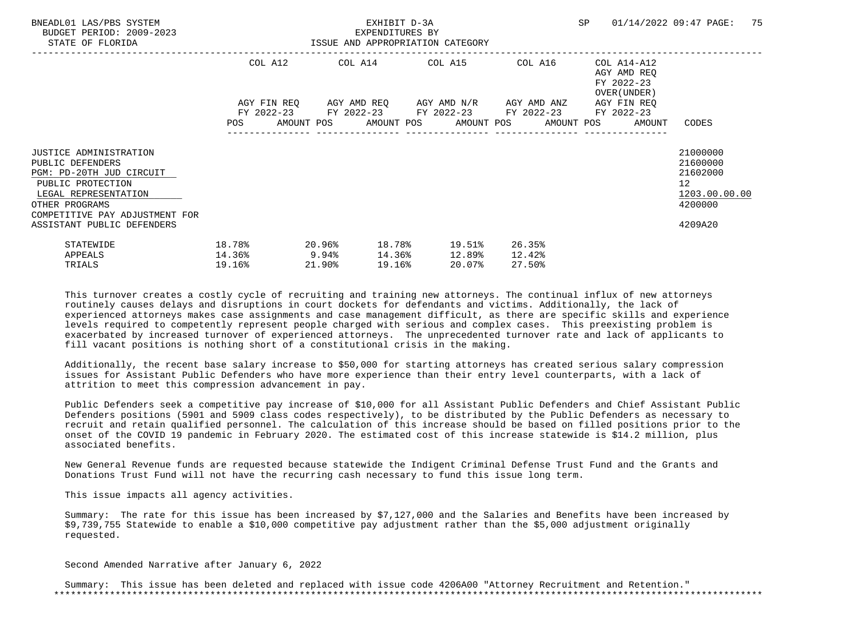| BNEADL01 LAS/PBS SYSTEM<br>BUDGET PERIOD: 2009-2023<br>STATE OF FLORIDA                                                                                                        | ISSUE AND APPROPRIATION CATEGORY    |        | EXHIBIT D-3A<br>EXPENDITURES BY |        |                                                                                                                          |                            |                                                                          | SP 01/14/2022 09:47 PAGE:                                          | 75 |
|--------------------------------------------------------------------------------------------------------------------------------------------------------------------------------|-------------------------------------|--------|---------------------------------|--------|--------------------------------------------------------------------------------------------------------------------------|----------------------------|--------------------------------------------------------------------------|--------------------------------------------------------------------|----|
|                                                                                                                                                                                |                                     |        |                                 |        | COL A12 COL A14 COL A15 COL A16                                                                                          |                            | COL A14-A12<br>AGY AMD REO<br>FY 2022-23<br>OVER (UNDER )<br>AGY FIN REO |                                                                    |    |
|                                                                                                                                                                                |                                     |        |                                 |        | AGY FIN REQ      AGY AMD REQ      AGY AMD N/R      AGY AMD ANZ<br>FY 2022-23 FY 2022-23 FY 2022-23 FY 2022-23 FY 2022-23 |                            | POS AMOUNT POS AMOUNT POS AMOUNT POS AMOUNT POS AMOUNT                   | CODES                                                              |    |
| <b>JUSTICE ADMINISTRATION</b><br>PUBLIC DEFENDERS<br>PGM: PD-20TH JUD CIRCUIT<br>PUBLIC PROTECTION<br>LEGAL REPRESENTATION<br>OTHER PROGRAMS<br>COMPETITIVE PAY ADJUSTMENT FOR |                                     |        |                                 |        |                                                                                                                          |                            |                                                                          | 21000000<br>21600000<br>21602000<br>12<br>1203.00.00.00<br>4200000 |    |
| ASSISTANT PUBLIC DEFENDERS<br>STATEWIDE<br>APPEALS<br>TRIALS                                                                                                                   | 18.78%<br>$14.36\%$ 9.94%<br>19.16% | 21.90% |                                 | 19.16% | $20.96$ <sup>8</sup> 18.78 <sup>8</sup> 19.51 <sup>8</sup><br>14.36% 12.89%<br>20.07%                                    | 26.35%<br>12.42%<br>27.50% |                                                                          | 4209A20                                                            |    |

 Additionally, the recent base salary increase to \$50,000 for starting attorneys has created serious salary compression issues for Assistant Public Defenders who have more experience than their entry level counterparts, with a lack of attrition to meet this compression advancement in pay.

 Public Defenders seek a competitive pay increase of \$10,000 for all Assistant Public Defenders and Chief Assistant Public Defenders positions (5901 and 5909 class codes respectively), to be distributed by the Public Defenders as necessary to recruit and retain qualified personnel. The calculation of this increase should be based on filled positions prior to the onset of the COVID 19 pandemic in February 2020. The estimated cost of this increase statewide is \$14.2 million, plus associated benefits.

 New General Revenue funds are requested because statewide the Indigent Criminal Defense Trust Fund and the Grants and Donations Trust Fund will not have the recurring cash necessary to fund this issue long term.

This issue impacts all agency activities.

 Summary: The rate for this issue has been increased by \$7,127,000 and the Salaries and Benefits have been increased by \$9,739,755 Statewide to enable a \$10,000 competitive pay adjustment rather than the \$5,000 adjustment originally requested.

Second Amended Narrative after January 6, 2022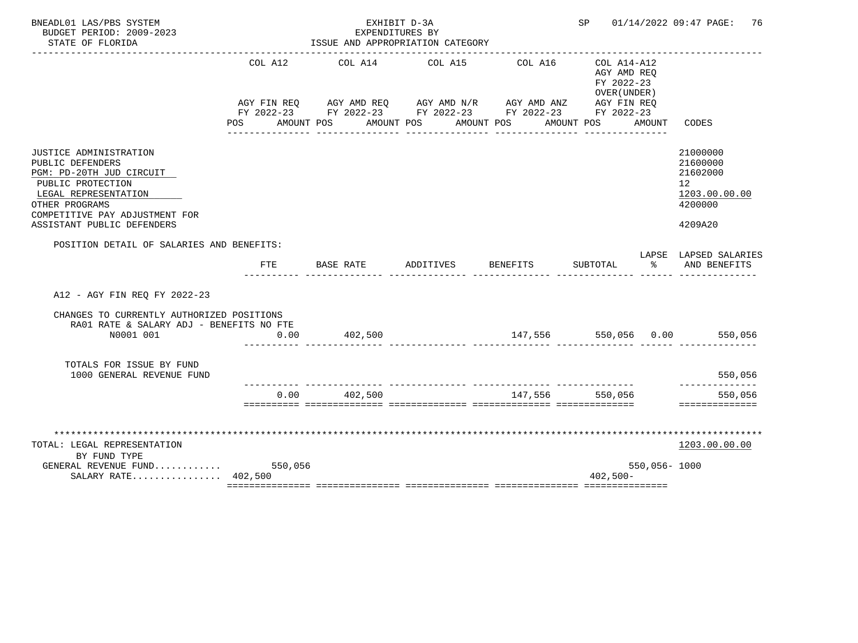| BNEADL01 LAS/PBS SYSTEM<br>BUDGET PERIOD: 2009-2023<br>STATE OF FLORIDA                                                                                                                               |         | EXPENDITURES BY<br>ISSUE AND APPROPRIATION CATEGORY                                                                                                                     | EXHIBIT D-3A |                                 | SP                                                                      |              | 01/14/2022 09:47 PAGE:<br>76                                                               |
|-------------------------------------------------------------------------------------------------------------------------------------------------------------------------------------------------------|---------|-------------------------------------------------------------------------------------------------------------------------------------------------------------------------|--------------|---------------------------------|-------------------------------------------------------------------------|--------------|--------------------------------------------------------------------------------------------|
|                                                                                                                                                                                                       | COL A12 | COL A14<br>AGY FIN REQ AGY AMD REQ AGY AMD N/R AGY AMD ANZ<br>FY 2022-23 FY 2022-23 FY 2022-23 FY 2022-23 FY 2022-23<br>POS AMOUNT POS AMOUNT POS AMOUNT POS AMOUNT POS | COL A15      | COL A16                         | COL A14-A12<br>AGY AMD REO<br>FY 2022-23<br>OVER (UNDER)<br>AGY FIN REQ | AMOUNT       | CODES                                                                                      |
| JUSTICE ADMINISTRATION<br>PUBLIC DEFENDERS<br>PGM: PD-20TH JUD CIRCUIT<br>PUBLIC PROTECTION<br>LEGAL REPRESENTATION<br>OTHER PROGRAMS<br>COMPETITIVE PAY ADJUSTMENT FOR<br>ASSISTANT PUBLIC DEFENDERS |         |                                                                                                                                                                         |              |                                 |                                                                         |              | 21000000<br>21600000<br>21602000<br>12 <sup>°</sup><br>1203.00.00.00<br>4200000<br>4209A20 |
| POSITION DETAIL OF SALARIES AND BENEFITS:                                                                                                                                                             | FTE     | BASE RATE                                                                                                                                                               | ADDITIVES    | BENEFITS                        | SUBTOTAL                                                                | ిన           | LAPSE LAPSED SALARIES<br>AND BENEFITS                                                      |
| A12 - AGY FIN REO FY 2022-23                                                                                                                                                                          |         |                                                                                                                                                                         |              |                                 |                                                                         |              |                                                                                            |
| CHANGES TO CURRENTLY AUTHORIZED POSITIONS<br>RA01 RATE & SALARY ADJ - BENEFITS NO FTE<br>N0001 001                                                                                                    | 0.00    | 402,500                                                                                                                                                                 |              |                                 |                                                                         |              | $147,556$ $550,056$ $0.00$ $550,056$                                                       |
| TOTALS FOR ISSUE BY FUND<br>1000 GENERAL REVENUE FUND                                                                                                                                                 |         |                                                                                                                                                                         |              |                                 |                                                                         |              | 550,056                                                                                    |
|                                                                                                                                                                                                       | 0.00    | 402,500                                                                                                                                                                 |              | _______________________________ | 147,556 550,056                                                         |              | ----------<br>550,056<br>==============                                                    |
| TOTAL: LEGAL REPRESENTATION<br>BY FUND TYPE<br>GENERAL REVENUE FUND<br>SALARY RATE 402,500                                                                                                            | 550,056 |                                                                                                                                                                         |              |                                 | $402,500-$                                                              | 550,056-1000 | 1203.00.00.00                                                                              |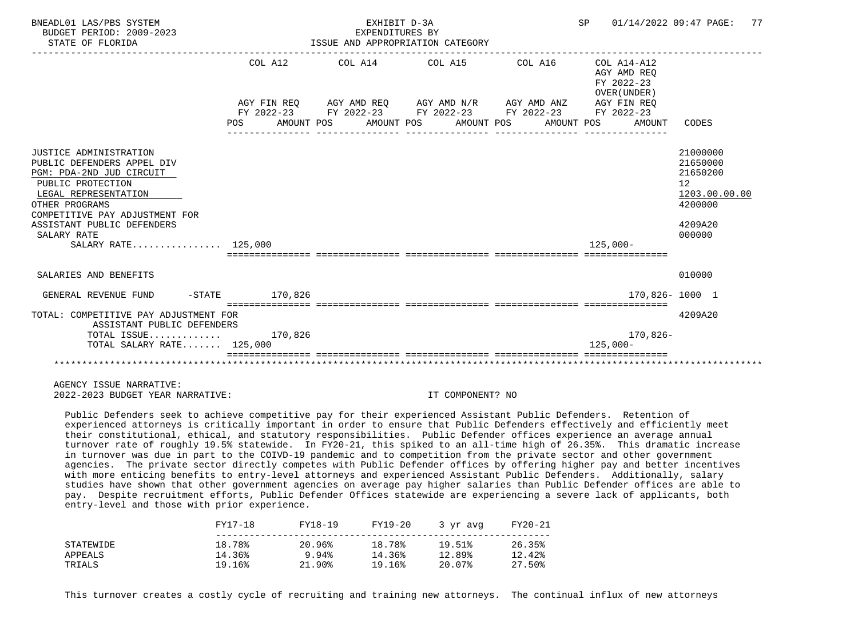| BNEADL01 LAS/PBS SYSTEM<br>BUDGET PERIOD: 2009-2023<br>STATE OF FLORIDA                                                                                                                                                                               |        |         | EXHIBIT D-3A<br>EXPENDITURES BY<br>ISSUE AND APPROPRIATION CATEGORY                                                                                                  |  |  |                                                     | SP 01/14/2022 09:47 PAGE:<br>77                                                         |
|-------------------------------------------------------------------------------------------------------------------------------------------------------------------------------------------------------------------------------------------------------|--------|---------|----------------------------------------------------------------------------------------------------------------------------------------------------------------------|--|--|-----------------------------------------------------|-----------------------------------------------------------------------------------------|
|                                                                                                                                                                                                                                                       | POS DO | COL A12 | AGY FIN REQ AGY AMD REQ AGY AMD N/R AGY AMD ANZ AGY FIN REQ<br>FY 2022-23 FY 2022-23 FY 2022-23 FY 2022-23 FY 2022-23<br>AMOUNT POS AMOUNT POS AMOUNT POS AMOUNT POS |  |  | AGY AMD REO<br>FY 2022-23<br>OVER (UNDER)<br>AMOUNT | CODES                                                                                   |
|                                                                                                                                                                                                                                                       |        |         |                                                                                                                                                                      |  |  |                                                     |                                                                                         |
| JUSTICE ADMINISTRATION<br>PUBLIC DEFENDERS APPEL DIV<br>PGM: PDA-2ND JUD CIRCUIT<br>PUBLIC PROTECTION<br>LEGAL REPRESENTATION<br>OTHER PROGRAMS<br>COMPETITIVE PAY ADJUSTMENT FOR<br>ASSISTANT PUBLIC DEFENDERS<br>SALARY RATE<br>SALARY RATE 125,000 |        |         |                                                                                                                                                                      |  |  | $125.000 -$                                         | 21000000<br>21650000<br>21650200<br>12<br>1203.00.00.00<br>4200000<br>4209A20<br>000000 |
| SALARIES AND BENEFITS                                                                                                                                                                                                                                 |        |         |                                                                                                                                                                      |  |  |                                                     | 010000                                                                                  |
| -STATE 170,826<br>GENERAL REVENUE FUND                                                                                                                                                                                                                |        |         |                                                                                                                                                                      |  |  | 170,826-1000 1                                      |                                                                                         |
| TOTAL: COMPETITIVE PAY ADJUSTMENT FOR<br>ASSISTANT PUBLIC DEFENDERS                                                                                                                                                                                   |        |         |                                                                                                                                                                      |  |  |                                                     | 4209A20                                                                                 |
| TOTAL ISSUE $170,826$<br>TOTAL SALARY RATE 125,000                                                                                                                                                                                                    |        |         |                                                                                                                                                                      |  |  | 170,826-<br>$125.000 -$                             |                                                                                         |
|                                                                                                                                                                                                                                                       |        |         |                                                                                                                                                                      |  |  |                                                     |                                                                                         |

 Public Defenders seek to achieve competitive pay for their experienced Assistant Public Defenders. Retention of experienced attorneys is critically important in order to ensure that Public Defenders effectively and efficiently meet their constitutional, ethical, and statutory responsibilities. Public Defender offices experience an average annual turnover rate of roughly 19.5% statewide. In FY20-21, this spiked to an all-time high of 26.35%. This dramatic increase in turnover was due in part to the COIVD-19 pandemic and to competition from the private sector and other government agencies. The private sector directly competes with Public Defender offices by offering higher pay and better incentives with more enticing benefits to entry-level attorneys and experienced Assistant Public Defenders. Additionally, salary studies have shown that other government agencies on average pay higher salaries than Public Defender offices are able to pay. Despite recruitment efforts, Public Defender Offices statewide are experiencing a severe lack of applicants, both entry-level and those with prior experience.

|           | FY17-18 | FY18-19   | FY19-20 | 3 yr avg | FY20-21 |
|-----------|---------|-----------|---------|----------|---------|
| STATEWIDE | 18.78%  | 20.96%    | 18.78%  | 19.51%   | 26.35%  |
| APPEALS   | 14.36%  | 9.94%     | 14.36%  | 12.89%   | 12.42%  |
| TRIALS    | 19.16%  | $21.90\%$ | 19.16%  | 20.07%   | 27.50%  |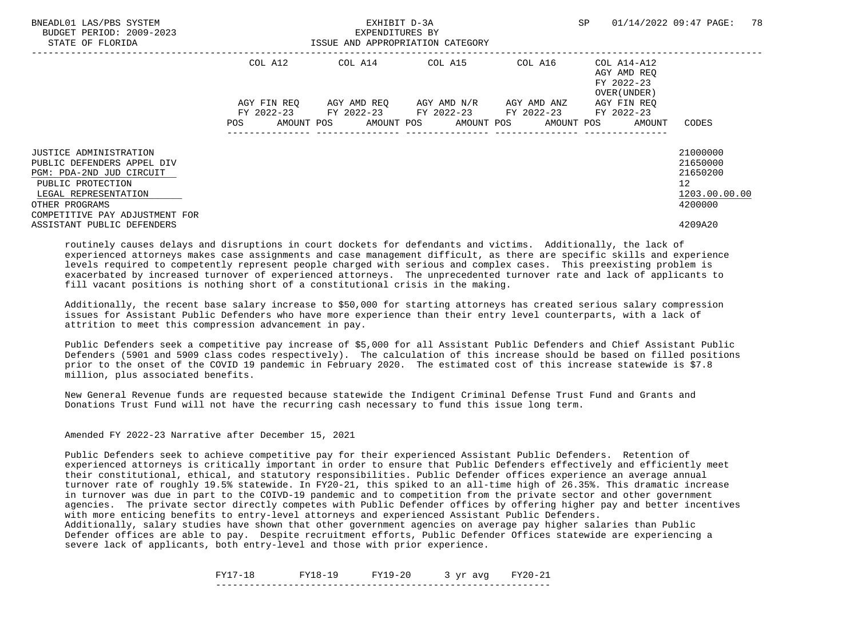| BNEADL01 LAS/PBS SYSTEM<br>BUDGET PERIOD: 2009-2023<br>STATE OF FLORIDA |             | EXHIBIT D-3A<br>EXPENDITURES BY<br>ISSUE AND APPROPRIATION CATEGORY |                                                        |         |                                                          | 78<br>01/14/2022 09:47 PAGE: |
|-------------------------------------------------------------------------|-------------|---------------------------------------------------------------------|--------------------------------------------------------|---------|----------------------------------------------------------|------------------------------|
|                                                                         | COL A12     |                                                                     | COL A14 COL A15                                        | COL A16 | COL A14-A12<br>AGY AMD REO<br>FY 2022-23<br>OVER (UNDER) |                              |
|                                                                         | AGY FIN REO |                                                                     | AGY AMD REO AGY AMD N/R AGY AMD ANZ                    |         | AGY FIN REO                                              |                              |
|                                                                         |             |                                                                     | FY 2022-23 FY 2022-23 FY 2022-23 FY 2022-23 FY 2022-23 |         |                                                          |                              |
|                                                                         | POS         |                                                                     | AMOUNT POS AMOUNT POS AMOUNT POS AMOUNT POS            |         | AMOUNT                                                   | CODES                        |
| <b>JUSTICE ADMINISTRATION</b>                                           |             |                                                                     |                                                        |         |                                                          | 21000000                     |
| PUBLIC DEFENDERS APPEL DIV                                              |             |                                                                     |                                                        |         |                                                          | 21650000                     |
| PGM: PDA-2ND JUD CIRCUIT                                                |             |                                                                     |                                                        |         |                                                          | 21650200                     |
| PUBLIC PROTECTION                                                       |             |                                                                     |                                                        |         |                                                          | 12                           |
| LEGAL REPRESENTATION                                                    |             |                                                                     |                                                        |         |                                                          | 1203.00.00.00                |
| OTHER PROGRAMS<br>COMPETITIVE PAY ADJUSTMENT FOR                        |             |                                                                     |                                                        |         |                                                          | 4200000                      |
| ASSISTANT PUBLIC DEFENDERS                                              |             |                                                                     |                                                        |         |                                                          | 4209A20                      |

 Additionally, the recent base salary increase to \$50,000 for starting attorneys has created serious salary compression issues for Assistant Public Defenders who have more experience than their entry level counterparts, with a lack of attrition to meet this compression advancement in pay.

 Public Defenders seek a competitive pay increase of \$5,000 for all Assistant Public Defenders and Chief Assistant Public Defenders (5901 and 5909 class codes respectively). The calculation of this increase should be based on filled positions prior to the onset of the COVID 19 pandemic in February 2020. The estimated cost of this increase statewide is \$7.8 million, plus associated benefits.

 New General Revenue funds are requested because statewide the Indigent Criminal Defense Trust Fund and Grants and Donations Trust Fund will not have the recurring cash necessary to fund this issue long term.

Amended FY 2022-23 Narrative after December 15, 2021

 Public Defenders seek to achieve competitive pay for their experienced Assistant Public Defenders. Retention of experienced attorneys is critically important in order to ensure that Public Defenders effectively and efficiently meet their constitutional, ethical, and statutory responsibilities. Public Defender offices experience an average annual turnover rate of roughly 19.5% statewide. In FY20-21, this spiked to an all-time high of 26.35%. This dramatic increase in turnover was due in part to the COIVD-19 pandemic and to competition from the private sector and other government agencies. The private sector directly competes with Public Defender offices by offering higher pay and better incentives with more enticing benefits to entry-level attorneys and experienced Assistant Public Defenders.

 Additionally, salary studies have shown that other government agencies on average pay higher salaries than Public Defender offices are able to pay. Despite recruitment efforts, Public Defender Offices statewide are experiencing a severe lack of applicants, both entry-level and those with prior experience.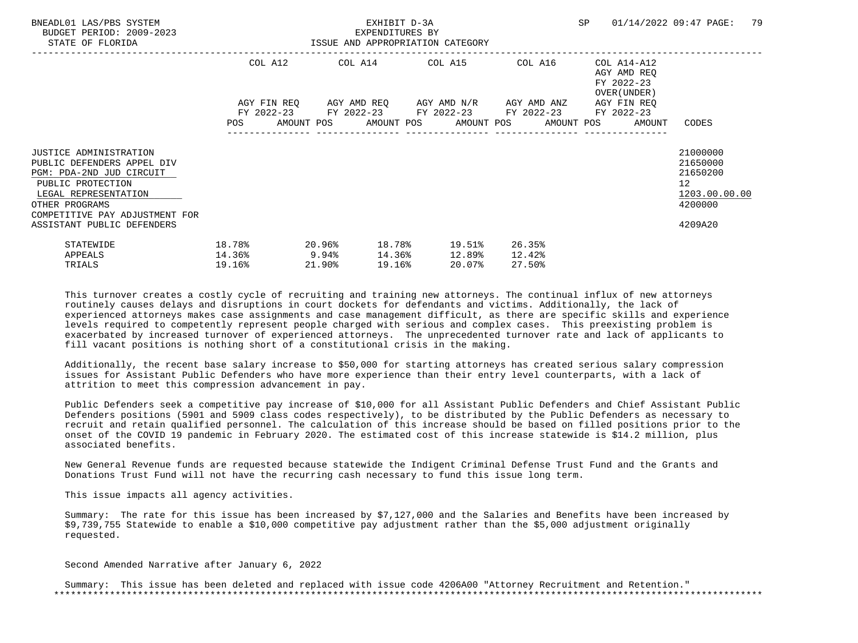| BNEADL01 LAS/PBS SYSTEM<br>BUDGET PERIOD: 2009-2023<br>STATE OF FLORIDA                                                                                                                                                | ISSUE AND APPROPRIATION CATEGORY    |                  | EXHIBIT D-3A<br>EXPENDITURES BY |                                                                                                                  |                            |                                                                          | SP 01/14/2022 09:47 PAGE:                                                                  | 79 |
|------------------------------------------------------------------------------------------------------------------------------------------------------------------------------------------------------------------------|-------------------------------------|------------------|---------------------------------|------------------------------------------------------------------------------------------------------------------|----------------------------|--------------------------------------------------------------------------|--------------------------------------------------------------------------------------------|----|
|                                                                                                                                                                                                                        |                                     |                  |                                 | COL A12 COL A14 COL A15 COL A16<br>AGY FIN REQ AGY AMD REQ AGY AMD N/R AGY AMD ANZ                               |                            | COL A14-A12<br>AGY AMD REO<br>FY 2022-23<br>OVER (UNDER )<br>AGY FIN REO |                                                                                            |    |
|                                                                                                                                                                                                                        |                                     |                  |                                 | FY 2022-23 FY 2022-23 FY 2022-23 FY 2022-23 FY 2022-23<br>POS AMOUNT POS AMOUNT POS AMOUNT POS AMOUNT POS AMOUNT |                            |                                                                          | CODES                                                                                      |    |
| <b>JUSTICE ADMINISTRATION</b><br>PUBLIC DEFENDERS APPEL DIV<br>PGM: PDA-2ND JUD CIRCUIT<br>PUBLIC PROTECTION<br>LEGAL REPRESENTATION<br>OTHER PROGRAMS<br>COMPETITIVE PAY ADJUSTMENT FOR<br>ASSISTANT PUBLIC DEFENDERS |                                     |                  |                                 |                                                                                                                  |                            |                                                                          | 21000000<br>21650000<br>21650200<br>12 <sup>°</sup><br>1203.00.00.00<br>4200000<br>4209A20 |    |
| STATEWIDE<br>APPEALS<br>TRIALS                                                                                                                                                                                         | 18.78%<br>$14.36\%$ 9.94%<br>19.16% | 20.96%<br>21.90% | 19.16%                          | 18.78% 19.51%<br>$14.36$ <sup>8</sup> $12.89$ <sup>8</sup><br>20.07%                                             | 26.35%<br>12.42%<br>27.50% |                                                                          |                                                                                            |    |

 Additionally, the recent base salary increase to \$50,000 for starting attorneys has created serious salary compression issues for Assistant Public Defenders who have more experience than their entry level counterparts, with a lack of attrition to meet this compression advancement in pay.

 Public Defenders seek a competitive pay increase of \$10,000 for all Assistant Public Defenders and Chief Assistant Public Defenders positions (5901 and 5909 class codes respectively), to be distributed by the Public Defenders as necessary to recruit and retain qualified personnel. The calculation of this increase should be based on filled positions prior to the onset of the COVID 19 pandemic in February 2020. The estimated cost of this increase statewide is \$14.2 million, plus associated benefits.

 New General Revenue funds are requested because statewide the Indigent Criminal Defense Trust Fund and the Grants and Donations Trust Fund will not have the recurring cash necessary to fund this issue long term.

This issue impacts all agency activities.

 Summary: The rate for this issue has been increased by \$7,127,000 and the Salaries and Benefits have been increased by \$9,739,755 Statewide to enable a \$10,000 competitive pay adjustment rather than the \$5,000 adjustment originally requested.

Second Amended Narrative after January 6, 2022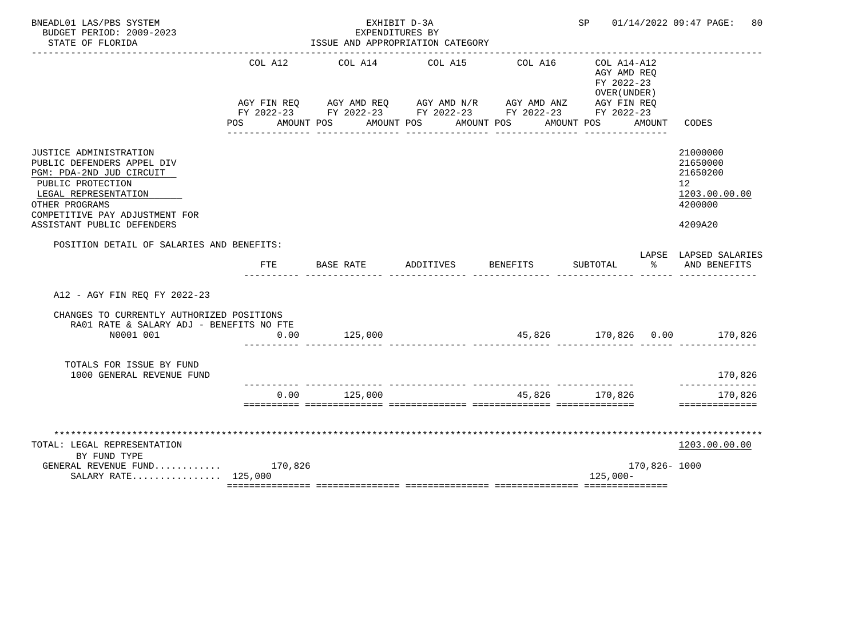| BNEADL01 LAS/PBS SYSTEM<br>BUDGET PERIOD: 2009-2023<br>STATE OF FLORIDA                                                                                                                                                |                    | EXPENDITURES BY<br>ISSUE AND APPROPRIATION CATEGORY                                                                                                                  | EXHIBIT D-3A |          | SP                                                                         |               | 01/14/2022 09:47 PAGE:<br>80                                                  |
|------------------------------------------------------------------------------------------------------------------------------------------------------------------------------------------------------------------------|--------------------|----------------------------------------------------------------------------------------------------------------------------------------------------------------------|--------------|----------|----------------------------------------------------------------------------|---------------|-------------------------------------------------------------------------------|
|                                                                                                                                                                                                                        | COL A12<br>POS FOR | COL A14<br>AGY FIN REQ AGY AMD REQ AGY AMD N/R AGY AMD ANZ AGY FIN REQ<br>FY 2022-23 FY 2022-23 FY 2022-23 FY 2022-23 FY 2022-23<br>AMOUNT POS AMOUNT POS AMOUNT POS | COL A15      | COL A16  | $COL A14 - A12$<br>AGY AMD REQ<br>FY 2022-23<br>OVER (UNDER)<br>AMOUNT POS | AMOUNT        | CODES                                                                         |
| <b>JUSTICE ADMINISTRATION</b><br>PUBLIC DEFENDERS APPEL DIV<br>PGM: PDA-2ND JUD CIRCUIT<br>PUBLIC PROTECTION<br>LEGAL REPRESENTATION<br>OTHER PROGRAMS<br>COMPETITIVE PAY ADJUSTMENT FOR<br>ASSISTANT PUBLIC DEFENDERS |                    |                                                                                                                                                                      |              |          |                                                                            |               | 21000000<br>21650000<br>21650200<br>12<br>1203.00.00.00<br>4200000<br>4209A20 |
| POSITION DETAIL OF SALARIES AND BENEFITS:                                                                                                                                                                              | FTE                | BASE RATE                                                                                                                                                            | ADDITIVES    | BENEFITS | SUBTOTAL                                                                   | ిన            | LAPSE LAPSED SALARIES<br>AND BENEFITS                                         |
| A12 - AGY FIN REQ FY 2022-23                                                                                                                                                                                           |                    |                                                                                                                                                                      |              |          |                                                                            |               |                                                                               |
| CHANGES TO CURRENTLY AUTHORIZED POSITIONS<br>RA01 RATE & SALARY ADJ - BENEFITS NO FTE<br>N0001 001                                                                                                                     | 0.00               | 125,000                                                                                                                                                              |              |          |                                                                            |               | 45,826 170,826 0.00 170,826                                                   |
| TOTALS FOR ISSUE BY FUND<br>1000 GENERAL REVENUE FUND                                                                                                                                                                  |                    |                                                                                                                                                                      |              |          |                                                                            |               | 170,826                                                                       |
|                                                                                                                                                                                                                        | 0.00               | 125,000                                                                                                                                                              |              | 45,826   | 170.826                                                                    |               | --------<br>170,826<br>==============                                         |
| TOTAL: LEGAL REPRESENTATION<br>BY FUND TYPE<br>GENERAL REVENUE FUND $170,826$<br>SALARY RATE 125,000                                                                                                                   |                    |                                                                                                                                                                      |              |          | $125,000-$                                                                 | 170,826- 1000 | 1203.00.00.00                                                                 |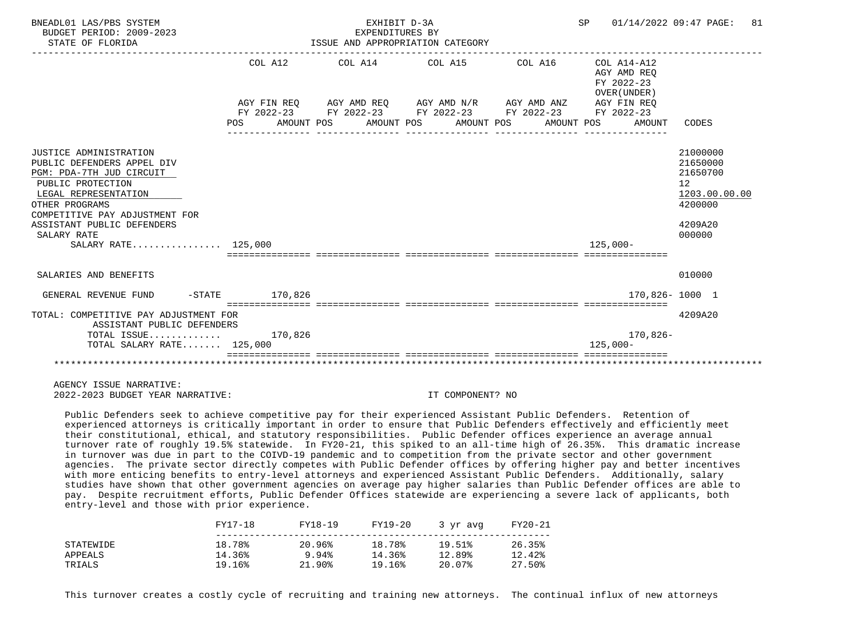| BNEADL01 LAS/PBS SYSTEM<br>BUDGET PERIOD: 2009-2023<br>STATE OF FLORIDA                                                                                                                                                                               |                     | EXHIBIT D-3A<br>EXPENDITURES BY<br>ISSUE AND APPROPRIATION CATEGORY                                                                                                                                                                                    |  | SP 01/14/2022 09:47 PAGE:                                          | 81                                                                                      |
|-------------------------------------------------------------------------------------------------------------------------------------------------------------------------------------------------------------------------------------------------------|---------------------|--------------------------------------------------------------------------------------------------------------------------------------------------------------------------------------------------------------------------------------------------------|--|--------------------------------------------------------------------|-----------------------------------------------------------------------------------------|
|                                                                                                                                                                                                                                                       | COL A12<br>POS DO   | COL A14 $\phantom{000}$ COL A15 $\phantom{000}$ COL $\phantom{000}$ A14-A12<br>AGY FIN REQ AGY AMD REQ AGY AMD N/R AGY AMD ANZ<br>FY 2022-23 FY 2022-23 FY 2022-23 FY 2022-23 FY 2022-23<br>AMOUNT POS      AMOUNT POS      AMOUNT POS      AMOUNT POS |  | AGY AMD REO<br>FY 2022-23<br>OVER (UNDER)<br>AGY FIN REO<br>AMOUNT | CODES                                                                                   |
| JUSTICE ADMINISTRATION<br>PUBLIC DEFENDERS APPEL DIV<br>PGM: PDA-7TH JUD CIRCUIT<br>PUBLIC PROTECTION<br>LEGAL REPRESENTATION<br>OTHER PROGRAMS<br>COMPETITIVE PAY ADJUSTMENT FOR<br>ASSISTANT PUBLIC DEFENDERS<br>SALARY RATE<br>SALARY RATE 125,000 |                     |                                                                                                                                                                                                                                                        |  | 125,000-                                                           | 21000000<br>21650000<br>21650700<br>12<br>1203.00.00.00<br>4200000<br>4209A20<br>000000 |
| SALARIES AND BENEFITS                                                                                                                                                                                                                                 |                     |                                                                                                                                                                                                                                                        |  |                                                                    | 010000                                                                                  |
| GENERAL REVENUE FUND                                                                                                                                                                                                                                  | $-$ STATE $170,826$ |                                                                                                                                                                                                                                                        |  |                                                                    | 170,826-1000 1                                                                          |
| TOTAL: COMPETITIVE PAY ADJUSTMENT FOR<br>ASSISTANT PUBLIC DEFENDERS<br>TOTAL ISSUE $170,826$                                                                                                                                                          |                     |                                                                                                                                                                                                                                                        |  | 170,826-                                                           | 4209A20                                                                                 |
| TOTAL SALARY RATE 125,000                                                                                                                                                                                                                             |                     |                                                                                                                                                                                                                                                        |  | $125.000 -$                                                        |                                                                                         |
|                                                                                                                                                                                                                                                       |                     |                                                                                                                                                                                                                                                        |  |                                                                    |                                                                                         |

 Public Defenders seek to achieve competitive pay for their experienced Assistant Public Defenders. Retention of experienced attorneys is critically important in order to ensure that Public Defenders effectively and efficiently meet their constitutional, ethical, and statutory responsibilities. Public Defender offices experience an average annual turnover rate of roughly 19.5% statewide. In FY20-21, this spiked to an all-time high of 26.35%. This dramatic increase in turnover was due in part to the COIVD-19 pandemic and to competition from the private sector and other government agencies. The private sector directly competes with Public Defender offices by offering higher pay and better incentives with more enticing benefits to entry-level attorneys and experienced Assistant Public Defenders. Additionally, salary studies have shown that other government agencies on average pay higher salaries than Public Defender offices are able to pay. Despite recruitment efforts, Public Defender Offices statewide are experiencing a severe lack of applicants, both entry-level and those with prior experience.

|           | FY17-18 | FY18-19   | FY19-20 | 3 yr avg | FY20-21 |
|-----------|---------|-----------|---------|----------|---------|
| STATEWIDE | 18.78%  | 20.96%    | 18.78%  | 19.51%   | 26.35%  |
| APPEALS   | 14.36%  | 9.94%     | 14.36%  | 12.89%   | 12.42%  |
| TRIALS    | 19.16%  | $21.90\%$ | 19.16%  | 20.07%   | 27.50%  |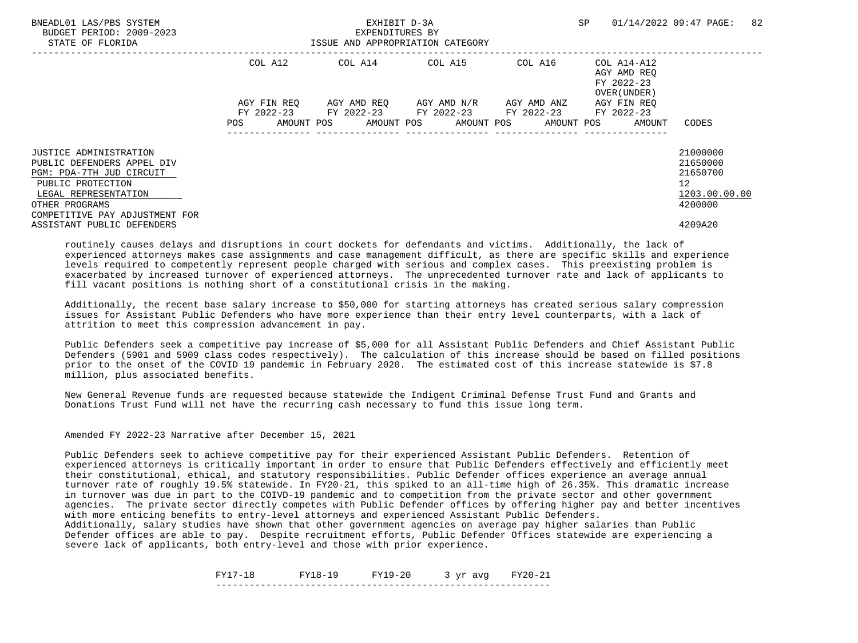| BNEADL01 LAS/PBS SYSTEM<br>BUDGET PERIOD: 2009-2023<br>STATE OF FLORIDA | EXHIBIT D-3A<br>EXPENDITURES BY<br>ISSUE AND APPROPRIATION CATEGORY |  |                                                        |         | <b>SP</b>                                                | 82<br>01/14/2022 09:47 PAGE: |
|-------------------------------------------------------------------------|---------------------------------------------------------------------|--|--------------------------------------------------------|---------|----------------------------------------------------------|------------------------------|
|                                                                         | COL A12                                                             |  | COL A14 COL A15                                        | COL A16 | COL A14-A12<br>AGY AMD REO<br>FY 2022-23<br>OVER (UNDER) |                              |
|                                                                         | AGY FIN REO                                                         |  | AGY AMD REO AGY AMD N/R AGY AMD ANZ                    |         | AGY FIN REO                                              |                              |
|                                                                         |                                                                     |  | FY 2022-23 FY 2022-23 FY 2022-23 FY 2022-23 FY 2022-23 |         |                                                          |                              |
|                                                                         | POS                                                                 |  | AMOUNT POS AMOUNT POS AMOUNT POS AMOUNT POS            |         | AMOUNT                                                   | CODES                        |
| <b>JUSTICE ADMINISTRATION</b>                                           |                                                                     |  |                                                        |         |                                                          | 21000000                     |
| PUBLIC DEFENDERS APPEL DIV                                              |                                                                     |  |                                                        |         |                                                          | 21650000                     |
| PGM: PDA-7TH JUD CIRCUIT                                                |                                                                     |  |                                                        |         |                                                          | 21650700                     |
| PUBLIC PROTECTION                                                       |                                                                     |  |                                                        |         |                                                          | 12                           |
| LEGAL REPRESENTATION                                                    |                                                                     |  |                                                        |         |                                                          | 1203.00.00.00                |
| OTHER PROGRAMS<br>COMPETITIVE PAY ADJUSTMENT FOR                        |                                                                     |  |                                                        |         |                                                          | 4200000                      |
| ASSISTANT PUBLIC DEFENDERS                                              |                                                                     |  |                                                        |         |                                                          | 4209A20                      |

 Additionally, the recent base salary increase to \$50,000 for starting attorneys has created serious salary compression issues for Assistant Public Defenders who have more experience than their entry level counterparts, with a lack of attrition to meet this compression advancement in pay.

 Public Defenders seek a competitive pay increase of \$5,000 for all Assistant Public Defenders and Chief Assistant Public Defenders (5901 and 5909 class codes respectively). The calculation of this increase should be based on filled positions prior to the onset of the COVID 19 pandemic in February 2020. The estimated cost of this increase statewide is \$7.8 million, plus associated benefits.

 New General Revenue funds are requested because statewide the Indigent Criminal Defense Trust Fund and Grants and Donations Trust Fund will not have the recurring cash necessary to fund this issue long term.

Amended FY 2022-23 Narrative after December 15, 2021

 Public Defenders seek to achieve competitive pay for their experienced Assistant Public Defenders. Retention of experienced attorneys is critically important in order to ensure that Public Defenders effectively and efficiently meet their constitutional, ethical, and statutory responsibilities. Public Defender offices experience an average annual turnover rate of roughly 19.5% statewide. In FY20-21, this spiked to an all-time high of 26.35%. This dramatic increase in turnover was due in part to the COIVD-19 pandemic and to competition from the private sector and other government agencies. The private sector directly competes with Public Defender offices by offering higher pay and better incentives with more enticing benefits to entry-level attorneys and experienced Assistant Public Defenders.

 Additionally, salary studies have shown that other government agencies on average pay higher salaries than Public Defender offices are able to pay. Despite recruitment efforts, Public Defender Offices statewide are experiencing a severe lack of applicants, both entry-level and those with prior experience.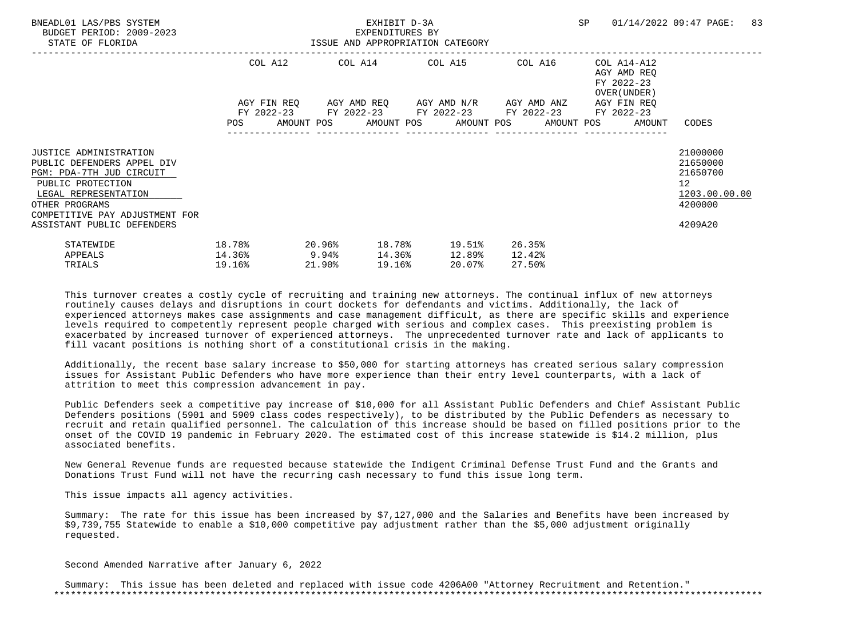| BNEADL01 LAS/PBS SYSTEM<br>BUDGET PERIOD: 2009-2023<br>STATE OF FLORIDA                                                                                                                                                | ISSUE AND APPROPRIATION CATEGORY              |                  | EXHIBIT D-3A<br>EXPENDITURES BY |        |                                                                                                                  |                            |                                                                          | SP 01/14/2022 09:47 PAGE:                                                                  | 83 |
|------------------------------------------------------------------------------------------------------------------------------------------------------------------------------------------------------------------------|-----------------------------------------------|------------------|---------------------------------|--------|------------------------------------------------------------------------------------------------------------------|----------------------------|--------------------------------------------------------------------------|--------------------------------------------------------------------------------------------|----|
|                                                                                                                                                                                                                        |                                               |                  |                                 |        | COL A12 COL A14 COL A15 COL A16<br>AGY FIN REQ 6GY AMD REQ 6GY AMD N/R 6GY AMD ANZ                               |                            | COL A14-A12<br>AGY AMD REO<br>FY 2022-23<br>OVER (UNDER )<br>AGY FIN REO |                                                                                            |    |
|                                                                                                                                                                                                                        |                                               |                  |                                 |        | FY 2022-23 FY 2022-23 FY 2022-23 FY 2022-23 FY 2022-23<br>POS AMOUNT POS AMOUNT POS AMOUNT POS AMOUNT POS AMOUNT |                            |                                                                          | CODES                                                                                      |    |
| <b>JUSTICE ADMINISTRATION</b><br>PUBLIC DEFENDERS APPEL DIV<br>PGM: PDA-7TH JUD CIRCUIT<br>PUBLIC PROTECTION<br>LEGAL REPRESENTATION<br>OTHER PROGRAMS<br>COMPETITIVE PAY ADJUSTMENT FOR<br>ASSISTANT PUBLIC DEFENDERS |                                               |                  |                                 |        |                                                                                                                  |                            |                                                                          | 21000000<br>21650000<br>21650700<br>12 <sup>°</sup><br>1203.00.00.00<br>4200000<br>4209A20 |    |
| STATEWIDE<br>APPEALS<br>TRIALS                                                                                                                                                                                         | 18.78%<br>$14.36$ <sup>8</sup> 9.94<br>19.16% | 20.96%<br>21.90% |                                 | 19.16% | 18.78% 19.51%<br>14.36% 12.89%<br>20.07%                                                                         | 26.35%<br>12.42%<br>27.50% |                                                                          |                                                                                            |    |

 Additionally, the recent base salary increase to \$50,000 for starting attorneys has created serious salary compression issues for Assistant Public Defenders who have more experience than their entry level counterparts, with a lack of attrition to meet this compression advancement in pay.

 Public Defenders seek a competitive pay increase of \$10,000 for all Assistant Public Defenders and Chief Assistant Public Defenders positions (5901 and 5909 class codes respectively), to be distributed by the Public Defenders as necessary to recruit and retain qualified personnel. The calculation of this increase should be based on filled positions prior to the onset of the COVID 19 pandemic in February 2020. The estimated cost of this increase statewide is \$14.2 million, plus associated benefits.

 New General Revenue funds are requested because statewide the Indigent Criminal Defense Trust Fund and the Grants and Donations Trust Fund will not have the recurring cash necessary to fund this issue long term.

This issue impacts all agency activities.

 Summary: The rate for this issue has been increased by \$7,127,000 and the Salaries and Benefits have been increased by \$9,739,755 Statewide to enable a \$10,000 competitive pay adjustment rather than the \$5,000 adjustment originally requested.

Second Amended Narrative after January 6, 2022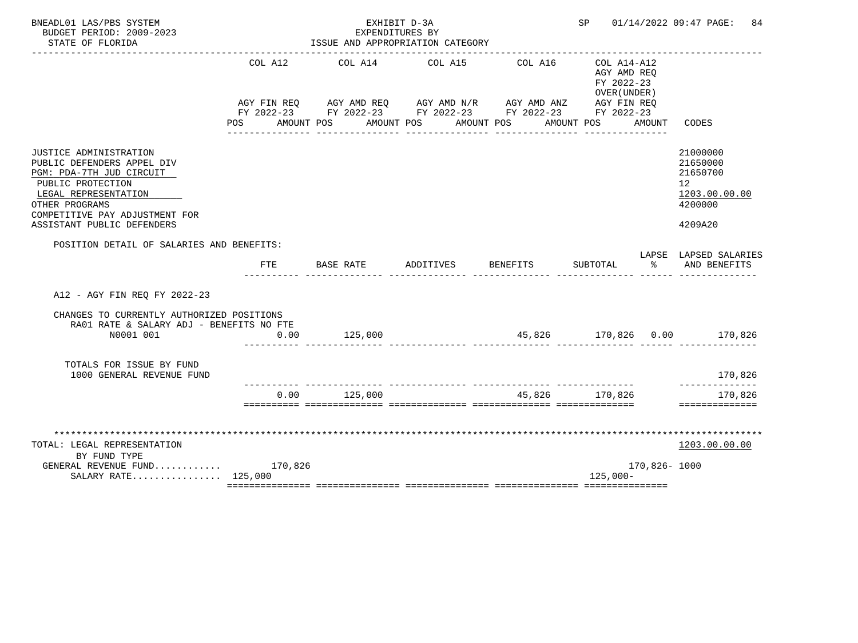| BNEADL01 LAS/PBS SYSTEM<br>BUDGET PERIOD: 2009-2023                                                                                                                                                             |                       | EXPENDITURES BY                                                                                                                                           | EXHIBIT D-3A |                                  | SP                                                       |              | 01/14/2022 09:47 PAGE:<br>84                                                  |
|-----------------------------------------------------------------------------------------------------------------------------------------------------------------------------------------------------------------|-----------------------|-----------------------------------------------------------------------------------------------------------------------------------------------------------|--------------|----------------------------------|----------------------------------------------------------|--------------|-------------------------------------------------------------------------------|
| STATE OF FLORIDA                                                                                                                                                                                                |                       | ISSUE AND APPROPRIATION CATEGORY                                                                                                                          |              |                                  |                                                          |              |                                                                               |
|                                                                                                                                                                                                                 | COL A12<br><b>POS</b> | COL A14<br>AGY FIN REQ AGY AMD REQ AGY AMD N/R AGY AMD ANZ AGY FIN REQ<br>FY 2022-23 FY 2022-23 FY 2022-23 FY 2022-23 FY 2022-23<br>AMOUNT POS AMOUNT POS | COL A15      | COL A16<br>AMOUNT POS AMOUNT POS | COL A14-A12<br>AGY AMD REQ<br>FY 2022-23<br>OVER (UNDER) | AMOUNT       | CODES                                                                         |
| JUSTICE ADMINISTRATION<br>PUBLIC DEFENDERS APPEL DIV<br>PGM: PDA-7TH JUD CIRCUIT<br>PUBLIC PROTECTION<br>LEGAL REPRESENTATION<br>OTHER PROGRAMS<br>COMPETITIVE PAY ADJUSTMENT FOR<br>ASSISTANT PUBLIC DEFENDERS |                       |                                                                                                                                                           |              |                                  |                                                          |              | 21000000<br>21650000<br>21650700<br>12<br>1203.00.00.00<br>4200000<br>4209A20 |
| POSITION DETAIL OF SALARIES AND BENEFITS:                                                                                                                                                                       | FTE                   | BASE RATE                                                                                                                                                 | ADDITIVES    | BENEFITS                         | SUBTOTAL                                                 | ႜႂ           | LAPSE LAPSED SALARIES<br>AND BENEFITS                                         |
| A12 - AGY FIN REO FY 2022-23                                                                                                                                                                                    |                       |                                                                                                                                                           |              |                                  |                                                          |              |                                                                               |
| CHANGES TO CURRENTLY AUTHORIZED POSITIONS<br>RA01 RATE & SALARY ADJ - BENEFITS NO FTE<br>N0001 001                                                                                                              | 0.00                  | 125,000                                                                                                                                                   |              |                                  |                                                          |              |                                                                               |
| TOTALS FOR ISSUE BY FUND<br>1000 GENERAL REVENUE FUND                                                                                                                                                           |                       |                                                                                                                                                           |              |                                  |                                                          |              | 170,826                                                                       |
|                                                                                                                                                                                                                 | 0.00                  | 125,000                                                                                                                                                   |              | ________________________________ | 45,826 170,826                                           |              | 170,826<br>==============                                                     |
| TOTAL: LEGAL REPRESENTATION<br>BY FUND TYPE<br>GENERAL REVENUE FUND 170,826                                                                                                                                     |                       |                                                                                                                                                           |              |                                  |                                                          | 170,826-1000 | 1203.00.00.00                                                                 |
| SALARY RATE 125,000                                                                                                                                                                                             |                       |                                                                                                                                                           |              |                                  | $125,000-$                                               |              |                                                                               |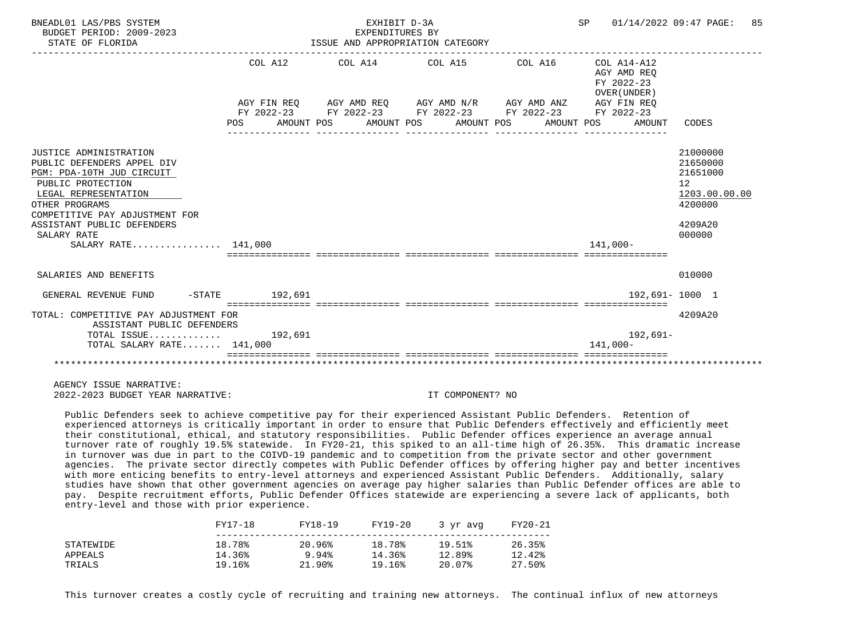| BNEADL01 LAS/PBS SYSTEM<br>BUDGET PERIOD: 2009-2023<br>STATE OF FLORIDA                                                                                                                                                                                |                                                            | EXHIBIT D-3A<br>EXPENDITURES BY | ISSUE AND APPROPRIATION CATEGORY                                                                                                                         | SP 01/14/2022 09:47 PAGE:                                                                 | 85                                                                                      |
|--------------------------------------------------------------------------------------------------------------------------------------------------------------------------------------------------------------------------------------------------------|------------------------------------------------------------|---------------------------------|----------------------------------------------------------------------------------------------------------------------------------------------------------|-------------------------------------------------------------------------------------------|-----------------------------------------------------------------------------------------|
|                                                                                                                                                                                                                                                        | COL A12<br>POS AMOUNT POS AMOUNT POS AMOUNT POS AMOUNT POS |                                 | $COL A14$ $COL A15$ $COL A16$ $COL A14-A12$<br>AGY FIN REO AGY AMD REO AGY AMD N/R AGY AMD ANZ<br>FY 2022-23 FY 2022-23 FY 2022-23 FY 2022-23 FY 2022-23 | AGY AMD REO<br>FY 2022-23<br>OVER (UNDER)<br>AGY FIN REO<br>AMOUNT                        | CODES                                                                                   |
| JUSTICE ADMINISTRATION<br>PUBLIC DEFENDERS APPEL DIV<br>PGM: PDA-10TH JUD CIRCUIT<br>PUBLIC PROTECTION<br>LEGAL REPRESENTATION<br>OTHER PROGRAMS<br>COMPETITIVE PAY ADJUSTMENT FOR<br>ASSISTANT PUBLIC DEFENDERS<br>SALARY RATE<br>SALARY RATE 141,000 |                                                            |                                 |                                                                                                                                                          | $141.000 -$<br>sicicicicici intricticici intrictici interestici intricticiali interestici | 21000000<br>21650000<br>21651000<br>12<br>1203.00.00.00<br>4200000<br>4209A20<br>000000 |
| SALARIES AND BENEFITS                                                                                                                                                                                                                                  |                                                            |                                 |                                                                                                                                                          |                                                                                           | 010000                                                                                  |
| GENERAL REVENUE FUND                                                                                                                                                                                                                                   | -STATE 192.691                                             |                                 |                                                                                                                                                          | 192.691-1000 1                                                                            |                                                                                         |
| TOTAL: COMPETITIVE PAY ADJUSTMENT FOR<br>ASSISTANT PUBLIC DEFENDERS                                                                                                                                                                                    |                                                            |                                 |                                                                                                                                                          |                                                                                           | 4209A20                                                                                 |
| TOTAL ISSUE $192,691$<br>TOTAL SALARY RATE 141,000                                                                                                                                                                                                     |                                                            |                                 |                                                                                                                                                          | 192,691-<br>141,000-                                                                      |                                                                                         |
|                                                                                                                                                                                                                                                        |                                                            |                                 |                                                                                                                                                          |                                                                                           |                                                                                         |

 Public Defenders seek to achieve competitive pay for their experienced Assistant Public Defenders. Retention of experienced attorneys is critically important in order to ensure that Public Defenders effectively and efficiently meet their constitutional, ethical, and statutory responsibilities. Public Defender offices experience an average annual turnover rate of roughly 19.5% statewide. In FY20-21, this spiked to an all-time high of 26.35%. This dramatic increase in turnover was due in part to the COIVD-19 pandemic and to competition from the private sector and other government agencies. The private sector directly competes with Public Defender offices by offering higher pay and better incentives with more enticing benefits to entry-level attorneys and experienced Assistant Public Defenders. Additionally, salary studies have shown that other government agencies on average pay higher salaries than Public Defender offices are able to pay. Despite recruitment efforts, Public Defender Offices statewide are experiencing a severe lack of applicants, both entry-level and those with prior experience.

|           | FY17-18 | FY18-19   | FY19-20 | 3 yr avg | FY20-21 |
|-----------|---------|-----------|---------|----------|---------|
| STATEWIDE | 18.78%  | 20.96%    | 18.78%  | 19.51%   | 26.35%  |
| APPEALS   | 14.36%  | 9.94%     | 14.36%  | 12.89%   | 12.42%  |
| TRIALS    | 19.16%  | $21.90\%$ | 19.16%  | 20.07%   | 27.50%  |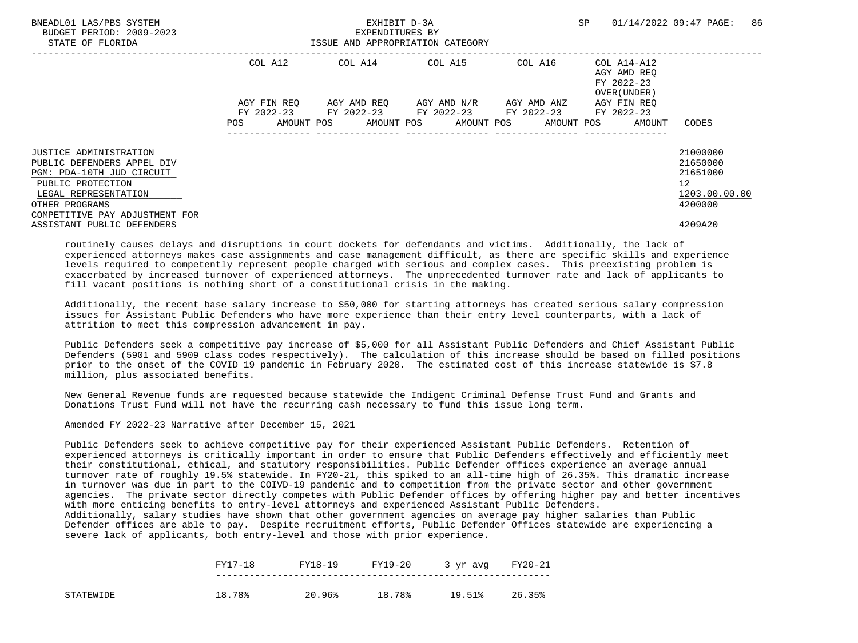| BNEADL01 LAS/PBS SYSTEM<br>BUDGET PERIOD: 2009-2023<br>STATE OF FLORIDA | EXHIBIT D-3A<br>EXPENDITURES BY<br>ISSUE AND APPROPRIATION CATEGORY |                                                                                            |                                     |         | SP                                                       | 86<br>01/14/2022 09:47 PAGE: |
|-------------------------------------------------------------------------|---------------------------------------------------------------------|--------------------------------------------------------------------------------------------|-------------------------------------|---------|----------------------------------------------------------|------------------------------|
|                                                                         | COL A12                                                             |                                                                                            | COL A14 COL A15                     | COL A16 | COL A14-A12<br>AGY AMD REO<br>FY 2022-23<br>OVER (UNDER) |                              |
|                                                                         | AGY FIN REO                                                         |                                                                                            | AGY AMD REO AGY AMD N/R AGY AMD ANZ |         | AGY FIN REO                                              |                              |
|                                                                         | POS                                                                 | FY 2022-23 FY 2022-23 FY 2022-23 FY 2022-23<br>AMOUNT POS AMOUNT POS AMOUNT POS AMOUNT POS |                                     |         | FY 2022-23<br>AMOUNT                                     | CODES                        |
|                                                                         |                                                                     |                                                                                            |                                     |         |                                                          |                              |
| <b>JUSTICE ADMINISTRATION</b>                                           |                                                                     |                                                                                            |                                     |         |                                                          | 21000000                     |
| PUBLIC DEFENDERS APPEL DIV                                              |                                                                     |                                                                                            |                                     |         |                                                          | 21650000                     |
| PGM: PDA-10TH JUD CIRCUIT                                               |                                                                     |                                                                                            |                                     |         |                                                          | 21651000                     |
| PUBLIC PROTECTION                                                       |                                                                     |                                                                                            |                                     |         |                                                          | 12                           |
| LEGAL REPRESENTATION                                                    |                                                                     |                                                                                            |                                     |         |                                                          | 1203.00.00.00                |
| OTHER PROGRAMS<br>COMPETITIVE PAY ADJUSTMENT FOR                        |                                                                     |                                                                                            |                                     |         |                                                          | 4200000                      |
| ASSISTANT PUBLIC DEFENDERS                                              |                                                                     |                                                                                            |                                     |         |                                                          | 4209A20                      |

 Additionally, the recent base salary increase to \$50,000 for starting attorneys has created serious salary compression issues for Assistant Public Defenders who have more experience than their entry level counterparts, with a lack of attrition to meet this compression advancement in pay.

 Public Defenders seek a competitive pay increase of \$5,000 for all Assistant Public Defenders and Chief Assistant Public Defenders (5901 and 5909 class codes respectively). The calculation of this increase should be based on filled positions prior to the onset of the COVID 19 pandemic in February 2020. The estimated cost of this increase statewide is \$7.8 million, plus associated benefits.

 New General Revenue funds are requested because statewide the Indigent Criminal Defense Trust Fund and Grants and Donations Trust Fund will not have the recurring cash necessary to fund this issue long term.

Amended FY 2022-23 Narrative after December 15, 2021

 Public Defenders seek to achieve competitive pay for their experienced Assistant Public Defenders. Retention of experienced attorneys is critically important in order to ensure that Public Defenders effectively and efficiently meet their constitutional, ethical, and statutory responsibilities. Public Defender offices experience an average annual turnover rate of roughly 19.5% statewide. In FY20-21, this spiked to an all-time high of 26.35%. This dramatic increase in turnover was due in part to the COIVD-19 pandemic and to competition from the private sector and other government agencies. The private sector directly competes with Public Defender offices by offering higher pay and better incentives with more enticing benefits to entry-level attorneys and experienced Assistant Public Defenders. Additionally, salary studies have shown that other government agencies on average pay higher salaries than Public Defender offices are able to pay. Despite recruitment efforts, Public Defender Offices statewide are experiencing a

|           | FY17-18 | FY18-19 | FY19-20 | 3 yr avg FY20-21 |        |
|-----------|---------|---------|---------|------------------|--------|
| STATEWIDE | 18.78%  | 20.96%  | 18.78%  | 19.51%           | 26.35% |

severe lack of applicants, both entry-level and those with prior experience.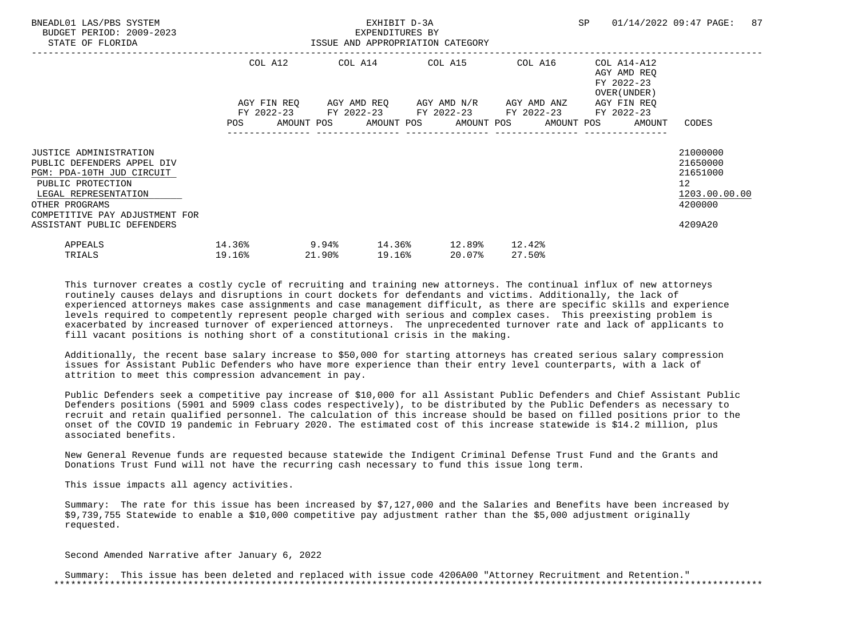| BNEADL01 LAS/PBS SYSTEM<br>BUDGET PERIOD: 2009-2023<br>STATE OF FLORIDA                                                                                                                                          |                  |        | EXHIBIT D-3A<br>EXPENDITURES BY |        | ISSUE AND APPROPRIATION CATEGORY                                                                                                                         |                  | SP |                                                           | 01/14/2022 09:47 PAGE:                                                        | 87 |
|------------------------------------------------------------------------------------------------------------------------------------------------------------------------------------------------------------------|------------------|--------|---------------------------------|--------|----------------------------------------------------------------------------------------------------------------------------------------------------------|------------------|----|-----------------------------------------------------------|-------------------------------------------------------------------------------|----|
|                                                                                                                                                                                                                  | COL A12          |        |                                 |        | COL A14 COL A15 COL A16                                                                                                                                  |                  |    | COL A14-A12<br>AGY AMD REO<br>FY 2022-23<br>OVER (UNDER ) |                                                                               |    |
|                                                                                                                                                                                                                  |                  |        |                                 |        | AGY FIN REQ AGY AMD REQ AGY AMD N/R AGY AMD ANZ<br>FY 2022-23 FY 2022-23 FY 2022-23 FY 2022-23<br>POS AMOUNT POS AMOUNT POS AMOUNT POS AMOUNT POS AMOUNT |                  |    | AGY FIN REO<br>FY 2022-23                                 | CODES                                                                         |    |
| JUSTICE ADMINISTRATION<br>PUBLIC DEFENDERS APPEL DIV<br>PGM: PDA-10TH JUD CIRCUIT<br>PUBLIC PROTECTION<br>LEGAL REPRESENTATION<br>OTHER PROGRAMS<br>COMPETITIVE PAY ADJUSTMENT FOR<br>ASSISTANT PUBLIC DEFENDERS |                  |        |                                 |        |                                                                                                                                                          |                  |    |                                                           | 21000000<br>21650000<br>21651000<br>12<br>1203.00.00.00<br>4200000<br>4209A20 |    |
| APPEALS<br>TRIALS                                                                                                                                                                                                | 14.36%<br>19.16% | 21.90% |                                 | 19.16% | $9.94\%$ 14.36% 12.89%<br>20.07%                                                                                                                         | 12.42%<br>27.50% |    |                                                           |                                                                               |    |

 Additionally, the recent base salary increase to \$50,000 for starting attorneys has created serious salary compression issues for Assistant Public Defenders who have more experience than their entry level counterparts, with a lack of attrition to meet this compression advancement in pay.

 Public Defenders seek a competitive pay increase of \$10,000 for all Assistant Public Defenders and Chief Assistant Public Defenders positions (5901 and 5909 class codes respectively), to be distributed by the Public Defenders as necessary to recruit and retain qualified personnel. The calculation of this increase should be based on filled positions prior to the onset of the COVID 19 pandemic in February 2020. The estimated cost of this increase statewide is \$14.2 million, plus associated benefits.

 New General Revenue funds are requested because statewide the Indigent Criminal Defense Trust Fund and the Grants and Donations Trust Fund will not have the recurring cash necessary to fund this issue long term.

This issue impacts all agency activities.

 Summary: The rate for this issue has been increased by \$7,127,000 and the Salaries and Benefits have been increased by \$9,739,755 Statewide to enable a \$10,000 competitive pay adjustment rather than the \$5,000 adjustment originally requested.

Second Amended Narrative after January 6, 2022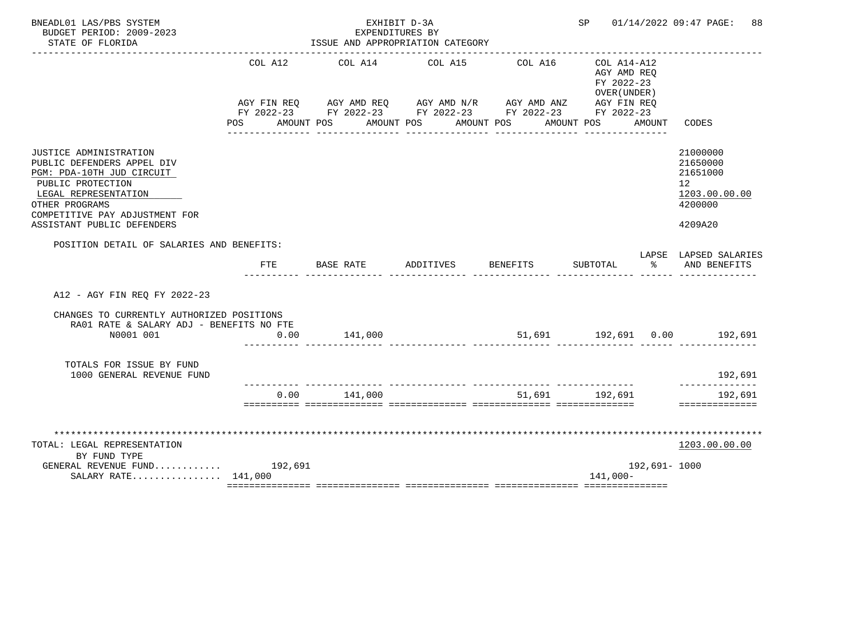| BNEADL01 LAS/PBS SYSTEM<br>BUDGET PERIOD: 2009-2023<br>STATE OF FLORIDA                                                                                                                                          |            | EXPENDITURES BY       | EXHIBIT D-3A<br>ISSUE AND APPROPRIATION CATEGORY                                                                      |                       | SP                         |               | 01/14/2022 09:47 PAGE:<br>88                                                  |
|------------------------------------------------------------------------------------------------------------------------------------------------------------------------------------------------------------------|------------|-----------------------|-----------------------------------------------------------------------------------------------------------------------|-----------------------|----------------------------|---------------|-------------------------------------------------------------------------------|
|                                                                                                                                                                                                                  | COL A12    | COL A14               | COL A15                                                                                                               | COL A16               | COL A14-A12<br>AGY AMD REQ |               |                                                                               |
|                                                                                                                                                                                                                  | <b>POS</b> | AMOUNT POS AMOUNT POS | AGY FIN REQ AGY AMD REQ AGY AMD N/R AGY AMD ANZ AGY FIN REQ<br>FY 2022-23 FY 2022-23 FY 2022-23 FY 2022-23 FY 2022-23 | AMOUNT POS AMOUNT POS | FY 2022-23<br>OVER (UNDER) | AMOUNT        | CODES                                                                         |
| JUSTICE ADMINISTRATION<br>PUBLIC DEFENDERS APPEL DIV<br>PGM: PDA-10TH JUD CIRCUIT<br>PUBLIC PROTECTION<br>LEGAL REPRESENTATION<br>OTHER PROGRAMS<br>COMPETITIVE PAY ADJUSTMENT FOR<br>ASSISTANT PUBLIC DEFENDERS |            |                       |                                                                                                                       |                       |                            |               | 21000000<br>21650000<br>21651000<br>12<br>1203.00.00.00<br>4200000<br>4209A20 |
| POSITION DETAIL OF SALARIES AND BENEFITS:                                                                                                                                                                        | <b>FTE</b> | BASE RATE             | ADDITIVES                                                                                                             | <b>BENEFITS</b>       | SUBTOTAL                   | ႜೢ            | LAPSE LAPSED SALARIES<br>AND BENEFITS                                         |
| A12 - AGY FIN REO FY 2022-23                                                                                                                                                                                     |            |                       |                                                                                                                       |                       |                            |               |                                                                               |
| CHANGES TO CURRENTLY AUTHORIZED POSITIONS<br>RA01 RATE & SALARY ADJ - BENEFITS NO FTE<br>N0001 001                                                                                                               | 0.00       | 141,000               |                                                                                                                       |                       |                            |               |                                                                               |
| TOTALS FOR ISSUE BY FUND<br>1000 GENERAL REVENUE FUND                                                                                                                                                            |            |                       |                                                                                                                       |                       |                            |               | 192,691                                                                       |
|                                                                                                                                                                                                                  | 0.00       | 141,000               |                                                                                                                       |                       | 51,691 192,691             |               | ---------<br>192,691<br>==============                                        |
| TOTAL: LEGAL REPRESENTATION<br>BY FUND TYPE                                                                                                                                                                      |            |                       |                                                                                                                       |                       |                            |               | 1203.00.00.00                                                                 |
| GENERAL REVENUE FUND $192,691$<br>SALARY RATE $141,000$                                                                                                                                                          |            |                       |                                                                                                                       |                       | 141,000-                   | 192,691- 1000 |                                                                               |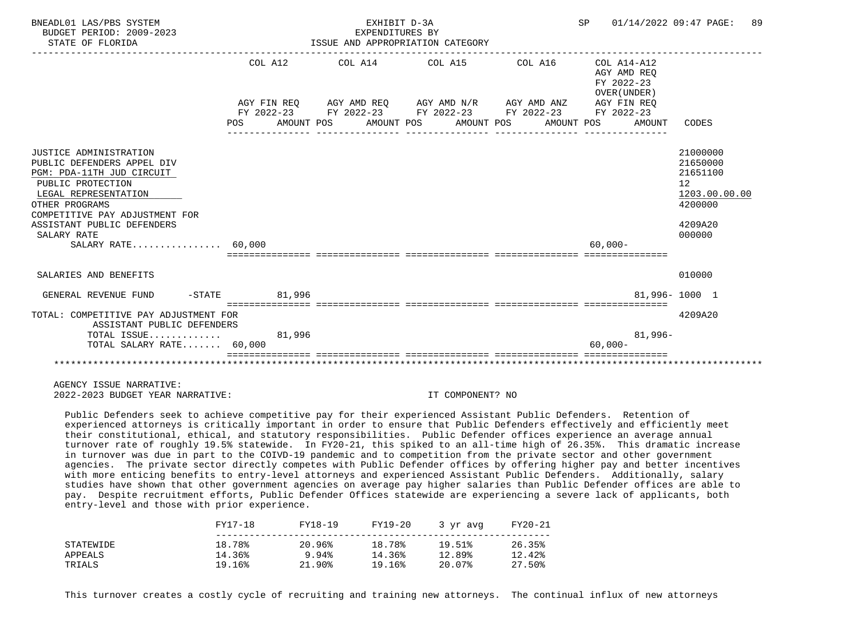| BNEADL01 LAS/PBS SYSTEM<br>BUDGET PERIOD: 2009-2023<br>STATE OF FLORIDA                                                                                                                                                                                 |                   | EXHIBIT D-3A<br>EXPENDITURES BY<br>ISSUE AND APPROPRIATION CATEGORY                                                                                      |  | SP 01/14/2022 09:47 PAGE:                                          | 89                                                                                                   |
|---------------------------------------------------------------------------------------------------------------------------------------------------------------------------------------------------------------------------------------------------------|-------------------|----------------------------------------------------------------------------------------------------------------------------------------------------------|--|--------------------------------------------------------------------|------------------------------------------------------------------------------------------------------|
|                                                                                                                                                                                                                                                         | COL A12<br>POS DO | AGY FIN REO AGY AMD REO AGY AMD N/R AGY AMD ANZ<br>FY 2022-23 FY 2022-23 FY 2022-23 FY 2022-23 FY 2022-23<br>AMOUNT POS AMOUNT POS AMOUNT POS AMOUNT POS |  | AGY AMD REO<br>FY 2022-23<br>OVER (UNDER)<br>AGY FIN REO<br>AMOUNT | CODES                                                                                                |
| JUSTICE ADMINISTRATION<br>PUBLIC DEFENDERS APPEL DIV<br>PGM: PDA-11TH JUD CIRCUIT<br>PUBLIC PROTECTION<br>LEGAL REPRESENTATION<br>OTHER PROGRAMS<br>COMPETITIVE PAY ADJUSTMENT FOR<br>ASSISTANT PUBLIC DEFENDERS<br>SALARY RATE<br>SALARY RATE $60.000$ |                   |                                                                                                                                                          |  | $60.000 -$                                                         | 21000000<br>21650000<br>21651100<br>12 <sup>°</sup><br>1203.00.00.00<br>4200000<br>4209A20<br>000000 |
| SALARIES AND BENEFITS                                                                                                                                                                                                                                   |                   |                                                                                                                                                          |  |                                                                    | 010000                                                                                               |
| GENERAL REVENUE FUND<br>TOTAL: COMPETITIVE PAY ADJUSTMENT FOR<br>ASSISTANT PUBLIC DEFENDERS<br>TOTAL ISSUE 81,996<br>TOTAL SALARY RATE 60,000                                                                                                           | -STATE 81,996     | ==================================                                                                                                                       |  | ___________________________________<br>$81,996-$<br>$60,000 -$     | 81.996-1000 1<br>4209A20                                                                             |
|                                                                                                                                                                                                                                                         |                   |                                                                                                                                                          |  |                                                                    |                                                                                                      |

 Public Defenders seek to achieve competitive pay for their experienced Assistant Public Defenders. Retention of experienced attorneys is critically important in order to ensure that Public Defenders effectively and efficiently meet their constitutional, ethical, and statutory responsibilities. Public Defender offices experience an average annual turnover rate of roughly 19.5% statewide. In FY20-21, this spiked to an all-time high of 26.35%. This dramatic increase in turnover was due in part to the COIVD-19 pandemic and to competition from the private sector and other government agencies. The private sector directly competes with Public Defender offices by offering higher pay and better incentives with more enticing benefits to entry-level attorneys and experienced Assistant Public Defenders. Additionally, salary studies have shown that other government agencies on average pay higher salaries than Public Defender offices are able to pay. Despite recruitment efforts, Public Defender Offices statewide are experiencing a severe lack of applicants, both entry-level and those with prior experience.

|           | FY17-18 | FY18-19   | FY19-20 | 3 yr avg | FY20-21 |
|-----------|---------|-----------|---------|----------|---------|
| STATEWIDE | 18.78%  | 20.96%    | 18.78%  | 19.51%   | 26.35%  |
| APPEALS   | 14.36%  | 9.94%     | 14.36%  | 12.89%   | 12.42%  |
| TRIALS    | 19.16%  | $21.90\%$ | 19.16%  | 20.07%   | 27.50%  |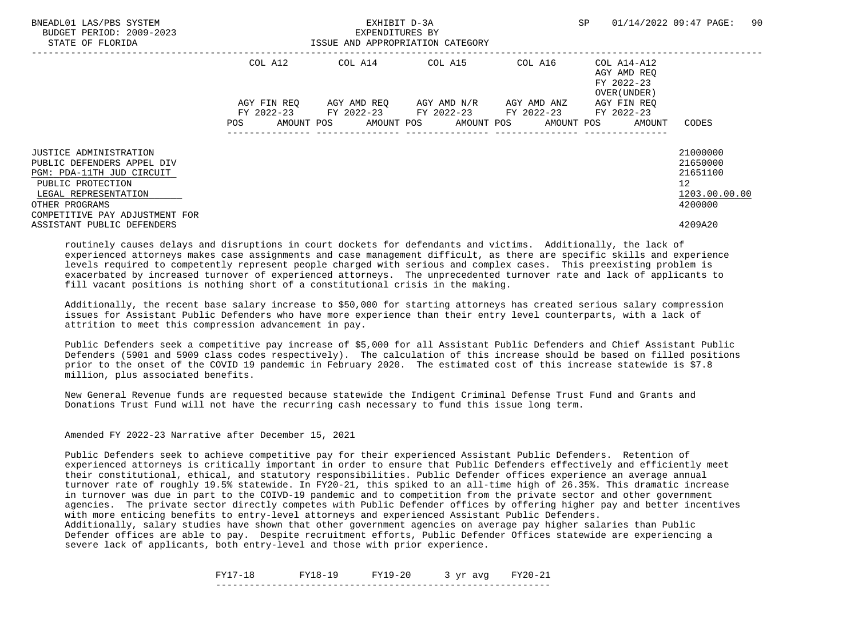| BNEADL01 LAS/PBS SYSTEM<br>BUDGET PERIOD: 2009-2023<br>STATE OF FLORIDA | EXHIBIT D-3A<br>EXPENDITURES BY<br>ISSUE AND APPROPRIATION CATEGORY |                                                                                                       |                                     |         | SP                                                       | 90<br>01/14/2022 09:47 PAGE: |
|-------------------------------------------------------------------------|---------------------------------------------------------------------|-------------------------------------------------------------------------------------------------------|-------------------------------------|---------|----------------------------------------------------------|------------------------------|
|                                                                         | COL A12                                                             |                                                                                                       | COL A14 COL A15                     | COL A16 | COL A14-A12<br>AGY AMD REO<br>FY 2022-23<br>OVER (UNDER) |                              |
|                                                                         | AGY FIN REO                                                         |                                                                                                       | AGY AMD REO AGY AMD N/R AGY AMD ANZ |         | AGY FIN REO                                              |                              |
|                                                                         | POS                                                                 | FY 2022-23 FY 2022-23 FY 2022-23 FY 2022-23 FY 2022-23<br>AMOUNT POS AMOUNT POS AMOUNT POS AMOUNT POS |                                     |         | AMOUNT                                                   | CODES                        |
|                                                                         |                                                                     |                                                                                                       |                                     |         |                                                          |                              |
| <b>JUSTICE ADMINISTRATION</b>                                           |                                                                     |                                                                                                       |                                     |         |                                                          | 21000000                     |
| PUBLIC DEFENDERS APPEL DIV                                              |                                                                     |                                                                                                       |                                     |         |                                                          | 21650000                     |
| PGM: PDA-11TH JUD CIRCUIT                                               |                                                                     |                                                                                                       |                                     |         |                                                          | 21651100                     |
| PUBLIC PROTECTION                                                       |                                                                     |                                                                                                       |                                     |         |                                                          | 12                           |
| LEGAL REPRESENTATION                                                    |                                                                     |                                                                                                       |                                     |         |                                                          | 1203.00.00.00                |
| OTHER PROGRAMS<br>COMPETITIVE PAY ADJUSTMENT FOR                        |                                                                     |                                                                                                       |                                     |         |                                                          | 4200000                      |
| ASSISTANT PUBLIC DEFENDERS                                              |                                                                     |                                                                                                       |                                     |         |                                                          | 4209A20                      |

 Additionally, the recent base salary increase to \$50,000 for starting attorneys has created serious salary compression issues for Assistant Public Defenders who have more experience than their entry level counterparts, with a lack of attrition to meet this compression advancement in pay.

 Public Defenders seek a competitive pay increase of \$5,000 for all Assistant Public Defenders and Chief Assistant Public Defenders (5901 and 5909 class codes respectively). The calculation of this increase should be based on filled positions prior to the onset of the COVID 19 pandemic in February 2020. The estimated cost of this increase statewide is \$7.8 million, plus associated benefits.

 New General Revenue funds are requested because statewide the Indigent Criminal Defense Trust Fund and Grants and Donations Trust Fund will not have the recurring cash necessary to fund this issue long term.

Amended FY 2022-23 Narrative after December 15, 2021

 Public Defenders seek to achieve competitive pay for their experienced Assistant Public Defenders. Retention of experienced attorneys is critically important in order to ensure that Public Defenders effectively and efficiently meet their constitutional, ethical, and statutory responsibilities. Public Defender offices experience an average annual turnover rate of roughly 19.5% statewide. In FY20-21, this spiked to an all-time high of 26.35%. This dramatic increase in turnover was due in part to the COIVD-19 pandemic and to competition from the private sector and other government agencies. The private sector directly competes with Public Defender offices by offering higher pay and better incentives with more enticing benefits to entry-level attorneys and experienced Assistant Public Defenders.

 Additionally, salary studies have shown that other government agencies on average pay higher salaries than Public Defender offices are able to pay. Despite recruitment efforts, Public Defender Offices statewide are experiencing a severe lack of applicants, both entry-level and those with prior experience.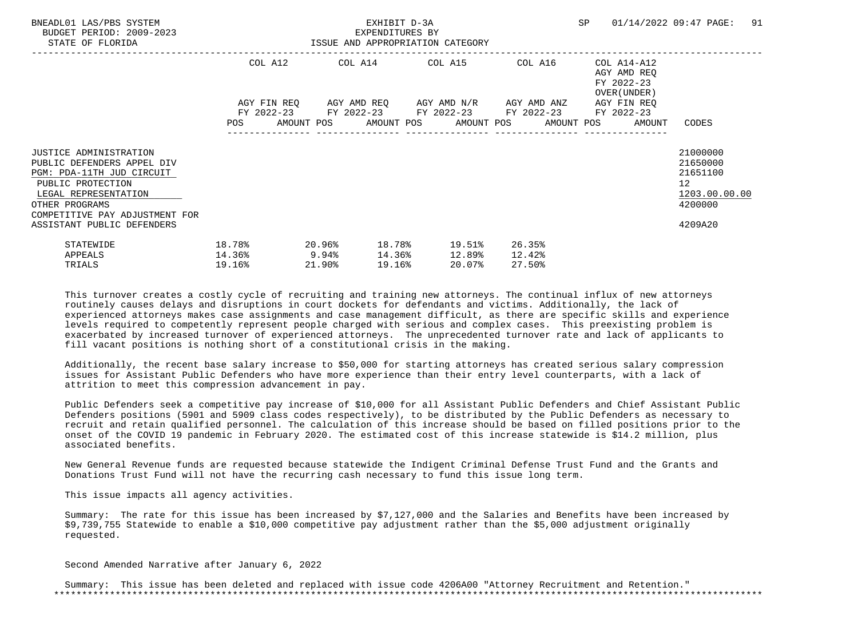| BNEADL01 LAS/PBS SYSTEM<br>BUDGET PERIOD: 2009-2023<br>STATE OF FLORIDA                                                                                                                                                 | ISSUE AND APPROPRIATION CATEGORY    |                  | EXHIBIT D-3A<br>EXPENDITURES BY |                                                                                                                  |                            |                                                                          | SP 01/14/2022 09:47 PAGE: 91                                                               |  |
|-------------------------------------------------------------------------------------------------------------------------------------------------------------------------------------------------------------------------|-------------------------------------|------------------|---------------------------------|------------------------------------------------------------------------------------------------------------------|----------------------------|--------------------------------------------------------------------------|--------------------------------------------------------------------------------------------|--|
|                                                                                                                                                                                                                         |                                     |                  |                                 | COL A12 COL A14 COL A15 COL A16<br>AGY FIN REQ AGY AMD REQ AGY AMD N/R AGY AMD ANZ                               |                            | COL A14-A12<br>AGY AMD REO<br>FY 2022-23<br>OVER (UNDER )<br>AGY FIN REO |                                                                                            |  |
|                                                                                                                                                                                                                         |                                     |                  |                                 | FY 2022-23 FY 2022-23 FY 2022-23 FY 2022-23 FY 2022-23<br>POS AMOUNT POS AMOUNT POS AMOUNT POS AMOUNT POS AMOUNT |                            |                                                                          | CODES                                                                                      |  |
| <b>JUSTICE ADMINISTRATION</b><br>PUBLIC DEFENDERS APPEL DIV<br>PGM: PDA-11TH JUD CIRCUIT<br>PUBLIC PROTECTION<br>LEGAL REPRESENTATION<br>OTHER PROGRAMS<br>COMPETITIVE PAY ADJUSTMENT FOR<br>ASSISTANT PUBLIC DEFENDERS |                                     |                  |                                 |                                                                                                                  |                            |                                                                          | 21000000<br>21650000<br>21651100<br>12 <sup>°</sup><br>1203.00.00.00<br>4200000<br>4209A20 |  |
| STATEWIDE<br>APPEALS<br>TRIALS                                                                                                                                                                                          | 18.78%<br>$14.36\%$ 9.94%<br>19.16% | 20.96%<br>21.90% | 19.16%                          | 18.78% 19.51%<br>$14.36$ <sup>8</sup> $12.89$ <sup>8</sup><br>20.07%                                             | 26.35%<br>12.42%<br>27.50% |                                                                          |                                                                                            |  |

 Additionally, the recent base salary increase to \$50,000 for starting attorneys has created serious salary compression issues for Assistant Public Defenders who have more experience than their entry level counterparts, with a lack of attrition to meet this compression advancement in pay.

 Public Defenders seek a competitive pay increase of \$10,000 for all Assistant Public Defenders and Chief Assistant Public Defenders positions (5901 and 5909 class codes respectively), to be distributed by the Public Defenders as necessary to recruit and retain qualified personnel. The calculation of this increase should be based on filled positions prior to the onset of the COVID 19 pandemic in February 2020. The estimated cost of this increase statewide is \$14.2 million, plus associated benefits.

 New General Revenue funds are requested because statewide the Indigent Criminal Defense Trust Fund and the Grants and Donations Trust Fund will not have the recurring cash necessary to fund this issue long term.

This issue impacts all agency activities.

 Summary: The rate for this issue has been increased by \$7,127,000 and the Salaries and Benefits have been increased by \$9,739,755 Statewide to enable a \$10,000 competitive pay adjustment rather than the \$5,000 adjustment originally requested.

Second Amended Narrative after January 6, 2022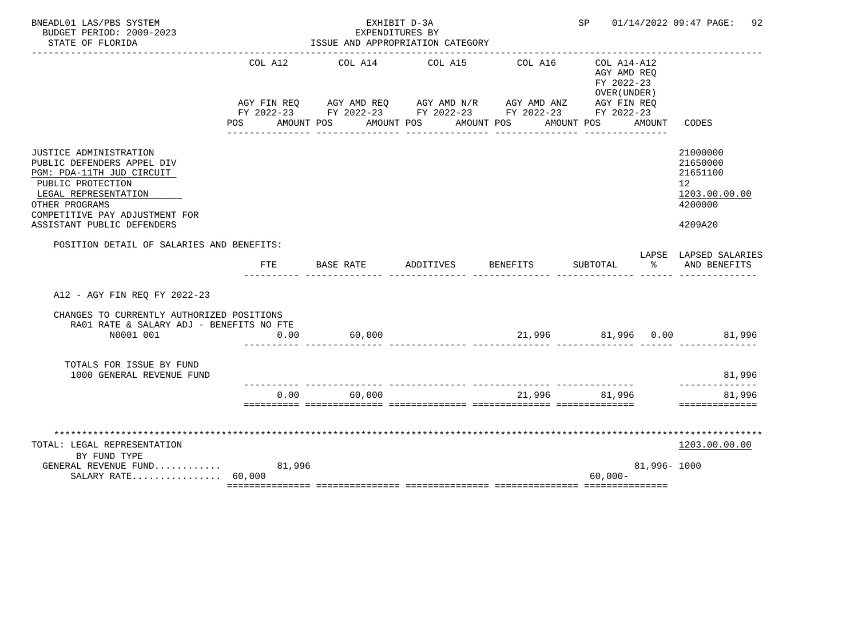| BNEADL01 LAS/PBS SYSTEM<br>BUDGET PERIOD: 2009-2023                                                                                                                                                              |                       | EXHIBIT D-3A<br>EXPENDITURES BY                                                                                                                                                 |           |                 | SP 01/14/2022 09:47 PAGE:<br>92                          |             |                                                                               |
|------------------------------------------------------------------------------------------------------------------------------------------------------------------------------------------------------------------|-----------------------|---------------------------------------------------------------------------------------------------------------------------------------------------------------------------------|-----------|-----------------|----------------------------------------------------------|-------------|-------------------------------------------------------------------------------|
| STATE OF FLORIDA                                                                                                                                                                                                 |                       | ISSUE AND APPROPRIATION CATEGORY                                                                                                                                                |           |                 |                                                          |             |                                                                               |
|                                                                                                                                                                                                                  | COL A12<br><b>POS</b> | COL A14<br>AGY FIN REQ AGY AMD REQ AGY AMD N/R AGY AMD ANZ AGY FIN REQ<br>FY 2022-23 FY 2022-23 FY 2022-23 FY 2022-23 FY 2022-23<br>AMOUNT POS AMOUNT POS AMOUNT POS AMOUNT POS | COL A15   | COL A16         | COL A14-A12<br>AGY AMD REQ<br>FY 2022-23<br>OVER (UNDER) | AMOUNT      | CODES                                                                         |
| JUSTICE ADMINISTRATION<br>PUBLIC DEFENDERS APPEL DIV<br>PGM: PDA-11TH JUD CIRCUIT<br>PUBLIC PROTECTION<br>LEGAL REPRESENTATION<br>OTHER PROGRAMS<br>COMPETITIVE PAY ADJUSTMENT FOR<br>ASSISTANT PUBLIC DEFENDERS |                       |                                                                                                                                                                                 |           |                 |                                                          |             | 21000000<br>21650000<br>21651100<br>12<br>1203.00.00.00<br>4200000<br>4209A20 |
| POSITION DETAIL OF SALARIES AND BENEFITS:                                                                                                                                                                        | FTE                   | BASE RATE                                                                                                                                                                       | ADDITIVES | <b>BENEFITS</b> | SUBTOTAL                                                 | ిన          | LAPSE LAPSED SALARIES<br>AND BENEFITS                                         |
| A12 - AGY FIN REO FY 2022-23                                                                                                                                                                                     |                       |                                                                                                                                                                                 |           |                 |                                                          |             |                                                                               |
| CHANGES TO CURRENTLY AUTHORIZED POSITIONS<br>RA01 RATE & SALARY ADJ - BENEFITS NO FTE<br>N0001 001                                                                                                               | 0.00                  | 60,000                                                                                                                                                                          |           |                 |                                                          |             | 21,996 81,996 0.00 81,996                                                     |
| TOTALS FOR ISSUE BY FUND<br>1000 GENERAL REVENUE FUND                                                                                                                                                            |                       |                                                                                                                                                                                 |           |                 |                                                          |             | 81,996                                                                        |
|                                                                                                                                                                                                                  | 0.00                  | 60,000                                                                                                                                                                          |           | 21,996          | 81,996                                                   |             | --------<br>81,996<br>==============                                          |
| TOTAL: LEGAL REPRESENTATION<br>BY FUND TYPE                                                                                                                                                                      |                       |                                                                                                                                                                                 |           |                 |                                                          |             | 1203.00.00.00                                                                 |
| GENERAL REVENUE FUND<br>SALARY RATE $60,000$                                                                                                                                                                     | 81,996                |                                                                                                                                                                                 |           |                 | $60,000 -$                                               | 81,996-1000 |                                                                               |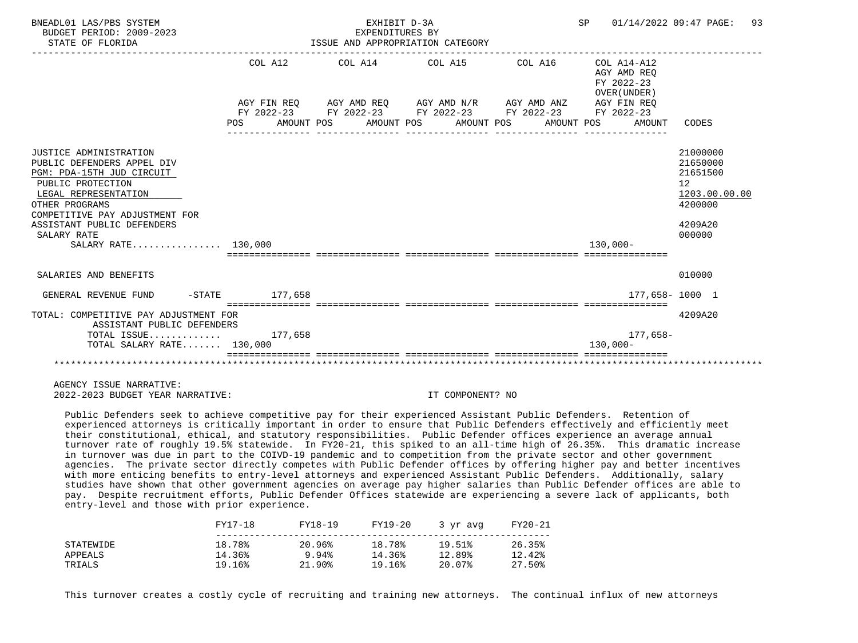| BNEADL01 LAS/PBS SYSTEM<br>BUDGET PERIOD: 2009-2023<br>STATE OF FLORIDA                                                                                                                                                                                |                       | EXHIBIT D-3A<br>EXPENDITURES BY<br>ISSUE AND APPROPRIATION CATEGORY | SP 01/14/2022 09:47 PAGE:                                                                                                                                                                                   | 93                                                  |                                                                                                      |
|--------------------------------------------------------------------------------------------------------------------------------------------------------------------------------------------------------------------------------------------------------|-----------------------|---------------------------------------------------------------------|-------------------------------------------------------------------------------------------------------------------------------------------------------------------------------------------------------------|-----------------------------------------------------|------------------------------------------------------------------------------------------------------|
|                                                                                                                                                                                                                                                        | COL A12<br><b>POS</b> |                                                                     | COL A14 COL A15 COL A16 COL A14-A12<br>AGY FIN REQ AGY AMD REQ AGY AMD N/R AGY AMD ANZ AGY FIN REQ<br>FY 2022-23 FY 2022-23 FY 2022-23 FY 2022-23 FY 2022-23<br>AMOUNT POS AMOUNT POS AMOUNT POS AMOUNT POS | AGY AMD REO<br>FY 2022-23<br>OVER (UNDER)<br>AMOUNT | CODES                                                                                                |
|                                                                                                                                                                                                                                                        |                       |                                                                     |                                                                                                                                                                                                             |                                                     |                                                                                                      |
| JUSTICE ADMINISTRATION<br>PUBLIC DEFENDERS APPEL DIV<br>PGM: PDA-15TH JUD CIRCUIT<br>PUBLIC PROTECTION<br>LEGAL REPRESENTATION<br>OTHER PROGRAMS<br>COMPETITIVE PAY ADJUSTMENT FOR<br>ASSISTANT PUBLIC DEFENDERS<br>SALARY RATE<br>SALARY RATE 130,000 |                       |                                                                     |                                                                                                                                                                                                             | $130.000 -$                                         | 21000000<br>21650000<br>21651500<br>12 <sup>°</sup><br>1203.00.00.00<br>4200000<br>4209A20<br>000000 |
| SALARIES AND BENEFITS                                                                                                                                                                                                                                  |                       |                                                                     |                                                                                                                                                                                                             |                                                     | 010000                                                                                               |
| GENERAL REVENUE FUND                                                                                                                                                                                                                                   | -STATE 177.658        |                                                                     |                                                                                                                                                                                                             | 177,658-1000 1                                      |                                                                                                      |
| TOTAL: COMPETITIVE PAY ADJUSTMENT FOR<br>ASSISTANT PUBLIC DEFENDERS<br>TOTAL ISSUE $177,658$                                                                                                                                                           |                       |                                                                     |                                                                                                                                                                                                             | 177,658-                                            | 4209A20                                                                                              |
| TOTAL SALARY RATE 130,000                                                                                                                                                                                                                              |                       |                                                                     |                                                                                                                                                                                                             | $130.000 -$                                         |                                                                                                      |
|                                                                                                                                                                                                                                                        |                       |                                                                     |                                                                                                                                                                                                             |                                                     |                                                                                                      |

 Public Defenders seek to achieve competitive pay for their experienced Assistant Public Defenders. Retention of experienced attorneys is critically important in order to ensure that Public Defenders effectively and efficiently meet their constitutional, ethical, and statutory responsibilities. Public Defender offices experience an average annual turnover rate of roughly 19.5% statewide. In FY20-21, this spiked to an all-time high of 26.35%. This dramatic increase in turnover was due in part to the COIVD-19 pandemic and to competition from the private sector and other government agencies. The private sector directly competes with Public Defender offices by offering higher pay and better incentives with more enticing benefits to entry-level attorneys and experienced Assistant Public Defenders. Additionally, salary studies have shown that other government agencies on average pay higher salaries than Public Defender offices are able to pay. Despite recruitment efforts, Public Defender Offices statewide are experiencing a severe lack of applicants, both entry-level and those with prior experience.

|  | FY17-18   | FY18-19 | FY19-20   | 3 yr avg | FY20-21 |        |
|--|-----------|---------|-----------|----------|---------|--------|
|  | STATEWIDE | 18.78%  | 20.96%    | 18.78%   | 19.51%  | 26.35% |
|  | APPEALS   | 14.36%  | 9.94%     | 14.36%   | 12.89%  | 12.42% |
|  | TRIALS    | 19.16%  | $21.90\%$ | 19.16%   | 20.07%  | 27.50% |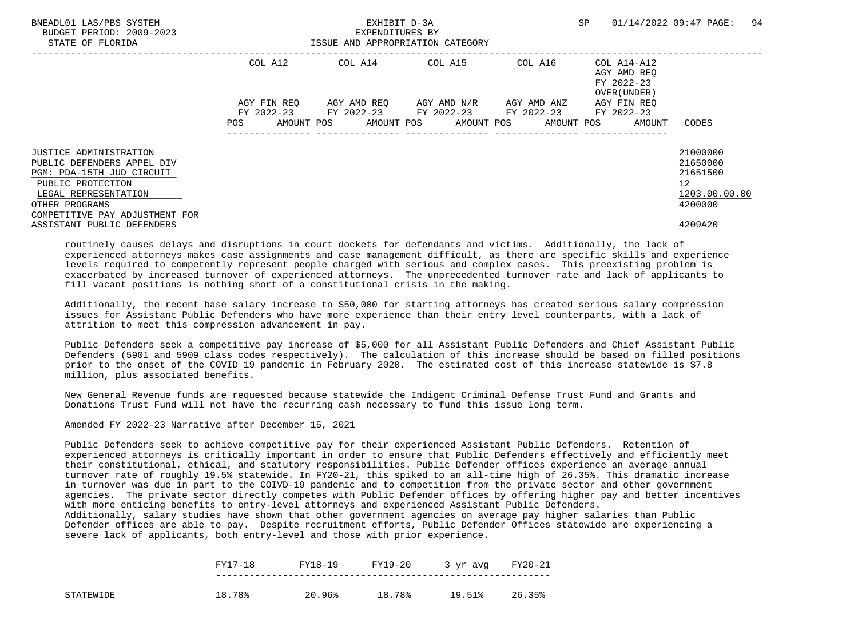| BNEADL01 LAS/PBS SYSTEM<br>BUDGET PERIOD: 2009-2023<br>STATE OF FLORIDA |             | EXHIBIT D-3A<br>EXPENDITURES BY<br>ISSUE AND APPROPRIATION CATEGORY                                   |                                     | SP      | 94<br>01/14/2022 09:47 PAGE:                             |               |
|-------------------------------------------------------------------------|-------------|-------------------------------------------------------------------------------------------------------|-------------------------------------|---------|----------------------------------------------------------|---------------|
|                                                                         | COL A12     |                                                                                                       | COL A14 COL A15                     | COL A16 | COL A14-A12<br>AGY AMD REO<br>FY 2022-23<br>OVER (UNDER) |               |
|                                                                         | AGY FIN REO |                                                                                                       | AGY AMD REO AGY AMD N/R AGY AMD ANZ |         | AGY FIN REO                                              |               |
|                                                                         | POS         | FY 2022-23 FY 2022-23 FY 2022-23 FY 2022-23 FY 2022-23<br>AMOUNT POS AMOUNT POS AMOUNT POS AMOUNT POS |                                     |         | AMOUNT                                                   | CODES         |
|                                                                         |             |                                                                                                       |                                     |         |                                                          |               |
| <b>JUSTICE ADMINISTRATION</b>                                           |             |                                                                                                       |                                     |         |                                                          | 21000000      |
| PUBLIC DEFENDERS APPEL DIV                                              |             |                                                                                                       |                                     |         |                                                          | 21650000      |
| PGM: PDA-15TH JUD CIRCUIT                                               |             |                                                                                                       |                                     |         |                                                          | 21651500      |
| PUBLIC PROTECTION                                                       |             |                                                                                                       |                                     |         |                                                          | 12            |
| LEGAL REPRESENTATION                                                    |             |                                                                                                       |                                     |         |                                                          | 1203.00.00.00 |
| OTHER PROGRAMS<br>COMPETITIVE PAY ADJUSTMENT FOR                        |             |                                                                                                       |                                     |         |                                                          | 4200000       |
| ASSISTANT PUBLIC DEFENDERS                                              |             |                                                                                                       |                                     |         |                                                          | 4209A20       |

 Additionally, the recent base salary increase to \$50,000 for starting attorneys has created serious salary compression issues for Assistant Public Defenders who have more experience than their entry level counterparts, with a lack of attrition to meet this compression advancement in pay.

 Public Defenders seek a competitive pay increase of \$5,000 for all Assistant Public Defenders and Chief Assistant Public Defenders (5901 and 5909 class codes respectively). The calculation of this increase should be based on filled positions prior to the onset of the COVID 19 pandemic in February 2020. The estimated cost of this increase statewide is \$7.8 million, plus associated benefits.

 New General Revenue funds are requested because statewide the Indigent Criminal Defense Trust Fund and Grants and Donations Trust Fund will not have the recurring cash necessary to fund this issue long term.

Amended FY 2022-23 Narrative after December 15, 2021

 Public Defenders seek to achieve competitive pay for their experienced Assistant Public Defenders. Retention of experienced attorneys is critically important in order to ensure that Public Defenders effectively and efficiently meet their constitutional, ethical, and statutory responsibilities. Public Defender offices experience an average annual turnover rate of roughly 19.5% statewide. In FY20-21, this spiked to an all-time high of 26.35%. This dramatic increase in turnover was due in part to the COIVD-19 pandemic and to competition from the private sector and other government agencies. The private sector directly competes with Public Defender offices by offering higher pay and better incentives with more enticing benefits to entry-level attorneys and experienced Assistant Public Defenders. Additionally, salary studies have shown that other government agencies on average pay higher salaries than Public Defender offices are able to pay. Despite recruitment efforts, Public Defender Offices statewide are experiencing a

|           | FY17-18 | FY18-19 | FY19-20 | 3 yr avg | FY20-21 |
|-----------|---------|---------|---------|----------|---------|
| STATEWIDE | 18.78%  | 20.96%  | 18.78%  | 19.51%   | 26.35%  |

severe lack of applicants, both entry-level and those with prior experience.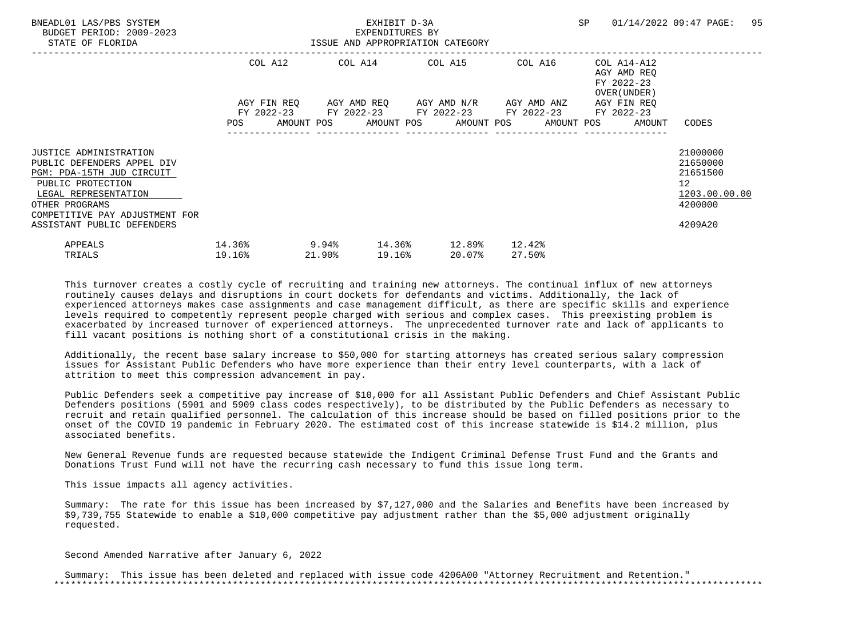| BNEADL01 LAS/PBS SYSTEM<br>BUDGET PERIOD: 2009-2023<br>STATE OF FLORIDA                                                                                                                                          | EXHIBIT D-3A<br>EXPENDITURES BY<br>ISSUE AND APPROPRIATION CATEGORY |  |                         |        |  |                                                                                                           | SP |                  | 01/14/2022 09:47 PAGE:                                   | 95                                                                    |                                                                                              |  |
|------------------------------------------------------------------------------------------------------------------------------------------------------------------------------------------------------------------|---------------------------------------------------------------------|--|-------------------------|--------|--|-----------------------------------------------------------------------------------------------------------|----|------------------|----------------------------------------------------------|-----------------------------------------------------------------------|----------------------------------------------------------------------------------------------|--|
|                                                                                                                                                                                                                  | COL A12                                                             |  | COL A14 COL A15 COL A16 |        |  |                                                                                                           |    |                  | COL A14-A12<br>AGY AMD REO<br>FY 2022-23<br>OVER (UNDER) |                                                                       |                                                                                              |  |
|                                                                                                                                                                                                                  |                                                                     |  |                         |        |  | AGY FIN REQ 6GY AMD REQ 6GY AMD N/R 6GY AMD ANZ<br>FY 2022-23 FY 2022-23 FY 2022-23 FY 2022-23 FY 2022-23 |    |                  |                                                          | AGY FIN REO<br>POS AMOUNT POS AMOUNT POS AMOUNT POS AMOUNT POS AMOUNT | CODES                                                                                        |  |
| JUSTICE ADMINISTRATION<br>PUBLIC DEFENDERS APPEL DIV<br>PGM: PDA-15TH JUD CIRCUIT<br>PUBLIC PROTECTION<br>LEGAL REPRESENTATION<br>OTHER PROGRAMS<br>COMPETITIVE PAY ADJUSTMENT FOR<br>ASSISTANT PUBLIC DEFENDERS |                                                                     |  |                         |        |  |                                                                                                           |    |                  |                                                          |                                                                       | 21000000<br>21650000<br>21651500<br>$12 \overline{ }$<br>1203.00.00.00<br>4200000<br>4209A20 |  |
| APPEALS<br>TRIALS                                                                                                                                                                                                | 14.36%<br>19.16%                                                    |  | 21.90%                  | 19.16% |  | $9.94\%$ 14.36% 12.89%<br>20.07%                                                                          |    | 12.42%<br>27.50% |                                                          |                                                                       |                                                                                              |  |

 Additionally, the recent base salary increase to \$50,000 for starting attorneys has created serious salary compression issues for Assistant Public Defenders who have more experience than their entry level counterparts, with a lack of attrition to meet this compression advancement in pay.

 Public Defenders seek a competitive pay increase of \$10,000 for all Assistant Public Defenders and Chief Assistant Public Defenders positions (5901 and 5909 class codes respectively), to be distributed by the Public Defenders as necessary to recruit and retain qualified personnel. The calculation of this increase should be based on filled positions prior to the onset of the COVID 19 pandemic in February 2020. The estimated cost of this increase statewide is \$14.2 million, plus associated benefits.

 New General Revenue funds are requested because statewide the Indigent Criminal Defense Trust Fund and the Grants and Donations Trust Fund will not have the recurring cash necessary to fund this issue long term.

This issue impacts all agency activities.

 Summary: The rate for this issue has been increased by \$7,127,000 and the Salaries and Benefits have been increased by \$9,739,755 Statewide to enable a \$10,000 competitive pay adjustment rather than the \$5,000 adjustment originally requested.

Second Amended Narrative after January 6, 2022